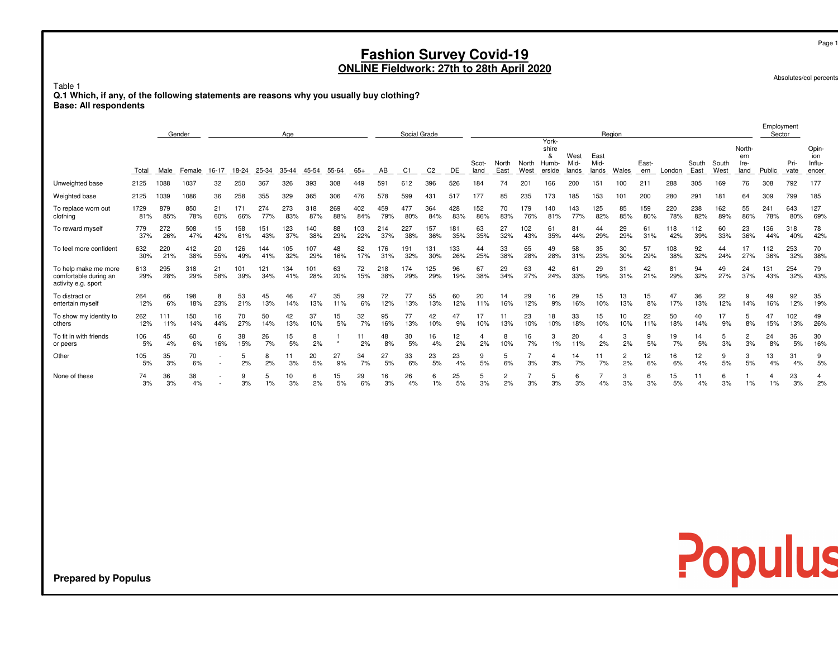# **Fashion Survey Covid-19 ONLINE Fieldwork: 27th to 28th April 2020**

Absolutes/col percents

 **Q.1 Which, if any, of the following statements are reasons why you usually buy clothing?Base: All respondents**

|                                                                      |             |              | Gender         |           |            |              | Age        |            |              |            |            | Social Grade   |                       |            |            |           |            | York-               |              | Region       |                      |              |            |            |            |                       | Employment<br>Sector |            |                        |
|----------------------------------------------------------------------|-------------|--------------|----------------|-----------|------------|--------------|------------|------------|--------------|------------|------------|----------------|-----------------------|------------|------------|-----------|------------|---------------------|--------------|--------------|----------------------|--------------|------------|------------|------------|-----------------------|----------------------|------------|------------------------|
|                                                                      |             |              |                |           |            |              |            |            |              |            |            |                |                       |            | Scot-      | North     | North      | shire<br>&<br>Humb- | West<br>Mid- | East<br>Mid- |                      | East-        |            | South      | South      | North-<br>ern<br>Ire- |                      | Pri-       | Opin-<br>ion<br>Influ- |
|                                                                      | Total       | Male<br>1088 | Female<br>1037 | 16-17     | 18-24      | 25-34<br>367 | $35 - 44$  | 45-54      | 55-64<br>308 | $65+$      | AB         | C <sub>1</sub> | C <sub>2</sub><br>396 | DE         | land       | East      | West       | erside              | lands<br>200 | lands        | Wales                | ern          | London     | East       | West       | land                  | Public<br>308        | vate       | encer                  |
| Unweighted base                                                      | 2125        |              |                | 32        | 250        |              | 326        | 393        |              | 449        | $59 -$     | 612            |                       | 526        | 184        | 74        | 201        | 166                 |              | 151          | 100                  | $21^{\circ}$ | 288        | 305        | 169        | 76                    |                      | 792        | 177                    |
| Weighted base                                                        | 2125        | 1039         | 1086           | 36        | 258        | 355          | 329        | 365        | 306          | 476        | 578        | 599            | 431                   | 517        | 177        | 85        | 235        | 173                 | 185          | 153          | 101                  | 200          | 280        | 291        | 181        | 64                    | 309                  | 799        | 185                    |
| To replace worn out<br>clothing                                      | 1729<br>81% | 879<br>85%   | 850<br>78%     | 21<br>60% | 171<br>66% | 274<br>77%   | 273<br>83% | 318<br>87% | 269<br>88%   | 402<br>84% | 459<br>79% | 477<br>80%     | 364<br>84%            | 428<br>83% | 152<br>86% | 70<br>83% | 179<br>76% | 140<br>81%          | 143<br>77%   | 125<br>82%   | 85<br>85%            | 159<br>80%   | 220<br>78% | 238<br>82% | 162<br>89% | 55<br>86%             | 241<br>78%           | 643<br>80% | 127<br>69%             |
| To reward myself                                                     | 779<br>37%  | 272<br>26%   | 508<br>47%     | 15<br>42% | 158<br>61% | 151<br>43%   | 123<br>37% | 140<br>38% | 88<br>29%    | 103<br>22% | 214<br>37% | 227<br>38%     | 157<br>36%            | 181<br>35% | 63<br>35%  | 27<br>32% | 102<br>43% | 61<br>35%           | 81<br>44%    | 44<br>29%    | 29<br>29%            | 61<br>31%    | 18<br>42%  | 112<br>39% | 60<br>33%  | 23<br>36%             | 136<br>44%           | 318<br>40% | 78<br>42%              |
| To feel more confident                                               | 632<br>30%  | 220<br>21%   | 412<br>38%     | 20<br>55% | 126<br>49% | 144<br>41%   | 105<br>32% | 107<br>29% | 48<br>16%    | 82<br>17%  | 176<br>31% | 191<br>32%     | 131<br>30%            | 133<br>26% | 44<br>25%  | 33<br>38% | 65<br>28%  | 49<br>28%           | 58<br>31%    | 35<br>23%    | 30<br>30%            | 57<br>29%    | 08<br>38%  | 92<br>32%  | 44<br>24%  | 27%                   | 112<br>36%           | 253<br>32% | 70<br>38%              |
| To help make me more<br>comfortable during an<br>activity e.g. sport | 613<br>29%  | 295<br>28%   | 318<br>29%     | 21<br>58% | 101<br>39% | 121<br>34%   | 134<br>41% | 101<br>28% | 63<br>20%    | 72<br>15%  | 218<br>38% | 174<br>29%     | 125<br>29%            | 96<br>19%  | 67<br>38%  | 29<br>34% | 63<br>27%  | 42<br>24%           | 61<br>33%    | 29<br>19%    | 31<br>31%            | 42<br>21%    | 81<br>29%  | 94<br>32%  | 49<br>27%  | 24<br>37%             | 131<br>43%           | 254<br>32% | 79<br>43%              |
| To distract or<br>entertain myself                                   | 264<br>12%  | 66<br>6%     | 198<br>18%     | 8<br>23%  | 53<br>21%  | 45<br>13%    | 46<br>14%  | 47<br>13%  | 35<br>11%    | 29<br>6%   | 72<br>12%  | 77<br>13%      | 55<br>13%             | 60<br>12%  | 20<br>11%  | 14<br>16% | 29<br>12%  | 16<br>9%            | 29<br>16%    | 15<br>10%    | 13<br>13%            | 15<br>8%     | 47<br>17%  | 36<br>13%  | 22<br>12%  | 9<br>14%              | 49<br>16%            | 92<br>12%  | 35<br>19%              |
| To show my identity to<br>others                                     | 262<br>12%  | 111<br>11%   | 150<br>14%     | 16<br>44% | 70<br>27%  | 50<br>14%    | 42<br>13%  | 37<br>10%  | 15<br>5%     | 32<br>7%   | 95<br>16%  | 77<br>13%      | 42<br>10%             | 47<br>9%   | 17<br>10%  | 13%       | 23<br>10%  | 18<br>10%           | 33<br>18%    | 15<br>10%    | 10<br>10%            | 22<br>11%    | 50<br>18%  | 40<br>14%  | 17<br>9%   | 5<br>8%               | 47<br>15%            | 102<br>13% | 49<br>26%              |
| To fit in with friends<br>or peers                                   | 106<br>5%   | 45<br>4%     | 60<br>6%       | 6<br>16%  | 38<br>15%  | 26<br>7%     | 15<br>5%   | 8<br>2%    |              | 11<br>2%   | 48<br>8%   | 30<br>5%       | 16<br>4%              | 12<br>2%   | 2%         | 10%       | 16<br>7%   | 1%                  | 20<br>11%    | 2%           | 3<br>2%              | 9<br>5%      | 19<br>7%   | 14<br>5%   | 5<br>3%    | 2<br>3%               | 24<br>8%             | 36<br>5%   | 30<br>16%              |
| Other                                                                | 105<br>5%   | 35<br>3%     | 70<br>6%       |           | 5<br>2%    | 8<br>2%      | 11<br>3%   | 20<br>5%   | 27<br>9%     | 34<br>7%   | 27<br>5%   | 33<br>6%       | 23<br>5%              | 23<br>4%   | 9<br>5%    | 5<br>6%   | 3%         | 3%                  | 14<br>7%     | 7%           | $\overline{2}$<br>2% | 12<br>6%     | 16<br>6%   | 12<br>4%   | 9<br>5%    | 3<br>5%               | 13<br>4%             | 31<br>4%   | 9<br>5%                |
| None of these                                                        | 74<br>3%    | 36<br>3%     | 38<br>4%       |           | 9<br>3%    | 1%           | 10<br>3%   | 6<br>2%    | 15<br>5%     | 29<br>6%   | 16<br>3%   | 26<br>4%       | 1%                    | 25<br>5%   | 5<br>3%    | 2<br>2%   | 3%         | 3%                  | 6<br>3%      | 4%           | 3<br>3%              | 6<br>3%      | 15<br>5%   | 11<br>4%   | 6<br>3%    | 1%                    | 1%                   | 23<br>3%   | 4<br>2%                |

**Prepared by Populus**

Table 1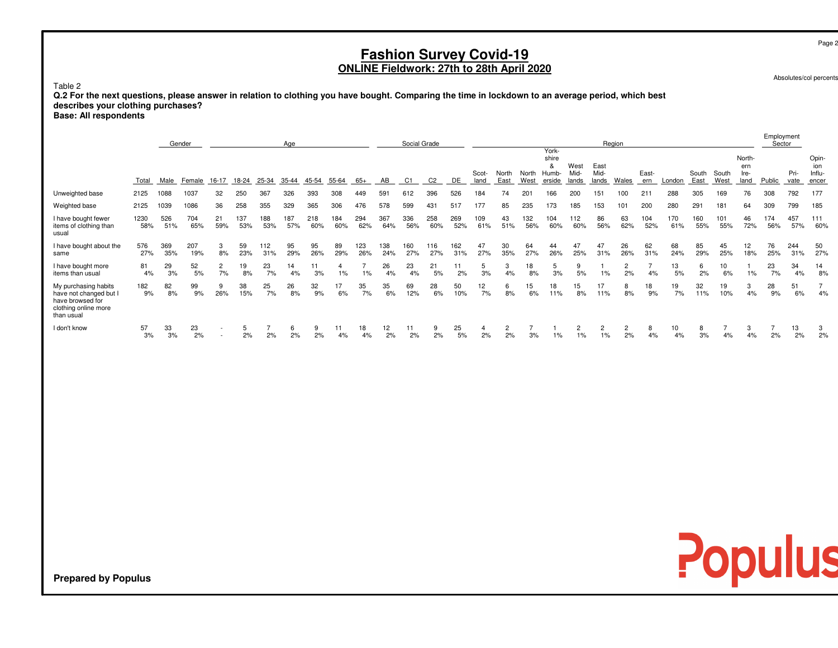# **Fashion Survey Covid-19 ONLINE Fieldwork: 27th to 28th April 2020**

Absolutes/col percents

### Table 2

 **Q.2 For the next questions, please answer in relation to clothing you have bought. Comparing the time in lockdown to an average period, which bestdescribes your clothing purchases?**

**Base: All respondents**

|                                                                                                          |             |            | Gender     |           |            |            | Age        |            |            |            |            | Social Grade |                |            |               |               |               | York-                         |                       |                       | Region    |              |            |               |               |                               | Employment<br>Sector |              |                                 |
|----------------------------------------------------------------------------------------------------------|-------------|------------|------------|-----------|------------|------------|------------|------------|------------|------------|------------|--------------|----------------|------------|---------------|---------------|---------------|-------------------------------|-----------------------|-----------------------|-----------|--------------|------------|---------------|---------------|-------------------------------|----------------------|--------------|---------------------------------|
|                                                                                                          | Total       | Male       | Female     | 16-17     | 18-24      | 25-34      | 35-44      | 45-54      | 55-64      | $65+$      | AB         | C1           | C <sub>2</sub> | DE         | Scot-<br>land | North<br>East | North<br>West | shire<br>&<br>Humb-<br>erside | West<br>Mid-<br>lands | East<br>Mid-<br>lands | Wales     | East-<br>ern | London     | South<br>East | South<br>West | North-<br>ern<br>Ire-<br>land | Public               | Pri-<br>vate | Opin-<br>ion<br>Influ-<br>encer |
| Unweighted base                                                                                          | 2125        | 1088       | 1037       | 32        | 250        | 367        | 326        | 393        | 308        | 449        | 591        | 612          | 396            | 526        | 184           | 74            | $20 -$        | 166                           | 200                   | 151                   | 100       | 211          | 288        | 305           | 169           | 76                            | 308                  | 792          | 177                             |
| Weighted base                                                                                            | 2125        | 1039       | 1086       | 36        | 258        | 355        | 329        | 365        | 306        | 476        | 578        | 599          | 431            | 517        | 177           | 85            | 235           | 173                           | 185                   | 153                   | 101       | 200          | 280        | 291           | 181           | 64                            | 309                  | 799          | 185                             |
| I have bought fewer<br>items of clothing than<br>usual                                                   | 1230<br>58% | 526<br>51% | 704<br>65% | 21<br>59% | 137<br>53% | 188<br>53% | 187<br>57% | 218<br>60% | 184<br>60% | 294<br>62% | 367<br>64% | 336<br>56%   | 258<br>60%     | 269<br>52% | 109<br>61%    | 43<br>51%     | 132<br>56%    | 104<br>60%                    | 112<br>60%            | 86<br>56%             | 63<br>62% | 104<br>52%   | 170<br>61% | 160<br>55%    | 101<br>55%    | 46<br>72%                     | 174<br>56%           | 457<br>57%   | 111<br>60%                      |
| I have bought about the<br>same                                                                          | 576<br>27%  | 369<br>35% | 207<br>19% | 3<br>8%   | 59<br>23%  | 112<br>31% | 95<br>29%  | 95<br>26%  | 89<br>29%  | 123<br>26% | 138<br>24% | 160<br>27%   | 116<br>27%     | 162<br>31% | 47<br>27%     | 30<br>35%     | 64<br>27%     | 44<br>26%                     | 47<br>25%             | 47<br>31%             | 26<br>26% | 62<br>31%    | 68<br>24%  | 85<br>29%     | 45<br>25%     | 12<br>18%                     | 76<br>25%            | 244<br>31%   | 50<br>27%                       |
| I have bought more<br>items than usual                                                                   | 81<br>4%    | 29<br>3%   | 52<br>5%   | 2<br>7%   | 19<br>8%   | 23<br>7%   | 14<br>4%   | 11<br>3%   | $1\%$      | 1%         | 26<br>4%   | 23<br>4%     | 21<br>5%       | 11<br>2%   | 5<br>3%       | 4%            | 18<br>8%      | 3%                            | 9<br>5%               | 1%                    | 2<br>2%   | 4%           | 13<br>5%   | 6<br>2%       | 10<br>6%      | 1%                            | 23<br>7%             | 34<br>4%     | 14<br>8%                        |
| My purchasing habits<br>have not changed but I<br>have browsed for<br>clothing online more<br>than usual | 182<br>9%   | 82<br>8%   | 99<br>9%   | 9<br>26%  | 38<br>15%  | 25<br>7%   | 26<br>8%   | 32<br>9%   | 17<br>6%   | 35<br>7%   | 35<br>6%   | 69<br>12%    | 28<br>6%       | 50<br>10%  | 12<br>7%      | 6<br>8%       | 15<br>6%      | 18<br>11%                     | 15<br>8%              | 17<br>11%             | 8<br>8%   | 18<br>9%     | 19<br>7%   | 32<br>11%     | 19<br>10%     | 3<br>4%                       | 28<br>9%             | 51<br>6%     | 4%                              |
| I don't know                                                                                             | 57<br>3%    | 33<br>3%   | 23<br>2%   | $\sim$    | 5<br>2%    | 2%         | 6<br>2%    | 9<br>2%    | 11<br>4%   | 18<br>4%   | 12<br>2%   | 11<br>2%     | 9<br>2%        | 25<br>5%   | 4<br>2%       | 2<br>2%       | 3%            | $1\%$                         | $\overline{2}$<br>1%  | 2<br>1%               | 2<br>2%   | 8<br>4%      | 10<br>4%   | 8<br>3%       | 4%            | 3<br>4%                       | 2%                   | 13<br>2%     | 3<br>2%                         |

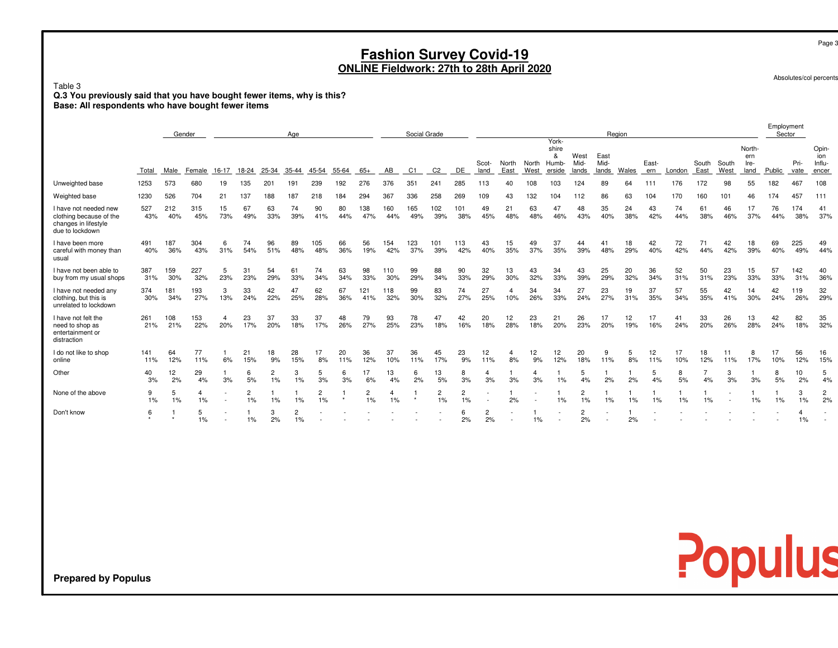|                                                                                             | <b>Fashion Survey Covid-19</b><br>ONLINE Fieldwork: 27th to 28th April 2020                                                                                                                                                                                                                                                                                                                                                                                                                                                                |            |                      |           |           |                      |                      |                      |           |                      |            |            |            |                      |                      |                |                      | Page 3<br>Absolutes/col percents |                                 |           |           |           |           |           |           |           |           |            |                      |
|---------------------------------------------------------------------------------------------|--------------------------------------------------------------------------------------------------------------------------------------------------------------------------------------------------------------------------------------------------------------------------------------------------------------------------------------------------------------------------------------------------------------------------------------------------------------------------------------------------------------------------------------------|------------|----------------------|-----------|-----------|----------------------|----------------------|----------------------|-----------|----------------------|------------|------------|------------|----------------------|----------------------|----------------|----------------------|----------------------------------|---------------------------------|-----------|-----------|-----------|-----------|-----------|-----------|-----------|-----------|------------|----------------------|
| Table 3                                                                                     | Q.3 You previously said that you have bought fewer items, why is this?<br>Base: All respondents who have bought fewer items                                                                                                                                                                                                                                                                                                                                                                                                                |            |                      |           |           |                      |                      |                      |           |                      |            |            |            |                      |                      |                |                      |                                  |                                 |           |           |           |           |           |           |           |           |            |                      |
|                                                                                             | Social Grade<br>Gender<br>Age<br>Region<br>York-<br>shire                                                                                                                                                                                                                                                                                                                                                                                                                                                                                  |            |                      |           |           |                      |                      |                      |           |                      |            |            |            |                      |                      |                | Employment<br>Sector |                                  |                                 |           |           |           |           |           |           |           |           |            |                      |
|                                                                                             | &<br>East<br>West<br>ern<br>Mid-<br>North Humb-<br>Mid-<br>East-<br>South<br>South<br>Scot-<br>North<br>Ire-<br>55-64<br>East<br>West<br>Male<br>Female<br>$16 - 17$<br>18-24<br>25-34<br>35-44<br>45-54<br>$65+$<br>AB<br>C1<br>C <sub>2</sub><br>DE.<br>East<br>West<br>erside<br>lands<br>lands<br>Wales<br>London<br>Total<br>land<br>ern<br>55<br>1253<br>573<br>680<br>19<br>135<br>201<br>239<br>192<br>276<br>376<br>351<br>241<br>285<br>113<br>108<br>124<br>89<br>176<br>172<br>98<br>19 <sup>1</sup><br>40<br>103<br>64<br>111 |            |                      |           |           |                      |                      |                      |           |                      |            |            |            |                      |                      | North-<br>land | Public               | Pri-<br>vate                     | Opin-<br>ion<br>Influ-<br>encer |           |           |           |           |           |           |           |           |            |                      |
| Unweighted base                                                                             |                                                                                                                                                                                                                                                                                                                                                                                                                                                                                                                                            |            |                      |           |           |                      |                      |                      |           |                      |            |            |            |                      |                      |                | 182                  | 467                              | 108                             |           |           |           |           |           |           |           |           |            |                      |
| Weighted base                                                                               | 1230                                                                                                                                                                                                                                                                                                                                                                                                                                                                                                                                       | 526        | 704                  | 21        | 137       | 188                  | 187                  | 218                  | 184       | 294                  | 367        | 336        | 258        | 269                  | 109                  | 43             | 132                  | 104                              | 112                             | 86        | 63        | 104       | 170       | 160       | 101       | 46        | 174       | 457        | 111                  |
| I have not needed new<br>clothing because of the<br>changes in lifestyle<br>due to lockdown | 527<br>43%                                                                                                                                                                                                                                                                                                                                                                                                                                                                                                                                 | 212<br>40% | 315<br>45%           | 15<br>73% | 67<br>49% | 63<br>33%            | 74<br>39%            | 90<br>41%            | 80<br>44% | 138<br>47%           | 160<br>44% | 165<br>49% | 102<br>39% | 101<br>38%           | 49<br>45%            | 21<br>48%      | 63<br>48%            | 47<br>46%                        | 48<br>43%                       | 35<br>40% | 24<br>38% | 43<br>42% | 74<br>44% | 61<br>38% | 46<br>46% | 17<br>37% | 76<br>44% | 174<br>38% | 41<br>37%            |
| I have been more<br>careful with money than<br>usual                                        | 491<br>40%                                                                                                                                                                                                                                                                                                                                                                                                                                                                                                                                 | 187<br>36% | 304<br>43%           | 6<br>31%  | 74<br>54% | 96<br>51%            | 89<br>48%            | 105<br>48%           | 66<br>36% | 56<br>19%            | 154<br>42% | 123<br>37% | 101<br>39% | 113<br>42%           | 43<br>40%            | 15<br>35%      | 49<br>37%            | 37<br>35%                        | 44<br>39%                       | 41<br>48% | 18<br>29% | 42<br>40% | 72<br>42% | 71<br>44% | 42<br>42% | 18<br>39% | 69<br>40% | 225<br>49% | 49<br>44%            |
| I have not been able to<br>buy from my usual shops                                          | 387<br>31%                                                                                                                                                                                                                                                                                                                                                                                                                                                                                                                                 | 159<br>30% | 227<br>32%           | 5<br>23%  | 31<br>23% | 54<br>29%            | 61<br>33%            | 74<br>34%            | 63<br>34% | 98<br>33%            | 110<br>30% | 99<br>29%  | 88<br>34%  | 90<br>33%            | 32<br>29%            | 13<br>30%      | 43<br>32%            | 34<br>33%                        | 43<br>39%                       | 25<br>29% | 20<br>32% | 36<br>34% | 52<br>31% | 50<br>31% | 23<br>23% | 15<br>33% | 57<br>33% | 142<br>31% | 40<br>36%            |
| I have not needed any<br>clothing, but this is<br>unrelated to lockdown                     | 374<br>30%                                                                                                                                                                                                                                                                                                                                                                                                                                                                                                                                 | 181<br>34% | 193<br>27%           | 3<br>13%  | 33<br>24% | 42<br>22%            | 47<br>25%            | 62<br>28%            | 67<br>36% | 121<br>41%           | 118<br>32% | 99<br>30%  | 83<br>32%  | 74<br>27%            | 27<br>25%            | 4<br>10%       | 34<br>26%            | 34<br>33%                        | 27<br>24%                       | 23<br>27% | 19<br>31% | 37<br>35% | 57<br>34% | 55<br>35% | 42<br>41% | 14<br>30% | 42<br>24% | 119<br>26% | 32<br>29%            |
| I have not felt the<br>need to shop as<br>entertainment or<br>distraction                   | 261<br>21%                                                                                                                                                                                                                                                                                                                                                                                                                                                                                                                                 | 108<br>21% | 153<br>22%           | 4<br>20%  | 23<br>17% | 37<br>20%            | 33<br>18%            | 37<br>17%            | 48<br>26% | 79<br>27%            | 93<br>25%  | 78<br>23%  | 47<br>18%  | 42<br>16%            | 20<br>18%            | 12<br>28%      | 23<br>18%            | 21<br>20%                        | 26<br>23%                       | 17<br>20% | 12<br>19% | 17<br>16% | 41<br>24% | 33<br>20% | 26<br>26% | 13<br>28% | 42<br>24% | 82<br>18%  | 35<br>32%            |
| I do not like to shop<br>online                                                             | 141<br>11%                                                                                                                                                                                                                                                                                                                                                                                                                                                                                                                                 | 64<br>12%  | 77<br>11%            | 6%        | 21<br>15% | 18<br>9%             | 28<br>15%            | 17<br>8%             | 20<br>11% | 36<br>12%            | 37<br>10%  | 36<br>11%  | 45<br>17%  | 23<br>9%             | 12<br>11%            | 4<br>8%        | 12<br>9%             | 12<br>12%                        | 20<br>18%                       | 9<br>11%  | -5<br>8%  | 12<br>11% | 17<br>10% | 18<br>12% | 11<br>11% | 8<br>17%  | 17<br>10% | 56<br>12%  | 16<br>15%            |
| Other                                                                                       | 40<br>3%                                                                                                                                                                                                                                                                                                                                                                                                                                                                                                                                   | 12<br>2%   | 29<br>4%             | -1<br>3%  | 6<br>5%   | $\overline{2}$<br>1% | 3<br>1%              | 5<br>3%              | 6<br>3%   | 17<br>6%             | 13<br>4%   | 6<br>2%    | 13<br>5%   | 8<br>3%              | 4<br>3%              | 3%             | 4<br>3%              | 1%                               | 5<br>4%                         | 2%        | 2%        | 5<br>4%   | 8<br>5%   | 7<br>4%   | 3<br>3%   | 3%        | 8<br>5%   | 10<br>2%   | 5<br>4%              |
| None of the above                                                                           | 9<br>1%                                                                                                                                                                                                                                                                                                                                                                                                                                                                                                                                    | 5<br>1%    | $\overline{4}$<br>1% |           | 2<br>1%   | 1%                   | 1%                   | $\overline{2}$<br>1% |           | $\overline{2}$<br>1% | 4<br>1%    |            | 2<br>1%    | $\overline{2}$<br>1% |                      | 2%             |                      | 1%                               | $\overline{2}$<br>1%            | 1%        | 1%        | 1%        | 1%        | 1%        |           | 1%        | 1%        | 3<br>1%    | $\overline{2}$<br>2% |
| Don't know                                                                                  | 6<br>$\star$                                                                                                                                                                                                                                                                                                                                                                                                                                                                                                                               |            | 5<br>1%              |           | $1\%$     | 3<br>2%              | $\overline{c}$<br>1% |                      |           |                      |            |            |            | 6<br>2%              | $\overline{c}$<br>2% |                | $1\%$                |                                  | $\overline{2}$<br>2%            |           | 2%        |           |           |           |           |           |           | 4<br>1%    |                      |

**Prepared by Populus**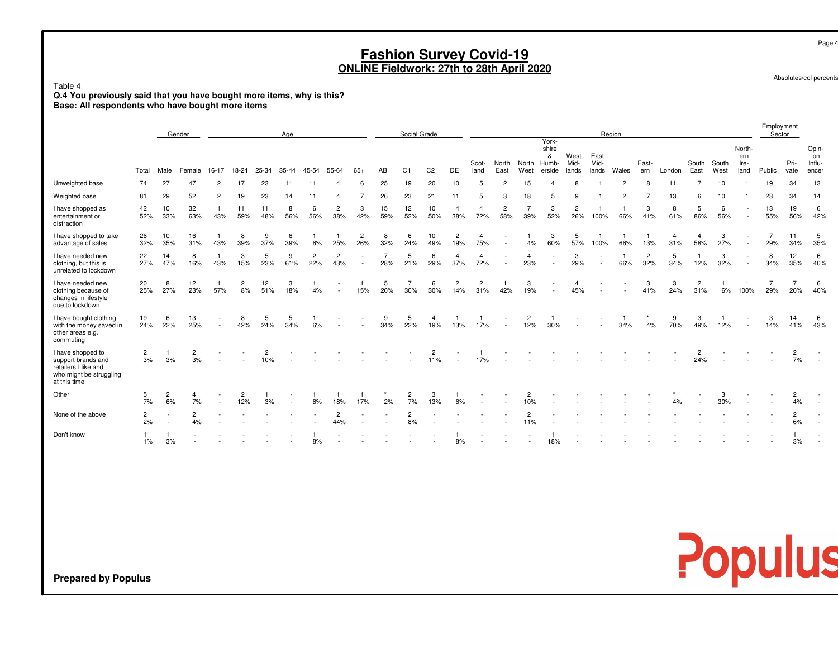| Table 4<br>Q.4 You previously said that you have bought more items, why is this?<br>Base: All respondents who have bought more items |                    |                      |                      |                     |                       |           |           |                       |                       |                       |                       | <b>Fashion Survey Covid-19</b><br><b>ONLINE Fieldwork: 27th to 28th April 2020</b> |                       |                       |                       |                       |                       |                               |                       |                       |                     |                       |          |                       |               |                               |                       |                       | Page 4<br>Absolutes/col percents |
|--------------------------------------------------------------------------------------------------------------------------------------|--------------------|----------------------|----------------------|---------------------|-----------------------|-----------|-----------|-----------------------|-----------------------|-----------------------|-----------------------|------------------------------------------------------------------------------------|-----------------------|-----------------------|-----------------------|-----------------------|-----------------------|-------------------------------|-----------------------|-----------------------|---------------------|-----------------------|----------|-----------------------|---------------|-------------------------------|-----------------------|-----------------------|----------------------------------|
|                                                                                                                                      |                    | Gender               |                      |                     |                       |           | Age       |                       |                       |                       |                       | Social Grade                                                                       |                       |                       |                       |                       |                       |                               |                       |                       | Region              |                       |          |                       |               |                               | Employment<br>Sector  |                       |                                  |
|                                                                                                                                      | Total              | Male                 | Female               | 16-17               | 18-24                 | 25-34     | $35 - 44$ | 45-54                 | 55-64                 | $65+$                 | AB                    | C <sub>1</sub>                                                                     | C <sub>2</sub>        | DE                    | Scot-<br>land         | North<br>East         | North Humb-<br>West   | York-<br>shire<br>&<br>erside | West<br>Mid-<br>lands | East<br>Mid-<br>lands | Wales               | East-<br>ern          | London   | South<br>East         | South<br>West | North-<br>ern<br>Ire-<br>land | Public                | Pri-<br>vate          | Opin-<br>ion<br>Influ-<br>encer  |
| Unweighted base                                                                                                                      | 74                 | 27                   | $\overline{4}$       | 2                   | 17                    | 23        | 11        | 11                    |                       | 6                     | 25                    | 19                                                                                 | 20                    | 10                    | 5                     |                       | 15                    |                               | 8                     |                       | $\overline{c}$      | 8                     | 11       |                       | 10            |                               | 19                    | 34                    | 13                               |
| Weighted base                                                                                                                        | 81                 | 29                   | 52                   | $\overline{c}$      | 19                    | 23        | 14        | 11                    |                       |                       | 26                    | 23                                                                                 | 21                    | 11                    | 5                     | 3                     | 18                    | 5                             | 9                     |                       | $\mathcal{P}$       |                       | 13       | 6                     | 10            |                               | 23                    | 34                    | 14                               |
| I have shopped as<br>entertainment or<br>distraction                                                                                 | 42<br>52%          | 10<br>33%            | 32<br>63%            | $\mathbf{1}$<br>43% | 11<br>59%             | 11<br>48% | 8<br>56%  | 6<br>56%              | $\overline{2}$<br>38% | 3<br>42%              | 15<br>59%             | 12<br>52%                                                                          | 10<br>50%             | $\overline{4}$<br>38% | $\overline{4}$<br>72% | $\overline{c}$<br>58% | $\overline{7}$<br>39% | 3<br>52%                      | $\overline{2}$<br>26% | -1<br>100%            | -1<br>66%           | 3<br>41%              | 8<br>61% | 5<br>86%              | 6<br>56%      |                               | 13<br>55%             | 19<br>56%             | 6<br>42%                         |
| I have shopped to take<br>advantage of sales                                                                                         | 26<br>32%          | 10<br>35%            | 16<br>31%            | -1<br>43%           | 8<br>39%              | 9<br>37%  | 6<br>39%  | 6%                    | 25%                   | $\overline{c}$<br>26% | 8<br>32%              | 6<br>24%                                                                           | 10<br>49%             | $\overline{c}$<br>19% | 4<br>75%              |                       | 4%                    | 3<br>60%                      | 5<br>57%              | -1<br>100%            | 66%                 | 13%                   | 4<br>31% | $\overline{4}$<br>58% | 3<br>27%      |                               | $\overline{7}$<br>29% | 11<br>34%             | 5<br>35%                         |
| I have needed new<br>clothing, but this is<br>unrelated to lockdown                                                                  | 22<br>27%          | 14<br>47%            | 8<br>16%             | 43%                 | 3<br>15%              | 5<br>23%  | 9<br>61%  | $\overline{2}$<br>22% | $\overline{2}$<br>43% |                       | $\overline{7}$<br>28% | 5<br>21%                                                                           | 6<br>29%              | 4<br>37%              | $\overline{4}$<br>72% |                       | 4<br>23%              |                               | 3<br>29%              |                       | -1<br>66%           | $\overline{2}$<br>32% | 5<br>34% | 12%                   | 3<br>32%      | $\sim$                        | 8<br>34%              | 12<br>35%             | 6<br>40%                         |
| I have needed new<br>clothing because of<br>changes in lifestyle<br>due to lockdown                                                  | 20<br>25%          | 8<br>27%             | 12<br>23%            | 57%                 | $\overline{c}$<br>8%  | 12<br>51% | 3<br>18%  | 14%                   |                       | 15%                   | 5<br>20%              | $\overline{7}$<br>30%                                                              | 6<br>30%              | $\overline{c}$<br>14% | $\overline{2}$<br>31% | 42%                   | 3<br>19%              |                               | 4<br>45%              |                       |                     | 3<br>41%              | 3<br>24% | $\overline{2}$<br>31% | 6%            | 100%                          | $\overline{7}$<br>29% | $\overline{7}$<br>20% | 6<br>40%                         |
| I have bought clothing<br>with the money saved in<br>other areas e.g.<br>commuting                                                   | 19<br>24%          | 6<br>22%             | 13<br>25%            |                     | 8<br>42%              | 5<br>24%  | 5<br>34%  | 6%                    |                       |                       | 9<br>34%              | 5<br>22%                                                                           | 4<br>19%              | -1<br>13%             | 17%                   |                       | $\overline{2}$<br>12% | 30%                           |                       |                       | $\mathbf{1}$<br>34% | 4%                    | 9<br>70% | 3<br>49%              | 12%           |                               | 3<br>14%              | 14<br>41%             | 6<br>43%                         |
| I have shopped to<br>support brands and<br>retailers I like and<br>who might be struggling<br>at this time                           | 2<br>3%            | 3%                   | 2<br>3%              |                     |                       | 2<br>10%  |           |                       |                       |                       |                       |                                                                                    | $\overline{c}$<br>11% | $\sim$                | 17%                   |                       |                       |                               |                       |                       |                     |                       |          | $\overline{c}$<br>24% |               |                               |                       | 2<br>7%               |                                  |
| Other                                                                                                                                | 5<br>7%            | $\overline{c}$<br>6% | 4<br>7%              |                     | $\overline{c}$<br>12% | 3%        |           | 6%                    | 18%                   | 17%                   | 2%                    | $\overline{c}$<br>7%                                                               | 3<br>13%              | 6%                    |                       |                       | $\overline{2}$<br>10% |                               |                       |                       |                     |                       |          |                       | 3<br>30%      |                               |                       | $\overline{2}$<br>4%  |                                  |
| None of the above                                                                                                                    | $\mathbf{2}$<br>2% |                      | $\overline{2}$<br>4% |                     |                       |           |           |                       | $\overline{2}$<br>44% |                       |                       | $\overline{2}$<br>8%                                                               |                       |                       |                       |                       | $\overline{2}$<br>11% |                               |                       |                       |                     |                       |          |                       |               |                               |                       | $\overline{2}$<br>6%  |                                  |
| Don't know                                                                                                                           | $1\%$              | 3%                   |                      |                     |                       |           |           | 8%                    |                       |                       |                       |                                                                                    |                       | 8%                    |                       |                       |                       | 18%                           |                       |                       |                     |                       |          |                       |               |                               |                       | 3%                    |                                  |

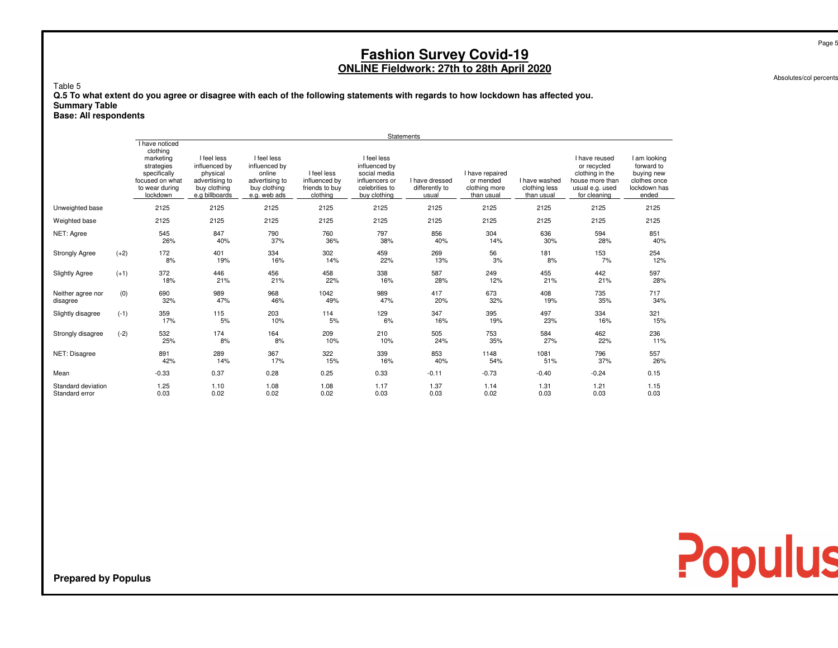Absolutes/col percents

Populus

Table 5

 **Q.5 To what extent do you agree or disagree with each of the following statements with regards to how lockdown has affected you.Summary Table**

**Base: All respondents**

|                                      |        |                                                                                                                        |                                                                                              |                                                                                          |                                                            |                                                                                                  | <b>Statements</b>                         |                                                             |                                              |                                                                                                       |                                                                                   |
|--------------------------------------|--------|------------------------------------------------------------------------------------------------------------------------|----------------------------------------------------------------------------------------------|------------------------------------------------------------------------------------------|------------------------------------------------------------|--------------------------------------------------------------------------------------------------|-------------------------------------------|-------------------------------------------------------------|----------------------------------------------|-------------------------------------------------------------------------------------------------------|-----------------------------------------------------------------------------------|
|                                      |        | I have noticed<br>clothing<br>marketing<br>strategies<br>specifically<br>focused on what<br>to wear during<br>lockdown | I feel less<br>influenced by<br>physical<br>advertising to<br>buy clothing<br>e.g billboards | I feel less<br>influenced by<br>online<br>advertising to<br>buy clothing<br>e.g. web ads | I feel less<br>influenced by<br>friends to buy<br>clothing | I feel less<br>influenced by<br>social media<br>influencers or<br>celebrities to<br>buy clothing | I have dressed<br>differently to<br>usual | I have repaired<br>or mended<br>clothing more<br>than usual | I have washed<br>clothing less<br>than usual | I have reused<br>or recycled<br>clothing in the<br>house more than<br>usual e.g. used<br>for cleaning | I am looking<br>forward to<br>buying new<br>clothes once<br>lockdown has<br>ended |
| Unweighted base                      |        | 2125                                                                                                                   | 2125                                                                                         | 2125                                                                                     | 2125                                                       | 2125                                                                                             | 2125                                      | 2125                                                        | 2125                                         | 2125                                                                                                  | 2125                                                                              |
| Weighted base                        |        | 2125                                                                                                                   | 2125                                                                                         | 2125                                                                                     | 2125                                                       | 2125                                                                                             | 2125                                      | 2125                                                        | 2125                                         | 2125                                                                                                  | 2125                                                                              |
| NET: Agree                           |        | 545<br>26%                                                                                                             | 847<br>40%                                                                                   | 790<br>37%                                                                               | 760<br>36%                                                 | 797<br>38%                                                                                       | 856<br>40%                                | 304<br>14%                                                  | 636<br>30%                                   | 594<br>28%                                                                                            | 851<br>40%                                                                        |
| <b>Strongly Agree</b>                | $(+2)$ | 172<br>8%                                                                                                              | 401<br>19%                                                                                   | 334<br>16%                                                                               | 302<br>14%                                                 | 459<br>22%                                                                                       | 269<br>13%                                | 56<br>3%                                                    | 181<br>8%                                    | 153<br>7%                                                                                             | 254<br>12%                                                                        |
| <b>Slightly Agree</b>                | $(+1)$ | 372<br>18%                                                                                                             | 446<br>21%                                                                                   | 456<br>21%                                                                               | 458<br>22%                                                 | 338<br>16%                                                                                       | 587<br>28%                                | 249<br>12%                                                  | 455<br>21%                                   | 442<br>21%                                                                                            | 597<br>28%                                                                        |
| Neither agree nor<br>disagree        | (0)    | 690<br>32%                                                                                                             | 989<br>47%                                                                                   | 968<br>46%                                                                               | 1042<br>49%                                                | 989<br>47%                                                                                       | 417<br>20%                                | 673<br>32%                                                  | 408<br>19%                                   | 735<br>35%                                                                                            | 717<br>34%                                                                        |
| Slightly disagree                    | $(-1)$ | 359<br>17%                                                                                                             | 115<br>5%                                                                                    | 203<br>10%                                                                               | 114<br>5%                                                  | 129<br>6%                                                                                        | 347<br>16%                                | 395<br>19%                                                  | 497<br>23%                                   | 334<br>16%                                                                                            | 321<br>15%                                                                        |
| Strongly disagree                    | $(-2)$ | 532<br>25%                                                                                                             | 174<br>8%                                                                                    | 164<br>8%                                                                                | 209<br>10%                                                 | 210<br>10%                                                                                       | 505<br>24%                                | 753<br>35%                                                  | 584<br>27%                                   | 462<br>22%                                                                                            | 236<br>11%                                                                        |
| NET: Disagree                        |        | 891<br>42%                                                                                                             | 289<br>14%                                                                                   | 367<br>17%                                                                               | 322<br>15%                                                 | 339<br>16%                                                                                       | 853<br>40%                                | 1148<br>54%                                                 | 1081<br>51%                                  | 796<br>37%                                                                                            | 557<br>26%                                                                        |
| Mean                                 |        | $-0.33$                                                                                                                | 0.37                                                                                         | 0.28                                                                                     | 0.25                                                       | 0.33                                                                                             | $-0.11$                                   | $-0.73$                                                     | $-0.40$                                      | $-0.24$                                                                                               | 0.15                                                                              |
| Standard deviation<br>Standard error |        | 1.25<br>0.03                                                                                                           | 1.10<br>0.02                                                                                 | 1.08<br>0.02                                                                             | 1.08<br>0.02                                               | 1.17<br>0.03                                                                                     | 1.37<br>0.03                              | 1.14<br>0.02                                                | 1.31<br>0.03                                 | 1.21<br>0.03                                                                                          | 1.15<br>0.03                                                                      |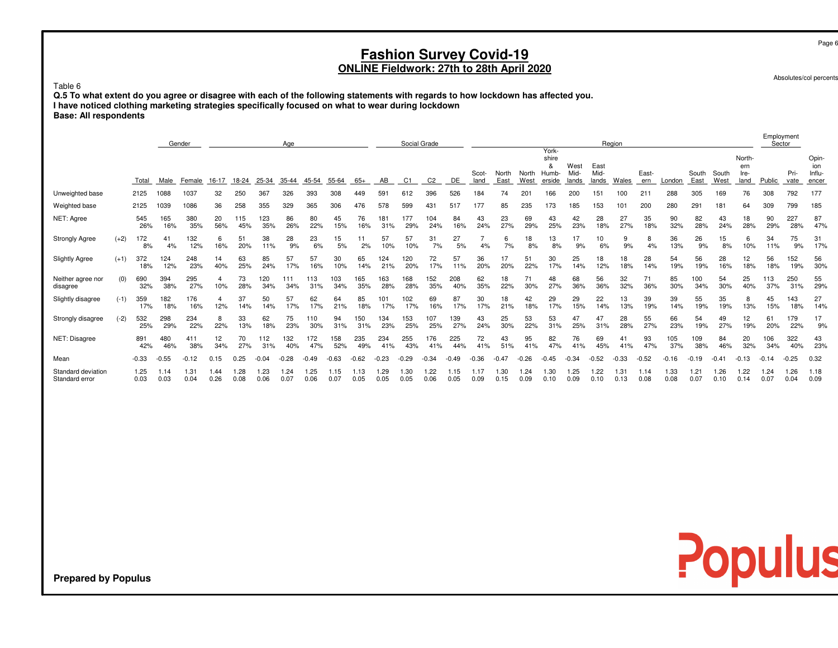Absolutes/col percents

Employment

Populus

### Table 6

 **Q.5 To what extent do you agree or disagree with each of the following statements with regards to how lockdown has affected you.I have noticed clothing marketing strategies specifically focused on what to wear during lockdownBase: All respondents**

|                                      |        |              |              | Gender       |              |             |              | Age          |              |              |             |              |                | Social Grade |              |              |              |                 |                              |             |              | Region       |              |              |              |                |                       | Ellibioanient | Sector       |                        |
|--------------------------------------|--------|--------------|--------------|--------------|--------------|-------------|--------------|--------------|--------------|--------------|-------------|--------------|----------------|--------------|--------------|--------------|--------------|-----------------|------------------------------|-------------|--------------|--------------|--------------|--------------|--------------|----------------|-----------------------|---------------|--------------|------------------------|
|                                      |        |              |              |              |              |             |              |              |              |              |             |              |                |              |              | Scot-        | North        | North           | York-<br>shire<br>&<br>Humb- | West<br>Mid | East<br>Mid- |              | East-        |              | South        | South          | North-<br>ern<br>Ire- |               | Pri-         | Opin-<br>ion<br>Influ- |
|                                      |        | Total        | Male         | Female       | 16-17        | 18-24       | 25-34        | 35-44        | 45-54        | 55-64        | $65+$       | AВ           | C <sub>1</sub> |              | DE           | land         | East         | West            | erside                       | lands       | lands        | Wales        | ern          | London       | East         | West           | land                  | Public        | vate         | encer                  |
| Unweighted base                      |        | 2125         | 1088         | 1037         | 32           | 250         | 367          | 326          | 393          | 308          | 449         | 591          | 612            | 396          | 526          | 184          | 74           | 20 <sub>1</sub> | 166                          | 200         | 151          | 00           | 211          | 288          | 305          | 169            | 76                    | 308           | 792          | 177                    |
| Weighted base                        |        | 2125         | 1039         | 1086         | 36           | 258         | 355          | 329          | 365          | 306          | 476         | 578          | 599            | 431          | 517          | 177          | 85           | 235             | 173                          | 185         | 153          | 01           | 200          | 280          | 291          | 181            | 64                    | 309           | 799          | 185                    |
| NET: Agree                           |        | 545<br>26%   | 165<br>16%   | 380<br>35%   | 20<br>56%    | 115<br>45%  | 123<br>35%   | 86<br>26%    | 80<br>22%    | 45<br>15%    | 76<br>16%   | 181<br>31%   | 177<br>29%     | 104<br>24%   | 84<br>16%    | 43<br>24%    | 23<br>27%    | 69<br>29%       | 43<br>25%                    | 42<br>23%   | 28<br>18%    | 27<br>27%    | 35<br>18%    | 90<br>32%    | 82<br>28%    | 43<br>24%      | 18<br>28%             | 90<br>29%     | 227<br>28%   | 87<br>47%              |
| <b>Strongly Agree</b>                | $(+2)$ | 172<br>8%    | 41<br>4%     | 32<br>12%    | 6<br>16%     | 51<br>20%   | 38<br>11%    | 28<br>9%     | 23<br>6%     | 15<br>5%     | 11<br>2%    | 57<br>10%    | 57<br>10%      | 31<br>7%     | 27<br>5%     | 4%           | 7%           | 18<br>8%        | 13<br>8%                     | 17<br>9%    | 10<br>6%     | 9<br>9%      | 8<br>4%      | 36<br>13%    | 26<br>9%     | 15<br>8%       | 6<br>10%              | 34<br>11%     | 75<br>9%     | 31<br>17%              |
| <b>Slightly Agree</b>                | $(+1)$ | 372<br>18%   | 124<br>12%   | 248<br>23%   | 14<br>40%    | 63<br>25%   | 85<br>24%    | 57<br>17%    | 57<br>16%    | 30<br>10%    | 65<br>14%   | 124<br>21%   | 120<br>20%     | 72<br>17%    | 57<br>11%    | 36<br>20%    | 20%          | 51<br>22%       | 30<br>17%                    | 25<br>14%   | 18<br>12%    | 18<br>18%    | 28<br>14%    | 54<br>19%    | 56<br>19%    | 28<br>16%      | 12<br>18%             | 56<br>18%     | 152<br>19%   | 56<br>30%              |
| Neither agree nor<br>disagree        | (0)    | 690<br>32%   | 394<br>38%   | 295<br>27%   | 10%          | 73<br>28%   | 120<br>34%   | 111<br>34%   | 113<br>31%   | 103<br>34%   | 165<br>35%  | 163<br>28%   | 168<br>28%     | 152<br>35%   | 208<br>40%   | 62<br>35%    | 18<br>22%    | 71<br>30%       | 48<br>27%                    | 68<br>36%   | 56<br>36%    | 32<br>32%    | 71<br>36%    | 85<br>30%    | 100<br>34%   | 54<br>30%      | 25<br>40%             | 113<br>37%    | 250<br>31%   | 55<br>29%              |
| Slightly disagree                    | $(-1)$ | 359<br>17%   | 182<br>18%   | 76<br>16%    | 12%          | 37<br>14%   | 50<br>14%    | 57<br>17%    | 62<br>17%    | 64<br>21%    | 85<br>18%   | 101<br>17%   | 102<br>17%     | 69<br>16%    | 87<br>17%    | 30<br>17%    | 18<br>21%    | 42<br>18%       | 29<br>17%                    | 29<br>15%   | 22<br>14%    | 13<br>13%    | 39<br>19%    | 39<br>14%    | 55<br>19%    | 35<br>19%      | 8<br>13%              | 45<br>15%     | 143<br>18%   | 27<br>14%              |
| Strongly disagree                    | $(-2)$ | 532<br>25%   | 298<br>29%   | 234<br>22%   | 8<br>22%     | 33<br>13%   | 62<br>18%    | 75<br>23%    | 110<br>30%   | 94<br>31%    | 150<br>31%  | 134<br>23%   | 153<br>25%     | 107<br>25%   | 139<br>27%   | 43<br>24%    | 25<br>30%    | 53<br>22%       | 53<br>31%                    | 47<br>25%   | 47<br>31%    | 28<br>28%    | 55<br>27%    | 66<br>23%    | 54<br>19%    | 49<br>27%      | 12<br>19%             | 61<br>20%     | 179<br>22%   | 17<br>9%               |
| NET: Disagree                        |        | 891<br>42%   | 480<br>46%   | 411<br>38%   | 12<br>34%    | 70<br>27%   | 112<br>31%   | 132<br>40%   | 172<br>47%   | 158<br>52%   | 235<br>49%  | 234<br>41%   | 255<br>43%     | 176<br>41%   | 225<br>44%   | 72<br>41%    | 43<br>51%    | 95<br>41%       | 82<br>47%                    | 76<br>41%   | 69<br>45%    | 41<br>41%    | 93<br>47%    | 105<br>37%   | 109<br>38%   | 84<br>46%      | 20<br>32%             | 106<br>34%    | 322<br>40%   | 43<br>23%              |
| Mean                                 |        | $-0.33$      | $-0.55$      | 12<br>-0.    | 0.15         | 0.25        | $-0.04$      | $-0.28$      | $-0.49$      | $-0.63$      | $-0.62$     | $-0.23$      | 0.29           | $-0.34$      | $-0.49$      | $-0.36$      | $-0.47$      | $-0.26$         | $-0.45$                      | $-0.34$     | $-0.52$      | $-0.33$      | $-0.52$      | $-0.16$      | $-0.19$      | $-0.4^{\circ}$ | $-0.13$               | $-0.14$       |              | 0.32                   |
| Standard deviation<br>Standard error |        | 1.25<br>0.03 | 1.14<br>0.03 | 1.31<br>0.04 | 1.44<br>0.26 | .28<br>0.08 | 1.23<br>0.06 | 1.24<br>0.07 | 1.25<br>0.06 | 1.15<br>0.07 | .13<br>0.05 | l.29<br>0.05 | .30<br>0.05    | 1.22<br>0.06 | 1.15<br>0.05 | 1.17<br>0.09 | 1.30<br>0.15 | 1.24<br>0.09    | 1.30<br>0.10                 | .25<br>0.09 | .22<br>0.10  | 1.31<br>0.13 | 1.14<br>0.08 | 1.33<br>0.08 | 1.21<br>0.07 | 1.26<br>0.10   | 1.22<br>0.14          | 1.24<br>0.07  | 1.26<br>0.04 | 1.18<br>0.09           |

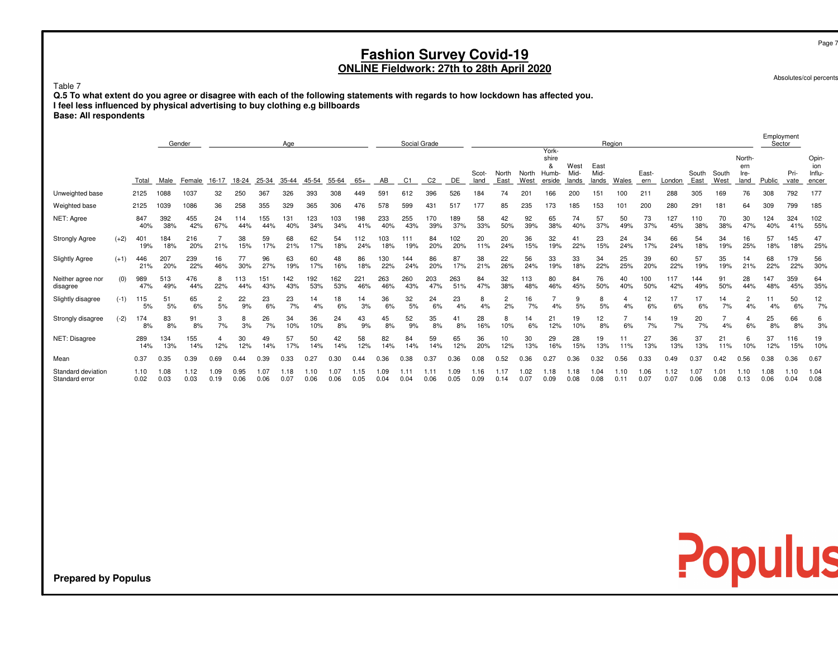Absolutes/col percents

Populus

### Table 7

 **Q.5 To what extent do you agree or disagree with each of the following statements with regards to how lockdown has affected you.I feel less influenced by physical advertising to buy clothing e.g billboardsBase: All respondents**

|                                      |        |              |              | Gender       |              |              |              | Aae          |              |              |              |              |              | Social Grade   |              |               |               |               |                     |               |               | Region       |              |              |               |               |               | Employment<br>Sector |              |                 |
|--------------------------------------|--------|--------------|--------------|--------------|--------------|--------------|--------------|--------------|--------------|--------------|--------------|--------------|--------------|----------------|--------------|---------------|---------------|---------------|---------------------|---------------|---------------|--------------|--------------|--------------|---------------|---------------|---------------|----------------------|--------------|-----------------|
|                                      |        |              |              |              |              |              |              |              |              |              |              |              |              |                |              |               |               |               | York-<br>shire<br>8 | West          | East          |              |              |              |               |               | North-<br>ern |                      |              | Opin-<br>ion    |
|                                      |        | Total        | Male         | Female       | $16 - 17$    | 18-24        | 25-34        | 35-44        | 45-54        | 55-64        | 65+          | AВ           | C1           | C <sub>2</sub> | DE           | Scot-<br>land | North<br>East | North<br>West | Humb-<br>erside     | Mid-<br>lands | Mid-<br>lands | Wales        | East-<br>ern | London       | South<br>East | South<br>West | Ire-<br>land  | Public               | Pri-<br>vate | Influ-<br>encer |
| Unweighted base                      |        | 2125         | 1088         | 1037         | 32           | 250          | 367          | 326          | 393          | 308          | 449          | $59 -$       | 612          | 396            | 526          | 184           | 74            | 201           |                     | 200           | 151           | 100          | $21^{\circ}$ | 288          | 305           | 169           | 76            | 308                  | 792          | 177             |
| Weighted base                        |        | 2125         | 1039         | 1086         | 36           | 258          | 355          | 329          | 365          | 306          | 476          | 578          | 599          | 431            | 517          | 177           | 85            | 235           | 173                 | 185           | 153           | 101          | 200          | 280          | 291           | 181           | 64            | 309                  | 799          | 185             |
| NET: Agree                           |        | 847<br>40%   | 392<br>38%   | 455<br>42%   | 24<br>67%    | 114<br>44%   | 155<br>44%   | 131<br>40%   | 123<br>34%   | 103<br>34%   | 198<br>41%   | 233<br>40%   | 255<br>43%   | 170<br>39%     | 189<br>37%   | 58<br>33%     | 42<br>50%     | 92<br>39%     | 65<br>38%           | 74<br>40%     | 57<br>37%     | 50<br>49%    | 73<br>37%    | 127<br>45%   | 110<br>38%    | 70<br>38%     | 30<br>47%     | 124<br>40%           | 324<br>41%   | 102<br>55%      |
| <b>Strongly Agree</b>                | $(+2)$ | 401<br>19%   | 184<br>18%   | 216<br>20%   | 21%          | 38<br>15%    | 59<br>17%    | 68<br>21%    | 62<br>17%    | 54<br>18%    | 112<br>24%   | 103<br>18%   | 111<br>19%   | 84<br>20%      | 102<br>20%   | 20<br>11%     | 20<br>24%     | 36<br>15%     | 32<br>19%           | 41<br>22%     | 23<br>15%     | 24<br>24%    | 34<br>17%    | 66<br>24%    | 54<br>18%     | 34<br>19%     | 16<br>25%     | 57<br>18%            | 145<br>18%   | 47<br>25%       |
| <b>Slightly Agree</b>                | $(+1)$ | 446<br>21%   | 207<br>20%   | 239<br>22%   | 16<br>46%    | 77<br>30%    | 96<br>27%    | 63<br>19%    | 60<br>17%    | 48<br>16%    | 86<br>18%    | 130<br>22%   | 144<br>24%   | 86<br>20%      | 87<br>17%    | 38<br>21%     | 22<br>26%     | 56<br>24%     | 33<br>19%           | 33<br>18%     | 34<br>22%     | 25<br>25%    | 39<br>20%    | 60<br>22%    | 57<br>19%     | 35<br>19%     | 14<br>21%     | 68<br>22%            | 179<br>22%   | 56<br>30%       |
| Neither agree nor<br>disagree        | (0)    | 989<br>47%   | 513<br>49%   | 476<br>44%   | 22%          | 113<br>44%   | 151<br>43%   | 142<br>43%   | 192<br>53%   | 62<br>53%    | 221<br>46%   | 263<br>46%   | 260<br>43%   | 203<br>47%     | 263<br>51%   | 84<br>47%     | 32<br>38%     | 113<br>48%    | 80<br>46%           | 84<br>45%     | 76<br>50%     | 40<br>40%    | 100<br>50%   | 117<br>42%   | 144<br>49%    | 91<br>50%     | 28<br>44%     | 147<br>48%           | 359<br>45%   | 64<br>35%       |
| Slightly disagree                    | $(-1)$ | 115<br>5%    | 51<br>5%     | 65<br>6%     | 2<br>5%      | 22<br>9%     | 23<br>6%     | 23<br>7%     | 14<br>4%     | 18<br>6%     | 14<br>3%     | 36<br>6%     | 32<br>5%     | 24<br>6%       | 23<br>4%     | 8<br>4%       | 2%            | 16<br>7%      | 4%                  | 9<br>5%       | 8<br>5%       | 4%           | 12<br>6%     | 17<br>6%     | 6%            | 14<br>7%      | 2<br>4%       | 11<br>4%             | 50<br>6%     | 12<br>7%        |
| Strongly disagree                    | $(-2)$ | 174<br>8%    | 83<br>8%     | 91<br>8%     | 7%           | 8<br>3%      | 26<br>7%     | 34<br>10%    | 36<br>10%    | 24<br>8%     | 43<br>9%     | 45<br>8%     | 52<br>9%     | 35<br>8%       | 41<br>8%     | 28<br>16%     | 10%           | 14<br>6%      | 21<br>12%           | 19<br>10%     | 12<br>8%      | 6%           | 14<br>7%     | 19<br>7%     | 20<br>7%      | 4%            | 4<br>6%       | 25<br>8%             | 66<br>8%     | 6<br>3%         |
| NET: Disagree                        |        | 289<br>14%   | 134<br>13%   | 155<br>14%   | 12%          | 30<br>12%    | 49<br>14%    | 57<br>17%    | 50<br>14%    | 42<br>14%    | 58<br>12%    | 82<br>14%    | 84<br>14%    | 59<br>14%      | 65<br>12%    | 36<br>20%     | 10<br>12%     | 30<br>13%     | 29<br>16%           | 28<br>15%     | 19<br>13%     | 11<br>11%    | 27<br>13%    | 36<br>13%    | 37<br>13%     | 21<br>11%     | 6<br>10%      | 37<br>12%            | 116<br>15%   | 19<br>10%       |
| Mean                                 |        | 0.37         | 0.35         | 0.39         | 0.69         | 0.44         | 0.39         | 0.33         | 0.27         | 0.30         | 0.44         | 0.36         | 0.38         | 0.37           | 0.36         | 0.08          | 0.52          | 0.36          | 0.27                | 0.36          | 0.32          | 0.56         | 0.33         | 0.49         | 0.37          | 0.42          | 0.56          | 0.38                 | 0.36         | 0.67            |
| Standard deviation<br>Standard error |        | 1.10<br>0.02 | 1.08<br>0.03 | 1.12<br>0.03 | 1.09<br>0.19 | 0.95<br>0.06 | 1.07<br>0.06 | 1.18<br>0.07 | 1.10<br>0.06 | 1.07<br>0.06 | 1.15<br>0.05 | 1.09<br>0.04 | 1.11<br>0.04 | 1.11<br>0.06   | 1.09<br>0.05 | 1.16<br>0.09  | 1.17<br>0.14  | 1.02<br>0.07  | l.18<br>0.09        | 1.18<br>0.08  | 1.04<br>0.08  | 1.10<br>0.11 | 1.06<br>0.07 | 1.12<br>0.07 | 1.07<br>0.06  | 1.01<br>0.08  | 1.10<br>0.13  | 1.08<br>0.06         | 1.10<br>0.04 | 1.04<br>0.08    |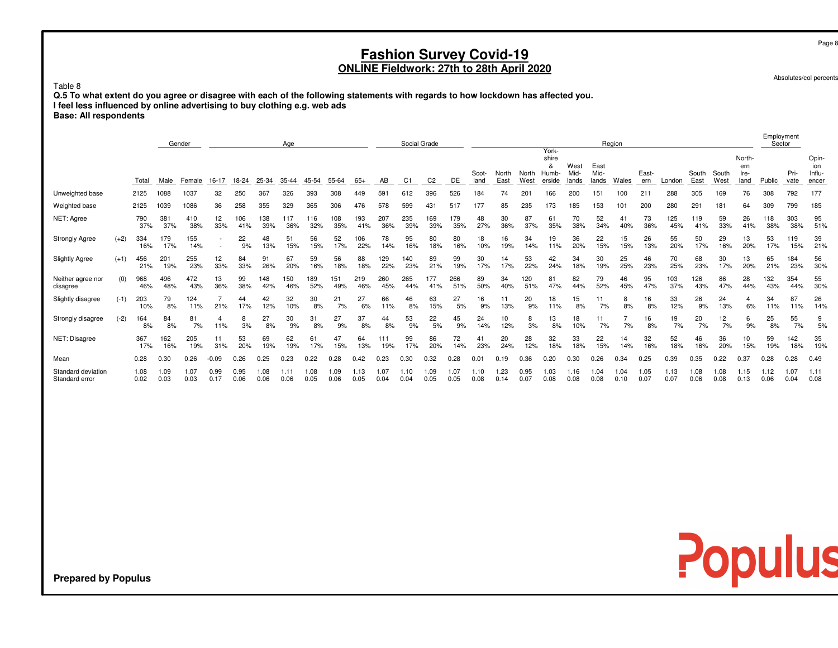Absolutes/col percents

### Table 8

 **Q.5 To what extent do you agree or disagree with each of the following statements with regards to how lockdown has affected you.I feel less influenced by online advertising to buy clothing e.g. web ads Base: All respondents**

| <b>Base: All respondents</b> |
|------------------------------|
|------------------------------|

|                                      |        | Gender<br>Age |              |              |              |              |              |              |              |              |              |              | Social Grade   |                |              |               |               |               | York-                         |                       |                       | Region      |              |              |               |               |                               | Employment<br>Sector |              |                                 |
|--------------------------------------|--------|---------------|--------------|--------------|--------------|--------------|--------------|--------------|--------------|--------------|--------------|--------------|----------------|----------------|--------------|---------------|---------------|---------------|-------------------------------|-----------------------|-----------------------|-------------|--------------|--------------|---------------|---------------|-------------------------------|----------------------|--------------|---------------------------------|
|                                      |        | Total         | Male         | Female       | 16-17        | 18-24        | 25-34        | 35-44        | 45-54        | 55-64        | $65+$        | AB           | C <sub>1</sub> | C <sub>2</sub> | DE           | Scot-<br>land | North<br>East | North<br>West | shire<br>&<br>Humb-<br>erside | West<br>Mid-<br>lands | East<br>Mid-<br>lands | Wales       | East-<br>ern | London       | South<br>East | South<br>West | North-<br>ern<br>Ire-<br>land | Public               | Pri-<br>vate | Opin-<br>ion<br>Influ-<br>encer |
| Unweighted base                      |        | 2125          | 1088         | 1037         | 32           | 250          | 367          | 326          | 393          | 308          | 449          | 591          | 612            | 396            | 526          | 184           | 74            | 201           | 166                           | 200                   | 151                   | 100         | 211          | 288          | 305           | 169           | 76                            | 308                  | 792          | 177                             |
| Weighted base                        |        | 2125          | 1039         | 1086         | 36           | 258          | 355          | 329          | 365          | 306          | 476          | 578          | 599            | 431            | 517          | 177           | 85            | 235           | 173                           | 185                   | 153                   | 101         | 200          | 280          | 291           | 181           | 64                            | 309                  | 799          | 185                             |
| NET: Agree                           |        | 790<br>37%    | 381<br>37%   | 410<br>38%   | 12<br>33%    | 106<br>41%   | 138<br>39%   | 117<br>36%   | 116<br>32%   | 108<br>35%   | 193<br>41%   | 207<br>36%   | 235<br>39%     | 169<br>39%     | 179<br>35%   | 48<br>27%     | 30<br>36%     | 87<br>37%     | 61<br>35%                     | 70<br>38%             | 52<br>34%             | 41<br>40%   | 73<br>36%    | 125<br>45%   | 119<br>41%    | 59<br>33%     | 26<br>41%                     | 118<br>38%           | 303<br>38%   | 95<br>51%                       |
| <b>Strongly Agree</b>                | $(+2)$ | 334<br>16%    | 179<br>17%   | 155<br>14%   |              | 22<br>9%     | 48<br>13%    | 51<br>15%    | 56<br>15%    | 52<br>17%    | 106<br>22%   | 78<br>14%    | 95<br>16%      | 80<br>18%      | 80<br>16%    | 18<br>10%     | 16<br>19%     | 34<br>14%     | 19<br>11%                     | 36<br>20%             | 22<br>15%             | 15<br>15%   | 26<br>13%    | 55<br>20%    | 50<br>17%     | 29<br>16%     | 13<br>20%                     | 53<br>17%            | 119<br>15%   | 39<br>21%                       |
| <b>Slightly Agree</b>                | $(+1)$ | 456<br>21%    | 201<br>19%   | 255<br>23%   | 12<br>33%    | 84<br>33%    | 91<br>26%    | 67<br>20%    | 59<br>16%    | 56<br>18%    | 88<br>18%    | 129<br>22%   | 140<br>23%     | 89<br>21%      | 99<br>19%    | 30<br>17%     | 14<br>17%     | 53<br>22%     | 42<br>24%                     | 34<br>18%             | 30<br>19%             | 25<br>25%   | 46<br>23%    | 70<br>25%    | 68<br>23%     | 30<br>17%     | 13<br>20%                     | 65<br>21%            | 184<br>23%   | 56<br>30%                       |
| Neither agree nor<br>disagree        | (0)    | 968<br>46%    | 496<br>48%   | 472<br>43%   | 13<br>36%    | 99<br>38%    | 148<br>42%   | 150<br>46%   | 189<br>52%   | 151<br>49%   | 219<br>46%   | 260<br>45%   | 265<br>44%     | 177<br>41%     | 266<br>51%   | 89<br>50%     | 34<br>40%     | 20<br>51%     | 8 <sup>1</sup><br>47%         | 82<br>44%             | 79<br>52%             | 46<br>45%   | 95<br>47%    | 103<br>37%   | 126<br>43%    | 86<br>47%     | 28<br>44%                     | 132<br>43%           | 354<br>44%   | 55<br>30%                       |
| Slightly disagree                    | $(-1)$ | 203           | 79<br>8%     | 124<br>11%   | 21%          | 44<br>17%    | 42<br>12%    | 32<br>10%    | 30<br>8%     | 21<br>7%     | 27<br>6%     | 66<br>11%    | 46<br>8%       | 63<br>15%      | 27<br>5%     | 16<br>9%      | 13%           | 20<br>9%      | 18<br>11%                     | 15<br>8%              | 7%                    | 8<br>8%     | 16<br>8%     | 33<br>12%    | 26<br>9%      | 24<br>13%     | 6%                            | 34<br>11%            | 87<br>11%    | 26<br>14%                       |
| Strongly disagree                    | $(-2)$ | 164<br>8%     | 84<br>8%     | 8<br>7%      | 11%          | 8<br>3%      | 27<br>8%     | 30<br>9%     | 31<br>8%     | 27<br>9%     | 37<br>8%     | 44<br>8%     | 53<br>9%       | 22<br>5%       | 45<br>9%     | 24<br>14%     | 10<br>12%     | 8<br>3%       | 13<br>8%                      | 18<br>10%             | 7%                    | 7%          | 16<br>8%     | 19<br>7%     | 20<br>7%      | 12<br>7%      | 6<br>9%                       | 25<br>8%             | 55<br>7%     | 9<br>5%                         |
| NET: Disagree                        |        | 367<br>17%    | 162<br>16%   | 205<br>19%   | 11<br>31%    | 53<br>20%    | 69<br>19%    | 62<br>19%    | 61<br>17%    | 47<br>15%    | 64<br>13%    | 111<br>19%   | 99<br>17%      | 86<br>20%      | 72<br>14%    | 41<br>23%     | 20<br>24%     | 28<br>12%     | 32<br>18%                     | 33<br>18%             | 22<br>15%             | 14<br>14%   | 32<br>16%    | 52<br>18%    | 46<br>16%     | 36<br>20%     | 10<br>15%                     | 59<br>19%            | 142<br>18%   | 35<br>19%                       |
| Mean                                 |        | 0.28          | 0.30         | 0.26         | $-0.09$      | 0.26         | 0.25         | 0.23         | 0.22         | 0.28         | 0.42         | 0.23         | 0.30           | 0.32           | 0.28         | 0.01          | 0.19          | 0.36          | 0.20                          | 0.30                  | 0.26                  | 0.34        | 0.25         | 0.39         | 0.35          | 0.22          | 0.37                          | 0.28                 | 0.28         | 0.49                            |
| Standard deviation<br>Standard error |        | 1.08<br>0.02  | 1.09<br>0.03 | 1.07<br>0.03 | 0.99<br>0.17 | 0.95<br>0.06 | 1.08<br>0.06 | 1.11<br>0.06 | 1.08<br>0.05 | 1.09<br>0.06 | 1.13<br>0.05 | 1.07<br>0.04 | 1.10<br>0.04   | 1.09<br>0.05   | 1.07<br>0.05 | 0.08          | 1.23<br>0.14  | 0.95<br>0.07  | 1.03<br>0.08                  | 1.16<br>0.08          | 1.04<br>0.08          | .04<br>0.10 | 1.05<br>0.07 | 1.13<br>0.07 | 1.08<br>0.06  | .08<br>0.08   | 1.15<br>0.13                  | 1.12<br>0.06         | 1.07<br>0.04 | 1.11<br>0.08                    |



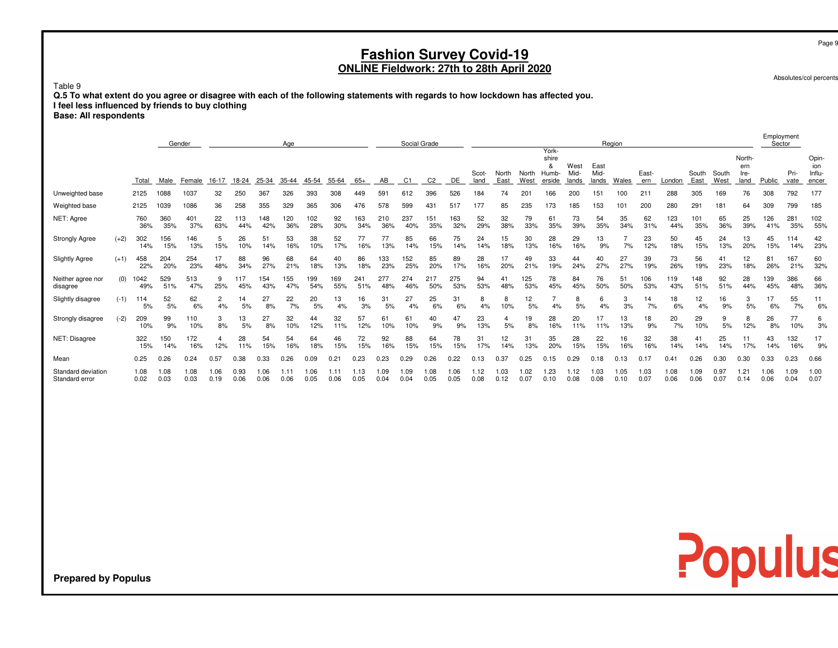Absolutes/col percents

Populus

### Table 9

 **Q.5 To what extent do you agree or disagree with each of the following statements with regards to how lockdown has affected you.I feel less influenced by friends to buy clothingBase: All respondents**

|                                      |        |              |              | Gender       |                      |              |              | Social Grade |              |              |              |              |              | York-          |              |               | Region        |                 |                               |                       |                       |              | Employment<br>Sector |              |               |               |                               |              |              |                                 |
|--------------------------------------|--------|--------------|--------------|--------------|----------------------|--------------|--------------|--------------|--------------|--------------|--------------|--------------|--------------|----------------|--------------|---------------|---------------|-----------------|-------------------------------|-----------------------|-----------------------|--------------|----------------------|--------------|---------------|---------------|-------------------------------|--------------|--------------|---------------------------------|
|                                      |        | Total        | Male         | Female       | 16-17                | 18-24        | 25-34        | 35-44        | 45-54        | 55-64        | 65+          | AB           | C1           | C <sub>2</sub> | DE           | Scot-<br>land | North<br>East | North<br>West   | shire<br>&<br>Humb-<br>erside | West<br>Mid-<br>lands | East<br>Mid-<br>lands | Wales        | East-<br>ern         | London       | South<br>East | South<br>West | North-<br>ern<br>Ire-<br>land | Public       | Pri-<br>vate | Opin-<br>ion<br>Influ-<br>encer |
| Unweighted base                      |        | 2125         | 1088         | 1037         | 32                   | 250          | 367          | 326          | 393          | 308          | 449          | $59 -$       | 612          | 396            | 526          | 184           | 74            | 20 <sub>1</sub> | 166                           | 200                   | 151                   | 100          | $21 -$               | 288          | 305           | 169           | 76                            | 308          | 792          | 177                             |
| Weighted base                        |        | 2125         | 1039         | 1086         | 36                   | 258          | 355          | 329          | 365          | 306          | 476          | 578          | 599          | 431            | 517          | 177           | 85            | 235             | 173                           | 185                   | 153                   | 101          | 200                  | 280          | 291           | 181           | 64                            | 309          | 799          | 185                             |
| NET: Agree                           |        | 760<br>36%   | 360<br>35%   | 401<br>37%   | 22<br>63%            | 113<br>44%   | 148<br>42%   | 120<br>36%   | 102<br>28%   | 92<br>30%    | 163<br>34%   | 210<br>36%   | 237<br>40%   | 151<br>35%     | 163<br>32%   | 52<br>29%     | 32<br>38%     | 79<br>33%       | 61<br>35%                     | 73<br>39%             | 54<br>35%             | 35<br>34%    | 62<br>31%            | 123<br>44%   | 101<br>35%    | 65<br>36%     | 25<br>39%                     | 126<br>41%   | 281<br>35%   | 102<br>55%                      |
| <b>Strongly Agree</b>                | $(+2)$ | 302<br>14%   | 156<br>15%   | 146<br>13%   | 5<br>15%             | 26<br>10%    | 51<br>14%    | 53<br>16%    | 38<br>10%    | 52<br>17%    | 16%          | 77<br>13%    | 85<br>14%    | 66<br>15%      | 75<br>14%    | 24<br>14%     | 15<br>18%     | 30<br>13%       | 28<br>16%                     | 29<br>16%             | 13<br>9%              | 7%           | 23<br>12%            | 50<br>18%    | 45<br>15%     | 24<br>13%     | 13<br>20%                     | 45<br>15%    | 114<br>14%   | 42<br>23%                       |
| <b>Slightly Agree</b>                | $(+1)$ | 458<br>22%   | 204<br>20%   | 254<br>23%   | 17<br>48%            | 88<br>34%    | 96<br>27%    | 68<br>21%    | 64<br>18%    | 40<br>13%    | 86<br>18%    | 133<br>23%   | 152<br>25%   | 85<br>20%      | 89<br>17%    | 28<br>16%     | 17<br>20%     | 49<br>21%       | 33<br>19%                     | 44<br>24%             | 40<br>27%             | 27<br>27%    | 39<br>19%            | 73<br>26%    | 56<br>19%     | 41<br>23%     | 12<br>18%                     | 81<br>26%    | 167<br>21%   | 60<br>32%                       |
| Neither agree nor<br>disagree        | (0)    | 1042<br>49%  | 529<br>51%   | 513<br>47%   | 9<br>25%             | 117<br>45%   | 154<br>43%   | 155<br>47%   | 199<br>54%   | 169<br>55%   | 241<br>51%   | 277<br>48%   | 274<br>46%   | 217<br>50%     | 275<br>53%   | 94<br>53%     | 41<br>48%     | 125<br>53%      | 78<br>45%                     | 84<br>45%             | 76<br>50%             | 51<br>50%    | 106<br>53%           | 119<br>43%   | 148<br>51%    | 92<br>51%     | 28<br>44%                     | 139<br>45%   | 386<br>48%   | 66<br>36%                       |
| Slightly disagree                    | $(-1)$ | 114<br>5%    | 52<br>5%     | 62<br>6%     | $\overline{c}$<br>4% | 14<br>5%     | 27<br>8%     | 22<br>7%     | 20<br>5%     | 13<br>4%     | 16<br>3%     | 31<br>5%     | 27<br>4%     | 25<br>6%       | 31<br>6%     | 8<br>4%       | 10%           | 12<br>5%        | 4%                            | 5%                    | 4%                    | 3<br>3%      | 14<br>7%             | 18<br>6%     | 12<br>4%      | 16<br>9%      | 3<br>5%                       | 17<br>6%     | 55<br>7%     | 11<br>6%                        |
| Strongly disagree                    | $(-2)$ | 209<br>10%   | 99<br>9%     | 110<br>10%   | 3<br>8%              | 13<br>5%     | 27<br>8%     | 32<br>10%    | 44<br>12%    | 32<br>11%    | 57<br>12%    | 61<br>10%    | 61<br>10%    | 40<br>9%       | 47<br>9%     | 23<br>13%     | 5%            | 19<br>8%        | 28<br>16%                     | 20<br>11%             | 11%                   | 13<br>13%    | 18<br>9%             | 20<br>7%     | 29<br>10%     | 9<br>5%       | 8<br>12%                      | 26<br>8%     | 77<br>10%    | 6<br>3%                         |
| NET: Disagree                        |        | 322<br>15%   | 150<br>14%   | 172<br>16%   | 12%                  | 28<br>11%    | 54<br>15%    | 54<br>16%    | 64<br>18%    | 46<br>15%    | 72<br>15%    | 92<br>16%    | 88<br>15%    | 64<br>15%      | 78<br>15%    | 31<br>17%     | 12<br>14%     | 31<br>13%       | 35<br>20%                     | 28<br>15%             | 22<br>15%             | 16<br>16%    | 32<br>16%            | 38<br>14%    | 41<br>14%     | 25<br>14%     | 17%                           | 43<br>14%    | 132<br>16%   | 17<br>9%                        |
| Mean                                 |        | 0.25         | 0.26         | 0.24         | 0.57                 | 0.38         | 0.33         | 0.26         | 0.09         | 0.21         | 0.23         | 0.23         | 0.29         | 0.26           | .22          | 0.13          | 0.37          | 0.25            | 0.15                          | 0.29                  |                       | 0.13         | 0.17                 | 0.41         | 0.26          | 0.30          | 0.30                          | 0.33         | 0.23         | 0.66                            |
| Standard deviation<br>Standard error |        | 1.08<br>0.02 | 1.08<br>0.03 | 1.08<br>0.03 | 1.06<br>0.19         | 0.93<br>0.06 | 1.06<br>0.06 | 1.11<br>0.06 | 1.06<br>0.05 | 1.11<br>0.06 | 1.13<br>0.05 | 1.09<br>0.04 | 1.09<br>0.04 | 1.08<br>0.05   | 1.06<br>0.05 | 1.12<br>0.08  | .03<br>0.12   | 1.02<br>0.07    | 1.23<br>0.10                  | 1.12<br>0.08          | 1.03<br>0.08          | 1.05<br>0.10 | 1.03<br>0.07         | 1.08<br>0.06 | 1.09<br>0.06  | 0.97<br>0.07  | 1.21<br>0.14                  | 1.06<br>0.06 | 1.09<br>0.04 | 1.00<br>0.07                    |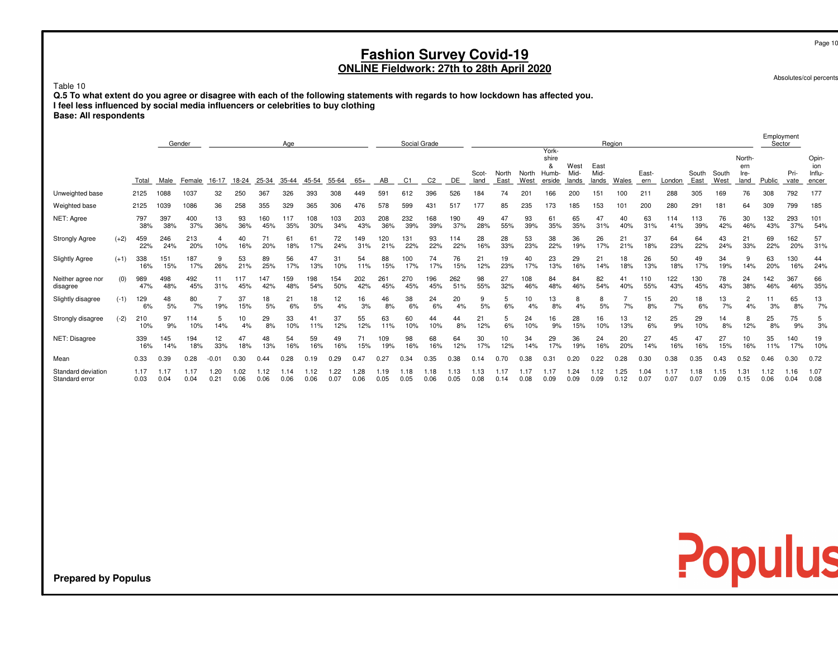Absolutes/col percents

Populus

### Table 10

 **Q.5 To what extent do you agree or disagree with each of the following statements with regards to how lockdown has affected you.I feel less influenced by social media influencers or celebrities to buy clothingBase: All respondents**

|                                      |        |              |              | Gender       |              |              |              | Age          |                     |             |             |              | Social Grade   |                |              |               |               |               | York-                         |                       |                       | Region       |              |              |               |               |                               | Employment<br>Sector |              |                                 |
|--------------------------------------|--------|--------------|--------------|--------------|--------------|--------------|--------------|--------------|---------------------|-------------|-------------|--------------|----------------|----------------|--------------|---------------|---------------|---------------|-------------------------------|-----------------------|-----------------------|--------------|--------------|--------------|---------------|---------------|-------------------------------|----------------------|--------------|---------------------------------|
|                                      |        | Total        | Male         | Female       | 16-17        | 18-24        | 25-34        | 35-44        | 45-54               | 55-64       | $65+$       | AB           | C <sub>1</sub> | C <sub>2</sub> | DE           | Scot-<br>land | North<br>East | North<br>West | shire<br>8<br>Humb-<br>erside | West<br>Mid-<br>lands | East<br>Mid-<br>lands | Wales        | East-<br>ern | London       | South<br>East | South<br>West | North-<br>ern<br>Ire-<br>land | Public               | Pri-<br>vate | Opin-<br>ion<br>Influ-<br>encer |
| Unweighted base                      |        | 2125         | 1088         | 1037         | 32           | 250          | 367          | 326          | 393                 | 308         | 449         | 591          | 612            | 396            | 526          | 184           | 74            | 201           | 166                           | 200                   | 151                   | 100          | 211          | 288          | 305           | 169           | 76                            | 308                  | 792          | 177                             |
| Weighted base                        |        | 2125         | 1039         | 1086         | 36           | 258          | 355          | 329          | 365                 | 306         | 476         | 578          | 599            | 431            | 517          | 177           | 85            | 235           | 173                           | 185                   | 153                   | 101          | 200          | 280          | 291           | 181           | 64                            | 309                  | 799          | 185                             |
| NET: Agree                           |        | 797<br>38%   | 397<br>38%   | 400<br>37%   | 13<br>36%    | 93<br>36%    | 160<br>45%   | 117<br>35%   | 108<br>30%          | 103<br>34%  | 203<br>43%  | 208<br>36%   | 232<br>39%     | 168<br>39%     | 190<br>37%   | 49<br>28%     | 47<br>55%     | 93<br>39%     | 61<br>35%                     | 65<br>35%             | 47<br>31%             | 40<br>40%    | 63<br>31%    | 114<br>41%   | 113<br>39%    | 76<br>42%     | 30<br>46%                     | 132<br>43%           | 293<br>37%   | 101<br>54%                      |
| <b>Strongly Agree</b>                | $(+2)$ | 459<br>22%   | 246<br>24%   | 213<br>20%   | 10%          | 40<br>16%    | 20%          | 61<br>18%    | 61<br>17%           | 72<br>24%   | 149<br>31%  | 120<br>21%   | 131<br>22%     | 93<br>22%      | 114<br>22%   | 28<br>16%     | 28<br>33%     | 53<br>23%     | 38<br>22%                     | 36<br>19%             | 26<br>17%             | 21<br>21%    | 37<br>18%    | 64<br>23%    | 64<br>22%     | 43<br>24%     | 21<br>33%                     | 69<br>22%            | 162<br>20%   | 57<br>31%                       |
| <b>Slightly Agree</b>                | $(+1)$ | 338<br>16%   | 151<br>15%   | 187<br>17%   | 9<br>26%     | 53<br>21%    | 89<br>25%    | 56<br>17%    | 47<br>13%           | 31<br>10%   | 54<br>11%   | 88<br>15%    | 100<br>17%     | 74<br>17%      | 76<br>15%    | 21<br>12%     | 19<br>23%     | 40<br>17%     | 23<br>13%                     | 29<br>16%             | 21<br>14%             | 18<br>18%    | 26<br>13%    | 50<br>18%    | 49<br>17%     | 34<br>19%     | 9<br>14%                      | 63<br>20%            | 130<br>16%   | 44<br>24%                       |
| Neither agree nor<br>disagree        | (0)    | 989<br>47%   | 498<br>48%   | 492<br>45%   | 11<br>31%    | 117<br>45%   | 147<br>42%   | 159<br>48%   | 198<br>54%          | 154<br>50%  | 202<br>42%  | 261<br>45%   | 270<br>45%     | 196<br>45%     | 262<br>51%   | 98<br>55%     | 27<br>32%     | 108<br>46%    | 84<br>48%                     | 84<br>46%             | 82<br>54%             | 41<br>40%    | 110<br>55%   | 122<br>43%   | 130<br>45%    | 78<br>43%     | 24<br>38%                     | 142<br>46%           | 367<br>46%   | 66<br>35%                       |
| Slightly disagree                    | $(-1)$ | 129<br>6%    | 48<br>5%     | 80<br>7%     | 19%          | 37<br>15%    | 18<br>5%     | 21<br>6%     | 18<br>5%            | 12<br>4%    | 16<br>3%    | 46<br>8%     | 38<br>6%       | 24<br>6%       | 20<br>4%     | 9<br>5%       | 6%            | 10<br>4%      | 13<br>8%                      | 8<br>4%               | 8<br>5%               | 7%           | 15<br>8%     | 20<br>7%     | 18<br>6%      | 13<br>7%      | $\overline{c}$<br>4%          | 11<br>3%             | 65<br>8%     | 13<br>7%                        |
| Strongly disagree                    | $(-2)$ | 210<br>10%   | 97<br>9%     | 114<br>10%   | 5<br>14%     | 10<br>4%     | 29<br>8%     | 33<br>10%    | $\mathbf{4}$<br>11% | 37<br>12%   | 55<br>12%   | 63<br>11%    | 60<br>10%      | 44<br>10%      | 44<br>8%     | 21<br>12%     | 6%            | 24<br>10%     | 16<br>9%                      | 28<br>15%             | 16<br>10%             | 13<br>13%    | 12<br>6%     | 25<br>9%     | 29<br>10%     | 14<br>8%      | 8<br>12%                      | 25<br>8%             | 75<br>9%     | 5<br>3%                         |
| NET: Disagree                        |        | 339<br>16%   | 145<br>14%   | 194<br>18%   | 12<br>33%    | 47<br>18%    | 48<br>13%    | 54<br>16%    | 59<br>16%           | 49<br>16%   | 71<br>15%   | 109<br>19%   | 98<br>16%      | 68<br>16%      | 64<br>12%    | 30<br>17%     | 10<br>12%     | 34<br>14%     | 29<br>17%                     | 36<br>19%             | 24<br>16%             | 20<br>20%    | 27<br>14%    | 45<br>16%    | 47<br>16%     | 27<br>15%     | 10<br>16%                     | 35<br>11%            | 140<br>17%   | 19<br>10%                       |
| Mean                                 |        | 0.33         | 0.39         | 0.28         | $-0.01$      | 0.30         | 0.44         | 0.28         | 0.19                | 0.29        | 0.47        | 0.27         | 0.34           | 0.35           | 0.38         | 0.14          | 0.70          | 0.38          | 0.31                          | 0.20                  | 0.22                  | 0.28         | 0.30         | 0.38         | 0.35          | 0.43          | 0.52                          | 0.46                 | 0.30         | 0.72                            |
| Standard deviation<br>Standard error |        | 1.17<br>0.03 | 1.17<br>0.04 | 1.17<br>0.04 | 1.20<br>0.21 | 1.02<br>0.06 | 1.12<br>0.06 | 1.14<br>0.06 | 1.12<br>0.06        | .22<br>0.07 | .28<br>0.06 | 1.19<br>0.05 | 1.18<br>0.05   | 1.18<br>0.06   | 1.13<br>0.05 | 1.13<br>0.08  | 1.17<br>0.14  | 1.17<br>0.08  | 1.17<br>0.09                  | 1.24<br>0.09          | 1.12<br>0.09          | 1.25<br>0.12 | 1.04<br>0.07 | 1.17<br>0.07 | .18<br>0.07   | 1.15<br>0.09  | 1.31<br>0.15                  | 1.12<br>0.06         | 1.16<br>0.04 | 1.07<br>0.08                    |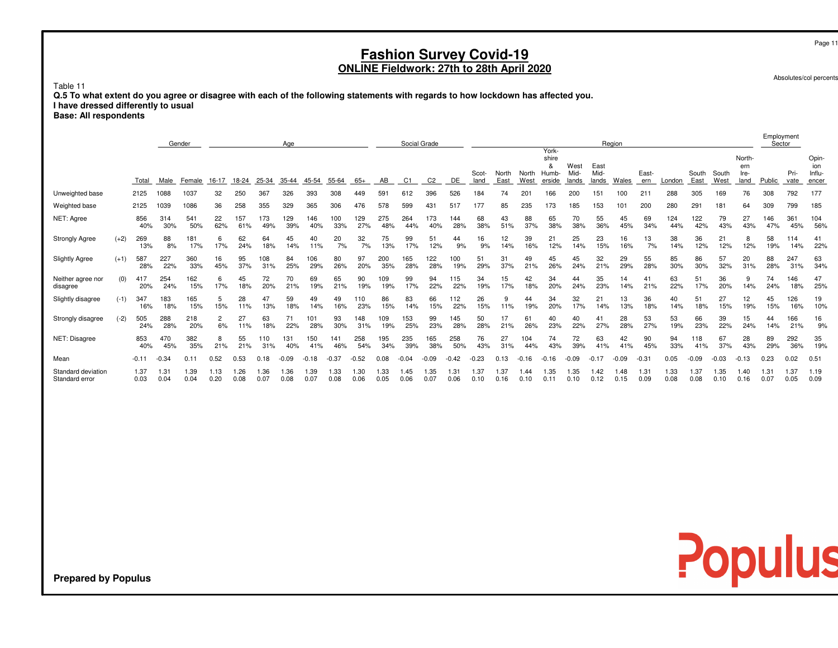Absolutes/col percents

Populus

### Table 11

 **Q.5 To what extent do you agree or disagree with each of the following statements with regards to how lockdown has affected you.I have dressed differently to usual**

**Base: All respondents**

|                                      |        |              |              | Gender       |                      |              |              | Age          |              |              |              |               | Social Grade |                |              |               |               |               | York-                         |                       |                       | Region       |                       |              |               |               |                               | Employment<br>Sector |              |                                 |
|--------------------------------------|--------|--------------|--------------|--------------|----------------------|--------------|--------------|--------------|--------------|--------------|--------------|---------------|--------------|----------------|--------------|---------------|---------------|---------------|-------------------------------|-----------------------|-----------------------|--------------|-----------------------|--------------|---------------|---------------|-------------------------------|----------------------|--------------|---------------------------------|
|                                      |        | Total        | Male         | Female       | 16-17                | 18-24        | 25-34        | 35-44        | 45-54        | 55-64        | 65+          | AB            | C1           | C <sub>2</sub> | DE           | Scot-<br>land | North<br>East | North<br>West | shire<br>&<br>Humb-<br>erside | West<br>Mid-<br>lands | East<br>Mid-<br>lands | Wales        | East-<br>ern          | London       | South<br>East | South<br>West | North-<br>ern<br>Ire-<br>land | Public               | Pri-<br>vate | Opin-<br>ion<br>Influ-<br>encer |
| Unweighted base                      |        | 2125         | 1088         | 1037         | 32                   | 250          | 367          | 326          | 393          | 308          | 449          | 591           | 612          | 396            | 526          | 184           | 74            | 201           | 166                           | 200                   | 151                   | 100          | 211                   | 288          | 305           | 169           | 76                            | 308                  | 792          | 177                             |
| Weighted base                        |        | 2125         | 1039         | 1086         | 36                   | 258          | 355          | 329          | 365          | 306          | 476          | 578           | 599          | 431            | 517          | 177           | 85            | 235           | 173                           | 185                   | 153                   | 101          | 200                   | 280          | 291           | 181           | 64                            | 309                  | 799          | 185                             |
| NET: Agree                           |        | 856<br>40%   | 314<br>30%   | 541<br>50%   | 22<br>62%            | 157<br>61%   | 173<br>49%   | 129<br>39%   | 146<br>40%   | 100<br>33%   | 129<br>27%   | 275<br>48%    | 264<br>44%   | 173<br>40%     | 144<br>28%   | 68<br>38%     | 43<br>51%     | 88<br>37%     | 65<br>38%                     | 70<br>38%             | 55<br>36%             | 45<br>45%    | 69<br>34%             | 124<br>44%   | 122<br>42%    | 79<br>43%     | 27<br>43%                     | 146<br>47%           | 361<br>45%   | 104<br>56%                      |
| Strongly Agree                       | $(+2)$ | 269<br>13%   | 88<br>8%     | 181<br>17%   | 6<br>17%             | 62<br>24%    | 64<br>18%    | 45<br>14%    | 40<br>11%    | 20<br>7%     | 32<br>7%     | 75<br>13%     | 99<br>17%    | 5<br>12%       | 44<br>9%     | 16<br>9%      | 12<br>14%     | 39<br>16%     | 21<br>12%                     | 25<br>14%             | 23<br>15%             | 16<br>16%    | 13<br>7%              | 38<br>14%    | 36<br>12%     | 21<br>12%     | 8<br>12%                      | 58<br>19%            | 114<br>14%   | 41<br>22%                       |
| <b>Slightly Agree</b>                | $(+1)$ | 587<br>28%   | 227<br>22%   | 360<br>33%   | 16<br>45%            | 95<br>37%    | 108<br>31%   | 84<br>25%    | 106<br>29%   | 80<br>26%    | 97<br>20%    | 200<br>35%    | 165<br>28%   | 122<br>28%     | 100<br>19%   | 51<br>29%     | 31<br>37%     | 49<br>21%     | 45<br>26%                     | 45<br>24%             | 32<br>21%             | 29<br>29%    | 55<br>28%             | 85<br>30%    | 86<br>30%     | 57<br>32%     | 20<br>31%                     | 88<br>28%            | 247<br>31%   | 63<br>34%                       |
| Neither agree nor<br>disagree        | (0)    | 417<br>20%   | 254<br>24%   | 162<br>15%   | 6<br>17%             | 45<br>18%    | 72<br>20%    | 70<br>21%    | 69<br>19%    | 65<br>21%    | 90<br>19%    | 109<br>19%    | 99<br>17%    | 94<br>22%      | 115<br>22%   | 34<br>19%     | 15<br>17%     | 42<br>18%     | 34<br>20%                     | 44<br>24%             | 35<br>23%             | 14<br>14%    | 4 <sup>1</sup><br>21% | 63<br>22%    | 51<br>17%     | 36<br>20%     | 9<br>14%                      | 74<br>24%            | 146<br>18%   | 47<br>25%                       |
| Slightly disagree                    | $(-1)$ | 347<br>16%   | 183<br>18%   | 165<br>15%   | 5<br>15%             | 28<br>11%    | 47<br>13%    | 59<br>18%    | 49<br>14%    | 49<br>16%    | 110<br>23%   | 86<br>15%     | 83<br>14%    | 66<br>15%      | 112<br>22%   | 26<br>15%     | 11%           | 44<br>19%     | 34<br>20%                     | 32<br>17%             | 21<br>14%             | 13<br>13%    | 36<br>18%             | 40<br>14%    | 51<br>18%     | 27<br>15%     | 12<br>19%                     | 45<br>15%            | 126<br>16%   | 19<br>10%                       |
| Strongly disagree                    | $(-2)$ | 505<br>24%   | 288<br>28%   | 218<br>20%   | $\overline{2}$<br>6% | 27<br>11%    | 63<br>18%    | 71<br>22%    | 101<br>28%   | 93<br>30%    | 148<br>31%   | 109<br>19%    | 153<br>25%   | 99<br>23%      | 145<br>28%   | 50<br>28%     | 17<br>21%     | 61<br>26%     | 40<br>23%                     | 40<br>22%             | 41<br>27%             | 28<br>28%    | 53<br>27%             | 53<br>19%    | 66<br>23%     | 39<br>22%     | 15<br>24%                     | 44<br>14%            | 166<br>21%   | 16<br>9%                        |
| NET: Disagree                        |        | 853<br>40%   | 470<br>45%   | 382<br>35%   | 8<br>21%             | 55<br>21%    | 31%          | 131<br>40%   | 150<br>41%   | 141<br>46%   | 258<br>54%   | 195<br>34%    | 235<br>39%   | 165<br>38%     | 258<br>50%   | 76<br>43%     | 27<br>31%     | 04<br>44%     | 74<br>43%                     | 72<br>39%             | 63<br>41%             | 42<br>41%    | 90<br>45%             | 94<br>33%    | 118<br>41%    | 67<br>37%     | 28<br>43%                     | 89<br>29%            | 292<br>36%   | 35<br>19%                       |
| Mean                                 |        | $-0.11$      | $-0.34$      | 0.11         | 0.52                 | 0.53         | 0.18         | $-0.09$      | $-0.18$      | $-0.37$      | $-0.52$      | 0.08          | $-0.04$      | $-0.09$        | $-0.42$      | $-0.23$       | 0.13          | $-0.16$       |                               | $-0.09$               | $-0.17$               | $-0.09$      | $-0.31$               | 0.05         | $-0.09$       | $-0.03$       | $-0.13$                       | 0.23                 | 0.02         | 0.51                            |
| Standard deviation<br>Standard error |        | 1.37<br>0.03 | 1.31<br>0.04 | 1.39<br>0.04 | 1.13<br>0.20         | 1.26<br>0.08 | 1.36<br>0.07 | 1.36<br>0.08 | 1.39<br>0.07 | l.33<br>0.08 | 1.30<br>0.06 | l .33<br>0.05 | 1.45<br>0.06 | .35<br>0.07    | 1.31<br>0.06 | 1.37<br>0.10  | 1.37<br>0.16  | 1.44<br>0.10  | 1.35<br>0.11                  | .35<br>0.10           | 1.42<br>0.12          | 1.48<br>0.15 | 1.31<br>0.09          | 1.33<br>0.08 | 1.37<br>0.08  | 1.35<br>0.10  | 1.40<br>0.16                  | 1.31<br>0.07         | 1.37<br>0.05 | 1.19<br>0.09                    |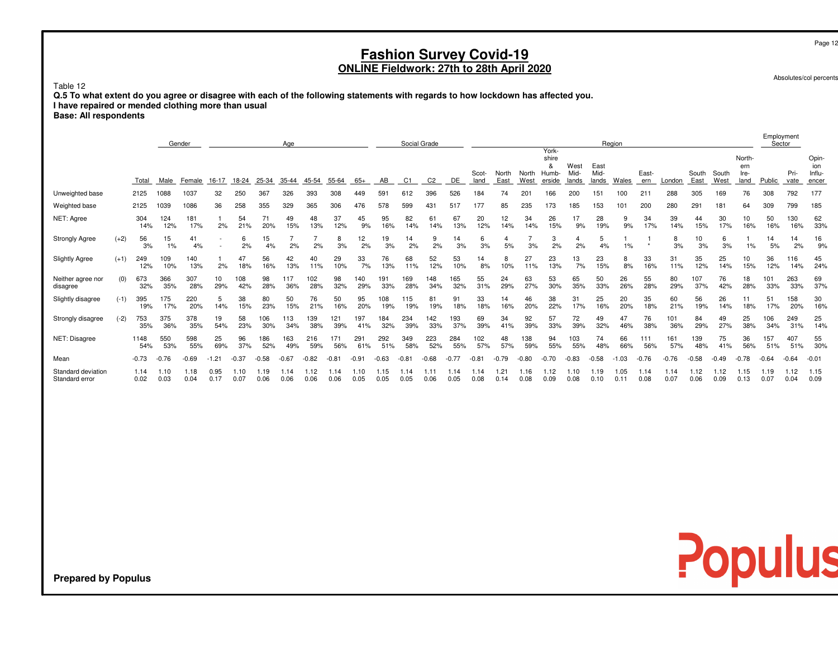Absolutes/col percents

Populus

### Table 12

 **Q.5 To what extent do you agree or disagree with each of the following statements with regards to how lockdown has affected you.I have repaired or mended clothing more than usual Base: All respondents**

| <b>Base: All respondents</b> |
|------------------------------|
|                              |

|                                      |        |              |              | Gender       |              |              |              | Age          |              |              |              |              | Social Grade   |                |              |               |               |               | York-                         |                       |                       | Region       |              |              |               |               |                               | Employment<br>Sector |              |                                 |
|--------------------------------------|--------|--------------|--------------|--------------|--------------|--------------|--------------|--------------|--------------|--------------|--------------|--------------|----------------|----------------|--------------|---------------|---------------|---------------|-------------------------------|-----------------------|-----------------------|--------------|--------------|--------------|---------------|---------------|-------------------------------|----------------------|--------------|---------------------------------|
|                                      |        | Total        | Male         | Female       | 16-17        | 18-24        | 25-34        | 35-44        | 45-54        | 55-64        | 65+          | AB           | C <sub>1</sub> | C <sub>2</sub> | DE           | Scot-<br>land | North<br>East | North<br>West | shire<br>&<br>Humb-<br>erside | West<br>Mid-<br>lands | East<br>Mid-<br>lands | Wales        | East-<br>ern | London       | South<br>East | South<br>West | North-<br>ern<br>Ire-<br>land | Public               | Pri-<br>vate | Opin-<br>ion<br>Influ-<br>encer |
| Unweighted base                      |        | 2125         | 1088         | 1037         | 32           | 250          | 367          | 326          | 393          | 308          | 449          | 591          | 612            | 396            | 526          | 184           | 74            | 201           | 166                           | 200                   | 151                   | 100          | $21 -$       | 288          | 305           | 169           | 76                            | 308                  | 792          | 177                             |
| Weighted base                        |        | 2125         | 1039         | 1086         | 36           | 258          | 355          | 329          | 365          | 306          | 476          | 578          | 599            | 431            | 517          | 177           | 85            | 235           | 173                           | 185                   | 153                   | 101          | 200          | 280          | 291           | 181           | 64                            | 309                  | 799          | 185                             |
| NET: Agree                           |        | 304<br>14%   | 124<br>12%   | 181<br>17%   | 2%           | 54<br>21%    | 71<br>20%    | 49<br>15%    | 48<br>13%    | 37<br>12%    | 45<br>9%     | 95<br>16%    | 82<br>14%      | 61<br>14%      | 67<br>13%    | 20<br>12%     | 12<br>14%     | 34<br>14%     | 26<br>15%                     | 17<br>9%              | 28<br>19%             | 9<br>9%      | 34<br>17%    | 39<br>14%    | 44<br>15%     | 30<br>17%     | 10<br>16%                     | 50<br>16%            | 130<br>16%   | 62<br>33%                       |
| <b>Strongly Agree</b>                | $(+2)$ | 56<br>3%     | 15<br>$1\%$  | 41<br>4%     |              | 6<br>2%      | 15<br>4%     | 2%           | 2%           | 8<br>3%      | 12<br>2%     | 19<br>3%     | 14<br>2%       | 9<br>2%        | 14<br>3%     | 6<br>3%       | 5%            | 3%            | 3<br>2%                       | 4<br>2%               | 4%                    | 1%           |              | 8<br>3%      | 10<br>3%      | 6<br>3%       | 1%                            | 14<br>5%             | 14<br>2%     | 16<br>9%                        |
| <b>Slightly Agree</b>                | $(+1)$ | 249<br>12%   | 109<br>10%   | 140<br>13%   | 2%           | 47<br>18%    | 56<br>16%    | 42<br>13%    | 40<br>11%    | 29<br>10%    | 33<br>7%     | 76<br>13%    | 68<br>11%      | 52<br>12%      | 53<br>10%    | 14<br>8%      | 8<br>10%      | 27<br>11%     | 23<br>13%                     | 13<br>7%              | 23<br>15%             | 8<br>8%      | 33<br>16%    | 31<br>11%    | 35<br>12%     | 25<br>14%     | 10<br>15%                     | 36<br>12%            | 116<br>14%   | 45<br>24%                       |
| Neither agree nor<br>disagree        | (0)    | 673<br>32%   | 366<br>35%   | 307<br>28%   | 10<br>29%    | 108<br>42%   | 98<br>28%    | 117<br>36%   | 102<br>28%   | 98<br>32%    | 140<br>29%   | 191<br>33%   | 169<br>28%     | 148<br>34%     | 165<br>32%   | 55<br>31%     | 24<br>29%     | 63<br>27%     | 53<br>30%                     | 65<br>35%             | 50<br>33%             | 26<br>26%    | 55<br>28%    | 80<br>29%    | 107<br>37%    | 76<br>42%     | 18<br>28%                     | 101<br>33%           | 263<br>33%   | 69<br>37%                       |
| Slightly disagree                    | $(-1)$ | 395<br>19%   | 175<br>17%   | 220<br>20%   | 5<br>14%     | 38<br>15%    | 80<br>23%    | 50<br>15%    | 76<br>21%    | 50<br>16%    | 95<br>20%    | 108<br>19%   | 115<br>19%     | 81<br>19%      | 91<br>18%    | 33<br>18%     | 14<br>16%     | 46<br>20%     | 38<br>22%                     | 31<br>17%             | 25<br>16%             | 20<br>20%    | 35<br>18%    | 60<br>21%    | 56<br>19%     | 26<br>14%     | 11<br>18%                     | 51<br>17%            | 158<br>20%   | 30<br>16%                       |
| Strongly disagree                    | $(-2)$ | 753<br>35%   | 375<br>36%   | 378<br>35%   | 19<br>54%    | 58<br>23%    | 06<br>30%    | 113<br>34%   | 139<br>38%   | 121<br>39%   | 197<br>41%   | 184<br>32%   | 234<br>39%     | 42<br>33%      | 193<br>37%   | 69<br>39%     | 34<br>41%     | 92<br>39%     | 57<br>33%                     | 72<br>39%             | 49<br>32%             | 47<br>46%    | 76<br>38%    | 101<br>36%   | 84<br>29%     | 49<br>27%     | 25<br>38%                     | 106<br>34%           | 249<br>31%   | 25<br>14%                       |
| NET: Disagree                        |        | 1148<br>54%  | 550<br>53%   | 598<br>55%   | 25<br>69%    | 96<br>37%    | 186<br>52%   | 163<br>49%   | 216<br>59%   | 171<br>56%   | 291<br>61%   | 292<br>51%   | 349<br>58%     | 223<br>52%     | 284<br>55%   | 102<br>57%    | 48<br>57%     | 138<br>59%    | 94<br>55%                     | 103<br>55%            | 74<br>48%             | 66<br>66%    | 111<br>56%   | 161<br>57%   | 139<br>48%    | 75<br>41%     | 36<br>56%                     | 157<br>51%           | 407<br>51%   | 55<br>30%                       |
| Mean                                 |        | $-0.73$      | $-0.76$      | $-0.69$      | .21          | $-0.37$      | $-0.58$      | $-0.67$      | $-0.82$      | $-0.81$      | $-0.91$      | $-0.63$      | $-0.81$        | $-0.68$        | .77          | $-0.8$        | $-0.79$       | $-0.80$       | $-0.70$                       | $-0.83$               | .58                   | .03          | $-0.76$      | 76           | $-0.58$       | $-0.49$       | $-0.78$                       | 0.64                 | $-0.64$      | $-0.01$                         |
| Standard deviation<br>Standard error |        | 1.14<br>0.02 | 1.10<br>0.03 | 1.18<br>0.04 | 0.95<br>0.17 | 1.10<br>0.07 | 1.19<br>0.06 | 1.14<br>0.06 | 1.12<br>0.06 | 1.14<br>0.06 | 1.10<br>0.05 | 1.15<br>0.05 | 1.14<br>0.05   | 1.11<br>0.06   | 1.14<br>0.05 | 1.14<br>0.08  | 1.21<br>0.14  | 1.16<br>0.08  | 1.12<br>0.09                  | 1.10<br>0.08          | 1.19<br>0.10          | 1.05<br>0.11 | 1.14<br>0.08 | 1.14<br>0.07 | 1.12<br>0.06  | 1.12<br>0.09  | 1.15<br>0.13                  | 1.19<br>0.07         | 1.12<br>0.04 | 1.15<br>0.09                    |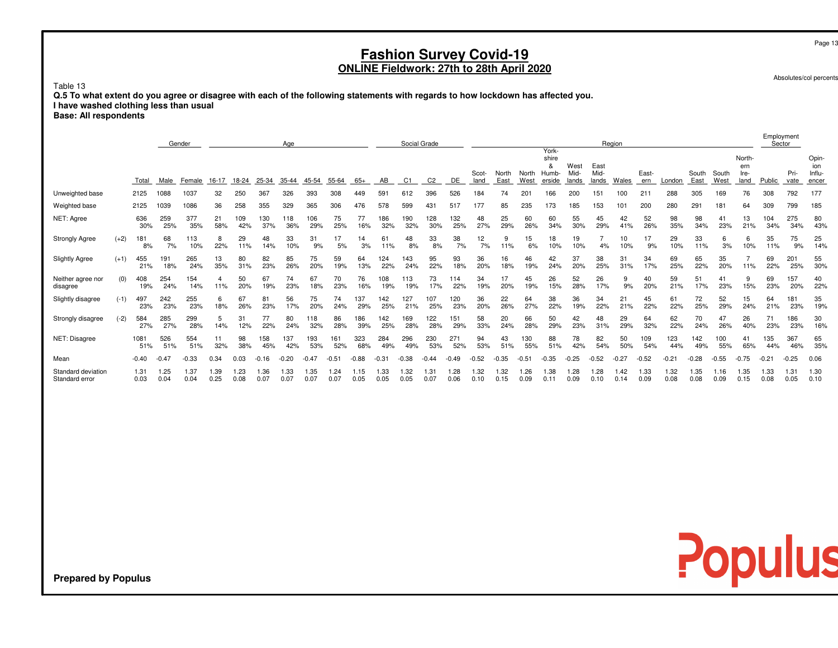Absolutes/col percents

Populus

### Table 13

 **Q.5 To what extent do you agree or disagree with each of the following statements with regards to how lockdown has affected you.I have washed clothing less than usual**

**Base: All respondents**

|                                      |        |              |              | Gender       |              |              |              | Age          |             |             |              |               | Social Grade |                |             |               |               |               | York-                         |                       |                       | Region       |              |              |               |               |                               | Employment<br>Sector |              |                                 |
|--------------------------------------|--------|--------------|--------------|--------------|--------------|--------------|--------------|--------------|-------------|-------------|--------------|---------------|--------------|----------------|-------------|---------------|---------------|---------------|-------------------------------|-----------------------|-----------------------|--------------|--------------|--------------|---------------|---------------|-------------------------------|----------------------|--------------|---------------------------------|
|                                      |        | Total        | Male         | Female       | 16-17        | 18-24        | 25-34        | 35-44        | 45-54       | 55-64       | 65+          | AB            | C1           | C <sub>2</sub> | DE          | Scot-<br>land | North<br>East | North<br>West | shire<br>&<br>Humb-<br>erside | West<br>Mid-<br>lands | East<br>Mid-<br>lands | Wales        | East-<br>ern | London       | South<br>East | South<br>West | North-<br>ern<br>Ire-<br>land | Public               | Pri-<br>vate | Opin-<br>ion<br>Influ-<br>encer |
| Unweighted base                      |        | 2125         | 1088         | 1037         | 32           | 250          | 367          | 326          | 393         | 308         | 449          | 591           | 612          | 396            | 526         | 184           | 74            | 201           | 166                           | 200                   | 151                   | 100          | 211          | 288          | 305           | 169           | 76                            | 308                  | 792          | 177                             |
| Weighted base                        |        | 2125         | 1039         | 1086         | 36           | 258          | 355          | 329          | 365         | 306         | 476          | 578           | 599          | 431            | 517         | 177           | 85            | 235           | 173                           | 185                   | 153                   | 101          | 200          | 280          | 291           | 181           | 64                            | 309                  | 799          | 185                             |
| NET: Agree                           |        | 636<br>30%   | 259<br>25%   | 377<br>35%   | 21<br>58%    | 109<br>42%   | 130<br>37%   | 118<br>36%   | 106<br>29%  | 75<br>25%   | 77<br>16%    | 186<br>32%    | 190<br>32%   | 128<br>30%     | 132<br>25%  | 48<br>27%     | 25<br>29%     | 60<br>26%     | 60<br>34%                     | 55<br>30%             | 45<br>29%             | 42<br>41%    | 52<br>26%    | 98<br>35%    | 98<br>34%     | 41<br>23%     | 13<br>21%                     | 104<br>34%           | 275<br>34%   | 80<br>43%                       |
| Strongly Agree                       | $(+2)$ | 181<br>8%    | 68<br>7%     | 113<br>10%   | 8<br>22%     | 29<br>11%    | 48<br>14%    | 33<br>10%    | 31<br>9%    | 17<br>5%    | 14<br>3%     | 61<br>11%     | 48<br>8%     | 33<br>8%       | 38<br>7%    | 12<br>7%      | 11%           | 15<br>6%      | 18<br>10%                     | 19<br>10%             | 4%                    | 10<br>10%    | 17<br>9%     | 29<br>10%    | 33<br>11%     | 6<br>3%       | 6<br>10%                      | 35<br>11%            | 75<br>9%     | 25<br>14%                       |
| <b>Slightly Agree</b>                | $(+1)$ | 455<br>21%   | 191<br>18%   | 265<br>24%   | 13<br>35%    | 80<br>31%    | 82<br>23%    | 85<br>26%    | 75<br>20%   | 59<br>19%   | 64<br>13%    | 124<br>22%    | 143<br>24%   | 95<br>22%      | 93<br>18%   | 36<br>20%     | 16<br>18%     | 46<br>19%     | 42<br>24%                     | 37<br>20%             | 38<br>25%             | 31<br>31%    | 34<br>17%    | 69<br>25%    | 65<br>22%     | 35<br>20%     | 11%                           | 69<br>22%            | 201<br>25%   | 55<br>30%                       |
| Neither agree nor<br>disagree        | (0)    | 408<br>19%   | 254<br>24%   | 154<br>14%   | 11%          | 50<br>20%    | 67<br>19%    | 74<br>23%    | 67<br>18%   | 70<br>23%   | 76<br>16%    | 108<br>19%    | 113<br>19%   | 73<br>17%      | 114<br>22%  | 34<br>19%     | 17<br>20%     | 45<br>19%     | 26<br>15%                     | 52<br>28%             | 26<br>17%             | 9<br>9%      | 40<br>20%    | 59<br>21%    | 51<br>17%     | 41<br>23%     | 9<br>15%                      | 69<br>23%            | 157<br>20%   | 40<br>22%                       |
| Slightly disagree                    | $(-1)$ | 497<br>23%   | 242<br>23%   | 255<br>23%   | 6<br>18%     | 67<br>26%    | 81<br>23%    | 56<br>17%    | 75<br>20%   | 74<br>24%   | 137<br>29%   | 142<br>25%    | 127<br>21%   | 25%            | 120<br>23%  | 36<br>20%     | 22<br>26%     | 64<br>27%     | 38<br>22%                     | 36<br>19%             | 34<br>22%             | 21<br>21%    | 45<br>22%    | 61<br>22%    | 72<br>25%     | 52<br>29%     | 15<br>24%                     | 64<br>21%            | 181<br>23%   | 35<br>19%                       |
| Strongly disagree                    | $(-2)$ | 584<br>27%   | 285<br>27%   | 299<br>28%   | 5<br>14%     | 31<br>12%    | 77<br>22%    | 80<br>24%    | 118<br>32%  | 86<br>28%   | 186<br>39%   | 142<br>25%    | 169<br>28%   | 122<br>28%     | 151<br>29%  | 58<br>33%     | 20<br>24%     | 66<br>28%     | 50<br>29%                     | 42<br>23%             | 48<br>31%             | 29<br>29%    | 64<br>32%    | 62<br>22%    | 70<br>24%     | 47<br>26%     | 26<br>40%                     | 71<br>23%            | 186<br>23%   | 30<br>16%                       |
| NET: Disagree                        |        | 1081<br>51%  | 526<br>51%   | 554<br>51%   | 11<br>32%    | 98<br>38%    | 158<br>45%   | 137<br>42%   | 193<br>53%  | 161<br>52%  | 323<br>68%   | 284<br>49%    | 296<br>49%   | 230<br>53%     | 271<br>52%  | 94<br>53%     | 43<br>51%     | 30<br>55%     | 88<br>51%                     | 78<br>42%             | 82<br>54%             | 50<br>50%    | 109<br>54%   | 123<br>44%   | 142<br>49%    | 100<br>55%    | 41<br>65%                     | 135<br>44%           | 367<br>46%   | 65<br>35%                       |
| Mean                                 |        | $-0.40$      | $-0.47$      | $-0.33$      | 0.34         | 0.03         | $-0.16$      | $-0.20$      | $-0.47$     | $-0.51$     | $-0.88$      | $-0.31$       | $-0.38$      | $-0.44$        | $-0.49$     | $-0.52$       | $-0.35$       | $-0.51$       | $-0.35$                       | $-0.25$               | $-0.52$               | 0.27         | $-0.52$      | $-0.21$      | $-0.28$       | $-0.55$       | $-0.75$                       | $-0.21$              | $-0.25$      | 0.06                            |
| Standard deviation<br>Standard error |        | 1.31<br>0.03 | 1.25<br>0.04 | 1.37<br>0.04 | 1.39<br>0.25 | 1.23<br>0.08 | 1.36<br>0.07 | 1.33<br>0.07 | .35<br>0.07 | .24<br>0.07 | 1.15<br>0.05 | l .33<br>0.05 | 1.32<br>0.05 | 1.31<br>0.07   | .28<br>0.06 | .32<br>0.10   | 1.32<br>0.15  | 1.26<br>0.09  | . .38<br>0.11                 | .28<br>0.09           | 1.28<br>0.10          | 1.42<br>0.14 | 1.33<br>0.09 | 1.32<br>0.08 | .35<br>0.08   | 1.16<br>0.09  | 1.35<br>0.15                  | 1.33<br>0.08         | 1.31<br>0.05 | 1.30<br>0.10                    |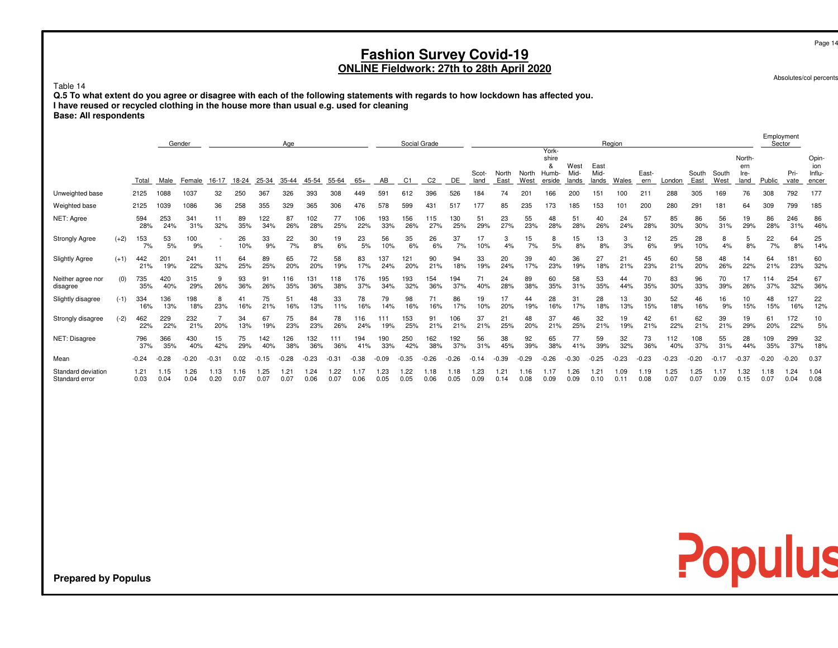Absolutes/col percents

Populus

### Table 14

 **Q.5 To what extent do you agree or disagree with each of the following statements with regards to how lockdown has affected you.I have reused or recycled clothing in the house more than usual e.g. used for cleaningBase: All respondents**

|                                      |        |              |              | Gender       |              |              |             | Age          |              |             |              |              |                | Social Grade   |              |               |               |               | York-                         |                       |                       | Region       |              |              |               |               |                               | Employment<br>Sector |              |                                 |
|--------------------------------------|--------|--------------|--------------|--------------|--------------|--------------|-------------|--------------|--------------|-------------|--------------|--------------|----------------|----------------|--------------|---------------|---------------|---------------|-------------------------------|-----------------------|-----------------------|--------------|--------------|--------------|---------------|---------------|-------------------------------|----------------------|--------------|---------------------------------|
|                                      |        | Total        | Male         | Female       | 16-17        | 18-24        | 25-34       | 35-44        | 45-54        | 55-64       | $65+$        | AB           | C <sub>1</sub> | C <sub>2</sub> | DE           | Scot-<br>land | North<br>East | North<br>West | shire<br>8<br>Humb-<br>erside | West<br>Mid-<br>lands | East<br>Mid-<br>lands | Wales        | East-<br>ern | London       | South<br>East | South<br>West | North-<br>ern<br>Ire-<br>land | Public               | Pri-<br>vate | Opin-<br>ion<br>Influ-<br>encer |
| Unweighted base                      |        | 2125         | 1088         | 1037         | 32           | 250          | 367         | 326          | 393          | 308         | 449          | 591          | 612            | 396            | 526          | 184           | 74            | 201           | 166                           | 200                   | 151                   | 100          | 211          | 288          | 305           | 169           | 76                            | 308                  | 792          | 177                             |
| Weighted base                        |        | 2125         | 1039         | 1086         | 36           | 258          | 355         | 329          | 365          | 306         | 476          | 578          | 599            | 431            | 517          | 177           | 85            | 235           | 173                           | 185                   | 153                   | 101          | 200          | 280          | 291           | 181           | 64                            | 309                  | 799          | 185                             |
| NET: Agree                           |        | 594<br>28%   | 253<br>24%   | 341<br>31%   | 11<br>32%    | 89<br>35%    | 122<br>34%  | 87<br>26%    | 102<br>28%   | 77<br>25%   | 106<br>22%   | 193<br>33%   | 156<br>26%     | 115<br>27%     | 130<br>25%   | 51<br>29%     | 23<br>27%     | 55<br>23%     | 48<br>28%                     | 51<br>28%             | 40<br>26%             | 24<br>24%    | 57<br>28%    | 85<br>30%    | 86<br>30%     | 56<br>31%     | 19<br>29%                     | 86<br>28%            | 246<br>31%   | 86<br>46%                       |
| <b>Strongly Agree</b>                | $(+2)$ | 153<br>7%    | 53<br>5%     | 100<br>9%    |              | 26<br>10%    | 33<br>9%    | 22<br>7%     | 30<br>8%     | 19<br>6%    | 23<br>5%     | 56<br>10%    | 35<br>6%       | 26<br>6%       | 37<br>7%     | 17<br>10%     | 4%            | 15<br>7%      | 8<br>5%                       | 15<br>8%              | 13<br>8%              | 3<br>3%      | 12<br>6%     | 25<br>9%     | 28<br>10%     | 8<br>4%       | 5<br>8%                       | 22<br>7%             | 64<br>8%     | 25<br>14%                       |
| <b>Slightly Agree</b>                | $(+1)$ | 442<br>21%   | 201<br>19%   | 241<br>22%   | 11<br>32%    | 64<br>25%    | 89<br>25%   | 65<br>20%    | 72<br>20%    | 58<br>19%   | 83<br>17%    | 137<br>24%   | 121<br>20%     | 90<br>21%      | 94<br>18%    | 33<br>19%     | 20<br>24%     | 39<br>17%     | 40<br>23%                     | 36<br>19%             | 27<br>18%             | 21<br>21%    | 45<br>23%    | 60<br>21%    | 58<br>20%     | 48<br>26%     | 14<br>22%                     | 64<br>21%            | 181<br>23%   | 60<br>32%                       |
| Neither agree nor<br>disagree        | (0)    | 735<br>35%   | 420<br>40%   | 315<br>29%   | 9<br>26%     | 93<br>36%    | 91<br>26%   | 116<br>35%   | 131<br>36%   | 118<br>38%  | 176<br>37%   | 195<br>34%   | 193<br>32%     | 154<br>36%     | 194<br>37%   | 71<br>40%     | 24<br>28%     | 89<br>38%     | 60<br>35%                     | 58<br>31%             | 53<br>35%             | 44<br>44%    | 70<br>35%    | 83<br>30%    | 96<br>33%     | 70<br>39%     | 17<br>26%                     | 114<br>37%           | 254<br>32%   | 67<br>36%                       |
| Slightly disagree                    | $(-1)$ | 334<br>16%   | 136<br>13%   | 198<br>18%   | 8<br>23%     | 41<br>16%    | 75<br>21%   | 51<br>16%    | 48<br>13%    | 33<br>11%   | 78<br>16%    | 79<br>14%    | 98<br>16%      | 71<br>16%      | 86<br>17%    | 19<br>10%     | 17<br>20%     | 44<br>19%     | 28<br>16%                     | 31<br>17%             | 28<br>18%             | 13<br>13%    | 30<br>15%    | 52<br>18%    | 46<br>16%     | 16<br>9%      | 10<br>15%                     | 48<br>15%            | 127<br>16%   | 22<br>12%                       |
| Strongly disagree                    | $(-2)$ | 462<br>22%   | 229<br>22%   | 232<br>21%   | 20%          | 34<br>13%    | 67<br>19%   | 75<br>23%    | 84<br>23%    | 78<br>26%   | 116<br>24%   | 111<br>19%   | 153<br>25%     | 91<br>21%      | 106<br>21%   | 37<br>21%     | 21<br>25%     | 48<br>20%     | 37<br>21%                     | 46<br>25%             | 32<br>21%             | 19<br>19%    | 42<br>21%    | 61<br>22%    | 62<br>21%     | 39<br>21%     | 19<br>29%                     | 61<br>20%            | 172<br>22%   | 10<br>5%                        |
| NET: Disagree                        |        | 796<br>37%   | 366<br>35%   | 430<br>40%   | 15<br>42%    | 75<br>29%    | 142<br>40%  | 126<br>38%   | 132<br>36%   | 36%         | 194<br>41%   | 190<br>33%   | 250<br>42%     | 162<br>38%     | 192<br>37%   | 56<br>31%     | 38<br>45%     | 92<br>39%     | 65<br>38%                     | 77<br>41%             | 59<br>39%             | 32<br>32%    | 73<br>36%    | 112<br>40%   | 108<br>37%    | 55<br>31%     | 28<br>44%                     | 109<br>35%           | 299<br>37%   | 32<br>18%                       |
| Mean                                 |        | $-0.24$      | $-0.28$      | $-0.20$      | $-0.31$      | 0.02         | $-0.15$     | $-0.28$      | $-0.23$      | $-0.31$     | $-0.38$      | $-0.09$      | $-0.35$        | $-0.26$        | $-0.26$      | $-0.14$       | .39           | $-0.29$       | $-0.26$                       | $-0.30$               | $-0.25$               | $-0.23$      | $-0.23$      | $-0.23$      | $-0.20$       | $-0.17$       | $-0.37$                       | $-0.20$              | $-0.20$      | 0.37                            |
| Standard deviation<br>Standard error |        | 1.21<br>0.03 | 1.15<br>0.04 | 1.26<br>0.04 | 1.13<br>0.20 | 1.16<br>0.07 | .25<br>0.07 | 1.21<br>0.07 | 1.24<br>0.06 | .22<br>0.07 | 1.17<br>0.06 | 1.23<br>0.05 | .22<br>0.05    | 1.18<br>0.06   | 1.18<br>0.05 | 1.23<br>0.09  | 1.21<br>0.14  | 1.16<br>0.08  | 0.09                          | .26<br>0.09           | 1.21<br>0.10          | 1.09<br>0.11 | 1.19<br>0.08 | 1.25<br>0.07 | .25<br>0.07   | 1.17<br>0.09  | 1.32<br>0.15                  | 1.18<br>0.07         | .24<br>0.04  | 1.04<br>0.08                    |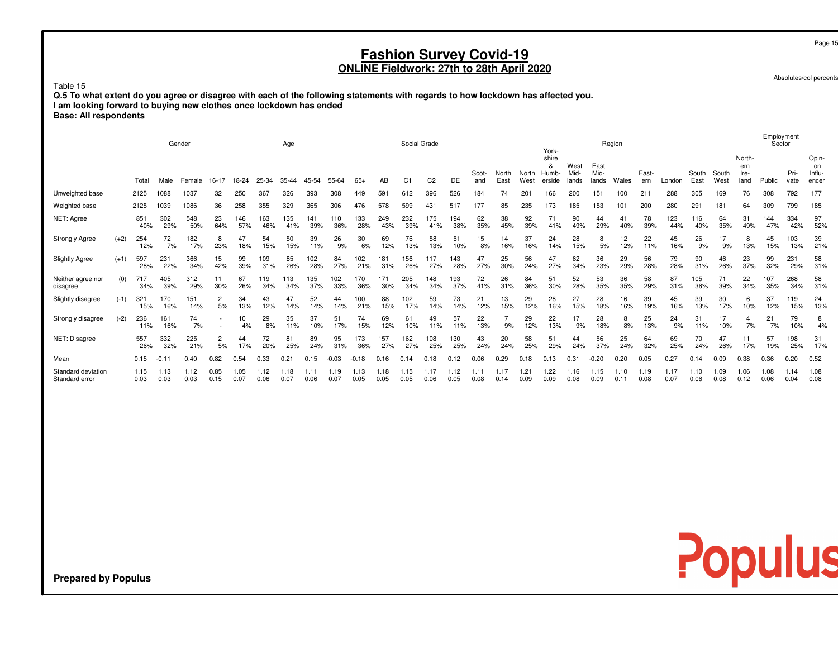Absolutes/col percents

Populus

### Table 15

 **Q.5 To what extent do you agree or disagree with each of the following statements with regards to how lockdown has affected you.I am looking forward to buying new clothes once lockdown has endedBase: All respondents**

|                                      |        |              |                | Gender       |              |              |              | Age              |              |              |              |              | Social Grade |              |              |               |               |               |                     |               |               | Region       |              |              |               |               |               | Employment<br>Sector |              |                 |
|--------------------------------------|--------|--------------|----------------|--------------|--------------|--------------|--------------|------------------|--------------|--------------|--------------|--------------|--------------|--------------|--------------|---------------|---------------|---------------|---------------------|---------------|---------------|--------------|--------------|--------------|---------------|---------------|---------------|----------------------|--------------|-----------------|
|                                      |        |              |                |              |              |              |              |                  |              |              |              |              |              |              |              |               |               |               | York-<br>shire<br>8 | West          | East          |              |              |              |               |               | North-<br>ern |                      |              | Opin-<br>ion    |
|                                      |        | Total        | Male           | Female       | 16-17        | 18-24        | 25-34        | 35-44            | 45-54        | 55-64        | 65+          | AВ           | C1           | C2           | DE           | Scot-<br>land | North<br>East | North<br>West | Humb-<br>erside     | Mid-<br>lands | Mid-<br>lands | Wales        | East-<br>ern | London       | South<br>East | South<br>West | Ire-<br>land  | Public               | Pri-<br>vate | Influ-<br>encer |
| Unweighted base                      |        | 2125         | 1088           | 1037         | 32           | 250          | 367          | 326              | 393          | 308          | 449          | 591          | 612          | 396          | 526          | 184           | 74            | 201           | 166                 | 200           | 151           | 100          | 21           | 288          | 305           | 169           | 76            | 308                  | 792          | 177             |
| Weighted base                        |        | 2125         | 1039           | 1086         | 36           | 258          | 355          | 329              | 365          | 306          | 476          | 578          | 599          | 431          | 517          | 177           | 85            | 235           | 173                 | 185           | 153           | 101          | 200          | 280          | 291           | 181           | 64            | 309                  | 799          | 185             |
| NET: Agree                           |        | 851<br>40%   | 302<br>29%     | 548<br>50%   | 23<br>64%    | 146<br>57%   | 163<br>46%   | 135<br>41%       | 141<br>39%   | 110<br>36%   | 133<br>28%   | 249<br>43%   | 232<br>39%   | 175<br>41%   | 194<br>38%   | 62<br>35%     | 38<br>45%     | 92<br>39%     | 71<br>41%           | 90<br>49%     | 44<br>29%     | 41<br>40%    | 78<br>39%    | 123<br>44%   | 116<br>40%    | 64<br>35%     | 31<br>49%     | 144<br>47%           | 334<br>42%   | 97<br>52%       |
| <b>Strongly Agree</b>                | $(+2)$ | 254<br>12%   | 72<br>7%       | 182<br>17%   | 23%          | 18%          | 54<br>15%    | 50<br>15%        | 39<br>11%    | 26<br>9%     | 30<br>6%     | 69<br>12%    | 76<br>13%    | 58<br>13%    | 51<br>10%    | 15<br>8%      | 14<br>16%     | 37<br>16%     | 24<br>14%           | 28<br>15%     | 8<br>5%       | 12<br>12%    | 22<br>11%    | 45<br>16%    | 26<br>9%      | 17<br>9%      | 8<br>13%      | 45<br>15%            | 103<br>13%   | 39<br>21%       |
| <b>Slightly Agree</b>                | $(+1)$ | 597<br>28%   | 231<br>22%     | 366<br>34%   | 15<br>42%    | 99<br>39%    | 109<br>31%   | 85<br>26%        | 102<br>28%   | 84<br>27%    | 102<br>21%   | 181<br>31%   | 156<br>26%   | 117<br>27%   | 143<br>28%   | 47<br>27%     | 25<br>30%     | 56<br>24%     | 47<br>27%           | 62<br>34%     | 36<br>23%     | 29<br>29%    | 56<br>28%    | 79<br>28%    | 90<br>31%     | 46<br>26%     | 23<br>37%     | 99<br>32%            | 231<br>29%   | 58<br>31%       |
| Neither agree nor<br>disagree        | (0)    | 717<br>34%   | 405<br>39%     | 312<br>29%   | 11<br>30%    | 67<br>26%    | 119<br>34%   | 113<br>34%       | 135<br>37%   | 102<br>33%   | 170<br>36%   | 171<br>30%   | 205<br>34%   | 148<br>34%   | 193<br>37%   | 72<br>41%     | 26<br>31%     | 84<br>36%     | 51<br>30%           | 52<br>28%     | 53<br>35%     | 36<br>35%    | 58<br>29%    | 87<br>31%    | 105<br>36%    | 71<br>39%     | 22<br>34%     | 107<br>35%           | 268<br>34%   | 58<br>31%       |
| Slightly disagree                    | $(-1)$ | 321<br>15%   | 170<br>16%     | 151<br>14%   | 2<br>5%      | 34<br>13%    | 43<br>12%    | 47<br><b>14%</b> | 52<br>14%    | 44<br>14%    | 100<br>21%   | 88<br>15%    | 102<br>17%   | 59<br>14%    | 73<br>14%    | 21<br>12%     | 13<br>15%     | 29<br>12%     | 28<br>16%           | 27<br>15%     | 28<br>18%     | 16<br>16%    | 39<br>19%    | 45<br>16%    | 39<br>13%     | 30<br>17%     | 6<br>10%      | 37<br>12%            | 119<br>15%   | 24<br>13%       |
| Strongly disagree                    | $(-2)$ | 236<br>11%   | 161<br>16%     | 74<br>7%     |              | 10<br>4%     | 29<br>8%     | 35<br>11%        | 37<br>10%    | 51<br>17%    | 74<br>15%    | 69<br>12%    | 61<br>10%    | 49<br>11%    | 57<br>11%    | 22<br>13%     | 9%            | 29<br>12%     | 22<br>13%           | 17<br>9%      | 28<br>18%     | 8<br>8%      | 25<br>13%    | 24<br>9%     | 31<br>11%     | 17<br>10%     | 4<br>7%       | 21<br>7%             | 79<br>10%    | 8<br>4%         |
| NET: Disagree                        |        | 557<br>26%   | 332<br>32%     | 225<br>21%   | 2<br>5%      | 44<br>17%    | 72<br>20%    | 81<br>25%        | 89<br>24%    | 95<br>31%    | 173<br>36%   | 157<br>27%   | 162<br>27%   | 108<br>25%   | 130<br>25%   | 43<br>24%     | 20<br>24%     | 58<br>25%     | 51<br>29%           | 44<br>24%     | 56<br>37%     | 25<br>24%    | 64<br>32%    | 69<br>25%    | 70<br>24%     | 47<br>26%     | 11<br>17%     | 57<br>19%            | 198<br>25%   | 31<br>17%       |
| Mean                                 |        | 0.15         | $-0.1^{\circ}$ | 0.40         | 0.82         | 0.54         | 0.33         | 0.21             | 0.15         | $-0.03$      | .18          | 0.16         |              | 18           | 0.12         | 0.06          | 0.29          | 0.18          | 0.13                | 0.31          | $-0.20$       | 0.20         | 0.05         | 0.27         | 0.14          | 0.09          | 0.38          | 0.36                 | 0.20         | 0.52            |
| Standard deviation<br>Standard error |        | 1.15<br>0.03 | 1.13<br>0.03   | 1.12<br>0.03 | 0.85<br>0.15 | 1.05<br>0.07 | 1.12<br>0.06 | 1.18<br>0.07     | 1.11<br>0.06 | 1.19<br>0.07 | 1.13<br>0.05 | 1.18<br>0.05 | 1.15<br>0.05 | 1.17<br>0.06 | 1.12<br>0.05 | 1.11<br>0.08  | 1.17<br>0.14  | 1.21<br>0.09  | .22<br>0.09         | 1.16<br>0.08  | 1.15<br>0.09  | 1.10<br>0.11 | 1.19<br>0.08 | 1.17<br>0.07 | 1.10<br>0.06  | 1.09<br>0.08  | 1.06<br>0.12  | 1.08<br>0.06         | 1.14<br>0.04 | 1.08<br>0.08    |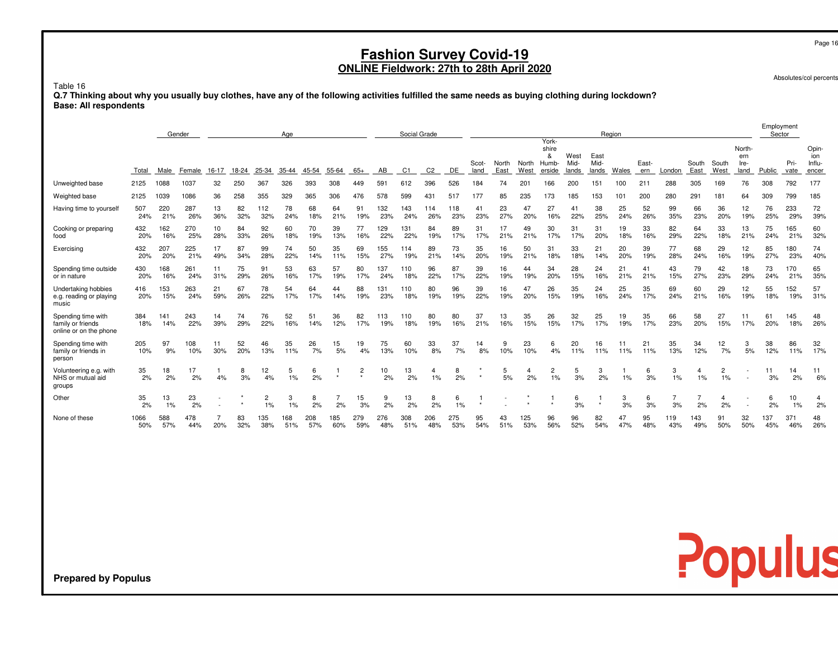# **Fashion Survey Covid-19 ONLINE Fieldwork: 27th to 28th April 2020**

Absolutes/col percents

Populus

### Table 16

 **Q.7 Thinking about why you usually buy clothes, have any of the following activities fulfilled the same needs as buying clothing during lockdown?Base: All respondents**

|                                                                   |             | Gender     |            |           |           |                      | Age        |            |            |            |            | Social Grade   |                |            |               |               |               | York-                         |                       |                       | Region    |              |            |               |                      |                               | Employment | Sector       |                                 |
|-------------------------------------------------------------------|-------------|------------|------------|-----------|-----------|----------------------|------------|------------|------------|------------|------------|----------------|----------------|------------|---------------|---------------|---------------|-------------------------------|-----------------------|-----------------------|-----------|--------------|------------|---------------|----------------------|-------------------------------|------------|--------------|---------------------------------|
|                                                                   | Total       | Male       | Female     | $16 - 17$ | 18-24     | 25-34                | 35-44      | 45-54      | 55-64      | $65+$      | AB         | C <sub>1</sub> | C <sub>2</sub> | DE         | Scot-<br>land | North<br>East | North<br>West | shire<br>&<br>Humb-<br>erside | West<br>Mid-<br>lands | East<br>Mid-<br>lands | Wales     | East-<br>ern | London     | South<br>East | South<br>West        | North-<br>ern<br>Ire-<br>land | Public     | Pri-<br>vate | Opin-<br>ion<br>Influ-<br>encer |
| Unweighted base                                                   | 2125        | 1088       | 1037       | 32        | 250       | 367                  | 326        | 393        | 308        | 449        | $59 -$     | 612            | 396            | 526        | 184           | 74            | 201           | 166                           | 200                   | 151                   | 100       | 211          | 288        | 305           | 169                  | 76                            | 308        | 792          | 177                             |
| Weighted base                                                     | 2125        | 1039       | 1086       | 36        | 258       | 355                  | 329        | 365        | 306        | 476        | 578        | 599            | 431            | 517        | 177           | 85            | 235           | 173                           | 185                   | 153                   | 101       | 200          | 280        | 291           | 181                  | 64                            | 309        | 799          | 185                             |
| Having time to yourself                                           | 507<br>24%  | 220<br>21% | 287<br>26% | 13<br>36% | 82<br>32% | 112<br>32%           | 78<br>24%  | 68<br>18%  | 64<br>21%  | 91<br>19%  | 132<br>23% | 143<br>24%     | 114<br>26%     | 118<br>23% | 41<br>23%     | 23<br>27%     | 47<br>20%     | 27<br>16%                     | 41<br>22%             | 38<br>25%             | 25<br>24% | 52<br>26%    | 99<br>35%  | 66<br>23%     | 36<br>20%            | 12<br>19%                     | 76<br>25%  | 233<br>29%   | 72<br>39%                       |
| Cooking or preparing<br>food                                      | 432<br>20%  | 162<br>16% | 270<br>25% | 10<br>28% | 84<br>33% | 92<br>26%            | 60<br>18%  | 70<br>19%  | 39<br>13%  | 77<br>16%  | 129<br>22% | 131<br>22%     | 84<br>19%      | 89<br>17%  | 31<br>17%     | 17<br>21%     | 49<br>21%     | 30<br>17%                     | 31<br>17%             | 31<br>20%             | 19<br>18% | 33<br>16%    | 82<br>29%  | 64<br>22%     | 33<br>18%            | 13<br>21%                     | 75<br>24%  | 165<br>21%   | 60<br>32%                       |
| Exercising                                                        | 432<br>20%  | 207<br>20% | 225<br>21% | 17<br>49% | 87<br>34% | 99<br>28%            | 74<br>22%  | 50<br>14%  | 35<br>11%  | 69<br>15%  | 155<br>27% | 114<br>19%     | 89<br>21%      | 73<br>14%  | 35<br>20%     | 16<br>19%     | 50<br>21%     | 31<br>18%                     | 33<br>18%             | 21<br>14%             | 20<br>20% | 39<br>19%    | 77<br>28%  | 68<br>24%     | 29<br>16%            | 12<br>19%                     | 85<br>27%  | 180<br>23%   | 74<br>40%                       |
| Spending time outside<br>or in nature                             | 430<br>20%  | 168<br>16% | 261<br>24% | 11<br>31% | 75<br>29% | 91<br>26%            | 53<br>16%  | 63<br>17%  | 57<br>19%  | 80<br>17%  | 137<br>24% | 110<br>18%     | 96<br>22%      | 87<br>17%  | 39<br>22%     | 16<br>19%     | 44<br>19%     | 34<br>20%                     | 28<br>15%             | 24<br>16%             | 21<br>21% | 41<br>21%    | 43<br>15%  | 79<br>27%     | 42<br>23%            | 18<br>29%                     | 73<br>24%  | 170<br>21%   | 65<br>35%                       |
| Undertaking hobbies<br>e.g. reading or playing<br>music           | 416<br>20%  | 153<br>15% | 263<br>24% | 21<br>59% | 67<br>26% | 78<br>22%            | 54<br>17%  | 64<br>17%  | 44<br>14%  | 88<br>19%  | 131<br>23% | 110<br>18%     | 80<br>19%      | 96<br>19%  | 39<br>22%     | 16<br>19%     | 47<br>20%     | 26<br>15%                     | 35<br>19%             | 24<br>16%             | 25<br>24% | 35<br>17%    | 69<br>24%  | 60<br>21%     | 29<br>16%            | 12<br>19%                     | 55<br>18%  | 152<br>19%   | 57<br>31%                       |
| Spending time with<br>family or friends<br>online or on the phone | 384<br>18%  | 141<br>14% | 243<br>22% | 14<br>39% | 74<br>29% | 76<br>22%            | 52<br>16%  | 51<br>14%  | 36<br>12%  | 82<br>17%  | 113<br>19% | 110<br>18%     | 80<br>19%      | 80<br>16%  | 37<br>21%     | 13<br>16%     | 35<br>15%     | 26<br>15%                     | 32<br>17%             | 25<br>17%             | 19<br>19% | 35<br>17%    | 66<br>23%  | 58<br>20%     | 27<br>15%            | 11<br>17%                     | 61<br>20%  | 145<br>18%   | 48<br>26%                       |
| Spending time with<br>family or friends in<br>person              | 205<br>10%  | 97<br>9%   | 108<br>10% | 11<br>30% | 52<br>20% | 46<br>13%            | 35<br>11%  | 26<br>7%   | 15<br>5%   | 19<br>4%   | 75<br>13%  | 60<br>10%      | 33<br>8%       | 37<br>7%   | 14<br>8%      | 9<br>10%      | 23<br>10%     | 6<br>4%                       | 20<br>11%             | 16<br>11%             | 11<br>11% | 21<br>11%    | 35<br>13%  | 34<br>12%     | 12<br>7%             | 3<br>5%                       | 38<br>12%  | 86<br>11%    | 32<br>17%                       |
| Volunteering e.g. with<br>NHS or mutual aid<br>groups             | 35<br>2%    | 18<br>2%   | 17<br>2%   | 4%        | 8<br>3%   | 12<br>4%             | 5<br>1%    | 6<br>2%    | $\bullet$  | 2<br>٠     | 10<br>2%   | 13<br>2%       | 4<br>1%        | 8<br>2%    |               | 5<br>5%       | 4<br>2%       | $\overline{2}$<br>1%          | 5<br>3%               | 3<br>2%               | 1%        | 6<br>3%      | 3<br>1%    | 4<br>$1\%$    | $\overline{2}$<br>1% |                               | 11<br>3%   | 14<br>2%     | 11<br>6%                        |
| Other                                                             | 35<br>2%    | 13<br>1%   | 23<br>2%   |           |           | $\overline{c}$<br>1% | 3<br>1%    | 8<br>2%    | 2%         | 15<br>3%   | 9<br>2%    | 13<br>2%       | 8<br>2%        | 6<br>1%    |               |               |               |                               | 6<br>3%               | $\star$               | 3<br>3%   | 6<br>3%      | 3%         | 2%            | 4<br>2%              |                               | 6<br>2%    | 10<br>1%     | 4<br>2%                         |
| None of these                                                     | 1066<br>50% | 588<br>57% | 478<br>44% | 20%       | 83<br>32% | 135<br>38%           | 168<br>51% | 208<br>57% | 185<br>60% | 279<br>59% | 276<br>48% | 308<br>51%     | 206<br>48%     | 275<br>53% | 95<br>54%     | 43<br>51%     | 125<br>53%    | 96<br>56%                     | 96<br>52%             | 82<br>54%             | 47<br>47% | 95<br>48%    | 119<br>43% | 143<br>49%    | 91<br>50%            | 32<br>50%                     | 137<br>45% | 371<br>46%   | 48<br>26%                       |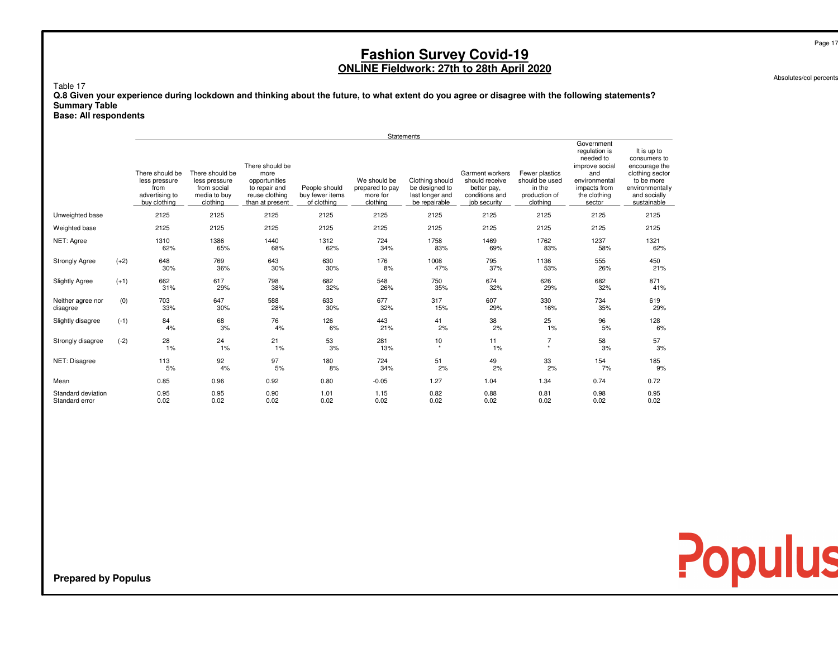Absolutes/col percents

### Table 17

 **Q.8 Given your experience during lockdown and thinking about the future, to what extent do you agree or disagree with the following statements?Summary Table Base: All respondents**

|                                      |        |                                                                            |                                                                             |                                                                                                |                                                 | Statements                                              |                                                                       |                                                                                    |                                                                         |                                                                                                                              |                                                                                                                                 |
|--------------------------------------|--------|----------------------------------------------------------------------------|-----------------------------------------------------------------------------|------------------------------------------------------------------------------------------------|-------------------------------------------------|---------------------------------------------------------|-----------------------------------------------------------------------|------------------------------------------------------------------------------------|-------------------------------------------------------------------------|------------------------------------------------------------------------------------------------------------------------------|---------------------------------------------------------------------------------------------------------------------------------|
|                                      |        | There should be<br>less pressure<br>from<br>advertising to<br>buy clothing | There should be<br>less pressure<br>from social<br>media to buy<br>clothing | There should be<br>more<br>opportunities<br>to repair and<br>reuse clothing<br>than at present | People should<br>buy fewer items<br>of clothing | We should be<br>prepared to pay<br>more for<br>clothing | Clothing should<br>be designed to<br>last longer and<br>be repairable | Garment workers<br>should receive<br>better pay,<br>conditions and<br>job security | Fewer plastics<br>should be used<br>in the<br>production of<br>clothing | Government<br>regulation is<br>needed to<br>improve social<br>and<br>environmental<br>impacts from<br>the clothing<br>sector | It is up to<br>consumers to<br>encourage the<br>clothing sector<br>to be more<br>environmentally<br>and socially<br>sustainable |
| Unweighted base                      |        | 2125                                                                       | 2125                                                                        | 2125                                                                                           | 2125                                            | 2125                                                    | 2125                                                                  | 2125                                                                               | 2125                                                                    | 2125                                                                                                                         | 2125                                                                                                                            |
| Weighted base                        |        | 2125                                                                       | 2125                                                                        | 2125                                                                                           | 2125                                            | 2125                                                    | 2125                                                                  | 2125                                                                               | 2125                                                                    | 2125                                                                                                                         | 2125                                                                                                                            |
| NET: Agree                           |        | 1310<br>62%                                                                | 1386<br>65%                                                                 | 1440<br>68%                                                                                    | 1312<br>62%                                     | 724<br>34%                                              | 1758<br>83%                                                           | 1469<br>69%                                                                        | 1762<br>83%                                                             | 1237<br>58%                                                                                                                  | 1321<br>62%                                                                                                                     |
| Strongly Agree                       | $(+2)$ | 648<br>30%                                                                 | 769<br>36%                                                                  | 643<br>30%                                                                                     | 630<br>30%                                      | 176<br>8%                                               | 1008<br>47%                                                           | 795<br>37%                                                                         | 1136<br>53%                                                             | 555<br>26%                                                                                                                   | 450<br>21%                                                                                                                      |
| <b>Slightly Agree</b>                | $(+1)$ | 662<br>31%                                                                 | 617<br>29%                                                                  | 798<br>38%                                                                                     | 682<br>32%                                      | 548<br>26%                                              | 750<br>35%                                                            | 674<br>32%                                                                         | 626<br>29%                                                              | 682<br>32%                                                                                                                   | 871<br>41%                                                                                                                      |
| Neither agree nor<br>disagree        | (0)    | 703<br>33%                                                                 | 647<br>30%                                                                  | 588<br>28%                                                                                     | 633<br>30%                                      | 677<br>32%                                              | 317<br>15%                                                            | 607<br>29%                                                                         | 330<br>16%                                                              | 734<br>35%                                                                                                                   | 619<br>29%                                                                                                                      |
| Slightly disagree                    | $(-1)$ | 84<br>4%                                                                   | 68<br>3%                                                                    | 76<br>4%                                                                                       | 126<br>6%                                       | 443<br>21%                                              | 41<br>2%                                                              | 38<br>2%                                                                           | 25<br>1%                                                                | 96<br>5%                                                                                                                     | 128<br>6%                                                                                                                       |
| Strongly disagree                    | $(-2)$ | 28<br>1%                                                                   | 24<br>1%                                                                    | 21<br>$1\%$                                                                                    | 53<br>3%                                        | 281<br>13%                                              | 10<br>$\star$                                                         | 11<br>1%                                                                           | $\overline{7}$<br>$\star$                                               | 58<br>3%                                                                                                                     | 57<br>3%                                                                                                                        |
| NET: Disagree                        |        | 113<br>5%                                                                  | 92<br>4%                                                                    | 97<br>5%                                                                                       | 180<br>8%                                       | 724<br>34%                                              | 51<br>2%                                                              | 49<br>2%                                                                           | 33<br>2%                                                                | 154<br>7%                                                                                                                    | 185<br>9%                                                                                                                       |
| Mean                                 |        | 0.85                                                                       | 0.96                                                                        | 0.92                                                                                           | 0.80                                            | $-0.05$                                                 | 1.27                                                                  | 1.04                                                                               | 1.34                                                                    | 0.74                                                                                                                         | 0.72                                                                                                                            |
| Standard deviation<br>Standard error |        | 0.95<br>0.02                                                               | 0.95<br>0.02                                                                | 0.90<br>0.02                                                                                   | 1.01<br>0.02                                    | 1.15<br>0.02                                            | 0.82<br>0.02                                                          | 0.88<br>0.02                                                                       | 0.81<br>0.02                                                            | 0.98<br>0.02                                                                                                                 | 0.95<br>0.02                                                                                                                    |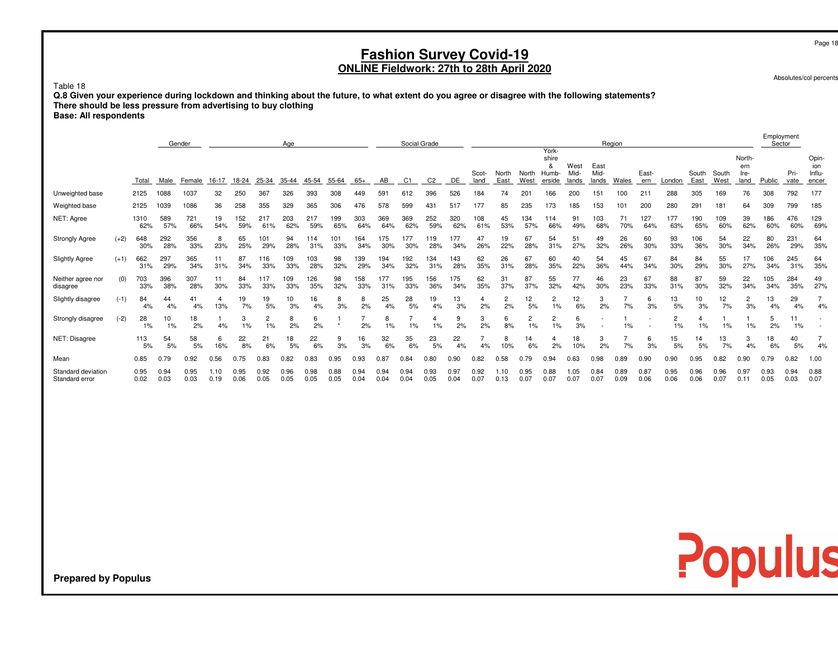Absolutes/col percents

### Table 18

 **Q.8 Given your experience during lockdown and thinking about the future, to what extent do you agree or disagree with the following statements?There should be less pressure from advertising to buy clothing**

**Base: All respondents**

|                                      |        |              |              | Gender       |              |              |                         | Age          |              |              |              |              | Social Grade   |                |              |               |               |                      | York-                         |                       |                       | Region       |              |                      |               |               |                               | Employment<br>Sector |              |                                 |
|--------------------------------------|--------|--------------|--------------|--------------|--------------|--------------|-------------------------|--------------|--------------|--------------|--------------|--------------|----------------|----------------|--------------|---------------|---------------|----------------------|-------------------------------|-----------------------|-----------------------|--------------|--------------|----------------------|---------------|---------------|-------------------------------|----------------------|--------------|---------------------------------|
|                                      |        | Total        | Male         | Female       | 16-17        | 18-24        | 25-34                   | 35-44        | 45-54        | 55-64        | $65+$        | AB           | C <sub>1</sub> | C <sub>2</sub> | DE           | Scot-<br>land | North<br>East | North<br>West        | shire<br>&<br>Humb-<br>erside | West<br>Mid-<br>lands | East<br>Mid-<br>lands | Wales        | East-<br>ern | London               | South<br>East | South<br>West | North-<br>ern<br>Ire-<br>land | Public               | Pri-<br>vate | Opin-<br>ion<br>Influ-<br>encer |
| Unweighted base                      |        | 2125         | 1088         | 1037         | 32           | 250          | 367                     | 326          | 393          | 308          | 449          | 591          | 612            | 396            | 526          | 184           | 74            | 201                  | 166                           | 200                   | 151                   | 100          | $21 -$       | 288                  | 305           | 169           | 76                            | 308                  | 792          | 177                             |
| Weighted base                        |        | 2125         | 1039         | 1086         | 36           | 258          | 355                     | 329          | 365          | 306          | 476          | 578          | 599            | 431            | 517          | 177           | 85            | 235                  | 173                           | 185                   | 153                   | 101          | 200          | 280                  | 291           | 181           | 64                            | 309                  | 799          | 185                             |
| NET: Agree                           |        | 1310<br>62%  | 589<br>57%   | 721<br>66%   | 19<br>54%    | 152<br>59%   | 217<br>61%              | 203<br>62%   | 217<br>59%   | 199<br>65%   | 303<br>64%   | 369<br>64%   | 369<br>62%     | 252<br>59%     | 320<br>62%   | 108<br>61%    | 45<br>53%     | 134<br>57%           | 114<br>66%                    | 91<br>49%             | 103<br>68%            | 71<br>70%    | 127<br>64%   | 177<br>63%           | 190<br>65%    | 109<br>60%    | 39<br>62%                     | 186<br>60%           | 476<br>60%   | 129<br>69%                      |
| <b>Strongly Agree</b>                | $(+2)$ | 648<br>30%   | 292<br>28%   | 356<br>33%   | 8<br>23%     | 65<br>25%    | 29%                     | 94<br>28%    | 114<br>31%   | 101<br>33%   | 164<br>34%   | 75<br>30%    | 177<br>30%     | 19<br>28%      | 177<br>34%   | 47<br>26%     | 19<br>22%     | 67<br>28%            | 54<br>31%                     | 51<br>27%             | 49<br>32%             | 26<br>26%    | 60<br>30%    | 93<br>33%            | 106<br>36%    | 54<br>30%     | 22<br>34%                     | 80<br>26%            | 231<br>29%   | 64<br>35%                       |
| <b>Slightly Agree</b>                | $(+1)$ | 662<br>31%   | 297<br>29%   | 365<br>34%   | 11<br>31%    | 87<br>34%    | 116<br>33%              | 109<br>33%   | 103<br>28%   | 98<br>32%    | 139<br>29%   | 194<br>34%   | 192<br>32%     | 134<br>31%     | 143<br>28%   | 62<br>35%     | 26<br>31%     | 67<br>28%            | 60<br>35%                     | 40<br>22%             | 54<br>36%             | 45<br>44%    | 67<br>34%    | 84<br>30%            | 84<br>29%     | 55<br>30%     | 17<br>27%                     | 106<br>34%           | 245<br>31%   | 64<br>35%                       |
| Neither agree no<br>disagree         | (0)    | 703<br>33%   | 396<br>38%   | 307<br>28%   | 11<br>30%    | 84<br>33%    | 33%                     | 109<br>33%   | 26<br>35%    | 98<br>32%    | 158<br>33%   | 177<br>31%   | 195<br>33%     | 156<br>36%     | 175<br>34%   | 62<br>35%     | 31<br>37%     | 87<br>37%            | 55<br>32%                     | 77<br>42%             | 46<br>30%             | 23<br>23%    | 67<br>33%    | 88<br>31%            | 87<br>30%     | 59<br>32%     | 22<br>34%                     | 05<br>34%            | 284<br>35%   | 49<br>27%                       |
| Slightly disagree                    | $(-1)$ | 84<br>4%     | 44<br>4%     | 41<br>4%     | 4<br>13%     | 19<br>7%     | 19<br>5%                | 10<br>3%     | 16<br>4%     | 3%           | 8<br>2%      | 25<br>4%     | 28<br>5%       | 19<br>4%       | 13<br>3%     | 2%            | 2<br>2%       | 12<br>5%             | $\overline{2}$<br>1%          | 12<br>6%              | 3<br>2%               | 7%           | 6<br>3%      | 13<br>5%             | 10<br>3%      | 12<br>7%      | 2<br>3%                       | 13<br>4%             | 29<br>4%     | 4%                              |
| Strongly disagree                    | $(-2)$ | 28<br>1%     | 10<br>1%     | 18<br>2%     | 4%           | 3<br>1%      | $\overline{c}$<br>$1\%$ | 8<br>2%      | 6<br>2%      | $\star$      | 2%           | 8<br>1%      | 1%             | $1\%$          | 9<br>2%      | 3<br>2%       | 6<br>8%       | $\overline{c}$<br>1% | $\overline{2}$<br>1%          | 6<br>3%               |                       | 1%           |              | $\overline{2}$<br>1% | 1%            | 1%            | $1\%$                         | 5<br>2%              | 1%           |                                 |
| NET: Disagree                        |        | 113<br>5%    | 54<br>5%     | 58<br>5%     | 6<br>16%     | 22<br>8%     | 21<br>6%                | 18<br>5%     | 22<br>6%     | 9<br>3%      | 16<br>3%     | 32<br>6%     | 35<br>6%       | 23<br>5%       | 22<br>4%     | 4%            | 8<br>10%      | 14<br>6%             | 2%                            | 18<br>10%             | 3<br>2%               | 7%           | 6<br>3%      | 15<br>5%             | 14<br>5%      | 13<br>7%      | 3<br>4%                       | 18<br>6%             | 40<br>5%     | 4%                              |
| Mean                                 |        | 0.85         | 0.79         | 0.92         | 0.56         | 0.75         | 0.83                    | 0.82         | 0.83         | 0.95         | 0.93         | 0.87         | 0.84           | 0.80           | 0.90         | 0.82          | 0.58          | 0.79                 | 0.94                          | 0.63                  | 0.98                  | 0.89         | 0.90         | 0.90                 | 0.95          | 0.82          | 0.90                          | 0.79                 | 0.82         | 1.00                            |
| Standard deviation<br>Standard error |        | 0.95<br>0.02 | 0.94<br>0.03 | 0.95<br>0.03 | 1.10<br>0.19 | 0.95<br>0.06 | 0.92<br>0.05            | 0.96<br>0.05 | 0.98<br>0.05 | 0.88<br>0.05 | 0.94<br>0.04 | 0.94<br>0.04 | 0.94<br>0.04   | 0.93<br>0.05   | 0.97<br>0.04 | 0.92<br>0.07  | 1.10<br>0.13  | 0.95<br>0.07         | 0.88<br>0.07                  | 1.05<br>0.07          | 0.84<br>0.07          | 0.89<br>0.09 | 0.87<br>0.06 | 0.95<br>0.06         | 0.96<br>0.06  | 0.96<br>0.07  | 0.97<br>0.11                  | 0.93<br>0.05         | 0.94<br>0.03 | 0.88<br>0.07                    |

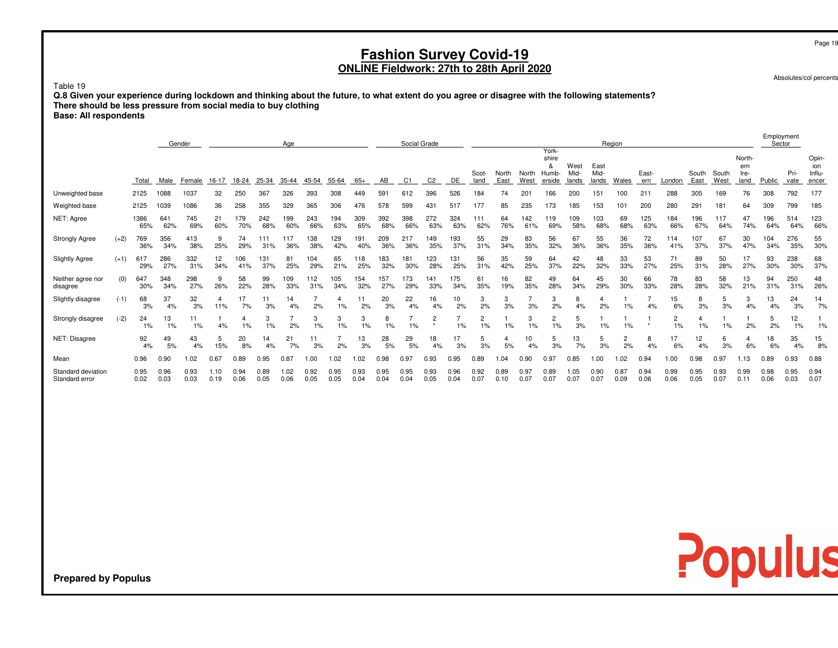Absolutes/col percents

Populus

### Table 19

 **Q.8 Given your experience during lockdown and thinking about the future, to what extent do you agree or disagree with the following statements?There should be less pressure from social media to buy clothing**

**Base: All respondents**

|                                      |        |              |              | Gender       |              |              |              | Age          |              |              |              |              | Social Grade   |                |              |                      |               |                 | York-                         |                       |                       | Region       |              |                      |               |               |                               | Employment<br>Sector |              |                                 |
|--------------------------------------|--------|--------------|--------------|--------------|--------------|--------------|--------------|--------------|--------------|--------------|--------------|--------------|----------------|----------------|--------------|----------------------|---------------|-----------------|-------------------------------|-----------------------|-----------------------|--------------|--------------|----------------------|---------------|---------------|-------------------------------|----------------------|--------------|---------------------------------|
|                                      |        | Total        | Male         | Female       | $16 - 17$    | 18-24        | 25-34        | 35-44        | 45-54        | 55-64        | $65+$        | AB           | C <sub>1</sub> | C <sub>2</sub> | DE           | Scot-<br>land        | North<br>East | North<br>West   | shire<br>&<br>Humb-<br>erside | West<br>Mid-<br>lands | East<br>Mid-<br>lands | Wales        | East-<br>ern | London               | South<br>East | South<br>West | North-<br>ern<br>Ire-<br>land | Public               | Pri-<br>vate | Opin-<br>ion<br>Influ-<br>encer |
| Unweighted base                      |        | 2125         | 1088         | 1037         | 32           | 250          | 367          | 326          | 393          | 308          | 449          | 591          | 612            | 396            | 526          | 184                  | 74            | 20 <sub>1</sub> | 166                           | 200                   | 151                   | 100          | 21           | 288                  | 305           | 169           | 76                            | 308                  | 792          | 177                             |
| Weighted base                        |        | 2125         | 1039         | 1086         | 36           | 258          | 355          | 329          | 365          | 306          | 476          | 578          | 599            | 431            | 517          | 177                  | 85            | 235             | 173                           | 185                   | 153                   | 101          | 200          | 280                  | 291           | 181           | 64                            | 309                  | 799          | 185                             |
| NET: Agree                           |        | 1386<br>65%  | 641<br>62%   | 745<br>69%   | 21<br>60%    | 179<br>70%   | 242<br>68%   | 199<br>60%   | 243<br>66%   | 194<br>63%   | 309<br>65%   | 392<br>68%   | 398<br>66%     | 272<br>63%     | 324<br>63%   | 111<br>62%           | 64<br>76%     | 142<br>61%      | 119<br>69%                    | 109<br>58%            | 103<br>68%            | 69<br>68%    | 125<br>63%   | 184<br>66%           | 196<br>67%    | 117<br>64%    | 47<br>74%                     | 196<br>64%           | 514<br>64%   | 123<br>66%                      |
| <b>Strongly Agree</b>                | $(+2)$ | 769<br>36%   | 356<br>34%   | 413<br>38%   | 9<br>25%     | 74<br>29%    | 111<br>31%   | 117<br>36%   | 138<br>38%   | 129<br>42%   | 191<br>40%   | 209<br>36%   | 217<br>36%     | 149<br>35%     | 193<br>37%   | 55<br>31%            | 29<br>34%     | 83<br>35%       | 56<br>32%                     | 67<br>36%             | 55<br>36%             | 36<br>35%    | 72<br>36%    | 14<br>41%            | 107<br>37%    | 67<br>37%     | 30<br>47%                     | 104<br>34%           | 276<br>35%   | 55<br>30%                       |
| <b>Slightly Agree</b>                | $(+1)$ | 617<br>29%   | 286<br>27%   | 332<br>31%   | 12<br>34%    | 106<br>41%   | 131<br>37%   | 81<br>25%    | 104<br>29%   | 65<br>21%    | 118<br>25%   | 183<br>32%   | 181<br>30%     | 123<br>28%     | 131<br>25%   | 56<br>31%            | 35<br>42%     | 59<br>25%       | 64<br>37%                     | 42<br>22%             | 48<br>32%             | 33<br>33%    | 53<br>27%    | 71<br>25%            | 89<br>31%     | 50<br>28%     | 17<br>27%                     | 93<br>30%            | 238<br>30%   | 68<br>37%                       |
| Neither agree nor<br>disagree        | (0)    | 647<br>30%   | 348<br>34%   | 298<br>27%   | 9<br>26%     | 58<br>22%    | 99<br>28%    | 109<br>33%   | 112<br>31%   | 105<br>34%   | 154<br>32%   | 157<br>27%   | 173<br>29%     | 141<br>33%     | 175<br>34%   | 61<br>35%            | 16<br>19%     | 82<br>35%       | 49<br>28%                     | 64<br>34%             | 45<br>29%             | 30<br>30%    | 66<br>33%    | 78<br>28%            | 83<br>28%     | 58<br>32%     | 13<br>21%                     | 94<br>31%            | 250<br>31%   | 48<br>26%                       |
| Slightly disagree                    | $(-1)$ | 68<br>3%     | 37<br>4%     | 32<br>3%     | 11%          | 7%           | 11<br>3%     | 14<br>4%     | 2%           | $1\%$        | 2%           | 20<br>3%     | 22<br>4%       | 16<br>4%       | 10<br>2%     | 3<br>2%              | 3%            | 3%              | 2%                            | 8<br>4%               | 2%                    | 1%           | 4%           | 15<br>6%             | 8<br>3%       | ь<br>3%       | 3<br>4%                       | 13<br>4%             | 24<br>3%     | 14<br>7%                        |
| Strongly disagree                    | $(-2)$ | 24<br>1%     | 13<br>1%     | 11<br>1%     | 4%           | 1%           | 3<br>1%      | 2%           | 3<br>1%      | З<br>1%      | 3<br>1%      | 8<br>1%      | 1%             | 2<br>٠         | 1%           | $\overline{2}$<br>1% | $1\%$         | 3<br>1%         | 2<br>1%                       | 5<br>3%               | 1%                    | $1\%$        |              | $\overline{2}$<br>1% | 1%            | 1%            | 2%                            | 5<br>2%              | 12<br>1%     | 1%                              |
| NET: Disagree                        |        | 92<br>4%     | 49<br>5%     | 43<br>4%     | 5<br>15%     | 20<br>8%     | 14<br>4%     | 21<br>7%     | 3%           | 2%           | 13<br>3%     | 28<br>5%     | 29<br>5%       | 18<br>4%       | 17<br>3%     | 5<br>3%              | 5%            | 10<br>4%        | 3%                            | 13<br>7%              | 5<br>3%               | 2<br>2%      | 8<br>4%      | 17<br>6%             | 12<br>4%      | 6<br>3%       | 4<br>6%                       | 18<br>6%             | 35<br>4%     | 15<br>8%                        |
| Mean                                 |        | 0.96         | 0.90         | 1.02         | 0.67         | 0.89         | 0.95         | 0.87         | 0.00         | 1.02         | .02          | 0.98         | 0.97           | 0.93           | 0.95         | 0.89                 | 1.04          | 0.90            | 0.97                          | 0.85                  | .00                   | 1.02         | 0.94         | 1.00                 | 0.98          | 0.97          | 1.13                          | 0.89                 | 0.93         | 0.88                            |
| Standard deviation<br>Standard error |        | 0.95<br>0.02 | 0.96<br>0.03 | 0.93<br>0.03 | 1.10<br>0.19 | 0.94<br>0.06 | 0.89<br>0.05 | 1.02<br>0.06 | 0.92<br>0.05 | 0.95<br>0.05 | 0.93<br>0.04 | 0.95<br>0.04 | 0.95<br>0.04   | 0.93<br>0.05   | 0.96<br>0.04 | 0.92<br>0.07         | 0.89<br>0.10  | 0.97<br>0.07    | 0.89<br>0.07                  | 1.05<br>0.07          | 0.90<br>0.07          | 0.87<br>0.09 | 0.94<br>0.06 | 0.99<br>0.06         | 0.95<br>0.05  | 0.93<br>0.07  | 0.99<br>0.11                  | 0.98<br>0.06         | 0.95<br>0.03 | 0.94<br>0.07                    |

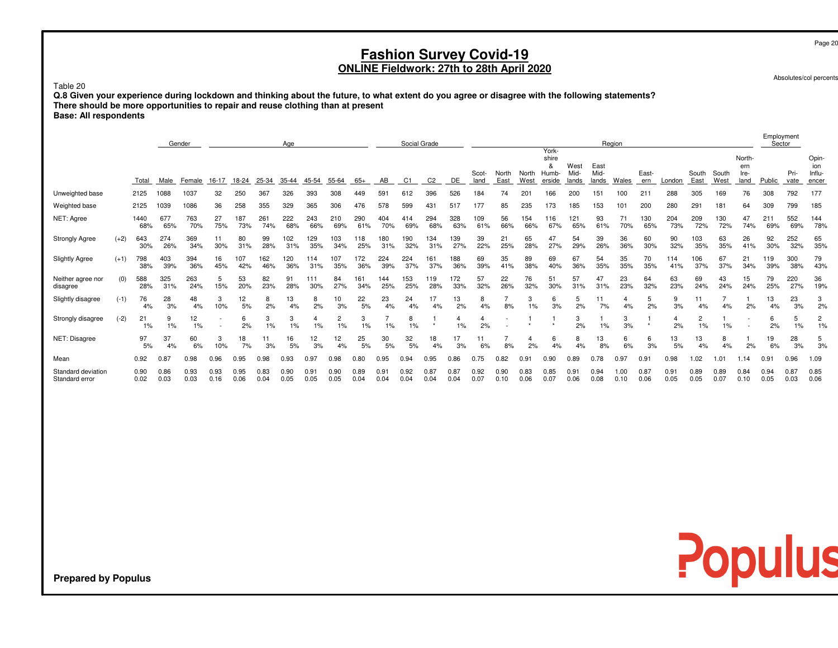Absolutes/col percents

Employment

Populus

### Table 20

 **Q.8 Given your experience during lockdown and thinking about the future, to what extent do you agree or disagree with the following statements?There should be more opportunities to repair and reuse clothing than at presentBase: All respondents**

|                                      |        |              |              | Gender       |              |              |              | Age          |              |              |              |              | Social Grade |              |              |               |               |               |                                        |                       |                       | Region           |              |              |               |               |                               | Linprovincin<br>Sector |              |                                 |
|--------------------------------------|--------|--------------|--------------|--------------|--------------|--------------|--------------|--------------|--------------|--------------|--------------|--------------|--------------|--------------|--------------|---------------|---------------|---------------|----------------------------------------|-----------------------|-----------------------|------------------|--------------|--------------|---------------|---------------|-------------------------------|------------------------|--------------|---------------------------------|
|                                      |        | Total        | Male         | Female       | $16 - 17$    | 18-24        | 25-34        | 35-44        | 45-54        | 55-64        | $65+$        | AВ           | C1           | C2           | DE           | Scot-<br>land | North<br>East | North<br>West | York-<br>shire<br>&<br>Humb-<br>erside | West<br>Mid-<br>lands | East<br>Mid-<br>lands | Wales            | East-<br>ern | London       | South<br>East | South<br>West | North-<br>ern<br>Ire-<br>land | Public                 | Pri-<br>vate | Opin-<br>ion<br>Influ-<br>encer |
| Unweighted base                      |        | 2125         | 1088         | 1037         | 32           | 250          | 367          | 326          | 393          | 308          | 449          | 591          | 612          | 396          | 526          | 184           |               | 201           | 166                                    | 200                   | 151                   | 100              | 21.          | 288          | 305           | 169           | 76                            | 308                    | 792          | 177                             |
| Weighted base                        |        | 2125         | 1039         | 1086         | 36           | 258          | 355          | 329          | 365          | 306          | 476          | 578          | 599          | 431          | 51           | 177           | 85            | 235           | 173                                    | 185                   | 153                   | 101              | 200          | 280          | 291           | 181           | 64                            | 309                    | 799          | 185                             |
| NET: Agree                           |        | 1440<br>68%  | 677<br>65%   | 763<br>70%   | 27<br>75%    | 187<br>73%   | 261<br>74%   | 222<br>68%   | 243<br>66%   | 210<br>69%   | 290<br>61%   | 404<br>70%   | 414<br>69%   | 294<br>68%   | 328<br>63%   | 109<br>61%    | 56<br>66%     | 154<br>66%    | 116<br>67%                             | 121<br>65%            | 93<br>61%             | 71<br><b>70%</b> | 130<br>65%   | 204<br>73%   | 209<br>72%    | 130<br>72%    | 47<br>74%                     | 211<br>69%             | 552<br>69%   | 144<br>78%                      |
| <b>Strongly Agree</b>                | $(+2)$ | 643<br>30%   | 274<br>26%   | 369<br>34%   | 11<br>30%    | 80<br>31%    | 99<br>28%    | 102<br>31%   | 129<br>35%   | 103<br>34%   | 118<br>25%   | 180<br>31%   | 190<br>32%   | 134<br>31%   | 139<br>27%   | 39<br>22%     | 21<br>25%     | 65<br>28%     | 47<br>27%                              | 54<br>29%             | 39<br>26%             | 36<br>36%        | 60<br>30%    | 90<br>32%    | 103<br>35%    | 63<br>35%     | 26<br>41%                     | 92<br>30%              | 252<br>32%   | 65<br>35%                       |
| <b>Slightly Agree</b>                | $(+1)$ | 798<br>38%   | 403<br>39%   | 394<br>36%   | 16<br>45%    | 107<br>42%   | 162<br>46%   | 120<br>36%   | 114<br>31%   | 107<br>35%   | 172<br>36%   | 224<br>39%   | 224<br>37%   | 161<br>37%   | 188<br>36%   | 69<br>39%     | 35<br>41%     | 89<br>38%     | 69<br>40%                              | 67<br>36%             | 54<br>35%             | 35<br>35%        | 70<br>35%    | 114<br>41%   | 106<br>37%    | 67<br>37%     | 21<br>34%                     | 119<br>39%             | 300<br>38%   | 79<br>43%                       |
| Neither agree nor<br>disagree        | (0)    | 588<br>28%   | 325<br>31%   | 263<br>24%   | 5<br>15%     | 53<br>20%    | 82<br>23%    | 91<br>28%    | 111<br>30%   | 84<br>27%    | 161<br>34%   | 144<br>25%   | 153<br>25%   | 119<br>28%   | 172<br>33%   | 57<br>32%     | 22<br>26%     | 76<br>32%     | 51<br>30%                              | 57<br>31%             | 47<br>31%             | 23<br>23%        | 64<br>32%    | 63<br>23%    | 69<br>24%     | 43<br>24%     | 15<br>24%                     | 79<br>25%              | 220<br>27%   | 36<br>19%                       |
| Slightly disagree                    | $(-1)$ | 76<br>4%     | 28<br>3%     | 48<br>4%     | 10%          | 12<br>5%     | 8<br>2%      | 13<br>4%     | 8<br>2%      | 10<br>3%     | 22<br>5%     | 23<br>4%     | 24<br>4%     | 17<br>4%     | 13<br>2%     | 8<br>4%       | 8%            | 3<br>1%       | 6<br>3%                                | 5<br>2%               | 7%                    | 4<br>4%          | 5<br>2%      | 9<br>3%      | 11<br>4%      | 4%            | 2%                            | 13<br>4%               | 23<br>3%     | 3<br>2%                         |
| Strongly disagree                    | $(-2)$ | 21<br>1%     | 9<br>1%      | 12<br>1%     |              | 6<br>2%      | 3<br>1%      | 3<br>$1\%$   | $1\%$        | 1%           | 3<br>1%      | 1%           | 8<br>1%      | $\bullet$    | 4<br>$1\%$   | 4<br>2%       |               |               |                                        | 3<br>2%               | 1%                    | 3<br>3%          |              | 2%           | 2<br>1%       | $1\%$         |                               | 6<br>2%                | 5<br>1%      | $\overline{c}$<br>1%            |
| NET: Disagree                        |        | 97<br>5%     | 37<br>4%     | 60<br>6%     | 3<br>10%     | 18<br>7%     | 11<br>3%     | 16<br>5%     | 12<br>3%     | 12<br>4%     | 25<br>5%     | 30<br>5%     | 32<br>5%     | 18<br>4%     | 17<br>3%     | 1.<br>6%      | 8%            | 2%            | 6<br>4%                                | 8<br>4%               | 13<br>8%              | 6<br>6%          | 6<br>3%      | 13<br>5%     | 13<br>4%      | 8<br>4%       | 2%                            | 19<br>6%               | 28<br>3%     | 3%                              |
| Mean                                 |        | 0.92         | 0.87         | 0.98         | 0.96         | 0.95         | 0.98         | 0.93         | 0.97         | 0.98         | 0.80         | 0.95         | 0.94         | 0.95         | 0.86         | 0.75          | 0.82          | 0.91          | 0.90                                   | 0.89                  | 0.78                  | 0.97             | 0.91         | 0.98         | 1.02          | 1.01          | 1.14                          | 0.91                   | 0.96         | 1.09                            |
| Standard deviation<br>Standard error |        | 0.90<br>0.02 | 0.86<br>0.03 | 0.93<br>0.03 | 0.93<br>0.16 | 0.95<br>0.06 | 0.83<br>0.04 | 0.90<br>0.05 | 0.91<br>0.05 | 0.90<br>0.05 | 0.89<br>0.04 | 0.91<br>0.04 | 0.92<br>0.04 | 0.87<br>0.04 | 0.87<br>0.04 | 0.92<br>0.07  | 0.90<br>0.10  | 0.83<br>0.06  | 0.85<br>0.07                           | 0.91<br>0.06          | 0.94<br>0.08          | 1.00<br>0.10     | 0.87<br>0.06 | 0.91<br>0.05 | 0.89<br>0.05  | 0.89<br>0.07  | 0.84<br>0.10                  | 0.94<br>0.05           | 0.87<br>0.03 | 0.85<br>0.06                    |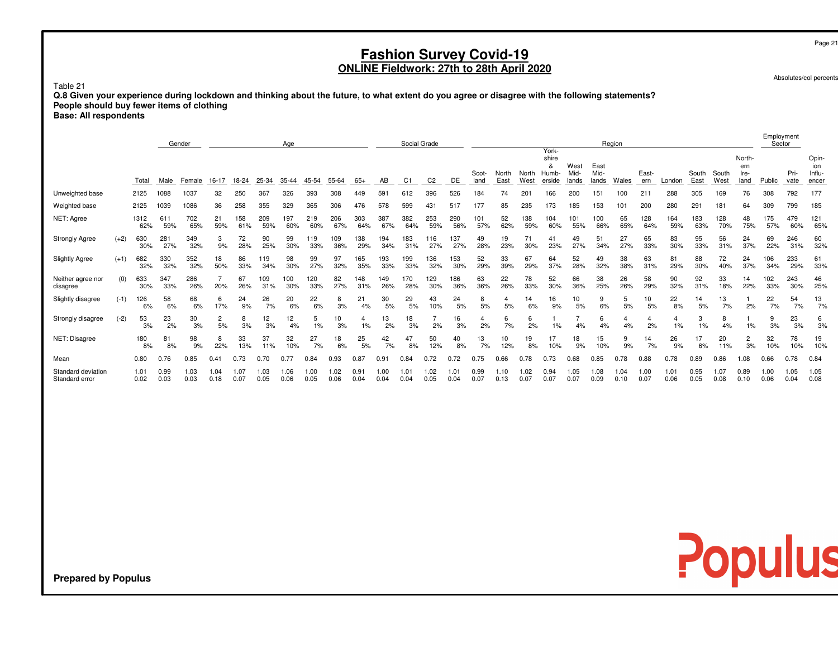# **Fashion Survey Covid-19 ONLINE Fieldwork: 27th to 28th April 2020**

Absolutes/col percents

Employment

Populus

### Table 21

 **Q.8 Given your experience during lockdown and thinking about the future, to what extent do you agree or disagree with the following statements?People should buy fewer items of clothingBase: All respondents**

|                                      |        |              |              | Gender       |                      |             |              | Age          |             |             |              |              | Social Grade |                |             |              |              |              |                              |              |              | Region       |              |              |                 |              |                       | Linpiographi<br>Sector |              |                        |
|--------------------------------------|--------|--------------|--------------|--------------|----------------------|-------------|--------------|--------------|-------------|-------------|--------------|--------------|--------------|----------------|-------------|--------------|--------------|--------------|------------------------------|--------------|--------------|--------------|--------------|--------------|-----------------|--------------|-----------------------|------------------------|--------------|------------------------|
|                                      |        |              |              |              |                      |             |              |              |             |             |              |              |              |                |             | Scot-        | North        | North        | York-<br>shire<br>&<br>Humb- | West<br>Mid- | East<br>Mid- |              | East-        |              | South           | South        | North-<br>ern<br>lre- |                        | Pri-         | Opin-<br>ion<br>Influ- |
|                                      |        | Total        | Male         | Female       | $16 - 17$            | 18-24       | 25-34        | 35-44        | 45-54       | 55-64       | $65+$        | AВ           | C1           | C <sub>2</sub> | DE          | land         | East         | West         | erside                       | lands        | lands        | Wales        | ern          | London       | East            | West         | land                  | Public                 | vate         | encer                  |
| Unweighted base                      |        | 2125         | 1088         | 1037         | 32                   | 250         | 367          | 326          | 393         | 308         | 449          | 591          | 612          | 396            | 526         | 184          | 74           | 201          | 166                          | 200          | 151          | 100          | $21^{\circ}$ | 288          | 305             | 169          | 76                    | 308                    | 792          | 177                    |
| Weighted base                        |        | 2125         | 1039         | 1086         | 36                   | 258         | 355          | 329          | 365         | 306         | 476          | 578          | 599          | 431            | 517         | 177          | 85           | 235          | 173                          | 185          | 153          | 101          | 200          | 280          | 29 <sup>1</sup> | 181          | 64                    | 309                    | 799          | 185                    |
| NET: Agree                           |        | 1312<br>62%  | 611<br>59%   | 702<br>65%   | 21<br>59%            | 158<br>61%  | 209<br>59%   | 197<br>60%   | 219<br>60%  | 206<br>67%  | 303<br>64%   | 387<br>67%   | 382<br>64%   | 253<br>59%     | 290<br>56%  | 101<br>57%   | 52<br>62%    | 138<br>59%   | 104<br>60%                   | 101<br>55%   | 100<br>66%   | 65<br>65%    | 128<br>64%   | 164<br>59%   | 183<br>63%      | 128<br>70%   | 48<br>75%             | 175<br>57%             | 479<br>60%   | 121<br>65%             |
| <b>Strongly Agree</b>                | $(+2)$ | 630<br>30%   | 281<br>27%   | 349<br>32%   | 3<br>9%              | 72<br>28%   | 90<br>25%    | 99<br>30%    | 119<br>33%  | 109<br>36%  | 38<br>29%    | 194<br>34%   | 183<br>31%   | 16<br>27%      | 137<br>27%  | 49<br>28%    | 19<br>23%    | 71<br>30%    | 41<br>23%                    | 49<br>27%    | 51<br>34%    | 27<br>27%    | 65<br>33%    | 83<br>30%    | 95<br>33%       | 56<br>31%    | 24<br>37%             | 69<br>22%              | 246<br>31%   | 60<br>32%              |
| <b>Slightly Agree</b>                | $(+1)$ | 682<br>32%   | 330<br>32%   | 352<br>32%   | 18<br>50%            | 86<br>33%   | 119<br>34%   | 98<br>30%    | 99<br>27%   | 97<br>32%   | 165<br>35%   | 193<br>33%   | 199<br>33%   | 136<br>32%     | 153<br>30%  | 52<br>29%    | 33<br>39%    | 67<br>29%    | 64<br>37%                    | 52<br>28%    | 49<br>32%    | 38<br>38%    | 63<br>31%    | 81<br>29%    | 88<br>30%       | 72<br>40%    | 24<br>37%             | 106<br>34%             | 233<br>29%   | 61<br>33%              |
| Neither agree nor<br>disagree        | (0)    | 633<br>30%   | 347<br>33%   | 286<br>26%   | 20%                  | 67<br>26%   | 109<br>31%   | 100<br>30%   | 120<br>33%  | 82<br>27%   | 148<br>31%   | 149<br>26%   | 170<br>28%   | 129<br>30%     | 186<br>36%  | 63<br>36%    | 22<br>26%    | 78<br>33%    | 52<br>30%                    | 66<br>36%    | 38<br>25%    | 26<br>26%    | 58<br>29%    | 90<br>32%    | 92<br>31%       | 33<br>18%    | 14<br>22%             | 102<br>33%             | 243<br>30%   | 46<br>25%              |
| Slightly disagree                    | $(-1)$ | 126<br>6%    | 58<br>6%     | 68<br>6%     | 6<br>17%             | 24<br>9%    | 26<br>7%     | 20<br>6%     | 22<br>6%    | 3%          | 21<br>4%     | 30<br>5%     | 29<br>5%     | 43<br>10%      | 24<br>5%    | 8<br>5%      | 5%           | 14<br>6%     | 16<br>9%                     | 10<br>5%     | 6%           | 5<br>5%      | 10<br>5%     | 22<br>8%     | 14<br>5%        | 13<br>7%     | 2%                    | 22<br>7%               | 54<br>7%     | 13<br>7%               |
| Strongly disagree                    | $(-2)$ | 53<br>3%     | 23<br>2%     | 30<br>3%     | $\overline{2}$<br>5% | 8<br>3%     | 12<br>3%     | 12<br>4%     | 1%          | 10<br>3%    | 1%           | 13<br>2%     | 18<br>3%     | 2%             | 16<br>3%    | 4<br>2%      | 6<br>7%      | 6<br>2%      | 1%                           | 4%           | 6<br>4%      | 4<br>4%      | 2%           | 4<br>1%      | 3<br>1%         | 8<br>4%      | 1%                    | 9<br>3%                | 23<br>3%     | 6<br>3%                |
| NET: Disagree                        |        | 180<br>8%    | 81<br>8%     | 98<br>9%     | 8<br>22%             | 33<br>13%   | 37<br>11%    | 32<br>10%    | 27<br>7%    | 18<br>6%    | 25<br>5%     | 42<br>7%     | 47<br>8%     | 50<br>12%      | 40<br>8%    | 13<br>7%     | 10<br>12%    | 19<br>8%     | 17<br>10%                    | 18<br>9%     | 15<br>10%    | 9<br>9%      | 14<br>7%     | 26<br>9%     | 17<br>6%        | 20<br>11%    | 2<br>3%               | 32<br>10%              | 78<br>10%    | 19<br>10%              |
| Mean                                 |        | 0.80         | 0.76         | 0.85         | 0.41                 | 0.73        | 0.70         | 0.77         | 0.84        | 0.93        | 0.87         | 0.91         | 0.84         |                | 0.72        | 0.75         | 0.66         | 0.78         | 0.73                         | 0.68         | 0.85         | 0.78         | 0.88         | 0.78         | 0.89            | 0.86         | 1.08                  | 0.66                   | 0.78         | 0.84                   |
| Standard deviation<br>Standard error |        | 1.01<br>0.02 | 0.99<br>0.03 | 1.03<br>0.03 | 1.04<br>0.18         | .07<br>0.07 | 1.03<br>0.05 | 1.06<br>0.06 | .00<br>0.05 | .02<br>0.06 | 0.91<br>0.04 | 1.00<br>0.04 | 1.01<br>0.04 | 1.02<br>0.05   | .01<br>0.04 | 0.99<br>0.07 | 1.10<br>0.13 | 1.02<br>0.07 | 0.94<br>0.07                 | 1.05<br>0.07 | 1.08<br>0.09 | 1.04<br>0.10 | 1.00<br>0.07 | 1.01<br>0.06 | 0.95<br>0.05    | 1.07<br>0.08 | 0.89<br>0.10          | 1.00<br>0.06           | 1.05<br>0.04 | 1.05<br>0.08           |

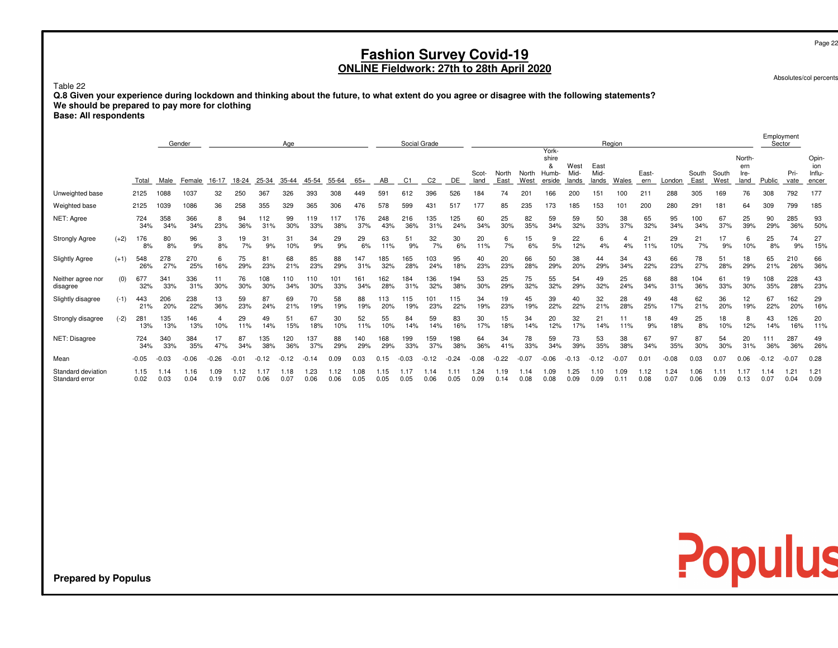Absolutes/col percents

Populus

### Table 22

 **Q.8 Given your experience during lockdown and thinking about the future, to what extent do you agree or disagree with the following statements?We should be prepared to pay more for clothing Base: All respondents**

| <b>Base: All respondents</b> |  |
|------------------------------|--|
|------------------------------|--|

|                                      |        |              | Gender       |              |              |              |              | Age          |             |              |              |              | Social Grade   |                |              |               |               |               | York-                         |                       |                       | Region       |              |              |               |               |                               | Employment<br>Sector |              |                                 |
|--------------------------------------|--------|--------------|--------------|--------------|--------------|--------------|--------------|--------------|-------------|--------------|--------------|--------------|----------------|----------------|--------------|---------------|---------------|---------------|-------------------------------|-----------------------|-----------------------|--------------|--------------|--------------|---------------|---------------|-------------------------------|----------------------|--------------|---------------------------------|
|                                      |        | Total        | Male         | Female       | 16-17        | 18-24        | 25-34        | 35-44        | 45-54       | 55-64        | $65+$        | AB           | C <sub>1</sub> | C <sub>2</sub> | DE           | Scot-<br>land | North<br>East | North<br>West | shire<br>&<br>Humb-<br>erside | West<br>Mid-<br>lands | East<br>Mid-<br>lands | Wales        | East-<br>ern | London       | South<br>East | South<br>West | North-<br>ern<br>Ire-<br>land | Public               | Pri-<br>vate | Opin-<br>ion<br>Influ-<br>encer |
| Unweighted base                      |        | 2125         | 1088         | 1037         | 32           | 250          | 367          | 326          | 393         | 308          | 449          | 591          | 612            | 396            | 526          | 184           | 74            | $20 -$        | 166                           | 200                   | 151                   | 100          | 21           | 288          | 305           | 169           | 76                            | 308                  | 792          | 177                             |
| Weighted base                        |        | 2125         | 1039         | 1086         | 36           | 258          | 355          | 329          | 365         | 306          | 476          | 578          | 599            | 431            | 517          | 177           | 85            | 235           | 173                           | 185                   | 153                   | 101          | 200          | 280          | 291           | 181           | 64                            | 309                  | 799          | 185                             |
| NET: Agree                           |        | 724<br>34%   | 358<br>34%   | 366<br>34%   | 8<br>23%     | 94<br>36%    | 112<br>31%   | 99<br>30%    | 119<br>33%  | 117<br>38%   | 176<br>37%   | 248<br>43%   | 216<br>36%     | 135<br>31%     | 125<br>24%   | 60<br>34%     | 25<br>30%     | 82<br>35%     | 59<br>34%                     | 59<br>32%             | 50<br>33%             | 38<br>37%    | 65<br>32%    | 95<br>34%    | 100<br>34%    | 67<br>37%     | 25<br>39%                     | 90<br>29%            | 285<br>36%   | 93<br>50%                       |
| Strongly Agree                       | $(+2)$ | 176<br>8%    | 80<br>8%     | 96<br>9%     | 3<br>8%      | 19<br>7%     | 31<br>9%     | 31<br>10%    | 34<br>9%    | 29<br>9%     | 29<br>6%     | 63<br>11%    | 51<br>9%       | 32<br>7%       | 30<br>6%     | 20<br>11%     | 6<br>7%       | 15<br>6%      | 9<br>5%                       | 22<br>12%             | 6<br>4%               | 4<br>4%      | 21<br>11%    | 29<br>10%    | 21<br>7%      | 17<br>9%      | 6<br>10%                      | 25<br>8%             | 74<br>9%     | 27<br>15%                       |
| <b>Slightly Agree</b>                | $(+1)$ | 548<br>26%   | 278<br>27%   | 270<br>25%   | 6<br>16%     | 75<br>29%    | 81<br>23%    | 68<br>21%    | 85<br>23%   | 88<br>29%    | 147<br>31%   | 185<br>32%   | 165<br>28%     | 103<br>24%     | 95<br>18%    | 40<br>23%     | 20<br>23%     | 66<br>28%     | 50<br>29%                     | 38<br>20%             | 44<br>29%             | 34<br>34%    | 43<br>22%    | 66<br>23%    | 78<br>27%     | 51<br>28%     | 18<br>29%                     | 65<br>21%            | 210<br>26%   | 66<br>36%                       |
| Neither agree nor<br>disagree        | (0)    | 677<br>32%   | 341<br>33%   | 336<br>31%   | 30%          | 76<br>30%    | 108<br>30%   | 10<br>34%    | 110<br>30%  | 101<br>33%   | 61<br>34%    | 162<br>28%   | 184<br>31%     | 136<br>32%     | 194<br>38%   | 53<br>30%     | 25<br>29%     | 75<br>32%     | 55<br>32%                     | 54<br>29%             | 49<br>32%             | 25<br>24%    | 68<br>34%    | 88<br>31%    | 104<br>36%    | 61<br>33%     | 19<br>30%                     | 108<br>35%           | 228<br>28%   | 43<br>23%                       |
| Slightly disagree                    | $(-1)$ | 443<br>21%   | 206<br>20%   | 238<br>22%   | 13<br>36%    | 59<br>23%    | 87<br>24%    | 69<br>21%    | 70<br>19%   | 58<br>19%    | 88<br>19%    | 113<br>20%   | 115<br>19%     | 101<br>23%     | 115<br>22%   | 34<br>19%     | 19<br>23%     | 45<br>19%     | 39<br>22%                     | 40<br>22%             | 32<br>21%             | 28<br>28%    | 49<br>25%    | 48<br>17%    | 62<br>21%     | 36<br>20%     | 12<br>19%                     | 67<br>22%            | 162<br>20%   | 29<br>16%                       |
| Strongly disagree                    | $(-2)$ | 281<br>13%   | 135<br>13%   | 146<br>13%   | 4<br>10%     | 29<br>11%    | 49<br>14%    | 51<br>15%    | 67<br>18%   | 30<br>10%    | 52<br>11%    | 55<br>10%    | 84<br>14%      | 59<br>14%      | 83<br>16%    | 30<br>17%     | 15<br>18%     | 34<br>14%     | 20<br>12%                     | 32<br>17%             | 21<br>14%             | 11%          | 18<br>9%     | 49<br>18%    | 25<br>8%      | 18<br>10%     | 8<br>12%                      | 43<br>14%            | 126<br>16%   | 20<br>11%                       |
| NET: Disagree                        |        | 724<br>34%   | 340<br>33%   | 384<br>35%   | 17<br>47%    | 87<br>34%    | 135<br>38%   | 120<br>36%   | 137<br>37%  | 88<br>29%    | 40<br>29%    | 168<br>29%   | 199<br>33%     | 159<br>37%     | 198<br>38%   | 64<br>36%     | 34<br>41%     | 78<br>33%     | 59<br>34%                     | 73<br>39%             | 53<br>35%             | 38<br>38%    | 67<br>34%    | 97<br>35%    | 87<br>30%     | 54<br>30%     | 20<br>31%                     | 111<br>36%           | 287<br>36%   | 49<br>26%                       |
| Mean                                 |        | $-0.05$      | $-0.03$      | $-0.06$      | $-0.26$      | $-0.01$      | 12           | 12           | 0.14        | 0.09         | 0.03         | .15          |                | 12             | $^{24}$      | $-0.08$       | $-0.22$       |               | $-0.06$                       | 13                    |                       | $-0.07$      | 0.01         | $-0.08$      | 0.03          | 0.07          | 0.06                          | .12                  | $-0.07$      | 0.28                            |
| Standard deviation<br>Standard error |        | 1.15<br>0.02 | 1.14<br>0.03 | 1.16<br>0.04 | 1.09<br>0.19 | 1.12<br>0.07 | 1.17<br>0.06 | 1.18<br>0.07 | .23<br>0.06 | 1.12<br>0.06 | 1.08<br>0.05 | 1.15<br>0.05 | 1.17<br>0.05   | 1.14<br>0.06   | 1.11<br>0.05 | 1.24<br>0.09  | 1.19<br>0.14  | 1.14<br>0.08  | 1.09<br>0.08                  | 1.25<br>0.09          | 1.10<br>0.09          | 1.09<br>0.11 | 1.12<br>0.08 | 1.24<br>0.07 | 1.06<br>0.06  | 1.11<br>0.09  | 1.17<br>0.13                  | 1.14<br>0.07         | 1.21<br>0.04 | 1.21<br>0.09                    |

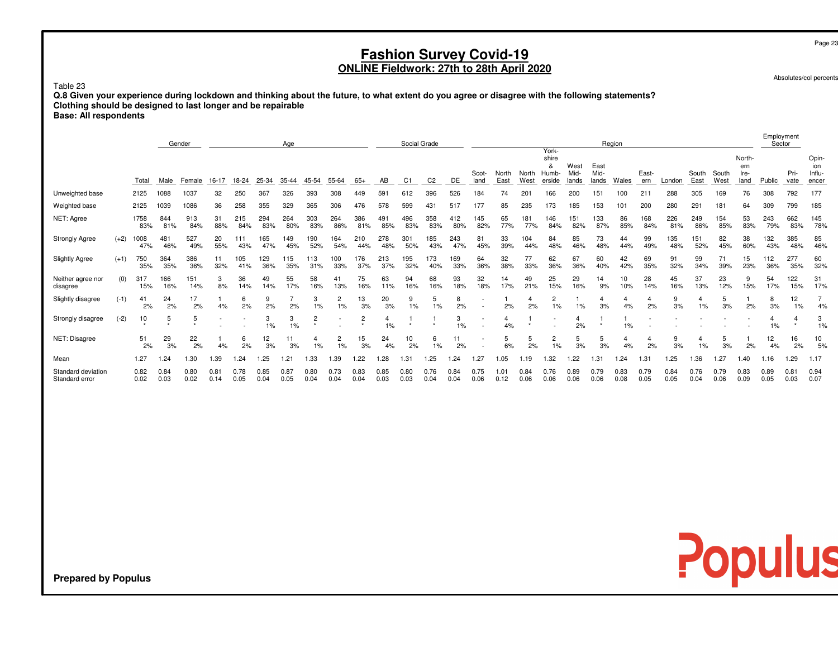Absolutes/col percents

Populus

### Table 23

 **Q.8 Given your experience during lockdown and thinking about the future, to what extent do you agree or disagree with the following statements?Clothing should be designed to last longer and be repairable**

**Base: All respondents**

|                                      |        |              |              | Gender                    |              |              |              | Age          |              |                       |              |              | Social Grade   |                |              |               |               |                 | York-                         |                       |                       | Region       |              |              |               |               |                               | Employment<br>Sector |              |                                 |
|--------------------------------------|--------|--------------|--------------|---------------------------|--------------|--------------|--------------|--------------|--------------|-----------------------|--------------|--------------|----------------|----------------|--------------|---------------|---------------|-----------------|-------------------------------|-----------------------|-----------------------|--------------|--------------|--------------|---------------|---------------|-------------------------------|----------------------|--------------|---------------------------------|
|                                      |        | Total        | Male         | Female                    | 16-17        | 18-24        | 25-34        | 35-44        | 45-54        | 55-64                 | $65+$        | AB           | C <sub>1</sub> | C <sub>2</sub> | DE           | Scot-<br>land | North<br>East | North<br>West   | shire<br>&<br>Humb-<br>erside | West<br>Mid-<br>lands | East<br>Mid-<br>lands | Wales        | East-<br>ern | London       | South<br>East | South<br>West | North-<br>ern<br>Ire-<br>land | Public               | Pri-<br>vate | Opin-<br>ion<br>Influ-<br>encer |
| Unweighted base                      |        | 2125         | 1088         | 1037                      | 32           | 250          | 367          | 326          | 393          | 308                   | 449          | 591          | 612            | 396            | 526          | 184           | 74            | 20 <sub>1</sub> | 166                           | 200                   | 151                   | 100          | 21           | 288          | 305           | 169           | 76                            | 308                  | 792          | 177                             |
| Weighted base                        |        | 2125         | 1039         | 1086                      | 36           | 258          | 355          | 329          | 365          | 306                   | 476          | 578          | 599            | 431            | 517          | 177           | 85            | 235             | 173                           | 185                   | 153                   | 101          | 200          | 280          | 291           | 181           | 64                            | 309                  | 799          | 185                             |
| NET: Agree                           |        | 1758<br>83%  | 844<br>81%   | 913<br>84%                | 31<br>88%    | 215<br>84%   | 294<br>83%   | 264<br>80%   | 303<br>83%   | 264<br>86%            | 386<br>81%   | 491<br>85%   | 496<br>83%     | 358<br>83%     | 412<br>80%   | 145<br>82%    | 65<br>77%     | 181<br>77%      | 146<br>84%                    | 151<br>82%            | 133<br>87%            | 86<br>85%    | 168<br>84%   | 226<br>81%   | 249<br>86%    | 154<br>85%    | 53<br>83%                     | 243<br>79%           | 662<br>83%   | 145<br>78%                      |
| <b>Strongly Agree</b>                | $(+2)$ | 1008<br>47%  | 481<br>46%   | 527<br>49%                | 20<br>55%    | 111<br>43%   | 165<br>47%   | 149<br>45%   | 190<br>52%   | 164<br>54%            | 210<br>44%   | 278<br>48%   | 301<br>50%     | 85<br>43%      | 243<br>47%   | 81<br>45%     | 33<br>39%     | 104<br>44%      | 84<br>48%                     | 85<br>46%             | 73<br>48%             | 44<br>44%    | 99<br>49%    | 135<br>48%   | 151<br>52%    | 82<br>45%     | 38<br>60%                     | 132<br>43%           | 385<br>48%   | 85<br>46%                       |
| <b>Slightly Agree</b>                | $(+1)$ | 750<br>35%   | 364<br>35%   | 386<br>36%                | 11<br>32%    | 105<br>41%   | 129<br>36%   | 115<br>35%   | 113<br>31%   | 100<br>33%            | 176<br>37%   | 213<br>37%   | 195<br>32%     | 173<br>40%     | 169<br>33%   | 64<br>36%     | 32<br>38%     | 77<br>33%       | 62<br>36%                     | 67<br>36%             | 60<br>40%             | 42<br>42%    | 69<br>35%    | 91<br>32%    | 99<br>34%     | 71<br>39%     | 15<br>23%                     | 112<br>36%           | 277<br>35%   | 60<br>32%                       |
| Neither agree nor<br>disagree        | (0)    | 317<br>15%   | 166<br>16%   | 151<br>14%                | 3<br>8%      | 36<br>14%    | 49<br>14%    | 55<br>17%    | 58<br>16%    | 4 <sup>1</sup><br>13% | 75<br>16%    | 63<br>11%    | 94<br>16%      | 68<br>16%      | 93<br>18%    | 32<br>18%     | 14<br>17%     | 49<br>21%       | 25<br>15%                     | 29<br>16%             | 14<br>9%              | 10<br>10%    | 28<br>14%    | 45<br>16%    | 37<br>13%     | 23<br>12%     | 9<br>15%                      | 54<br>17%            | 122<br>15%   | 31<br>17%                       |
| Slightly disagree                    | $(-1)$ | 41<br>2%     | 24<br>2%     | 17<br>2%                  | 4%           | 6<br>2%      | 2%           | 2%           | 3<br>1%      | 2<br>$1\%$            | 13<br>3%     | 20<br>3%     | 1%             | 5<br>1%        | 8<br>2%      |               | 2%            | 2%              | $\overline{c}$<br>1%          | 1%                    | 3%                    | 4<br>4%      | 2%           | 9<br>3%      | 1%            | 5<br>3%       | 2%                            | 8<br>3%              | 12<br>1%     | 4%                              |
| Strongly disagree                    | $(-2)$ | 10           | 5            | 5<br>$\ddot{\phantom{1}}$ |              |              | 3<br>1%      | 3<br>1%      | 2<br>$\star$ |                       | 2<br>$\star$ | 1%           | $\star$        | ٠              | 3<br>1%      |               | 4%            |                 | $\overline{\phantom{m}}$      | 4<br>2%               | $\star$               | 1%           |              |              |               |               |                               | 1%                   |              | 3<br>1%                         |
| NET: Disagree                        |        | 51<br>2%     | 29<br>3%     | 22<br>2%                  | 4%           | 6<br>2%      | 12<br>3%     | 11<br>3%     | 4<br>1%      | 2<br>1%               | 15<br>3%     | 24<br>4%     | 10<br>2%       | 6<br>1%        | 11<br>2%     |               | 5<br>6%       | -5<br>2%        | 2<br>1%                       | 5<br>3%               | 5<br>3%               | 4<br>4%      | 2%           | 9<br>3%      | 1%            | 5<br>3%       | 2%                            | 12<br>4%             | 16<br>2%     | 10<br>5%                        |
| Mean                                 |        | 1.27         | 1.24         | 1.30                      | 1.39         | .24          | .25          | 1.21         | .33          | 1.39                  | .22          | 1.28         | 1.31           | 1.25           | .24          | 1.27          | 1.05          | .19             | .32                           | .22                   | .31                   | 1.24         | 1.31         | 1.25         | .36           | 1.27          | 1.40                          | 1.16                 | 1.29         | 1.17                            |
| Standard deviation<br>Standard error |        | 0.82<br>0.02 | 0.84<br>0.03 | 0.80<br>0.02              | 0.81<br>0.14 | 0.78<br>0.05 | 0.85<br>0.04 | 0.87<br>0.05 | 0.80<br>0.04 | 0.73<br>0.04          | 0.83<br>0.04 | 0.85<br>0.03 | 0.80<br>0.03   | 0.76<br>0.04   | 0.84<br>0.04 | 0.75<br>0.06  | 1.01<br>0.12  | 0.84<br>0.06    | 0.76<br>0.06                  | 0.89<br>0.06          | 0.79<br>0.06          | 0.83<br>0.08 | 0.79<br>0.05 | 0.84<br>0.05 | 0.76<br>0.04  | 0.79<br>0.06  | 0.83<br>0.09                  | 0.89<br>0.05         | 0.81<br>0.03 | 0.94<br>0.07                    |

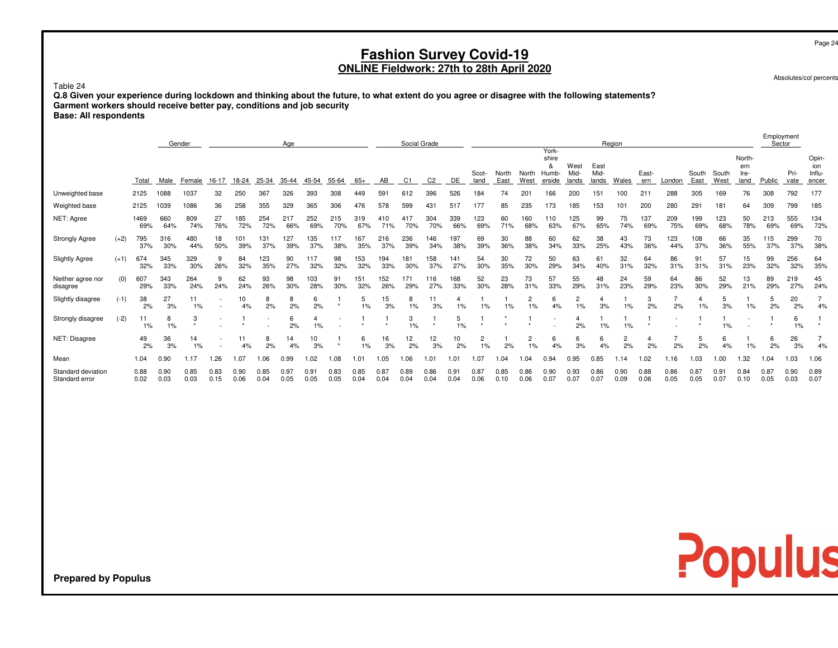Absolutes/col percents

Populus

### Table 24

 **Q.8 Given your experience during lockdown and thinking about the future, to what extent do you agree or disagree with the following statements?Garment workers should receive better pay, conditions and job securityBase: All respondents**

|                                      |        |              |              | Gender       |              |              |              | Age          |              |              |              |              |              | Social Grade |              |               |               |                      | York-                                |                       |                       | Region               |              |              |               |               |                               | Employment<br>Sector |              |                                 |
|--------------------------------------|--------|--------------|--------------|--------------|--------------|--------------|--------------|--------------|--------------|--------------|--------------|--------------|--------------|--------------|--------------|---------------|---------------|----------------------|--------------------------------------|-----------------------|-----------------------|----------------------|--------------|--------------|---------------|---------------|-------------------------------|----------------------|--------------|---------------------------------|
|                                      |        | Total        | Male         | Female       | 16-17        | 18-24        | 25-34        | 35-44        | 45-54        | 55-64        | $65+$        | AB           | C1           | C2           | DE           | Scot-<br>land | North<br>East | North<br>West        | shire<br>8<br><b>Humb-</b><br>erside | West<br>Mid-<br>lands | East<br>Mid-<br>lands | Wales                | East-<br>ern | London       | South<br>East | South<br>West | North-<br>ern<br>Ire-<br>land | Public               | Pri-<br>vate | Opin-<br>ion<br>Influ-<br>encer |
| Unweighted base                      |        | 2125         | 1088         | 1037         | 32           | 250          | 367          | 326          | 393          | 308          | 449          | 591          | 612          | 396          | 526          | 184           | 74            | 201                  | 166                                  | 200                   | 151                   | 100                  | 21           | 288          | 305           | 169           | 76                            | 308                  | 792          | 177                             |
| Weighted base                        |        | 2125         | 1039         | 1086         | 36           | 258          | 355          | 329          | 365          | 306          | 476          | 578          | 599          | 431          | 517          | 177           | 85            | 235                  | 173                                  | 185                   | 153                   | 101                  | 200          | 280          | 291           | 181           | 64                            | 309                  | 799          | 185                             |
| NET: Agree                           |        | 1469<br>69%  | 660<br>64%   | 809<br>74%   | 27<br>76%    | 185<br>72%   | 254<br>72%   | 217<br>66%   | 252<br>69%   | 215<br>70%   | 319<br>67%   | 410<br>71%   | 417<br>70%   | 304<br>70%   | 339<br>66%   | 123<br>69%    | 60<br>71%     | 160<br>68%           | 10<br>63%                            | 125<br>67%            | 99<br>65%             | 75<br>74%            | 137<br>69%   | 209<br>75%   | 199<br>69%    | 123<br>68%    | 50<br>78%                     | 213<br>69%           | 555<br>69%   | 134<br>72%                      |
| <b>Strongly Agree</b>                | $(+2)$ | 795<br>37%   | 316<br>30%   | 480<br>44%   | 18<br>50%    | 101<br>39%   | 131<br>37%   | 127<br>39%   | 135<br>37%   | 38%          | 167<br>35%   | 216<br>37%   | 236<br>39%   | 146<br>34%   | 197<br>38%   | 69<br>39%     | 30<br>36%     | 88<br>38%            | 60<br>34%                            | 62<br>33%             | 38<br>25%             | 43<br>43%            | 73<br>36%    | 123<br>44%   | 108<br>37%    | 66<br>36%     | 35<br>55%                     | 115<br>37%           | 299<br>37%   | 70<br>38%                       |
| <b>Slightly Agree</b>                | $(+1)$ | 674<br>32%   | 345<br>33%   | 329<br>30%   | 9<br>26%     | 84<br>32%    | 123<br>35%   | 90<br>27%    | 117<br>32%   | 98<br>32%    | 153<br>32%   | 194<br>33%   | 181<br>30%   | 158<br>37%   | 141<br>27%   | 54<br>30%     | 30<br>35%     | 72<br>30%            | 50<br>29%                            | 63<br>34%             | 61<br>40%             | 32<br>31%            | 64<br>32%    | 86<br>31%    | 91<br>31%     | 57<br>31%     | 15<br>23%                     | 99<br>32%            | 256<br>32%   | 64<br>35%                       |
| Neither agree nor<br>disagree        | (0)    | 607<br>29%   | 343<br>33%   | 264<br>24%   | 9<br>24%     | 62<br>24%    | 93<br>26%    | 98<br>30%    | 103<br>28%   | 91<br>30%    | 151<br>32%   | 152<br>26%   | 171<br>29%   | 116<br>27%   | 168<br>33%   | 52<br>30%     | 23<br>28%     | 73<br>31%            | 57<br>33%                            | 55<br>29%             | 48<br>31%             | 24<br>23%            | 59<br>29%    | 64<br>23%    | 86<br>30%     | 52<br>29%     | 13<br>21%                     | 89<br>29%            | 219<br>27%   | 45<br>24%                       |
| Slightly disagree                    | $(-1)$ | 38<br>2%     | 27<br>3%     | 11<br>$1\%$  |              | 10<br>4%     | 8<br>2%      | 8<br>2%      | 6<br>2%      |              | 5<br>1%      | 15<br>3%     | 8<br>1%      | 3%           | 4<br>$1\%$   | 1%            | 1%            | $\overline{c}$<br>1% | 6<br>4%                              | 2<br>1%               | 3%                    | $1\%$                | 3<br>2%      | 2%           | 1%            | 5<br>3%       | 1%                            | 5<br>2%              | 20<br>2%     | 4%                              |
| Strongly disagree                    | $(-2)$ | 11<br>1%     | 8<br>1%      | 3<br>٠       |              |              |              | 6<br>2%      | 1%           |              |              |              | 3<br>1%      | $\star$      | 5<br>1%      | $\star$       |               |                      |                                      | 2%                    | 1%                    | 1%                   |              |              |               | 1%            |                               |                      | 6<br>1%      |                                 |
| NET: Disagree                        |        | 49<br>2%     | 36<br>3%     | 14<br>1%     |              | 11<br>4%     | 8<br>2%      | 14<br>4%     | 10<br>3%     |              | 6<br>1%      | 16<br>3%     | 12<br>2%     | 12<br>3%     | 10<br>2%     | 2<br>1%       | 2%            | $\overline{c}$<br>1% | 6<br>4%                              | 6<br>3%               | 6<br>4%               | $\overline{c}$<br>2% | 2%           | 2%           | 5<br>2%       | 6<br>4%       | 1%                            | 6<br>2%              | 26<br>3%     | 4%                              |
| Mean                                 |        | 1.04         | 0.90         | 1.17         | .26          | 1.07         | .06          | 0.99         | .02          | 08. ا        | 1.01         | 1.05         | 1.06         | .01          | 1.01         | 1.07          | .04           | .04                  | 0.94                                 | 0.95                  | 0.85                  | 1.14                 | 1.02         | .16          | .03           | 1.00          | 1.32                          | 1.04                 | .03          | 1.06                            |
| Standard deviation<br>Standard error |        | 0.88<br>0.02 | 0.90<br>0.03 | 0.85<br>0.03 | 0.83<br>0.15 | 0.90<br>0.06 | 0.85<br>0.04 | 0.97<br>0.05 | 0.91<br>0.05 | 0.83<br>0.05 | 0.85<br>0.04 | 0.87<br>0.04 | 0.89<br>0.04 | 0.86<br>0.04 | 0.91<br>0.04 | 0.87<br>0.06  | 0.85<br>0.10  | 0.86<br>0.06         | 0.90<br>0.07                         | 0.93<br>0.07          | 0.86<br>0.07          | 0.90<br>0.09         | 0.88<br>0.06 | 0.86<br>0.05 | 0.87<br>0.05  | 0.91<br>0.07  | 0.84<br>0.10                  | 0.87<br>0.05         | 0.90<br>0.03 | 0.89<br>0.07                    |

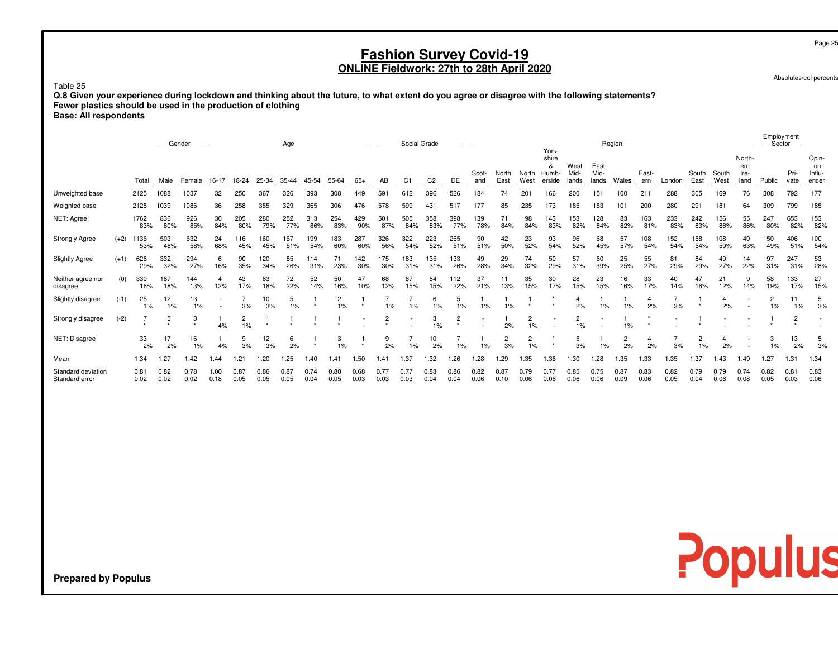Absolutes/col percents

Populus

### Table 25

 **Q.8 Given your experience during lockdown and thinking about the future, to what extent do you agree or disagree with the following statements?Fewer plastics should be used in the production of clothing**

**Base: All respondents**

|                                      |        |              |              | Gender       |              |                      |               | Age          |              |                      |              |                | Social Grade   |                |                           |               |               |                      | York-                         |                       |                       | Region       |              |              |               |               |                               | Employment           | Sector                    |                                 |
|--------------------------------------|--------|--------------|--------------|--------------|--------------|----------------------|---------------|--------------|--------------|----------------------|--------------|----------------|----------------|----------------|---------------------------|---------------|---------------|----------------------|-------------------------------|-----------------------|-----------------------|--------------|--------------|--------------|---------------|---------------|-------------------------------|----------------------|---------------------------|---------------------------------|
|                                      |        | Total        | Male         | Female       | $16 - 17$    | 18-24                | 25-34         | 35-44        | 45-54        | 55-64                | $65+$        | AB             | C <sub>1</sub> | C <sub>2</sub> | DE                        | Scot-<br>land | North<br>East | North<br>West        | shire<br>&<br>Humb-<br>erside | West<br>Mid-<br>lands | East<br>Mid-<br>lands | Wales        | East-<br>ern | London       | South<br>East | South<br>West | North-<br>ern<br>Ire-<br>land | Public               | Pri-<br>vate              | Opin-<br>ion<br>Influ-<br>encer |
| Unweighted base                      |        | 2125         | 1088         | 1037         | 32           | 250                  | 367           | 326          | 393          | 308                  | 449          | 591            | 612            | 396            | 526                       | 184           | 74            | 20 <sub>1</sub>      | 166                           | 200                   | 151                   | 100          | 21           | 288          | 305           | 169           | 76                            | 308                  | 792                       | 177                             |
| Weighted base                        |        | 2125         | 1039         | 1086         | 36           | 258                  | 355           | 329          | 365          | 306                  | 476          | 578            | 599            | 431            | 517                       | 177           | 85            | 235                  | 173                           | 185                   | 153                   | 101          | 200          | 280          | 291           | 181           | 64                            | 309                  | 799                       | 185                             |
| NET: Agree                           |        | 1762<br>83%  | 836<br>80%   | 926<br>85%   | 30<br>84%    | 205<br>80%           | 280<br>79%    | 252<br>77%   | 313<br>86%   | 254<br>83%           | 429<br>90%   | 501<br>87%     | 505<br>84%     | 358<br>83%     | 398<br>77%                | 139<br>78%    | 71<br>84%     | 198<br>84%           | 143<br>83%                    | 153<br>82%            | 128<br>84%            | 83<br>82%    | 163<br>81%   | 233<br>83%   | 242<br>83%    | 156<br>86%    | 55<br>86%                     | 247<br>80%           | 653<br>82%                | 153<br>82%                      |
| <b>Strongly Agree</b>                | $(+2)$ | 136<br>53%   | 503<br>48%   | 632<br>58%   | 24<br>68%    | 116<br>45%           | 160<br>45%    | 167<br>51%   | 199<br>54%   | 183<br>60%           | 287<br>60%   | 326<br>56%     | 322<br>54%     | 223<br>52%     | 265<br>51%                | 90<br>51%     | 42<br>50%     | 123<br>52%           | 93<br>54%                     | 96<br>52%             | 68<br>45%             | 57<br>57%    | 108<br>54%   | 152<br>54%   | 158<br>54%    | 108<br>59%    | 40<br>63%                     | 150<br>49%           | 406<br>51%                | 100<br>54%                      |
| <b>Slightly Agree</b>                | $(+1)$ | 626<br>29%   | 332<br>32%   | 294<br>27%   | 6<br>16%     | 90<br>35%            | 120<br>34%    | 85<br>26%    | 114<br>31%   | 71<br>23%            | 142<br>30%   | 175<br>30%     | 183<br>31%     | 135<br>31%     | 133<br>26%                | 49<br>28%     | 29<br>34%     | 74<br>32%            | 50<br>29%                     | 57<br>31%             | 60<br>39%             | 25<br>25%    | 55<br>27%    | 81<br>29%    | 84<br>29%     | 49<br>27%     | 14<br>22%                     | 97<br>31%            | 247<br>31%                | 53<br>28%                       |
| Neither agree nor<br>disagree        | (0)    | 330<br>16%   | 187<br>18%   | 144<br>13%   | 12%          | 43<br>17%            | 63<br>18%     | 72<br>22%    | 52<br>14%    | 50<br>16%            | 47<br>10%    | 68<br>12%      | 87<br>15%      | 64<br>15%      | 112<br>22%                | 37<br>21%     | 13%           | 35<br>15%            | 30<br>17%                     | 28<br>15%             | 23<br>15%             | 16<br>16%    | 33<br>17%    | 40<br>14%    | 47<br>16%     | 21<br>12%     | 9<br>14%                      | 58<br>19%            | 133<br>17%                | 27<br>15%                       |
| Slightly disagree                    | $(-1)$ | 25<br>1%     | 12<br>1%     | 13<br>1%     |              | 3%                   | 10<br>3%      | 5<br>1%      | ٠            | $\overline{2}$<br>1% |              | 1%             | 1%             | 6<br>1%        | 5<br>1%                   | $1\%$         | 1%            |                      |                               | 2%                    | 1%                    | 1%           | 2%           | 3%           |               | 2%            |                               | $\overline{c}$<br>1% | 1%                        | 5<br>3%                         |
| Strongly disagree                    | $(-2)$ |              | 5            | 3            | 4%           | $\overline{c}$<br>1% | $\rightarrow$ |              |              |                      | $\sim$       | $\overline{2}$ |                | 3<br>1%        | $\overline{c}$<br>$\star$ |               | 2%            | $\overline{2}$<br>1% |                               | $\overline{c}$<br>1%  |                       | 1%           |              |              |               |               |                               |                      | $\overline{2}$<br>$\star$ |                                 |
| NET: Disagree                        |        | 33<br>2%     | 17<br>2%     | 16<br>1%     | 4%           | 9<br>3%              | 12<br>3%      | 6<br>2%      | $\star$      | 3<br>1%              |              | 9<br>2%        | 1%             | 10<br>2%       | 1%                        | 1%            | 3%            | $\overline{c}$<br>1% |                               | 3%                    | 1%                    | 2<br>2%      | 4<br>2%      | 3%           | 2<br>1%       | 2%            |                               | 3<br>1%              | 13<br>2%                  | 5<br>3%                         |
| Mean                                 |        | 1.34         | 1.27         | 1.42         | 1.44         | 1.21                 | 1.20          | .25          | . 40         | 1.41                 | 1.50         | 1.41           | 1.37           | 1.32           | .26                       | 1.28          | 1.29          | .35                  | 1.36                          | 1.30                  | .28                   | 1.35         | 1.33         | 1.35         | 1.37          | .43           | 1.49                          | 1.27                 | 1.31                      | 1.34                            |
| Standard deviation<br>Standard error |        | 0.81<br>0.02 | 0.82<br>0.02 | 0.78<br>0.02 | 1.00<br>0.18 | 0.87<br>0.05         | 0.86<br>0.05  | 0.87<br>0.05 | 0.74<br>0.04 | 0.80<br>0.05         | 0.68<br>0.03 | 0.77<br>0.03   | 0.77<br>0.03   | 0.83<br>0.04   | 0.86<br>0.04              | 0.82<br>0.06  | 0.87<br>0.10  | 0.79<br>0.06         | 0.77<br>0.06                  | 0.85<br>0.06          | 0.75<br>0.06          | 0.87<br>0.09 | 0.83<br>0.06 | 0.82<br>0.05 | 0.79<br>0.04  | 0.79<br>0.06  | 0.74<br>0.08                  | 0.82<br>0.05         | 0.81<br>0.03              | 0.83<br>0.06                    |

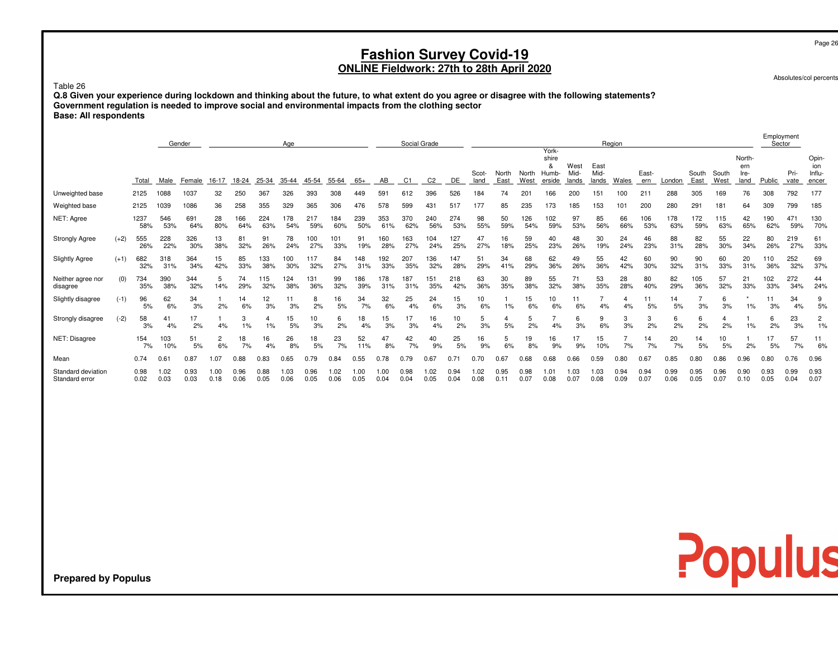# **Fashion Survey Covid-19 ONLINE Fieldwork: 27th to 28th April 2020**

Absolutes/col percents

Employment

Populus

### Table 26

 **Q.8 Given your experience during lockdown and thinking about the future, to what extent do you agree or disagree with the following statements?Government regulation is needed to improve social and environmental impacts from the clothing sectorBase: All respondents**

|                                      |        |              |              | Gender       |              |              |              | Age          |              |              |              |              | Social Grade   |                |              |             |              |              |                                    |              |              | Region       |              |              |              |              |                       | ∟⊔pioy⊞e⊓u<br>Sector |              |                        |
|--------------------------------------|--------|--------------|--------------|--------------|--------------|--------------|--------------|--------------|--------------|--------------|--------------|--------------|----------------|----------------|--------------|-------------|--------------|--------------|------------------------------------|--------------|--------------|--------------|--------------|--------------|--------------|--------------|-----------------------|----------------------|--------------|------------------------|
|                                      |        |              |              |              |              |              |              |              |              |              |              |              |                |                |              | Scot-       | North        | North        | York-<br>shire<br>&<br><b>Humb</b> | West<br>Mid- | East<br>Mid- |              | East-        |              | South        | South        | North-<br>ern<br>Ire- |                      | Pri-         | Opin-<br>ion<br>Influ- |
|                                      |        | Total        | Male         | Female       | $16 - 17$    | 18-24        | 25-34        | 35-44        | 45-54        | 55-64        | $65+$        | AВ           | C <sub>1</sub> | C <sub>2</sub> | DE           | land        | East         | West         | erside                             | lands        | lands        | Wales        | ern          | London       | East         | West         | land                  | Public               | vate         | encer                  |
| Unweighted base                      |        | 2125         | 1088         | 1037         | 32           | 250          | 367          | 326          | 393          | 308          | 449          | 591          | 612            | 396            | 526          | 184         | 74           | 201          | 166                                | 200          | 151          | 100          | 211          | 288          | 305          | 169          | 76                    | 308                  | 792          | 177                    |
| Weighted base                        |        | 2125         | 1039         | 1086         | 36           | 258          | 355          | 329          | 365          | 306          | 476          | 578          | 599            | 431            | 517          | 177         | 85           | 235          | 173                                | 185          | 153          | 101          | 200          | 280          | 291          | 181          | 64                    | 309                  | 799          | 185                    |
| NET: Agree                           |        | 1237<br>58%  | 546<br>53%   | 691<br>64%   | 28<br>80%    | 166<br>64%   | 224<br>63%   | 178<br>54%   | 217<br>59%   | 184<br>60%   | 239<br>50%   | 353<br>61%   | 370<br>62%     | 240<br>56%     | 274<br>53%   | 98<br>55%   | 50<br>59%    | 126<br>54%   | 102<br>59%                         | 97<br>53%    | 85<br>56%    | 66<br>66%    | 106<br>53%   | 178<br>63%   | 172<br>59%   | 115<br>63%   | 42<br>65%             | 190<br>62%           | 471<br>59%   | 130<br>70%             |
| <b>Strongly Agree</b>                | $(+2)$ | 555<br>26%   | 228<br>22%   | 326<br>30%   | 13<br>38%    | 81<br>32%    | 91<br>26%    | 78<br>24%    | 100<br>27%   | 101<br>33%   | 91<br>19%    | 160<br>28%   | 163<br>27%     | 104<br>24%     | 127<br>25%   | 47<br>27%   | 16<br>18%    | 59<br>25%    | 40<br>23%                          | 48<br>26%    | 30<br>19%    | 24<br>24%    | 46<br>23%    | 88<br>31%    | 82<br>28%    | 55<br>30%    | 22<br>34%             | 80<br>26%            | 219<br>27%   | 61<br>33%              |
| <b>Slightly Agree</b>                | $(+1)$ | 682<br>32%   | 318<br>31%   | 364<br>34%   | 15<br>42%    | 85<br>33%    | 133<br>38%   | 100<br>30%   | 117<br>32%   | 84<br>27%    | 148<br>31%   | 192<br>33%   | 207<br>35%     | 136<br>32%     | 147<br>28%   | 51<br>29%   | 34<br>41%    | 68<br>29%    | 62<br>36%                          | 49<br>26%    | 55<br>36%    | 42<br>42%    | 60<br>30%    | 90<br>32%    | 90<br>31%    | 60<br>33%    | 20<br>31%             | 110<br>36%           | 252<br>32%   | 69<br>37%              |
| Neither agree nor<br>disagree        | (0)    | 734<br>35%   | 390<br>38%   | 344<br>32%   | 5<br>14%     | 74<br>29%    | 115<br>32%   | 124<br>38%   | 131<br>36%   | 99<br>32%    | 186<br>39%   | 178<br>31%   | 187<br>31%     | 151<br>35%     | 218<br>42%   | 63<br>36%   | 30<br>35%    | 89<br>38%    | 55<br>32%                          | 71<br>38%    | 53<br>35%    | 28<br>28%    | 80<br>40%    | 82<br>29%    | 105<br>36%   | 57<br>32%    | 21<br>33%             | 102<br>33%           | 272<br>34%   | 44<br>24%              |
| Slightly disagree                    | $(-1)$ | 96<br>5%     | 62<br>6%     | 34<br>3%     | 2%           | 14<br>6%     | 12<br>3%     | 11<br>3%     | 8<br>2%      | 16<br>5%     | 34<br>7%     | 32<br>6%     | 25<br>4%       | 24<br>6%       | 15<br>3%     | 10<br>6%    | 1%           | 15<br>6%     | 10<br>6%                           | 6%           | 4%           | 4<br>4%      | 5%           | 14<br>5%     | 3%           | 6<br>3%      | $1\%$                 | 11<br>3%             | 34<br>4%     | 9<br>5%                |
| Strongly disagree                    | $(-2)$ | 58<br>3%     | 4.<br>4%     | 17<br>2%     | 4%           | 3<br>1%      | 4<br>$1\%$   | 15<br>5%     | 10<br>3%     | 6<br>2%      | 18<br>4%     | 15<br>3%     | 17<br>3%       | 16<br>4%       | 10<br>2%     | 5<br>3%     | 5%           | 5<br>2%      | 4%                                 | 6<br>3%      | 9<br>6%      | 3<br>3%      | 3<br>2%      | 6<br>2%      | 6<br>2%      | 4<br>2%      | 1%                    | 6<br>2%              | 23<br>3%     | $\overline{c}$<br>1%   |
| NET: Disagree                        |        | 154<br>7%    | 103<br>10%   | 51<br>5%     | 2<br>6%      | 18<br>7%     | 16<br>4%     | 26<br>8%     | 18<br>5%     | 23<br>7%     | 52<br>11%    | 47<br>8%     | 42<br>7%       | 40<br>9%       | 25<br>5%     | 16<br>9%    | 6%           | 19<br>8%     | 16<br>9%                           | 17<br>9%     | 15<br>10%    | 7%           | 14<br>7%     | 20<br>7%     | 14<br>5%     | 10<br>5%     | 2%                    | 17<br>5%             | 57<br>7%     | 11<br>6%               |
| Mean                                 |        | 0.74         | 0.61         | 0.87         | 1.07         | 0.88         | 0.83         | 0.65         | 0.79         | 0.84         | 0.55         | 0.78         | 0.79           | 0.67           | 0.71         | 0.70        | 0.67         | 0.68         | 0.68                               | 0.66         | 0.59         | 0.80         | 0.67         | 0.85         | 0.80         | 0.86         | 0.96                  | 0.80                 | 0.76         | 0.96                   |
| Standard deviation<br>Standard error |        | 0.98<br>0.02 | 1.02<br>0.03 | 0.93<br>0.03 | 1.00<br>0.18 | 0.96<br>0.06 | 0.88<br>0.05 | 1.03<br>0.06 | 0.96<br>0.05 | 1.02<br>0.06 | 1.00<br>0.05 | 1.00<br>0.04 | 0.98<br>0.04   | 1.02<br>0.05   | 0.94<br>0.04 | .02<br>0.08 | 0.95<br>0.11 | 0.98<br>0.07 | 1.01<br>0.08                       | 1.03<br>0.07 | 1.03<br>0.08 | 0.94<br>0.09 | 0.94<br>0.07 | 0.99<br>0.06 | 0.95<br>0.05 | 0.96<br>0.07 | 0.90<br>0.10          | 0.93<br>0.05         | 0.99<br>0.04 | 0.93<br>0.07           |

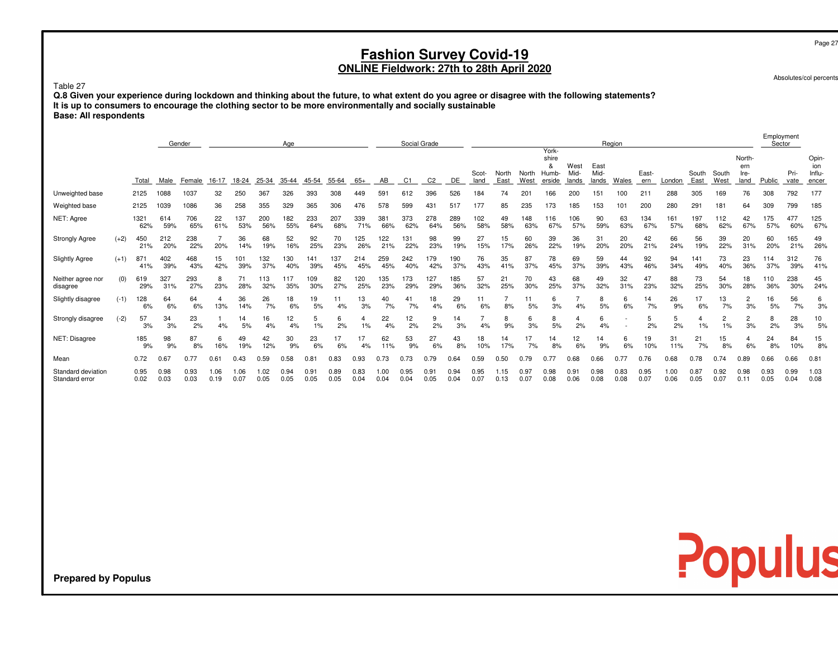Absolutes/col percents

Populus

### Table 27

 **Q.8 Given your experience during lockdown and thinking about the future, to what extent do you agree or disagree with the following statements?It is up to consumers to encourage the clothing sector to be more environmentally and socially sustainableBase: All respondents**

|                                      |        |              |              | Gender       |              |              |              | Age          |              |              |              |              | Social Grade |              |              |               |               |               | York-                         |                       |                       | Region       |              |              |               |               |                               | Employment<br>Sector |              |                                 |
|--------------------------------------|--------|--------------|--------------|--------------|--------------|--------------|--------------|--------------|--------------|--------------|--------------|--------------|--------------|--------------|--------------|---------------|---------------|---------------|-------------------------------|-----------------------|-----------------------|--------------|--------------|--------------|---------------|---------------|-------------------------------|----------------------|--------------|---------------------------------|
|                                      |        | Total        | Male         | Female       | 16-17        | 18-24        | 25-34        | 35-44        | 45-54        | 55-64        | $65+$        | AB           | C1           | C2           | DE           | Scot-<br>land | North<br>East | North<br>West | shire<br>&<br>Humb-<br>erside | West<br>Mid-<br>lands | East<br>Mid-<br>lands | Wales        | East-<br>ern | London       | South<br>East | South<br>West | North-<br>ern<br>Ire-<br>land | Public               | Pri-<br>vate | Opin-<br>ion<br>Influ-<br>encer |
| Unweighted base                      |        | 2125         | 1088         | 1037         | 32           | 250          | 367          | 326          | 393          | 308          | 449          | 591          | 612          | 396          | 526          | 184           | 74            | 201           | 166                           | 200                   | 151                   | 100          | 211          | 288          | 305           | 169           | 76                            | 308                  | 792          | 177                             |
| Weighted base                        |        | 2125         | 1039         | 1086         | 36           | 258          | 355          | 329          | 365          | 306          | 476          | 578          | 599          | 431          | 517          | 177           | 85            | 235           | 173                           | 185                   | 153                   | 101          | 200          | 280          | 291           | 181           | 64                            | 309                  | 799          | 185                             |
| NET: Agree                           |        | 1321<br>62%  | 614<br>59%   | 706<br>65%   | 22<br>61%    | 137<br>53%   | 200<br>56%   | 182<br>55%   | 233<br>64%   | 207<br>68%   | 339<br>71%   | 381<br>66%   | 373<br>62%   | 278<br>64%   | 289<br>56%   | 102<br>58%    | 49<br>58%     | 148<br>63%    | 116<br>67%                    | 106<br>57%            | 90<br>59%             | 63<br>63%    | 134<br>67%   | 161<br>57%   | 197<br>68%    | 112<br>62%    | 42<br>67%                     | 175<br>57%           | 477<br>60%   | 125<br>67%                      |
| <b>Strongly Agree</b>                | $(+2)$ | 450<br>21%   | 212<br>20%   | 238<br>22%   | 20%          | 36<br>14%    | 68<br>19%    | 52<br>16%    | 92<br>25%    | 70<br>23%    | 125<br>26%   | 122<br>21%   | 131<br>22%   | 98<br>23%    | 99<br>19%    | 27<br>15%     | 15<br>17%     | 60<br>26%     | 39<br>22%                     | 36<br>19%             | 31<br>20%             | 20<br>20%    | 42<br>21%    | 66<br>24%    | 56<br>19%     | 39<br>22%     | 20<br>31%                     | 60<br>20%            | 165<br>21%   | 49<br>26%                       |
| <b>Slightly Agree</b>                | $(+1)$ | 871<br>41%   | 402<br>39%   | 468<br>43%   | 15<br>42%    | 101<br>39%   | 132<br>37%   | 130<br>40%   | 141<br>39%   | 137<br>45%   | 214<br>45%   | 259<br>45%   | 242<br>40%   | 179<br>42%   | 190<br>37%   | 76<br>43%     | 35<br>41%     | 87<br>37%     | 78<br>45%                     | 69<br>37%             | 59<br>39%             | 44<br>43%    | 92<br>46%    | 94<br>34%    | 141<br>49%    | 73<br>40%     | 23<br>36%                     | 114<br>37%           | 312<br>39%   | 76<br>41%                       |
| Neither agree nor<br>disagree        | (0)    | 619<br>29%   | 327<br>31%   | 293<br>27%   | 8<br>23%     | 71<br>28%    | 113<br>32%   | 117<br>35%   | 109<br>30%   | 82<br>27%    | 120<br>25%   | 35<br>23%    | 173<br>29%   | 127<br>29%   | 85<br>36%    | 57<br>32%     | 21<br>25%     | 70<br>30%     | 43<br>25%                     | 68<br>37%             | 49<br>32%             | 32<br>31%    | 47<br>23%    | 88<br>32%    | 73<br>25%     | 54<br>30%     | 18<br>28%                     | 110<br>36%           | 238<br>30%   | 45<br>24%                       |
| Slightly disagree                    | $(-1)$ | 128<br>6%    | 64<br>6%     | 64<br>6%     | 13%          | 36<br>14%    | 26<br>7%     | 18<br>6%     | 19<br>5%     | 11<br>4%     | 13<br>3%     | 40<br>7%     | 41<br>7%     | 18<br>4%     | 29<br>6%     | 6%            | 8%            | 5%            | 6<br>3%                       | 4%                    | 8<br>5%               | 6<br>6%      | 14<br>7%     | 26<br>9%     | 17<br>6%      | 13<br>7%      | 2<br>3%                       | 16<br>5%             | 56<br>7%     | 6<br>3%                         |
| Strongly disagree                    | $(-2)$ | 57<br>3%     | 34<br>3%     | 23<br>2%     | 4%           | 14<br>5%     | 16<br>4%     | 12<br>4%     | 1%           | 2%           | 4<br>1%      | 22<br>4%     | 12<br>2%     | 9<br>2%      | 14<br>3%     | 4%            | 9%            | 6<br>3%       | 8<br>5%                       | 2%                    | 6<br>4%               |              | 5<br>2%      | 5<br>2%      | 1%            | 2<br>1%       | 2<br>3%                       | 8<br>2%              | 28<br>3%     | 10<br>5%                        |
| NET: Disagree                        |        | 185<br>9%    | 98<br>9%     | 87<br>8%     | 6<br>16%     | 49<br>19%    | 42<br>12%    | 30<br>9%     | 23<br>6%     | 6%           | 17<br>4%     | 62<br>11%    | 53<br>9%     | 27<br>6%     | 43<br>8%     | 18<br>10%     | 14<br>17%     | 17<br>7%      | 14<br>8%                      | 12<br>6%              | 14<br>9%              | 6<br>6%      | 19<br>10%    | 31<br>11%    | 21<br>7%      | 15<br>8%      | 4<br>6%                       | 24<br>8%             | 84<br>10%    | 15<br>8%                        |
| Mean                                 |        | 0.72         | 0.67         | 0.77         | 0.61         | 0.43         | 0.59         | 0.58         | 0.81         | 0.83         | 0.93         | 0.73         | 0.73         | 0.79         | 0.64         | 0.59          | 0.50          | 0.79          | 0.77                          | 0.68                  | 0.66                  | 0.77         | 0.76         | 0.68         | 0.78          | 0.74          | 0.89                          | 0.66                 | 0.66         | 0.81                            |
| Standard deviation<br>Standard error |        | 0.95<br>0.02 | 0.98<br>0.03 | 0.93<br>0.03 | 1.06<br>0.19 | 1.06<br>0.07 | 1.02<br>0.05 | 0.94<br>0.05 | 0.91<br>0.05 | 0.89<br>0.05 | 0.83<br>0.04 | 1.00<br>0.04 | 0.95<br>0.04 | 0.91<br>0.05 | 0.94<br>0.04 | 0.95<br>0.07  | 1.15<br>0.13  | 0.97<br>0.07  | 0.98<br>0.08                  | 0.91<br>0.06          | 0.98<br>0.08          | 0.83<br>0.08 | 0.95<br>0.07 | 1.00<br>0.06 | 0.87<br>0.05  | 0.92<br>0.07  | 0.98<br>0.11                  | 0.93<br>0.05         | 0.99<br>0.04 | 1.03<br>0.08                    |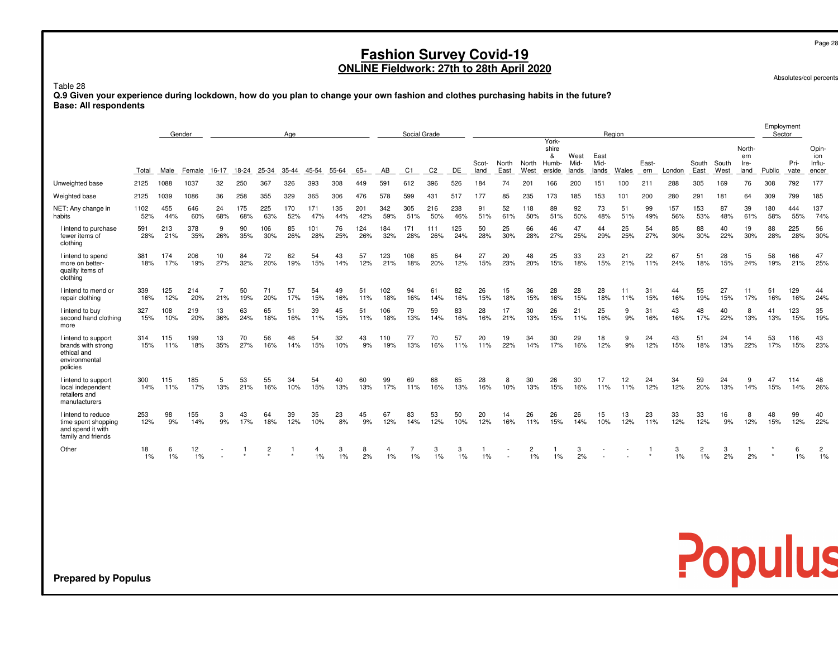# **Fashion Survey Covid-19 ONLINE Fieldwork: 27th to 28th April 2020**

Absolutes/col percents

Populus

### Table 28

 **Q.9 Given your experience during lockdown, how do you plan to change your own fashion and clothes purchasing habits in the future?Base: All respondents**

|                                                                                       | Gender<br>Age |            |            |           |            |            |            |            |            |            |            | Social Grade   |                |            |               |               |               |                                        |                       |                       | Region    |              |            |               |               |                               | Employment<br>Sector |              |                                 |
|---------------------------------------------------------------------------------------|---------------|------------|------------|-----------|------------|------------|------------|------------|------------|------------|------------|----------------|----------------|------------|---------------|---------------|---------------|----------------------------------------|-----------------------|-----------------------|-----------|--------------|------------|---------------|---------------|-------------------------------|----------------------|--------------|---------------------------------|
|                                                                                       | Total         | Male       | Female     | 16-17     | 18-24      | 25-34      | 35-44      | 45-54      | 55-64      | $65+$      | AB.        | C <sub>1</sub> | C <sub>2</sub> | DE.        | Scot-<br>land | North<br>East | North<br>West | York-<br>shire<br>&<br>Humb-<br>erside | West<br>Mid-<br>lands | East<br>Mid-<br>lands | Wales     | East-<br>ern | London     | South<br>East | South<br>West | North-<br>ern<br>Ire-<br>land | Public               | Pri-<br>vate | Opin-<br>ion<br>Influ-<br>encer |
| Unweighted base                                                                       | 2125          | 1088       | 1037       | 32        | 250        | 367        | 326        | 393        | 308        | 449        | 591        | 612            | 396            | 526        | 184           | 74            | 201           | 166                                    | 200                   | 151                   | 100       | 211          | 288        | 305           | 169           | 76                            | 308                  | 792          | 177                             |
| Weighted base                                                                         | 2125          | 1039       | 1086       | 36        | 258        | 355        | 329        | 365        | 306        | 476        | 578        | 599            | 431            | 517        | 177           | 85            | 235           | 173                                    | 185                   | 153                   | 101       | 200          | 280        | 291           | 181           | 64                            | 309                  | 799          | 185                             |
| NET: Any change in<br>habits                                                          | 1102<br>52%   | 455<br>44% | 646<br>60% | 24<br>68% | 175<br>68% | 225<br>63% | 170<br>52% | 171<br>47% | 135<br>44% | 201<br>42% | 342<br>59% | 305<br>51%     | 216<br>50%     | 238<br>46% | 91<br>51%     | 52<br>61%     | 118<br>50%    | 89<br>51%                              | 92<br>50%             | 73<br>48%             | 51<br>51% | 99<br>49%    | 157<br>56% | 153<br>53%    | 87<br>48%     | 39<br>61%                     | 180<br>58%           | 444<br>55%   | 137<br>74%                      |
| I intend to purchase<br>fewer items of<br>clothing                                    | 591<br>28%    | 213<br>21% | 378<br>35% | 9<br>26%  | 90<br>35%  | 106<br>30% | 85<br>26%  | 101<br>28% | 76<br>25%  | 124<br>26% | 184<br>32% | 171<br>28%     | 111<br>26%     | 125<br>24% | 50<br>28%     | 25<br>30%     | 66<br>28%     | 46<br>27%                              | 47<br>25%             | 44<br>29%             | 25<br>25% | 54<br>27%    | 85<br>30%  | 88<br>30%     | 40<br>22%     | 19<br>30%                     | 88<br>28%            | 225<br>28%   | 56<br>30%                       |
| I intend to spend<br>more on better-<br>quality items of<br>clothing                  | 381<br>18%    | 174<br>17% | 206<br>19% | 10<br>27% | 84<br>32%  | 72<br>20%  | 62<br>19%  | 54<br>15%  | 43<br>14%  | 57<br>12%  | 123<br>21% | 108<br>18%     | 85<br>20%      | 64<br>12%  | 27<br>15%     | 20<br>23%     | 48<br>20%     | 25<br>15%                              | 33<br>18%             | 23<br>15%             | 21<br>21% | 22<br>11%    | 67<br>24%  | 51<br>18%     | 28<br>15%     | 15<br>24%                     | 58<br>19%            | 166<br>21%   | 47<br>25%                       |
| I intend to mend or<br>repair clothing                                                | 339<br>16%    | 125<br>12% | 214<br>20% | 21%       | 50<br>19%  | 71<br>20%  | 57<br>17%  | 54<br>15%  | 49<br>16%  | 51<br>11%  | 102<br>18% | 94<br>16%      | 61<br>14%      | 82<br>16%  | 26<br>15%     | 15<br>18%     | 36<br>15%     | 28<br>16%                              | 28<br>15%             | 28<br>18%             | 11<br>11% | 31<br>15%    | 44<br>16%  | 55<br>19%     | 27<br>15%     | 11<br>17%                     | 51<br>16%            | 129<br>16%   | 44<br>24%                       |
| I intend to buy<br>second hand clothing<br>more                                       | 327<br>15%    | 108<br>10% | 219<br>20% | 13<br>36% | 63<br>24%  | 65<br>18%  | 51<br>16%  | 39<br>11%  | 45<br>15%  | 51<br>11%  | 106<br>18% | 79<br>13%      | 59<br>14%      | 83<br>16%  | 28<br>16%     | 17<br>21%     | 30<br>13%     | 26<br>15%                              | 21<br>11%             | 25<br>16%             | 9<br>9%   | 31<br>16%    | 43<br>16%  | 48<br>17%     | 40<br>22%     | 8<br>13%                      | 41<br>13%            | 123<br>15%   | 35<br>19%                       |
| I intend to support<br>brands with strong<br>ethical and<br>environmental<br>policies | 314<br>15%    | 115<br>11% | 199<br>18% | 13<br>35% | 70<br>27%  | 56<br>16%  | 46<br>14%  | 54<br>15%  | 32<br>10%  | 43<br>9%   | 110<br>19% | 77<br>13%      | 70<br>16%      | 57<br>11%  | 20<br>11%     | 19<br>22%     | 34<br>14%     | 30<br>17%                              | 29<br>16%             | 18<br>12%             | 9<br>9%   | 24<br>12%    | 43<br>15%  | 51<br>18%     | 24<br>13%     | 14<br>22%                     | 53<br>17%            | 116<br>15%   | 43<br>23%                       |
| I intend to support<br>local independent<br>retailers and<br>manufacturers            | 300<br>14%    | 115<br>11% | 185<br>17% | 5<br>13%  | 53<br>21%  | 55<br>16%  | 34<br>10%  | 54<br>15%  | 40<br>13%  | 60<br>13%  | 99<br>17%  | 69<br>11%      | 68<br>16%      | 65<br>13%  | 28<br>16%     | 8<br>10%      | 30<br>13%     | 26<br>15%                              | 30<br>16%             | 11%                   | 12<br>11% | 24<br>12%    | 34<br>12%  | 59<br>20%     | 24<br>13%     | 9<br>14%                      | 47<br>15%            | 114<br>14%   | 48<br>26%                       |
| I intend to reduce<br>time spent shopping<br>and spend it with<br>family and friends  | 253<br>12%    | 98<br>9%   | 155<br>14% | 3<br>9%   | 43<br>17%  | 64<br>18%  | 39<br>12%  | 35<br>10%  | 23<br>8%   | 45<br>9%   | 67<br>12%  | 83<br>14%      | 53<br>12%      | 50<br>10%  | 20<br>12%     | 14<br>16%     | 26<br>11%     | 26<br>15%                              | 26<br>14%             | 15<br>10%             | 13<br>12% | 23<br>11%    | 33<br>12%  | 33<br>12%     | 16<br>9%      | 8<br>12%                      | 48<br>15%            | 99<br>12%    | 40<br>22%                       |
| Other                                                                                 | 18<br>1%      | 6<br>1%    | 12<br>1%   |           |            | 2          |            | 4<br>1%    | 3<br>1%    | 8<br>2%    | 1%         | 1%             | 3<br>1%        | 3<br>1%    | 1%            |               | 2<br>1%       | 1%                                     | 3<br>2%               |                       |           |              | 3<br>1%    | 2<br>1%       | 3<br>2%       | 2%                            |                      | 6<br>1%      | 2<br>1%                         |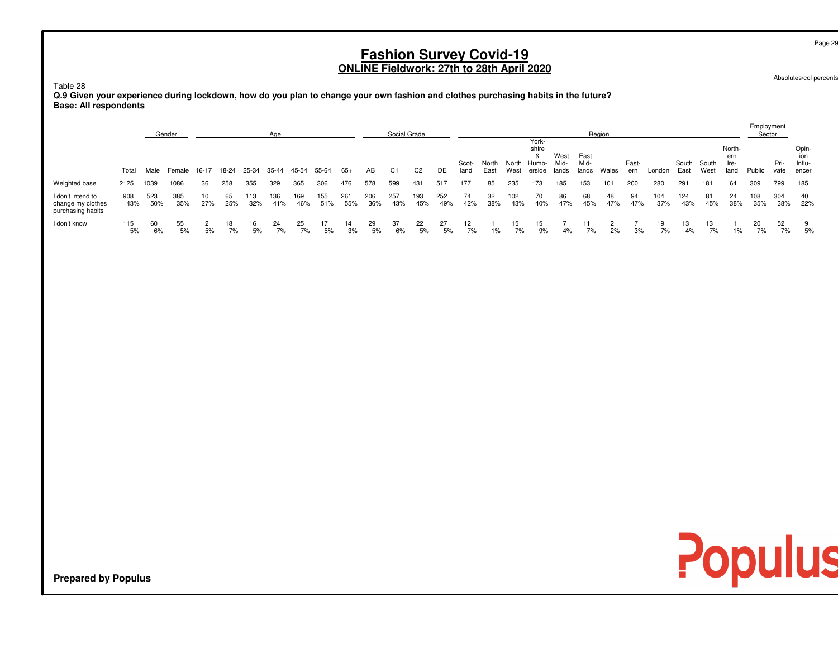# **Fashion Survey Covid-19 ONLINE Fieldwork: 27th to 28th April 2020**

Absolutes/col percents

### Table 28

 **Q.9 Given your experience during lockdown, how do you plan to change your own fashion and clothes purchasing habits in the future?Base: All respondents**

|                                                             | Gender<br>Age |            |                         |           |           |            |            |            |            |            |            | Social Grade |            |            |               |               |            |                                         |                       |                       | Region    |              |            |            |                     |                               | Employment<br>Sector |                    |                        |
|-------------------------------------------------------------|---------------|------------|-------------------------|-----------|-----------|------------|------------|------------|------------|------------|------------|--------------|------------|------------|---------------|---------------|------------|-----------------------------------------|-----------------------|-----------------------|-----------|--------------|------------|------------|---------------------|-------------------------------|----------------------|--------------------|------------------------|
|                                                             | Total         |            | Male Female 16-17 18-24 |           |           | 25-34      | 35-44      | 45-54      | 55-64      | 65+        | AB         | C1           | C2         | DE         | Scot-<br>land | North<br>East | West       | York-<br>shire<br>North Humb-<br>erside | West<br>Mid-<br>lands | East<br>Mid-<br>lands | Wales     | East-<br>ern | London     | East       | South South<br>West | North-<br>ern<br>lre-<br>land | Public               | Pri-<br>vate encer | Opin-<br>ion<br>Influ- |
| Weighted base                                               | 2125          | 1039       | 1086                    | 36        | 258       | 355        | 329        | 365        | 306        | 476        | 578        | 599          | 431        | 517        | 177           | 85            | 235        | 173                                     | 185                   | 153                   | 101       | 200          | 280        | 291        | 181                 | 64                            | 309                  | 799                | 185                    |
| I don't intend to<br>change my clothes<br>purchasing habits | 908<br>43%    | 523<br>50% | 385<br>35%              | 10<br>27% | 65<br>25% | 113<br>32% | 136<br>41% | 169<br>46% | 155<br>51% | 261<br>55% | 206<br>36% | 257<br>43%   | 193<br>45% | 252<br>49% | 74<br>42%     | 32<br>38%     | 102<br>43% | 70<br>40%                               | 86<br>47%             | 68<br>45%             | 48<br>47% | 94<br>47%    | 104<br>37% | 124<br>43% | 81<br>45%           | 24<br>38%                     | 108<br>35%           | 304<br>38%         | 40<br>22%              |
| I don't know                                                | 115<br>5%     | 60<br>6%   | 55<br>5%                | 5%        | 18<br>7%  | 16<br>5%   | 24<br>7%   | 25<br>7%   | 5%         | 14<br>3%   | 29<br>5%   | 37<br>6%     | 22<br>5%   | 27<br>5%   | 12<br>7%      | $1\%$         | 15<br>7%   | 15.<br>9%                               | 4%                    | 7%                    | 2%        | 3%           | 7%         | 13<br>4%   | 7%                  | 1%                            | 20<br>7%             | 52<br>7%           | 9<br>5%                |

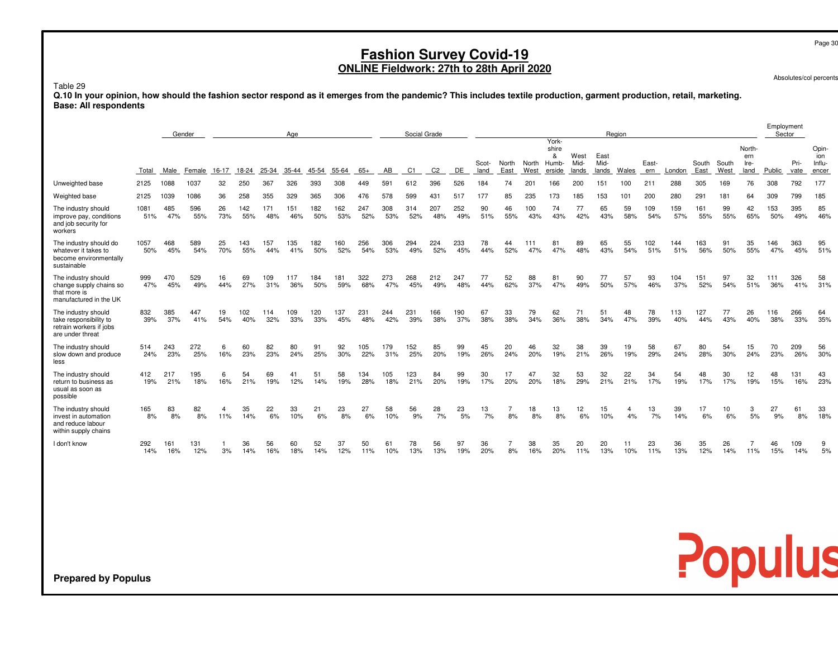# **Fashion Survey Covid-19 ONLINE Fieldwork: 27th to 28th April 2020**

Absolutes/col percents

### Table 29

 **Q.10 In your opinion, how should the fashion sector respond as it emerges from the pandemic? This includes textile production, garment production, retail, marketing.Base: All respondents**

|                                                                                              |             |            | Gender     |           |            |            | Age        |            |            |            |            | Social Grade   |                |            |               |                      |                     |                                        |                       |                       | Region    |              |            |               |               |                               | Employment | Sector       |                                 |
|----------------------------------------------------------------------------------------------|-------------|------------|------------|-----------|------------|------------|------------|------------|------------|------------|------------|----------------|----------------|------------|---------------|----------------------|---------------------|----------------------------------------|-----------------------|-----------------------|-----------|--------------|------------|---------------|---------------|-------------------------------|------------|--------------|---------------------------------|
|                                                                                              | Total       | Male       | Female     | 16-17     | 18-24      | 25-34      | 35-44      | 45-54      | 55-64      | $65+$      | AB         | C <sub>1</sub> | C <sub>2</sub> | DE         | Scot-<br>land | North<br>East        | North<br>West       | York-<br>shire<br>&<br>Humb-<br>erside | West<br>Mid-<br>lands | East<br>Mid-<br>lands | Wales     | East-<br>ern | London     | South<br>East | South<br>West | North-<br>ern<br>Ire-<br>land | Public     | Pri-<br>vate | Opin-<br>ion<br>Influ-<br>encer |
| Unweighted base                                                                              | 2125        | 1088       | 1037       | 32        | 250        | 367        | 326        | 393        | 308        | 449        | 591        | 612            | 396            | 526        | 184           | 74                   | 201                 | 166                                    | 200                   | 151                   | 100       | 211          | 288        | 305           | 169           | 76                            | 308        | 792          | 177                             |
| Weighted base                                                                                | 2125        | 1039       | 1086       | 36        | 258        | 355        | 329        | 365        | 306        |            | 578        | 599            | 431            | 517        | 177           | 85                   | 235                 | 173                                    | 185                   | 153                   | 101       | 200          | 280        | 291           | 181           | 64                            | 309        | 799          | 185                             |
| The industry should<br>improve pay, conditions<br>and job security for<br>workers            | 1081<br>51% | 485<br>47% | 596<br>55% | 26<br>73% | 142<br>55% | 171<br>48% | 151<br>46% | 182<br>50% | 162<br>53% | 247<br>52% | 308<br>53% | 314<br>52%     | 207<br>48%     | 252<br>49% | 90<br>51%     | 46<br>55%            | 100<br>43%          | 74<br>43%                              | 77<br>42%             | 65<br>43%             | 59<br>58% | 109<br>54%   | 159<br>57% | 161<br>55%    | 99<br>55%     | 42<br>65%                     | 153<br>50% | 395<br>49%   | 85<br>46%                       |
| The industry should do<br>whatever it takes to<br>become environmentally<br>sustainable      | 1057<br>50% | 468<br>45% | 589<br>54% | 25<br>70% | 143<br>55% | 157<br>44% | 135<br>41% | 182<br>50% | 160<br>52% | 256<br>54% | 306<br>53% | 294<br>49%     | 224<br>52%     | 233<br>45% | 78<br>44%     | 52%                  | $11^{\circ}$<br>47% | 81<br>47%                              | 89<br>48%             | 65<br>43%             | 55<br>54% | 102<br>51%   | 144<br>51% | 163<br>56%    | 91<br>50%     | 35<br>55%                     | 146<br>47% | 363<br>45%   | 95<br>51%                       |
| The industry should<br>change supply chains so<br>that more is<br>manufactured in the UK     | 999<br>47%  | 470<br>45% | 529<br>49% | 16<br>44% | 69<br>27%  | 09<br>31%  | 117<br>36% | 50%        | 59%        | 322<br>68% | 47%        | 268<br>45%     | 212<br>49%     | 247<br>48% | 77<br>44%     | 52<br>62%            | 88<br>37%           | 81<br>47%                              | 90<br>49%             | 77<br>50%             | 57<br>57% | 93<br>46%    | 104<br>37% | 151<br>52%    | 97<br>54%     | 32<br>51%                     | 111<br>36% | 326<br>41%   | 58<br>31%                       |
| The industry should<br>take responsibility to<br>retrain workers if jobs<br>are under threat | 832<br>39%  | 385<br>37% | 447<br>41% | 19<br>54% | 102<br>40% | 114<br>32% | 109<br>33% | 120<br>33% | 137<br>45% | 231<br>48% | 244<br>42% | 231<br>39%     | 166<br>38%     | 190<br>37% | 67<br>38%     | 33<br>38%            | 79<br>34%           | 62<br>36%                              | 71<br>38%             | 51<br>34%             | 48<br>47% | 78<br>39%    | 113<br>40% | 127<br>44%    | 77<br>43%     | 26<br>40%                     | 116<br>38% | 266<br>33%   | 64<br>35%                       |
| The industry should<br>slow down and produce<br>less                                         | 514<br>24%  | 243<br>23% | 272<br>25% | 6<br>16%  | 60<br>23%  | 82<br>23%  | 80<br>24%  | 91<br>25%  | 92<br>30%  | 105<br>22% | 179<br>31% | 152<br>25%     | 85<br>20%      | 99<br>19%  | 45<br>26%     | 20<br>24%            | 46<br>20%           | 32<br>19%                              | 38<br>21%             | 39<br>26%             | 19<br>19% | 58<br>29%    | 67<br>24%  | 80<br>28%     | 54<br>30%     | 15<br>24%                     | 70<br>23%  | 209<br>26%   | 56<br>30%                       |
| The industry should<br>return to business as<br>usual as soon as<br>possible                 | 412<br>19%  | 217<br>21% | 195<br>18% | 6<br>16%  | 54<br>21%  | 69<br>19%  | 41<br>12%  | 51<br>14%  | 58<br>19%  | 134<br>28% | 105<br>18% | 123<br>21%     | 84<br>20%      | 99<br>19%  | 30<br>17%     | 17<br>20%            | 47<br>20%           | 32<br>18%                              | 53<br>29%             | 32<br>21%             | 22<br>21% | 34<br>17%    | 54<br>19%  | 48<br>17%     | 30<br>17%     | 12<br>19%                     | 48<br>15%  | 131<br>16%   | 43<br>23%                       |
| The industry should<br>invest in automation<br>and reduce labour<br>within supply chains     | 165<br>8%   | 83<br>8%   | 82<br>8%   | 4<br>11%  | 35<br>14%  | 22<br>6%   | 33<br>10%  | 21<br>6%   | 23<br>8%   | 27<br>6%   | 58<br>10%  | 56<br>9%       | 28<br>7%       | 23<br>5%   | 13<br>7%      | $\overline{7}$<br>8% | 18<br>8%            | 13<br>8%                               | 12<br>6%              | 15<br>10%             | 4<br>4%   | 13<br>7%     | 39<br>14%  | 17<br>6%      | 10<br>6%      | 3<br>5%                       | 27<br>9%   | 61<br>8%     | 33<br>18%                       |
| I don't know                                                                                 | 292<br>14%  | 161<br>16% | 131<br>12% | 3%        | 36<br>14%  | 56<br>16%  | 60<br>18%  | 52<br>14%  | 37<br>12%  | 50<br>11%  | 61<br>10%  | 78<br>13%      | 56<br>13%      | 97<br>19%  | 36<br>20%     | 8%                   | 38<br>16%           | 35<br>20%                              | 20<br>11%             | 20<br>13%             | 11<br>10% | 23<br>11%    | 36<br>13%  | 35<br>12%     | 26<br>14%     | 11%                           | 46<br>15%  | 109<br>14%   | 9<br>5%                         |

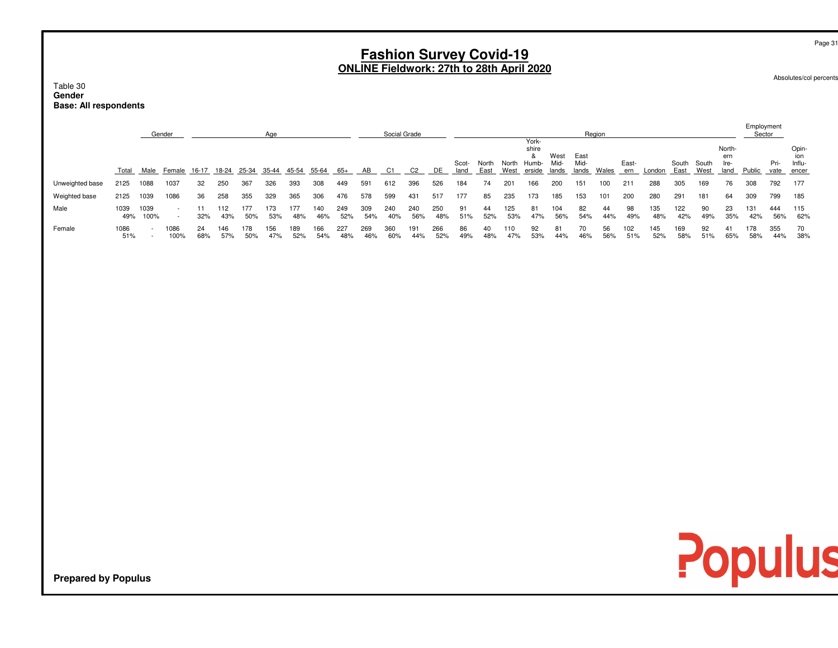# **Fashion Survey Covid-19 ONLINE Fieldwork: 27th to 28th April 2020**

Absolutes/col percents

### Table 30 **GenderBase: All respondents**

|                 |             |              | Gender       |           |            |            | Aae        |            |            |            |            | Social Grade |            |            |               |               |                     | York-           |                       |                       | Region    |              |            |               |               |                               | Employment<br>Sector |              |                                 |
|-----------------|-------------|--------------|--------------|-----------|------------|------------|------------|------------|------------|------------|------------|--------------|------------|------------|---------------|---------------|---------------------|-----------------|-----------------------|-----------------------|-----------|--------------|------------|---------------|---------------|-------------------------------|----------------------|--------------|---------------------------------|
|                 | Total       | Male         | Female       | 16-17     | 18-24      | 25-34      | 35-44      | 45-54      | 55-64      | 65+        | AB         | C1           | C2         | DE         | Scot-<br>land | North<br>East | North Humb-<br>West | shire<br>erside | West<br>Mid-<br>lands | East<br>Mid-<br>lands | Wales     | East-<br>ern | London     | South<br>East | South<br>West | North-<br>ern<br>Ire-<br>land | Public               | Pri-<br>vate | Opin-<br>ion<br>Influ-<br>encer |
| Unweighted base | 2125        | 1088         | 1037         | 32        | 250        | 367        | 326        | 393        | 308        | 449        | 591        | 612          | 396        | 526        | 184           | 74            | 201                 | 166             | 200                   | 151                   | 100       | 211          | 288        | 305           | 169           | 76                            | 308                  | 792          | 177                             |
| Weighted base   | 2125        | 1039         | 1086         | 36        | 258        | 355        | 329        | 365        | 306        | 476        | 578        | 599          | 431        | 517        | 177           | 85            | 235                 | 173             | 185                   | 153                   | 101       | 200          | 280        | 291           | 181           | 64                            | 309                  | 799          | 185                             |
| Male            | 1039<br>49% | 1039<br>100% |              | 11<br>32% | 112<br>43% | 177<br>50% | 173<br>53% | 177<br>48% | 140<br>46% | 249<br>52% | 309<br>54% | 240<br>40%   | 240<br>56% | 250<br>48% | 91<br>51%     | 44<br>52%     | 125<br>53%          | 81<br>47%       | 104<br>56%            | 82<br>54%             | 44<br>44% | 98<br>49%    | 135<br>48% | 122<br>42%    | 90<br>49%     | 23<br>35%                     | 131<br>42%           | 444<br>56%   | 115<br>62%                      |
| Female          | 1086<br>51% | $\sim$       | 1086<br>100% | 24<br>68% | 146<br>57% | 178<br>50% | 156<br>47% | 189<br>52% | 166<br>54% | 227<br>48% | 269<br>46% | 360<br>60%   | 191<br>44% | 266<br>52% | 86<br>49%     | 40<br>48%     | 110<br>47%          | 92<br>53%       | 81<br>44%             | 70<br>46%             | 56<br>56% | 02<br>51%    | 145<br>52% | 169<br>58%    | 92<br>51%     | -41<br>65%                    | 178<br>58%           | 355<br>44%   | 70<br>38%                       |

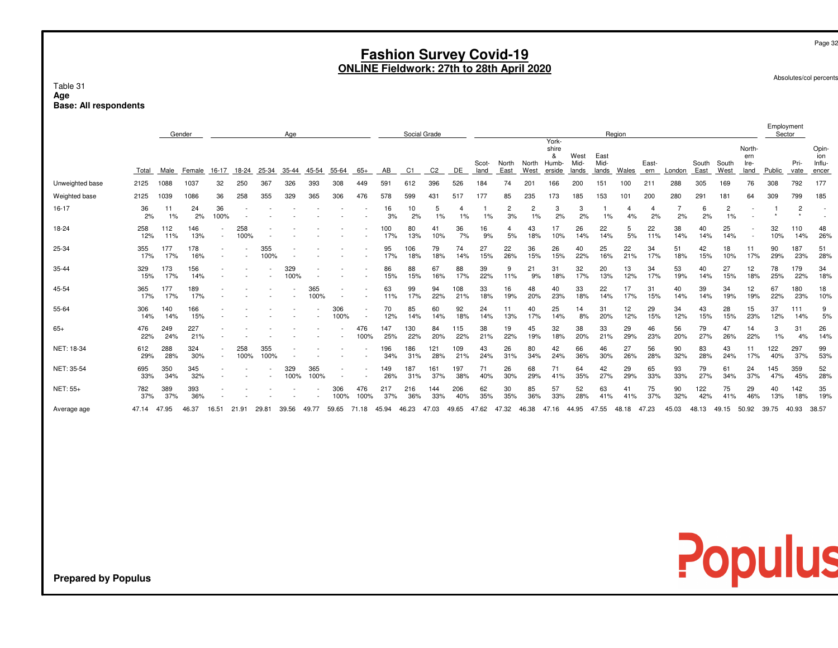## **Fashion Survey Covid-19 ONLINE Fieldwork: 27th to 28th April 2020**

Absolutes/col percents

### Table 31**AgeBase: All respondents**

|                 |            |            | Gender     |            |             |             | Age         |             |             |             |            |            | Social Grade   |            |           |           |           |                              |              |              | Region    |           |           |            |           |                       |            | Employment<br>Sector |                        |
|-----------------|------------|------------|------------|------------|-------------|-------------|-------------|-------------|-------------|-------------|------------|------------|----------------|------------|-----------|-----------|-----------|------------------------------|--------------|--------------|-----------|-----------|-----------|------------|-----------|-----------------------|------------|----------------------|------------------------|
|                 |            |            |            |            |             |             |             |             |             |             |            |            |                |            | Scot-     | North     | North     | York-<br>shire<br>&<br>Humb- | West<br>Mid- | East<br>Mid- |           | East-     |           | South      | South     | North-<br>ern<br>Ire- |            | Pri-                 | Opin-<br>ion<br>Influ- |
|                 | Total      | Male       | Female     | 16-17      | 18-24       | 25-34       | 35-44       | 45-54       | 55-64       | $65+$       | AB         | C1         | C <sub>2</sub> | DE         | land      | East      | West      | erside                       | lands        | lands        | Wales     | ern       | London    | East       | West      | land                  | Public     | vate                 | encer                  |
| Unweighted base | 2125       | 1088       | 1037       | 32         | 250         | 367         | 326         | 393         | 308         | 449         | 591        | 612        | 396            | 526        | 184       | 74        | 201       | 166                          | 200          | 151          | 100       | 211       | 288       | 305        | 169       | 76                    | 308        | 792                  | 177                    |
| Weighted base   | 2125       | 1039       | 1086       | 36         | 258         | 355         | 329         | 365         | 306         | 476         | 578        | 599        | 431            | 517        | 177       | 85        | 235       | 173                          | 185          | 153          | 101       | 200       | 280       | 291        | 181       | 64                    | 309        | 799                  | 185                    |
| 16-17           | 36<br>2%   | 11<br>1%   | 24<br>2%   | 36<br>100% |             |             |             |             |             |             | 16<br>3%   | 10<br>2%   | 5<br>1%        | 1%         | 1%        | 2<br>3%   | 2<br>1%   | 3<br>2%                      | 2%           | 1%           | 4<br>4%   | 2%        | 2%        | 6<br>2%    | 2<br>1%   |                       |            | $\overline{2}$       |                        |
| 18-24           | 258<br>12% | 112<br>11% | 146<br>13% |            | 258<br>100% |             |             |             |             |             | 100<br>17% | 80<br>13%  | 41<br>10%      | 36<br>7%   | 16<br>9%  | 4<br>5%   | 43<br>18% | 17<br>10%                    | 26<br>14%    | 22<br>14%    | 5<br>5%   | 22<br>11% | 38<br>14% | 40<br>14%  | 25<br>14% |                       | 32<br>10%  | 110<br>14%           | 48<br>26%              |
| 25-34           | 355<br>17% | 177<br>17% | 178<br>16% |            |             | 355<br>100% |             |             |             |             | 95<br>17%  | 106<br>18% | 79<br>18%      | 74<br>14%  | 27<br>15% | 22<br>26% | 36<br>15% | 26<br>15%                    | 40<br>22%    | 25<br>16%    | 22<br>21% | 34<br>17% | 51<br>18% | 42<br>15%  | 18<br>10% | 11<br>17%             | 90<br>29%  | 187<br>23%           | 51<br>28%              |
| 35-44           | 329<br>15% | 173<br>17% | 156<br>14% |            |             |             | 329<br>100% |             |             |             | 86<br>15%  | 88<br>15%  | 67<br>16%      | 88<br>17%  | 39<br>22% | 9<br>11%  | 21<br>9%  | 31<br>18%                    | 32<br>17%    | 20<br>13%    | 13<br>12% | 34<br>17% | 53<br>19% | 40<br>14%  | 27<br>15% | 12<br>18%             | 78<br>25%  | 179<br>22%           | 34<br>18%              |
| 45-54           | 365<br>17% | 177<br>17% | 189<br>17% |            |             |             |             | 365<br>100% |             |             | 63<br>11%  | 99<br>17%  | 94<br>22%      | 108<br>21% | 33<br>18% | 16<br>19% | 48<br>20% | 40<br>23%                    | 33<br>18%    | 22<br>14%    | 17<br>17% | 31<br>15% | 40<br>14% | 39<br>14%  | 34<br>19% | 12<br>19%             | 67<br>22%  | 180<br>23%           | 18<br>10%              |
| 55-64           | 306<br>14% | 140<br>14% | 166<br>15% |            |             |             |             |             | 306<br>100% |             | 70<br>12%  | 85<br>14%  | 60<br>14%      | 92<br>18%  | 24<br>14% | 11<br>13% | 40<br>17% | 25<br>14%                    | 14<br>8%     | 31<br>20%    | 12<br>12% | 29<br>15% | 34<br>12% | 43<br>15%  | 28<br>15% | 15<br>23%             | 37<br>12%  | 111<br>14%           | 9<br>5%                |
| $65+$           | 476<br>22% | 249<br>24% | 227<br>21% |            |             |             |             |             |             | 476<br>100% | 147<br>25% | 130<br>22% | 84<br>20%      | 115<br>22% | 38<br>21% | 19<br>22% | 45<br>19% | 32<br>18%                    | 38<br>20%    | 33<br>21%    | 29<br>29% | 46<br>23% | 56<br>20% | 79<br>27%  | 47<br>26% | 14<br>22%             | 3<br>1%    | 31<br>4%             | 26<br>14%              |
| NET: 18-34      | 612<br>29% | 288<br>28% | 324<br>30% |            | 258<br>100% | 355<br>100% |             |             |             |             | 196<br>34% | 186<br>31% | 121<br>28%     | 109<br>21% | 43<br>24% | 26<br>31% | 80<br>34% | 42<br>24%                    | 66<br>36%    | 46<br>30%    | 27<br>26% | 56<br>28% | 90<br>32% | 83<br>28%  | 43<br>24% | 11<br>17%             | 122<br>40% | 297<br>37%           | 99<br>53%              |
| NET: 35-54      | 695<br>33% | 350<br>34% | 345<br>32% |            |             |             | 329<br>100% | 365<br>100% |             |             | 149<br>26% | 187<br>31% | 161<br>37%     | 197<br>38% | 71<br>40% | 26<br>30% | 68<br>29% | 71<br>41%                    | 64<br>35%    | 42<br>27%    | 29<br>29% | 65<br>33% | 93<br>33% | 79<br>27%  | 61<br>34% | 24<br>37%             | 145<br>47% | 359<br>45%           | 52<br>28%              |
| NET: 55+        | 782<br>37% | 389<br>37% | 393<br>36% |            |             |             |             |             | 306<br>100% | 476<br>100% | 217<br>37% | 216<br>36% | 144<br>33%     | 206<br>40% | 62<br>35% | 30<br>35% | 85<br>36% | 57<br>33%                    | 52<br>28%    | 63<br>41%    | 41<br>41% | 75<br>37% | 90<br>32% | 122<br>42% | 75<br>41% | 29<br>46%             | 40<br>13%  | 142<br>18%           | 35<br>19%              |
| Average age     | 47.14      | 47.95      | 46.37      | 16.51      | 21.91       | 29.81       | 39.56       | 49.77       | 59.65       | 71.18       | 45.94      | 46.23      | 47.03          | 49.65      | 47.62     | 47.32     | 46.38     | 47.16                        | 44.95        | 47.55        | 48.18     | 47.23     | 45.03     | 48.13      | 49.15     | 50.92                 | 39.75      | 40.93                | 38.57                  |

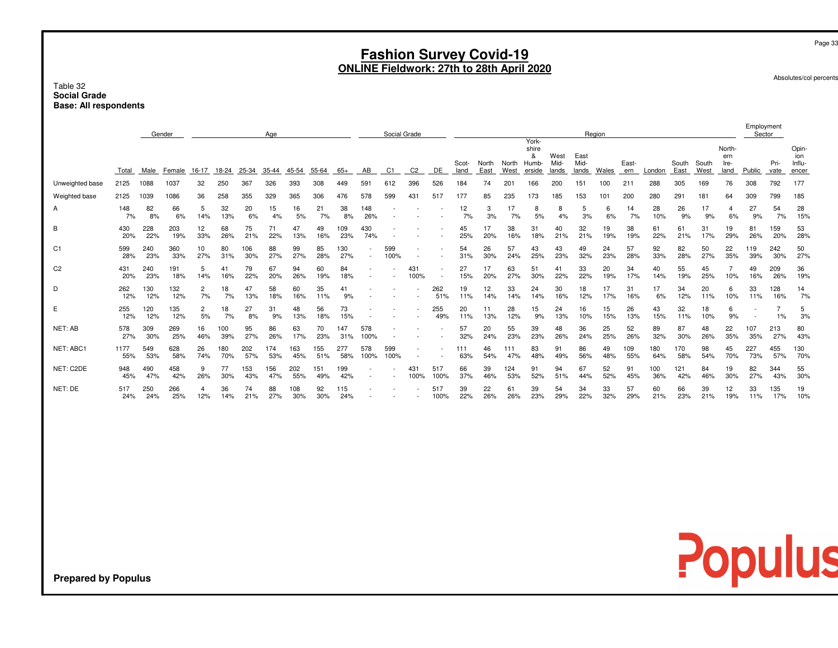# **Fashion Survey Covid-19 ONLINE Fieldwork: 27th to 28th April 2020**

Absolutes/col percents

Populus

Table 32 **Social GradeBase: All respondents**

|                 | Gender<br>Age |            |            |                      |            |            |            |            |            |            |             | Social Grade |                |             |               |               |               |                                        |                       |                       | Region    |              |            |               |               |                               | Employment<br>Sector |              |                                 |
|-----------------|---------------|------------|------------|----------------------|------------|------------|------------|------------|------------|------------|-------------|--------------|----------------|-------------|---------------|---------------|---------------|----------------------------------------|-----------------------|-----------------------|-----------|--------------|------------|---------------|---------------|-------------------------------|----------------------|--------------|---------------------------------|
|                 | Total         | Male       | Female     | $16 - 17$            | 18-24      | 25-34      | 35-44      | 45-54      | 55-64      | $65+$      | AB          | C1           | C <sub>2</sub> | DE          | Scot-<br>land | North<br>East | North<br>West | York-<br>shire<br>8<br>Humb-<br>erside | West<br>Mid-<br>lands | East<br>Mid-<br>lands | Wales     | East-<br>ern | London     | South<br>East | South<br>West | North-<br>ern<br>lre-<br>land | Public               | Pri-<br>vate | Opin-<br>ion<br>Influ-<br>encer |
| Unweighted base | 2125          | 1088       | 1037       | 32                   | 250        | 367        | 326        | 393        | 308        | 449        | 591         | 612          | 396            | 526         | 184           | 74            | 201           | 166                                    | 200                   | 151                   | 100       | 21'          | 288        | 305           | 169           | 76                            | 308                  | 792          | 177                             |
| Weighted base   | 2125          | 1039       | 1086       | 36                   | 258        | 355        | 329        | 365        | 306        | 476        | 578         | 599          | 431            | 517         | 177           | 85            | 235           | 173                                    | 185                   | 153                   | 101       | 200          | 280        | 291           | 181           | 64                            | 309                  | 799          | 185                             |
| A               | 148<br>7%     | 82<br>8%   | 66<br>6%   | 5<br>14%             | 32<br>13%  | 20<br>6%   | 15<br>4%   | 16<br>5%   | 21<br>7%   | 38<br>8%   | 148<br>26%  |              |                |             | 12<br>7%      | 3<br>3%       | 17<br>7%      | 8<br>5%                                | 8<br>4%               | 3%                    | 6<br>6%   | 14<br>7%     | 28<br>10%  | 26<br>9%      | 17<br>9%      | 6%                            | 27<br>9%             | 54<br>7%     | 28<br>15%                       |
| В               | 430<br>20%    | 228<br>22% | 203<br>19% | 12<br>33%            | 68<br>26%  | 75<br>21%  | 71<br>22%  | 47<br>13%  | 49<br>16%  | 109<br>23% | 430<br>74%  |              |                |             | 45<br>25%     | 17<br>20%     | 38<br>16%     | 31<br>18%                              | 40<br>21%             | 32<br>21%             | 19<br>19% | 38<br>19%    | 61<br>22%  | 61<br>21%     | 31<br>17%     | 19<br>29%                     | 81<br>26%            | 159<br>20%   | 53<br>28%                       |
| C <sub>1</sub>  | 599<br>28%    | 240<br>23% | 360<br>33% | 10<br>27%            | 80<br>31%  | 106<br>30% | 88<br>27%  | 99<br>27%  | 85<br>28%  | 130<br>27% |             | 599<br>100%  |                |             | 54<br>31%     | 26<br>30%     | 57<br>24%     | 43<br>25%                              | 43<br>23%             | 49<br>32%             | 24<br>23% | 57<br>28%    | 92<br>33%  | 82<br>28%     | 50<br>27%     | 22<br>35%                     | 119<br>39%           | 242<br>30%   | 50<br>27%                       |
| C <sub>2</sub>  | 431<br>20%    | 240<br>23% | 191<br>18% | 5<br>14%             | 4.<br>16%  | 79<br>22%  | 67<br>20%  | 94<br>26%  | 60<br>19%  | 84<br>18%  |             |              | 431<br>100%    |             | 27<br>15%     | 17<br>20%     | 63<br>27%     | 51<br>30%                              | 41<br>22%             | 33<br>22%             | 20<br>19% | 34<br>17%    | 40<br>14%  | 55<br>19%     | 45<br>25%     | 10%                           | 49<br>16%            | 209<br>26%   | 36<br>19%                       |
| D               | 262<br>12%    | 130<br>12% | 132<br>12% | 2<br>7%              | 18<br>7%   | 47<br>13%  | 58<br>18%  | 60<br>16%  | 35<br>11%  | 41<br>9%   |             |              |                | 262<br>51%  | 19<br>11%     | 12<br>14%     | 33<br>14%     | 24<br>14%                              | 30<br>16%             | 18<br>12%             | 17<br>17% | 31<br>16%    | 17<br>6%   | 34<br>12%     | 20<br>11%     | 6<br>10%                      | 33<br>11%            | 128<br>16%   | 14<br>7%                        |
| E               | 255<br>12%    | 120<br>12% | 135<br>12% | $\overline{c}$<br>5% | 18<br>7%   | 27<br>8%   | 31<br>9%   | 48<br>13%  | 56<br>18%  | 73<br>15%  |             |              |                | 255<br>49%  | 20<br>11%     | 11<br>13%     | 28<br>12%     | 15<br>9%                               | 24<br>13%             | 16<br>10%             | 15<br>15% | 26<br>13%    | 43<br>15%  | 32<br>11%     | 18<br>10%     | 6<br>9%                       |                      | 1%           | 5<br>3%                         |
| NET: AB         | 578<br>27%    | 309<br>30% | 269<br>25% | 16<br>46%            | 100<br>39% | 95<br>27%  | 86<br>26%  | 63<br>17%  | 70<br>23%  | 147<br>31% | 578<br>100% |              |                |             | 57<br>32%     | 20<br>24%     | 55<br>23%     | 39<br>23%                              | 48<br>26%             | 36<br>24%             | 25<br>25% | 52<br>26%    | 89<br>32%  | 87<br>30%     | 48<br>26%     | 22<br>35%                     | 107<br>35%           | 213<br>27%   | 80<br>43%                       |
| NET: ABC1       | 1177<br>55%   | 549<br>53% | 628<br>58% | 26<br>74%            | 180<br>70% | 202<br>57% | 174<br>53% | 163<br>45% | 155<br>51% | 58%        | 578<br>100% | 599<br>100%  |                |             | 111<br>63%    | 46<br>54%     | 111<br>47%    | 83<br>48%                              | 91<br>49%             | 86<br>56%             | 49<br>48% | 109<br>55%   | 180<br>64% | 170<br>58%    | 98<br>54%     | 45<br>70%                     | 227<br>73%           | 455<br>57%   | 130<br>70%                      |
| NET: C2DE       | 948<br>45%    | 490<br>47% | 458<br>42% | 9<br>26%             | 77<br>30%  | 153<br>43% | 156<br>47% | 202<br>55% | 151<br>49% | 199<br>42% |             |              | 431<br>100%    | 517<br>100% | 66<br>37%     | 39<br>46%     | 124<br>53%    | 91<br>52%                              | 94<br>51%             | 67<br>44%             | 52<br>52% | 91<br>45%    | 100<br>36% | 121<br>42%    | 84<br>46%     | 19<br>30%                     | 82<br>27%            | 344<br>43%   | 55<br>30%                       |
| NET: DE         | 517<br>24%    | 250<br>24% | 266<br>25% | 12%                  | 36<br>14%  | 74<br>21%  | 88<br>27%  | 108<br>30% | 92<br>30%  | 115<br>24% |             |              |                | 517<br>100% | 39<br>22%     | 22<br>26%     | 61<br>26%     | 39<br>23%                              | 54<br>29%             | 34<br>22%             | 33<br>32% | 57<br>29%    | 60<br>21%  | 66<br>23%     | 39<br>21%     | 12<br>19%                     | 33<br>11%            | 135<br>17%   | 19<br>10%                       |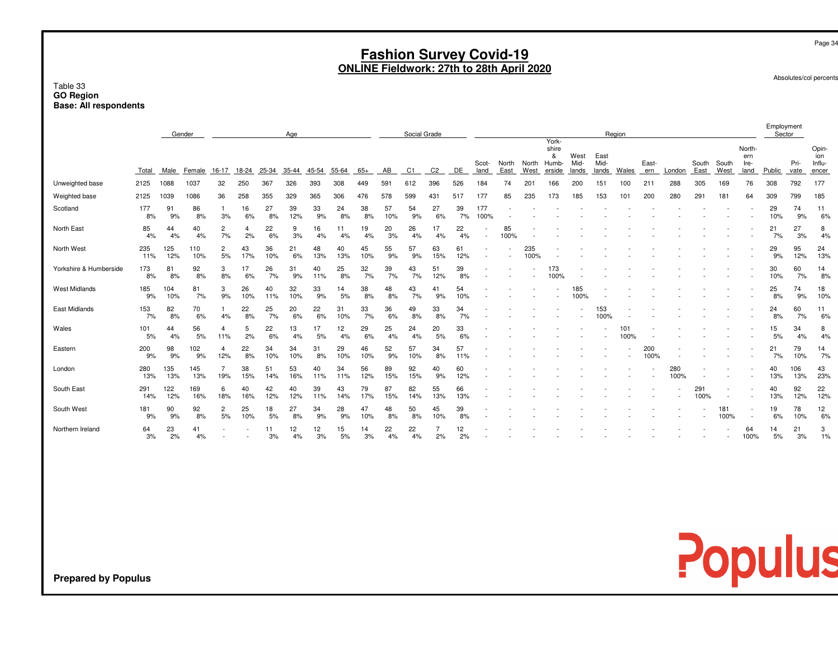### **Fashion Survey Covid-19 ONLINE Fieldwork: 27th to 28th April 2020**

Absolutes/col percents

### Table 33 **GO RegionBase: All respondents**

|                        |            |            |            | Social Grade         |           |           |           |           |           |           |           |           | Region         |           |               |               |               |                                        | Employment<br>Sector  |                       |             |              |             |               |               |                               |           |                   |                                 |
|------------------------|------------|------------|------------|----------------------|-----------|-----------|-----------|-----------|-----------|-----------|-----------|-----------|----------------|-----------|---------------|---------------|---------------|----------------------------------------|-----------------------|-----------------------|-------------|--------------|-------------|---------------|---------------|-------------------------------|-----------|-------------------|---------------------------------|
|                        | Total      | Male       | Female     | $16 - 17$            | 18-24     | 25-34     | 35-44     | 45-54     | 55-64     | $65+$     | AB        | C1        | C <sub>2</sub> | DE        | Scot-<br>land | North<br>East | North<br>West | York-<br>shire<br>&<br>Humb-<br>erside | West<br>Mid-<br>lands | East<br>Mid-<br>lands | Wales       | East-<br>ern | London      | South<br>East | South<br>West | North-<br>ern<br>Ire-<br>land | Public    | Pri-<br>vate      | Opin-<br>ion<br>Influ-<br>encer |
| Unweighted base        | 2125       | 1088       | 1037       | 32                   | 250       | 367       | 326       | 393       | 308       | 449       | 591       | 612       | 396            | 526       | 184           | 74            | 201           | 166                                    | 200                   | 151                   | 100         | 211          | 288         | 305           | 169           | 76                            | 308       | 792               | 177                             |
| Weighted base          | 2125       | 1039       | 1086       | 36                   | 258       | 355       | 329       | 365       | 306       | 476       | 578       | 599       | 431            | 517       | 177           | 85            | 235           | 173                                    | 185                   | 153                   | 101         | 200          | 280         | 291           | 181           | 64                            | 309       | 799               | 185                             |
| Scotland               | 177<br>8%  | 91<br>9%   | 86<br>8%   | 3%                   | 16<br>6%  | 27<br>8%  | 39<br>12% | 33<br>9%  | 24<br>8%  | 38<br>8%  | 57<br>10% | 54<br>9%  | 27<br>6%       | 39<br>7%  | 177<br>100%   |               |               |                                        |                       |                       |             |              |             |               |               |                               | 29<br>10% | 74<br>9%          | 11<br>6%                        |
| North East             | 85<br>4%   | 44<br>4%   | 40<br>4%   | 2<br>7%              | 4<br>2%   | 22<br>6%  | 9<br>3%   | 16<br>4%  | 11<br>4%  | 19<br>4%  | 20<br>3%  | 26<br>4%  | 17<br>4%       | 22<br>4%  |               | 85<br>100%    |               |                                        |                       |                       |             |              |             |               |               |                               | 21<br>7%  | 27<br>3%          | 8<br>4%                         |
| North West             | 235<br>11% | 125<br>12% | 110<br>10% | $\overline{2}$<br>5% | 43<br>17% | 36<br>10% | 21<br>6%  | 48<br>13% | 40<br>13% | 45<br>10% | 55<br>9%  | 57<br>9%  | 63<br>15%      | 61<br>12% |               |               | 235<br>100%   |                                        |                       |                       |             |              |             |               |               |                               | 29<br>9%  | 95<br>12%         | 24<br>13%                       |
| Yorkshire & Humberside | 173<br>8%  | 81<br>8%   | 92<br>8%   | 3<br>8%              | 17<br>6%  | 26<br>7%  | 31<br>9%  | 40<br>11% | 25<br>8%  | 32<br>7%  | 39<br>7%  | 43<br>7%  | 51<br>12%      | 39<br>8%  |               |               |               | 173<br>100%                            |                       |                       |             |              |             |               |               |                               | 30<br>10% | 60<br>7%          | 14<br>8%                        |
| <b>West Midlands</b>   | 185<br>9%  | 104<br>10% | 81<br>7%   | 3<br>9%              | 26<br>10% | 40<br>11% | 32<br>10% | 33<br>9%  | 14<br>5%  | 38<br>8%  | 48<br>8%  | 43<br>7%  | 41<br>9%       | 54<br>10% |               |               |               |                                        | 185<br>100%           |                       |             |              |             |               |               |                               | 25<br>8%  | 74<br>9%          | 18<br>10%                       |
| East Midlands          | 153<br>7%  | 82<br>8%   | 70<br>6%   | 4%                   | 22<br>8%  | 25<br>7%  | 20<br>6%  | 22<br>6%  | 31<br>10% | 33<br>7%  | 36<br>6%  | 49<br>8%  | 33<br>8%       | 34<br>7%  |               |               |               |                                        |                       | 153<br>100%           |             |              |             |               |               |                               | 24<br>8%  | 60<br>7%          | 11<br>6%                        |
| Wales                  | 101<br>5%  | 44<br>4%   | 56<br>5%   | 11%                  | 5<br>2%   | 22<br>6%  | 13<br>4%  | 17<br>5%  | 12<br>4%  | 29<br>6%  | 25<br>4%  | 24<br>4%  | 20<br>5%       | 33<br>6%  |               |               |               |                                        |                       |                       | 101<br>100% |              |             |               |               |                               | 15<br>5%  | 34<br>4%          | 8<br>4%                         |
| Eastern                | 200<br>9%  | 98<br>9%   | 102<br>9%  | 12%                  | 22<br>8%  | 34<br>10% | 34<br>10% | 31<br>8%  | 29<br>10% | 46<br>10% | 52<br>9%  | 57<br>10% | 34<br>8%       | 57<br>11% |               |               |               |                                        |                       |                       |             | 200<br>100%  |             |               |               |                               | 21<br>7%  | 79<br>10%         | 14<br>7%                        |
| London                 | 280<br>13% | 135<br>13% | 145<br>13% | 19%                  | 38<br>15% | 51<br>14% | 53<br>16% | 40<br>11% | 34<br>11% | 56<br>12% | 89<br>15% | 92<br>15% | 40<br>9%       | 60<br>12% |               |               |               |                                        |                       |                       |             |              | 280<br>100% |               |               |                               | 40<br>13% | 106<br>13%        | 43<br>23%                       |
| South East             | 291<br>14% | 122<br>12% | 169<br>16% | 6<br>18%             | 40<br>16% | 42<br>12% | 40<br>12% | 39<br>11% | 43<br>14% | 79<br>17% | 87<br>15% | 82<br>14% | 55<br>13%      | 66<br>13% |               |               |               |                                        |                       |                       |             |              |             | 291<br>100%   |               |                               | 40<br>13% | 92<br>12%         | 22<br>12%                       |
| South West             | 181<br>9%  | 90<br>9%   | 92<br>8%   | 2<br>5%              | 25<br>10% | 18<br>5%  | 27<br>8%  | 34<br>9%  | 28<br>9%  | 47<br>10% | 48<br>8%  | 50<br>8%  | 45<br>10%      | 39<br>8%  |               |               |               |                                        |                       |                       |             |              |             |               | 181<br>100%   |                               | 19<br>6%  | 78<br>10%         | 12<br>6%                        |
| Northern Ireland       | 64<br>3%   | 23<br>2%   | 41<br>4%   |                      |           | 11<br>3%  | 12<br>4%  | 12<br>3%  | 15<br>5%  | 14<br>3%  | 22<br>4%  | 22<br>4%  | 2%             | 12<br>2%  |               |               |               |                                        |                       |                       |             |              |             |               |               | 64<br>100%                    | 14<br>5%  | $2^{\cdot}$<br>3% | 3<br>1%                         |

**Prepared by Populus**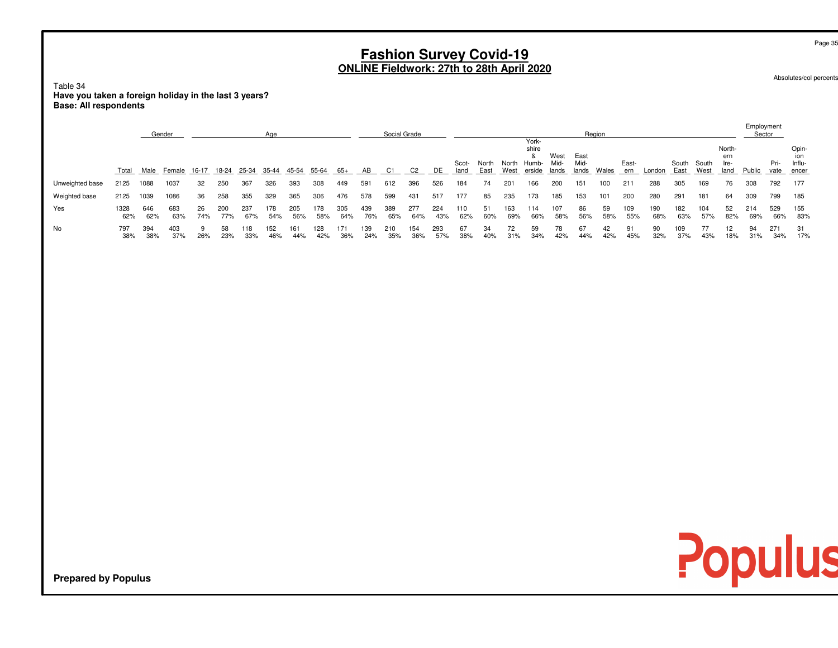# **Fashion Survey Covid-19 ONLINE Fieldwork: 27th to 28th April 2020**

Absolutes/col percents

Table 34 **Have you taken a foreign holiday in the last 3 years?Base: All respondents**

|                 |             |            | Gender     |           |            |            | Aae        |            |            |            |            | Social Grade |            |            |               |               |               |                                        |                       |                       | Region    |              |            |                     |            |                               | Employment<br>Sector |              |                                 |
|-----------------|-------------|------------|------------|-----------|------------|------------|------------|------------|------------|------------|------------|--------------|------------|------------|---------------|---------------|---------------|----------------------------------------|-----------------------|-----------------------|-----------|--------------|------------|---------------------|------------|-------------------------------|----------------------|--------------|---------------------------------|
|                 | Total       | Male       | Female     | 16-17     | 18-24      | 25-34      | 35-44      | 45-54      | 55-64      | 65+        | AB         | -C1          | C2         | DE         | Scot-<br>land | North<br>East | North<br>West | York-<br>shire<br>×<br>Humb-<br>erside | West<br>Mid-<br>lands | East<br>Mid-<br>lands | Wales     | East-<br>ern | London     | South South<br>East | West       | North-<br>ern<br>lre-<br>land | Public               | Pri-<br>vate | Opin-<br>ion<br>Influ-<br>encer |
| Unweighted base | 2125        | 1088       | 1037       | 32        | 250        | 367        | 326        | 393        | 308        | 449        | 591        | 612          | 396        | 526        | 184           | 74            | 201           | 166                                    | 200                   | 151                   | 100       | 211          | 288        | 305                 | 169        | 76                            | 308                  | 792          | 177                             |
| Weighted base   | 2125        | 1039       | 1086       | 36        | 258        | 355        | 329        | 365        | 306        | 476        | 578        | 599          | 431        | 517        | 177           | 85            | 235           | 173                                    | 185                   | 153                   | 101       | 200          | 280        | 291                 | 181        | 64                            | 309                  | 799          | 185                             |
| Yes             | 1328<br>62% | 646<br>62% | 683<br>63% | 26<br>74% | 200<br>77% | 237<br>67% | 178<br>54% | 205<br>56% | 178<br>58% | 305<br>64% | 439<br>76% | 389<br>65%   | 277<br>64% | 224<br>43% | 110<br>62%    | 51<br>60%     | 163<br>69%    | 114<br>66%                             | 107<br>58%            | 86<br>56%             | 59<br>58% | 109<br>55%   | 190<br>68% | 182<br>63%          | 104<br>57% | 52<br>82%                     | 214<br>69%           | 529<br>66%   | 155<br>83%                      |
| No              | 797<br>38%  | 394<br>38% | 403<br>37% | 26%       | 58<br>23%  | 118<br>33% | 152<br>46% | 161<br>44% | 128<br>42% | 171<br>36% | 139<br>24% | 210<br>35%   | 154<br>36% | 293<br>57% | 67<br>38%     | 34<br>40%     | 72<br>31%     | 59<br>34%                              | 78<br>42%             | 67<br>44%             | 42<br>42% | 91<br>45%    | 90<br>32%  | 109<br>37%          | 77<br>43%  | 12<br>18%                     | 94<br>31%            | 271<br>34%   | 31<br>17%                       |

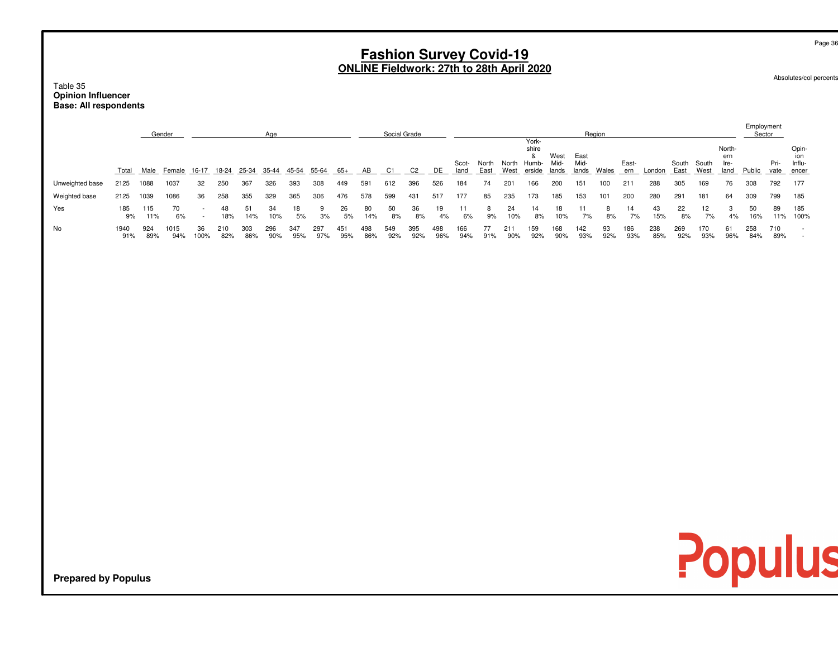| Table 35<br><b>Opinion Influencer</b> |             |            |                  |                          |            |            |                    |            |            |            |            |                    |            | <b>Fashion Survey Covid-19</b> |               |               |               | <b>ONLINE Fieldwork: 27th to 28th April 2020</b> |                       |                       |                 |              |            |               |               |                               |                  |              | Page 36<br>Absolutes/col percents    |
|---------------------------------------|-------------|------------|------------------|--------------------------|------------|------------|--------------------|------------|------------|------------|------------|--------------------|------------|--------------------------------|---------------|---------------|---------------|--------------------------------------------------|-----------------------|-----------------------|-----------------|--------------|------------|---------------|---------------|-------------------------------|------------------|--------------|--------------------------------------|
| <b>Base: All respondents</b>          |             |            |                  |                          |            |            |                    |            |            |            |            |                    |            |                                |               |               |               |                                                  |                       |                       |                 |              |            |               |               |                               | Employment       |              |                                      |
|                                       | Total       | Male       | Gender<br>Female | 16-17                    | 18-24      | 25-34      | Age<br>35-44 45-54 |            | 55-64      | 65+        | AB         | Social Grade<br>C1 | C2         | DE                             | Scot-<br>land | North<br>East | North<br>West | York-<br>shire<br>&<br>Humb-<br>erside           | West<br>Mid-<br>lands | East<br>Mid-<br>lands | Region<br>Wales | East-<br>ern | London     | South<br>East | South<br>West | North-<br>ern<br>Ire-<br>land | Sector<br>Public | Pri-<br>vate | Opin-<br>ion<br>Influ-<br>encer      |
| Unweighted base                       | 2125        | 1088       | 1037             | 32                       | 250        | 367        | 326                | 393        | 308        | 449        | 591        | 612                | 396        | 526                            | 184           | 74            | 201           | 166                                              | 200                   | 151                   | 100             | 211          | 288        | 305           | 169           | 76                            | 308              | 792          | 177                                  |
| Weighted base                         | 2125        | 1039       | 1086             | 36                       | 258        | 355        | 329                | 365        | 306        | 476        | 578        | 599                | 431        | 517                            | 177           | 85            | 235           | 173                                              | 185                   | 153                   | 101             | 200          | 280        | 291           | 181           | 64                            | 309              | 799          | 185                                  |
| Yes                                   | 185<br>9%   | 115<br>11% | 70<br>6%         | $\overline{\phantom{a}}$ | 48<br>18%  | 51<br>14%  | 34<br>10%          | 18<br>5%   | 9<br>3%    | 26<br>5%   | 80<br>14%  | 50<br>8%           | 36<br>8%   | 19<br>4%                       | 11<br>6%      | 8<br>9%       | 24<br>10%     | 14<br>8%                                         | 18<br>10%             | 11<br>7%              | 8<br>8%         | 14<br>7%     | 43<br>15%  | 22<br>8%      | 12<br>7%      | 3<br>4%                       | 50<br>16%        | 89<br>11%    | 185<br>100%                          |
| No                                    | 1940<br>91% | 924<br>89% | 1015<br>94%      | 36<br>100%               | 210<br>82% | 303<br>86% | 296<br>90%         | 347<br>95% | 297<br>97% | 451<br>95% | 498<br>86% | 549<br>92%         | 395<br>92% | 498<br>96%                     | 166<br>94%    | 77<br>91%     | 211<br>90%    | 159<br>92%                                       | 168<br>90%            | 142<br>93%            | 93<br>92%       | 186<br>93%   | 238<br>85% | 269<br>92%    | 170<br>93%    | 61<br>96%                     | 258<br>84%       | 710<br>89%   | $\overline{\phantom{a}}$<br><b>.</b> |

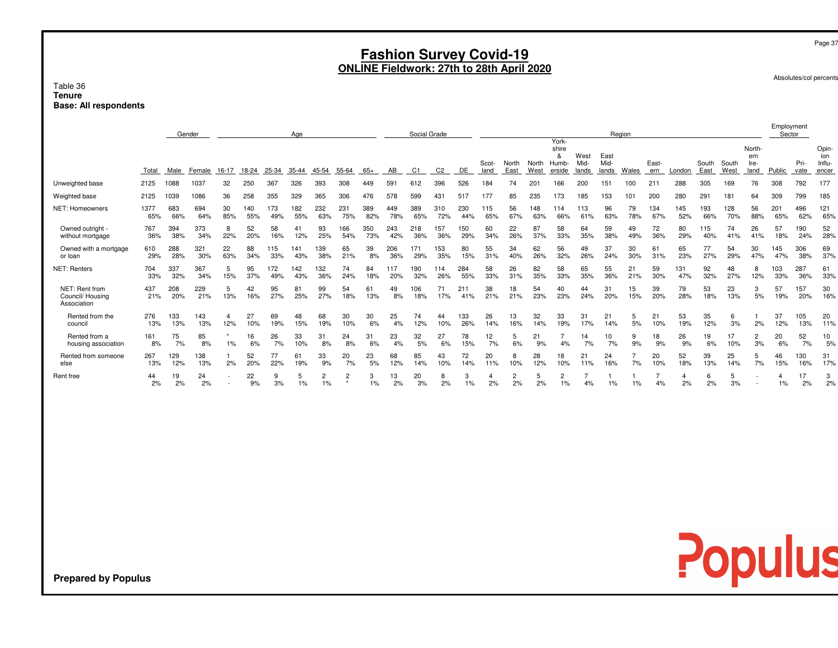## **Fashion Survey Covid-19 ONLINE Fieldwork: 27th to 28th April 2020**

Absolutes/col percents

### Table 36 **TenureBase: All respondents**

|                                                   |             |            | Gender     |           |            |            | Age        |                      |              |            |            | Social Grade |                |               |               |               |               | York-                         |                       |                       | Region    |              |            |               |               |                               | Employment<br>Sector |              |                                |
|---------------------------------------------------|-------------|------------|------------|-----------|------------|------------|------------|----------------------|--------------|------------|------------|--------------|----------------|---------------|---------------|---------------|---------------|-------------------------------|-----------------------|-----------------------|-----------|--------------|------------|---------------|---------------|-------------------------------|----------------------|--------------|--------------------------------|
|                                                   | Total       | Male       | Female     | 16-17     | 18-24      | 25-34      | 35-44      | 45-54                | 55-64        | $65+$      | AB         | C1           | C <sub>2</sub> | DE            | Scot-<br>land | North<br>East | North<br>West | shire<br>&<br>Humb-<br>erside | West<br>Mid-<br>lands | East<br>Mid-<br>lands | Wales     | East-<br>ern | London     | South<br>East | South<br>West | North-<br>ern<br>Ire-<br>land | Public               | Pri-<br>vate | Opin<br>ion<br>Influ-<br>encer |
| Unweighted base                                   | 2125        | 1088       | 1037       | 32        | 250        | 367        | 326        | 393                  | 308          | 449        | 591        | 612          | 396            | 526           | 184           | 74            | $20 -$        | 166                           | 200                   | 15 <sup>2</sup>       | 100       | 211          | 288        | 305           | 169           | 76                            | 308                  | 792          | 177                            |
| Weighted base                                     | 2125        | 1039       | 1086       | 36        | 258        | 355        | 329        | 365                  | 306          | 476        | 578        | 599          | 431            | 517           | 177           | 85            | 235           | 173                           | 185                   | 153                   | 101       | 200          | 280        | 291           | 181           | 64                            | 309                  | 799          | 185                            |
| NET: Homeowners                                   | 1377<br>65% | 683<br>66% | 694<br>64% | 30<br>85% | 140<br>55% | 173<br>49% | 182<br>55% | 232<br>63%           | 231<br>75%   | 389<br>82% | 449<br>78% | 389<br>65%   | 310<br>72%     | 230<br>44%    | 115<br>65%    | 56<br>67%     | 148<br>63%    | 114<br>66%                    | 113<br>61%            | 96<br>63%             | 79<br>78% | 134<br>67%   | 145<br>52% | 193<br>66%    | 128<br>70%    | 56<br>88%                     | 201<br>65%           | 496<br>62%   | 121<br>65%                     |
| Owned outright -<br>without mortgage              | 767<br>36%  | 394<br>38% | 373<br>34% | 8<br>22%  | 52<br>20%  | 58<br>16%  | 41<br>12%  | 93<br>25%            | 166<br>54%   | 350<br>73% | 243<br>42% | 218<br>36%   | 157<br>36%     | 150<br>29%    | 60<br>34%     | 22<br>26%     | 87<br>37%     | 58<br>33%                     | 64<br>35%             | 59<br>38%             | 49<br>49% | 72<br>36%    | 80<br>29%  | 15<br>40%     | 74<br>41%     | 26<br>41%                     | 57<br>18%            | 190<br>24%   | 52<br>28%                      |
| Owned with a mortgage<br>or loan                  | 610<br>29%  | 288<br>28% | 321<br>30% | 22<br>63% | 88<br>34%  | 115<br>33% | 141<br>43% | 139<br>38%           | 65<br>21%    | 39<br>8%   | 206<br>36% | 171<br>29%   | 153<br>35%     | 80<br>15%     | 55<br>31%     | 34<br>40%     | 62<br>26%     | 56<br>32%                     | 49<br>26%             | 37<br>24%             | 30<br>30% | 61<br>31%    | 65<br>23%  | 77<br>27%     | 54<br>29%     | 30<br>47%                     | 145<br>47%           | 306<br>38%   | 69<br>37%                      |
| NET: Renters                                      | 704<br>33%  | 337<br>32% | 367<br>34% | 5<br>15%  | 95<br>37%  | 172<br>49% | 142<br>43% | 132<br>36%           | 74<br>24%    | 84<br>18%  | 117<br>20% | 190<br>32%   | 114<br>26%     | 284<br>55%    | 58<br>33%     | 26<br>31%     | 82<br>35%     | 58<br>33%                     | 65<br>35%             | 55<br>36%             | 21<br>21% | 59<br>30%    | 131<br>47% | 92<br>32%     | 48<br>27%     | 8<br>12%                      | 103<br>33%           | 287<br>36%   | 61<br>33%                      |
| NET: Rent from<br>Council/ Housing<br>Association | 437<br>21%  | 208<br>20% | 229<br>21% | 5<br>13%  | 42<br>16%  | 95<br>27%  | 81<br>25%  | 99<br>27%            | 54<br>18%    | 61<br>13%  | 49<br>8%   | 106<br>18%   | 71<br>17%      | $21 -$<br>41% | 38<br>21%     | 18<br>21%     | 54<br>23%     | 40<br>23%                     | 44<br>24%             | 31<br>20%             | 15<br>15% | 39<br>20%    | 79<br>28%  | 53<br>18%     | 23<br>13%     | 3<br>5%                       | 57<br>19%            | 157<br>20%   | 30<br>16%                      |
| Rented from the<br>council                        | 276<br>13%  | 133<br>13% | 143<br>13% | 12%       | 27<br>10%  | 69<br>19%  | 48<br>15%  | 68<br>19%            | 30<br>10%    | 30<br>6%   | 25<br>4%   | 74<br>12%    | 44<br>10%      | 133<br>26%    | 26<br>14%     | 13<br>16%     | 32<br>14%     | 33<br>19%                     | 31<br>17%             | 21<br>14%             | 5<br>5%   | 21<br>10%    | 53<br>19%  | 35<br>12%     | 6<br>3%       | 2%                            | 37<br>12%            | 105<br>13%   | 20<br>11%                      |
| Rented from a<br>housing association              | 161<br>8%   | 75<br>7%   | 85<br>8%   | 1%        | 16<br>6%   | 26<br>7%   | 33<br>10%  | 31<br>8%             | 24<br>8%     | 31<br>6%   | 23<br>4%   | 32<br>5%     | 27<br>6%       | 78<br>15%     | 12<br>7%      | 6%            | 21<br>9%      | 4%                            | 14<br>7%              | 10<br>7%              | 9<br>9%   | 18<br>9%     | 26<br>9%   | 19<br>6%      | 17<br>10%     | $\overline{2}$<br>3%          | 20<br>6%             | 52<br>7%     | 10<br>5%                       |
| Rented from someone<br>else                       | 267<br>13%  | 129<br>12% | 138<br>13% | 2%        | 52<br>20%  | 77<br>22%  | 61<br>19%  | 33<br>9%             | 20<br>7%     | 23<br>5%   | 68<br>12%  | 85<br>14%    | 43<br>10%      | 72<br>14%     | 20<br>11%     | 10%           | 28<br>12%     | 18<br>10%                     | 21<br>11%             | 24<br>16%             | 7%        | 20<br>10%    | 52<br>18%  | 39<br>13%     | 25<br>14%     | 5<br>7%                       | 46<br>15%            | 130<br>16%   | 31<br>17%                      |
| Rent free                                         | 44<br>2%    | 19<br>2%   | 24<br>2%   |           | 22<br>9%   | 9<br>3%    | 5<br>1%    | $\overline{c}$<br>1% | 2<br>$\star$ | 1%         | 13<br>2%   | 20<br>3%     | 8<br>2%        | $1\%$         | 2%            | 2<br>2%       | 2%            | 2<br>1%                       | 4%                    | 1%                    | 1%        | 4%           | 2%         | 6<br>2%       | 5<br>3%       |                               | 1%                   | 2%           | 3<br>2%                        |

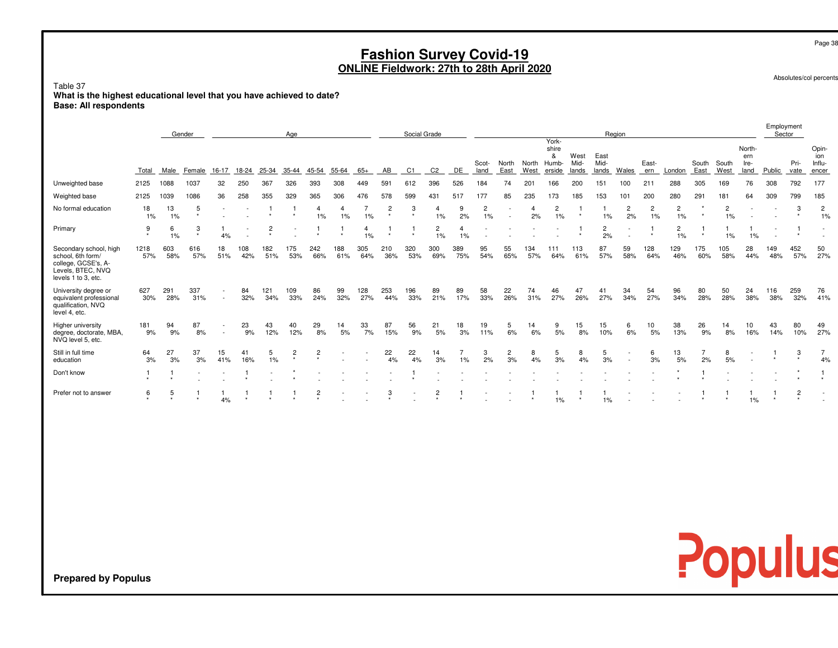| Table 37<br>What is the highest educational level that you have achieved to date?<br><b>Base: All respondents</b> |                |            |              |           |            |            |                           |                |            |            |                |              | <b>Fashion Survey Covid-19</b><br>ONLINE Fieldwork: 27th to 28th April 2020 |            |                      |                          |               |                                        |                       |                       |                      |                      |                      |               |                      |                               |                      |                | Page 38<br>Absolutes/col percents |
|-------------------------------------------------------------------------------------------------------------------|----------------|------------|--------------|-----------|------------|------------|---------------------------|----------------|------------|------------|----------------|--------------|-----------------------------------------------------------------------------|------------|----------------------|--------------------------|---------------|----------------------------------------|-----------------------|-----------------------|----------------------|----------------------|----------------------|---------------|----------------------|-------------------------------|----------------------|----------------|-----------------------------------|
|                                                                                                                   |                |            | Gender       |           |            |            | Age                       |                |            |            |                | Social Grade |                                                                             |            |                      |                          |               |                                        |                       | Region                |                      |                      |                      |               |                      |                               | Employment<br>Sector |                |                                   |
|                                                                                                                   | Total          | Male       | Female       | 16-17     | 18-24      | 25-34      | 35-44                     | 45-54          | 55-64      | 65+        | AB             | C1           | C <sub>2</sub>                                                              | DE         | Scot-<br>land        | North<br>East            | North<br>West | York-<br>shire<br>&<br>Humb-<br>erside | West<br>Mid-<br>lands | East<br>Mid-<br>lands | Wales                | East-<br>ern         | London               | South<br>East | South<br>West        | North-<br>ern<br>Ire-<br>land | Public               | Pri-<br>vate   | Opin-<br>ion<br>Influ-<br>encer   |
| Unweighted base                                                                                                   | 2125           | 1088       | 1037         | 32        | 250        | 367        | 326                       | 393            | 308        | 449        | 591            | 612          | 396                                                                         | 526        | 184                  | 74                       | 201           | 166                                    | 200                   | 151                   | 100                  | 211                  | 288                  | 305           | 169                  | 76                            | 308                  | 792            | 177                               |
| Weighted base                                                                                                     | 2125           | 1039       | 1086         | 36        | 258        | 355        | 329                       | 365            | 306        | 476        | 578            | 599          | 431                                                                         | 517        | 177                  | 85                       | 235           | 173                                    | 185                   | 153                   | 101                  | 200                  | 280                  | 291           | 181                  | 64                            | 309                  | 799            | 185                               |
| No formal education                                                                                               | 18<br>1%       | 13<br>1%   | 5<br>$\star$ |           |            |            |                           | 4<br>1%        | 4<br>1%    | 1%         | $\overline{2}$ | 3<br>$\star$ | 4<br>1%                                                                     | 9<br>2%    | $\overline{2}$<br>1% | $\overline{\phantom{a}}$ | 4<br>2%       | $\overline{2}$<br>1%                   |                       | 1%                    | $\overline{c}$<br>2% | $\overline{2}$<br>1% | $\overline{2}$<br>1% | $\star$       | $\overline{2}$<br>1% |                               |                      | 3<br>$\star$   | $\overline{c}$<br>1%              |
| Primary                                                                                                           | 9<br>$\bullet$ | 6<br>1%    | 3<br>$\star$ | 4%        |            |            |                           |                |            | 1%         |                | $\star$      | $\overline{c}$<br>1%                                                        | 4<br>1%    |                      |                          |               |                                        |                       | $\overline{c}$<br>2%  | $\sim$<br>$\sim$     |                      | $\overline{2}$<br>1% | $\star$       | 1%                   | 1%                            | $\sim$               |                |                                   |
| Secondary school, high<br>school, 6th form/<br>college, GCSE's, A-<br>Levels, BTEC, NVQ<br>levels 1 to 3, etc.    | 1218<br>57%    | 603<br>58% | 616<br>57%   | 18<br>51% | 108<br>42% | 182<br>51% | 175<br>53%                | 242<br>66%     | 188<br>61% | 305<br>64% | 210<br>36%     | 320<br>53%   | 300<br>69%                                                                  | 389<br>75% | 95<br>54%            | 55<br>65%                | 134<br>57%    | 111<br>64%                             | 113<br>61%            | 87<br>57%             | 59<br>58%            | 128<br>64%           | 129<br>46%           | 175<br>60%    | 105<br>58%           | 28<br>44%                     | 149<br>48%           | 452<br>57%     | 50<br>27%                         |
| University degree or<br>equivalent professional<br>qualification, NVQ<br>level 4, etc.                            | 627<br>30%     | 291<br>28% | 337<br>31%   | $\sim$    | 84<br>32%  | 121<br>34% | 109<br>33%                | 86<br>24%      | 99<br>32%  | 128<br>27% | 253<br>44%     | 196<br>33%   | 89<br>21%                                                                   | 89<br>17%  | 58<br>33%            | 22<br>26%                | 74<br>31%     | 46<br>27%                              | 47<br>26%             | 41<br>27%             | 34<br>34%            | 54<br>27%            | 96<br>34%            | 80<br>28%     | 50<br>28%            | 24<br>38%                     | 116<br>38%           | 259<br>32%     | 76<br>41%                         |
| Higher university<br>degree, doctorate, MBA,<br>NVQ level 5, etc.                                                 | 181<br>9%      | 94<br>9%   | 87<br>8%     |           | 23<br>9%   | 43<br>12%  | 40<br>12%                 | 29<br>8%       | 14<br>5%   | 33<br>7%   | 87<br>15%      | 56<br>9%     | 21<br>5%                                                                    | 18<br>3%   | 19<br>11%            | 5<br>6%                  | 14<br>6%      | 9<br>5%                                | 15<br>8%              | 15<br>10%             | 6<br>6%              | 10<br>5%             | 38<br>13%            | 26<br>9%      | 14<br>8%             | 10<br>16%                     | 43<br>14%            | 80<br>10%      | 49<br>27%                         |
| Still in full time<br>education                                                                                   | 64<br>3%       | 27<br>3%   | 37<br>3%     | 15<br>41% | 41<br>16%  | 5<br>1%    | $\overline{c}$<br>$\star$ | 2              |            |            | 22<br>4%       | 22<br>4%     | 14<br>3%                                                                    | 7<br>1%    | 3<br>2%              | 2<br>3%                  | 8<br>4%       | 5<br>3%                                | 8<br>4%               | 5<br>3%               |                      | 6<br>3%              | 13<br>5%             | 7<br>2%       | 8<br>5%              |                               |                      | 3<br>$\star$   | 7<br>4%                           |
| Don't know                                                                                                        |                |            |              |           |            |            |                           |                |            |            |                |              |                                                                             |            |                      |                          |               |                                        |                       |                       |                      |                      |                      |               |                      |                               |                      |                |                                   |
| Prefer not to answer                                                                                              | 6              | 5          |              | 4%        |            |            |                           | $\overline{c}$ |            |            | 3              |              | 2                                                                           |            |                      |                          |               | 1%                                     |                       | 1%                    |                      |                      |                      |               |                      | 1%                            |                      | $\overline{2}$ |                                   |

**Prepared by Populus**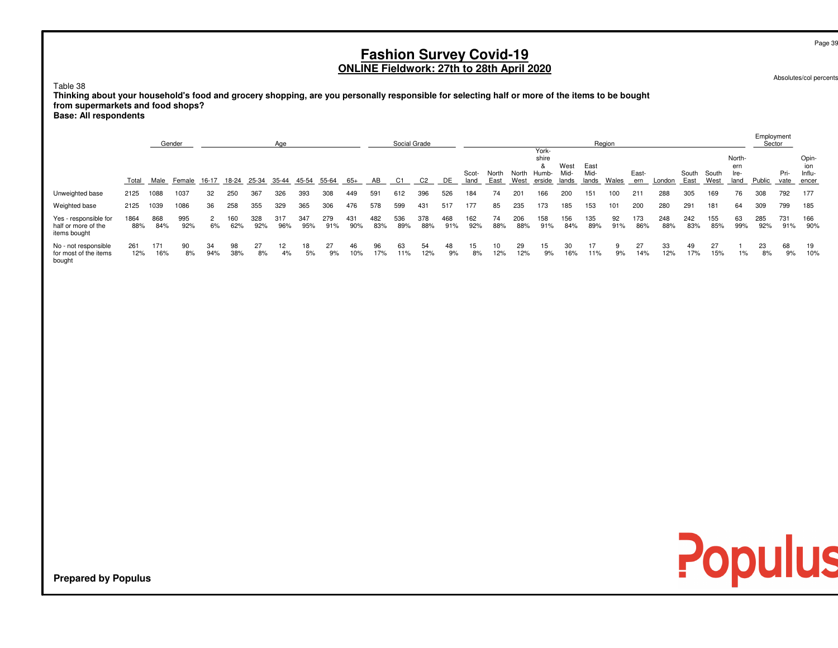# **Fashion Survey Covid-19 ONLINE Fieldwork: 27th to 28th April 2020**

Absolutes/col percents

Employment

Table 38

 **Thinking about your household's food and grocery shopping, are you personally responsible for selecting half or more of the items to be boughtfrom supermarkets and food shops?**

**Base: All respondents**

|                                                              |             |            | Gender     |           |            | Social Grade |            |            |            |            |            | York-      |            |            | Region        |               |               |                          |                       |                       | Linprovincin<br>Sector |              |            |                     |            |                               |            |              |                                 |
|--------------------------------------------------------------|-------------|------------|------------|-----------|------------|--------------|------------|------------|------------|------------|------------|------------|------------|------------|---------------|---------------|---------------|--------------------------|-----------------------|-----------------------|------------------------|--------------|------------|---------------------|------------|-------------------------------|------------|--------------|---------------------------------|
|                                                              | Total       | Male       | Female     | 16-17     | 18-24      | 25-34        | 35-44      | 45-54      | 55-64      | 65+        | AB         | C1         | C2         | DE         | Scot-<br>land | North<br>East | North<br>West | shire<br>Humb-<br>erside | West<br>Mid-<br>lands | East<br>Mid-<br>lands | Wales                  | East-<br>ern | London     | South South<br>East | West       | North-<br>ern<br>lre-<br>land | Public     | Pri-<br>vate | Opin-<br>ion<br>Influ-<br>encer |
| Unweighted base                                              | 2125        | 1088       | 1037       | 32        | 250        | 367          | 326        | 393        | 308        | 449        | 591        | 612        | 396        | 526        | 184           | 74            | 201           | 166                      | 200                   | 151                   | 100                    | 211          | 288        | 305                 | 169        | 76                            | 308        | 792          | 177                             |
| Weighted base                                                | 2125        | 1039       | 1086       | 36        | 258        | 355          | 329        | 365        | 306        | 476        | 578        | 599        | 431        | 517        | 177           | 85            | 235           | 173                      | 185                   | 153                   | 101                    | 200          | 280        | 291                 | 181        | 64                            | 309        | 799          | 185                             |
| Yes - responsible for<br>half or more of the<br>items bought | 1864<br>88% | 868<br>84% | 995<br>92% | 6%        | 160<br>62% | 328<br>92%   | 317<br>96% | 347<br>95% | 279<br>91% | 431<br>90% | 482<br>83% | 536<br>89% | 378<br>88% | 468<br>91% | 162<br>92%    | 74<br>88%     | 206<br>88%    | 158<br>91%               | 156<br>84%            | 135<br>89%            | 92<br>91%              | 173<br>86%   | 248<br>88% | 242<br>83%          | 155<br>85% | 63<br>99%                     | 285<br>92% | 731<br>91%   | 166<br>90%                      |
| No - not responsible<br>for most of the items<br>bought      | 261<br>12%  | 171<br>16% | 90<br>8%   | 34<br>94% | 98<br>38%  | 27<br>8%     | 12<br>4%   | 18<br>5%   | 27<br>9%   | 46<br>10%  | 96<br>17%  | 63<br>11%  | 54<br>12%  | 48<br>9%   | 15<br>8%      | 10<br>12%     | 29<br>12%     | 15<br>9%                 | 30<br>16%             | 17<br>11%             | 9%                     | 27<br>14%    | 33<br>12%  | 49<br>17%           | 27<br>15%  | 1%                            | 23<br>8%   | 68<br>9%     | 19<br>10%                       |

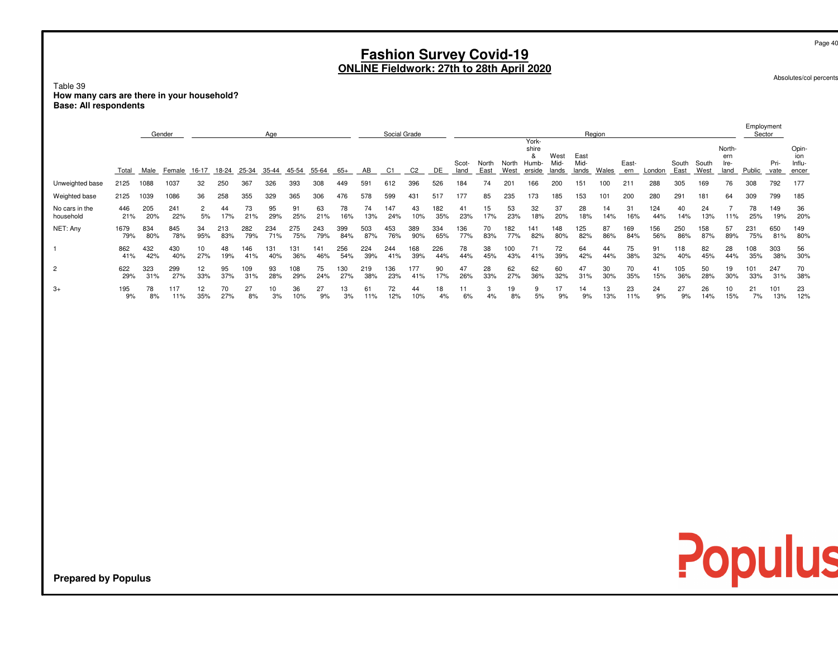# **Fashion Survey Covid-19 ONLINE Fieldwork: 27th to 28th April 2020**

Absolutes/col percents

**Employment** 

|                             |             |            | Gender      |           |                               |            | Age        |            |            |            |            | Social Grade |                |            |               |               |               |                                        |                       |                       | Region    |              |            |               |               |                               | _____ <i>_</i> ______<br>Sector |              |                                |
|-----------------------------|-------------|------------|-------------|-----------|-------------------------------|------------|------------|------------|------------|------------|------------|--------------|----------------|------------|---------------|---------------|---------------|----------------------------------------|-----------------------|-----------------------|-----------|--------------|------------|---------------|---------------|-------------------------------|---------------------------------|--------------|--------------------------------|
|                             | Total       |            | Male Female | 16-17     | 18-24 25-34 35-44 45-54 55-64 |            |            |            |            | 65+        | AB         | -C1          | C <sub>2</sub> | DE         | Scot-<br>land | North<br>East | North<br>West | York-<br>shire<br>&<br>Humb-<br>erside | West<br>Mid-<br>lands | East<br>Mid-<br>lands | Wales     | East-<br>ern | London     | South<br>East | South<br>West | North-<br>ern<br>lre-<br>land | Public                          | Pri-<br>vate | Opin<br>ion<br>Influ-<br>encer |
| Unweighted base             | 2125        | 1088       | 1037        | 32        | 250                           | 367        | 326        | 393        | 308        | 449        | 591        | 612          | 396            | 526        | 184           | 74            | 201           | 166                                    | 200                   | 151                   | 100       | 21'          | 288        | 305           | 169           | 76                            | 308                             | 792          | 177                            |
| Weighted base               | 2125        | 1039       | 1086        | 36        | 258                           | 355        | 329        | 365        | 306        | 476        | 578        | 599          | 431            | 517        | 177           | 85            | 235           | 173                                    | 185                   | 153                   | 101       | 200          | 280        | 291           | 181           | 64                            | 309                             | 799          | 185                            |
| No cars in the<br>household | 446<br>21%  | 205<br>20% | 241<br>22%  | 5%        | 44<br>17%                     | 73<br>21%  | 95<br>29%  | 91<br>25%  | 63<br>21%  | 78<br>16%  | 74<br>13%  | 147<br>24%   | 43<br>10%      | 182<br>35% | 41<br>23%     | 15<br>17%     | 53<br>23%     | 32<br>18%                              | 37<br>20%             | 28<br>18%             | 14<br>14% | 31<br>16%    | 124<br>44% | 40<br>14%     | 24<br>13%     | 11%                           | 78<br>25%                       | 149<br>19%   | 36<br>20%                      |
| NET: Any                    | 1679<br>79% | 834<br>80% | 845<br>78%  | 34<br>95% | 213<br>83%                    | 282<br>79% | 234<br>71% | 275<br>75% | 243<br>79% | 399<br>84% | 503<br>87% | 453<br>76%   | 389<br>90%     | 334<br>65% | 136<br>77%    | 70<br>83%     | 182<br>77%    | 141<br>82%                             | 148<br>80%            | 125<br>82%            | 87<br>86% | 169<br>84%   | 156<br>56% | 250<br>86%    | 158<br>87%    | 57<br>89%                     | 231<br>75%                      | 650<br>81%   | 149<br>80%                     |
|                             | 862<br>41%  | 432<br>42% | 430<br>40%  | 10<br>27% | 48<br>19%                     | 146<br>41% | 131<br>40% | 131<br>36% | 141<br>46% | 256<br>54% | 224<br>39% | 244<br>41%   | 168<br>39%     | 226<br>44% | 78<br>44%     | 38<br>45%     | 100<br>43%    | 41%                                    | 72<br>39%             | 64<br>42%             | 44<br>44% | 75<br>38%    | 91<br>32%  | 18<br>40%     | 82<br>45%     | 28<br>44%                     | 108<br>35%                      | 303<br>38%   | 56<br>30%                      |
| $\overline{2}$              | 622<br>29%  | 323<br>31% | 299<br>27%  | 12<br>33% | 95<br>37%                     | 109<br>31% | 93<br>28%  | 108<br>29% | 75<br>24%  | 130<br>27% | 219<br>38% | 136<br>23%   | 177<br>41%     | 90<br>17%  | 47<br>26%     | 28<br>33%     | 62<br>27%     | 62<br>36%                              | 60<br>32%             | 47<br>31%             | 30<br>30% | 70<br>35%    | 41<br>15%  | 105<br>36%    | 50<br>28%     | 19<br>30%                     | 101<br>33%                      | 247<br>31%   | 70<br>38%                      |
| $3+$                        | 195<br>9%   | 78<br>8%   | 117<br>11%  | 12<br>35% | 70<br>27%                     | 27<br>8%   | 3%         | 36<br>10%  | 27<br>9%   | 13<br>3%   | 61<br>11%  | 12%          | 44<br>10%      | 18<br>4%   | 6%            | 4%            | 19<br>8%      | 5%                                     | 9%                    | 14<br>9%              | 13<br>13% | 23<br>11%    | 24<br>9%   | 27<br>9%      | 26<br>14%     | 10<br>15%                     | 21<br>7%                        | 101<br>13%   | 23<br>12%                      |

**Prepared by Populus**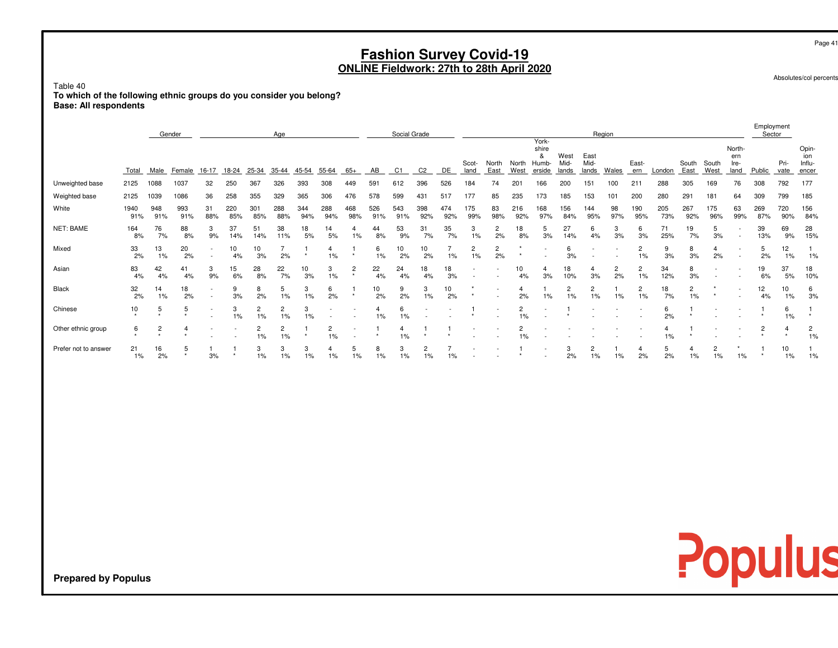# **Fashion Survey Covid-19 ONLINE Fieldwork: 27th to 28th April 2020**

Absolutes/col percents

Table 40 **To which of the following ethnic groups do you consider you belong?Base: All respondents**

|                      |             |                | Gender     |           |            |            | Age        |            |                      |                           |            | Social Grade   |            |            |                      |                          |               | York-                         |                       |                       | Region                   |                      |            |               |               |                               | Employment<br>Sector |              |                                |
|----------------------|-------------|----------------|------------|-----------|------------|------------|------------|------------|----------------------|---------------------------|------------|----------------|------------|------------|----------------------|--------------------------|---------------|-------------------------------|-----------------------|-----------------------|--------------------------|----------------------|------------|---------------|---------------|-------------------------------|----------------------|--------------|--------------------------------|
|                      | Total       | Male           | Female     | 16-17     | 18-24      | 25-34      | $35 - 44$  | 45-54      | 55-64                | $65+$                     | AB         | C <sub>1</sub> | C2         | DE         | Scot-<br>land        | North<br>East            | North<br>West | shire<br>&<br>Humb-<br>erside | West<br>Mid-<br>lands | East<br>Mid-<br>lands | Wales                    | East-<br>ern         | London     | South<br>East | South<br>West | North-<br>ern<br>Ire-<br>land | Public               | Pri-<br>vate | Opin<br>ion<br>Influ-<br>encer |
| Unweighted base      | 2125        | 1088           | 1037       | 32        | 250        | 367        | 326        | 393        | 308                  | 449                       | 591        | 612            | 396        | 526        | 184                  | 74                       | 201           | 166                           | 200                   | 151                   | 100                      | $21 -$               | 288        | 305           | 169           | 76                            | 308                  | 792          | 177                            |
| Weighted base        | 2125        | 1039           | 1086       | 36        | 258        | 355        | 329        | 365        | 306                  | 476                       | 578        | 599            | 431        | 517        | 177                  | 85                       | 235           | 173                           | 185                   | 153                   | 101                      | 200                  | 280        | 291           | 181           | 64                            | 309                  | 799          | 185                            |
| White                | 1940<br>91% | 948<br>91%     | 993<br>91% | 31<br>88% | 220<br>85% | 301<br>85% | 288<br>88% | 344<br>94% | 288<br>94%           | 468<br>98%                | 526<br>91% | 543<br>91%     | 398<br>92% | 474<br>92% | 175<br>99%           | 83<br>98%                | 216<br>92%    | 168<br>97%                    | 156<br>84%            | 144<br>95%            | 98<br>97%                | 190<br>95%           | 205<br>73% | 267<br>92%    | 175<br>96%    | 63<br>99%                     | 269<br>87%           | 720<br>90%   | 156<br>84%                     |
| NET: BAME            | 164<br>8%   | 76<br>7%       | 88<br>8%   | 3<br>9%   | 37<br>14%  | 51<br>14%  | 38<br>11%  | 18<br>5%   | 14<br>5%             | 1%                        | 44<br>8%   | 53<br>9%       | 31<br>7%   | 35<br>7%   | 3<br>1%              | 2<br>2%                  | 18<br>8%      | 5<br>3%                       | 27<br>14%             | 6<br>4%               | 3<br>3%                  | 6<br>3%              | 71<br>25%  | 19<br>7%      | 5<br>3%       | $\overline{\phantom{a}}$      | 39<br>13%            | 69<br>9%     | 28<br>15%                      |
| Mixed                | 33<br>2%    | 13<br>1%       | 20<br>2%   |           | 10<br>4%   | 10<br>3%   | 2%         |            | 4<br>1%              | $\star$                   | 6<br>1%    | 10<br>2%       | 10<br>2%   | 1%         | $\overline{2}$<br>1% | 2<br>2%                  |               |                               | 6<br>3%               |                       | $\overline{\phantom{a}}$ | 2<br>1%              | 9<br>3%    | 8<br>3%       | 2%            | $\overline{\phantom{a}}$      | 5<br>2%              | 12<br>1%     | 1%                             |
| Asian                | 83<br>4%    | 42<br>4%       | 41<br>4%   | 3<br>9%   | 15<br>6%   | 28<br>8%   | 22<br>7%   | 10<br>3%   | 3<br>$1\%$           | $\overline{c}$<br>$\star$ | 22<br>4%   | 24<br>4%       | 18<br>4%   | 18<br>3%   |                      |                          | 10<br>4%      | 3%                            | 18<br>10%             | 4<br>3%               | 2<br>2%                  | $\overline{c}$<br>1% | 34<br>12%  | 8<br>3%       |               |                               | 19<br>6%             | 37<br>5%     | 18<br>10%                      |
| Black                | 32<br>2%    | 14<br>1%       | 18<br>2%   |           | 9<br>3%    | 8<br>2%    | 5<br>1%    | 3<br>1%    | 6<br>2%              | $\star$                   | 10<br>2%   | 9<br>2%        | 3<br>$1\%$ | 10<br>2%   |                      | $\overline{\phantom{a}}$ | 2%            | 1%                            | 2<br>1%               | 2<br>1%               | 1%                       | 2<br>1%              | 18<br>7%   | 2<br>1%       |               | ٠                             | 12<br>4%             | 10<br>1%     | 6<br>3%                        |
| Chinese              | 10          | 5              | 5          |           | 3<br>1%    | 2<br>1%    | 2<br>1%    | 3<br>$1\%$ |                      |                           | 1%         | 6<br>1%        |            |            |                      |                          | 2<br>$1\%$    |                               |                       |                       |                          |                      | 6<br>2%    |               |               |                               |                      | 6<br>1%      |                                |
| Other ethnic group   | 6           | $\overline{c}$ | 4          |           |            | 2<br>1%    | 2<br>1%    |            | $\overline{c}$<br>1% |                           |            | 4<br>1%        |            |            |                      |                          | $1\%$         |                               |                       |                       |                          |                      | 4<br>1%    |               |               |                               | $\overline{c}$       |              | $\overline{c}$<br>1%           |
| Prefer not to answer | 21<br>1%    | 16<br>2%       | 5          | 3%        |            | 3<br>$1\%$ | 3<br>1%    | 3<br>1%    | 4<br>1%              | 5<br>1%                   | 8<br>$1\%$ | 3<br>1%        | 2<br>1%    | 1%         |                      |                          |               | $\overline{\phantom{a}}$      | 3<br>2%               | 2<br>$1\%$            | 1%                       | 4<br>2%              | 5<br>2%    | 4<br>1%       | 2<br>$1\%$    | 1%                            |                      | 10<br>1%     | 1%                             |

**Prepared by Populus**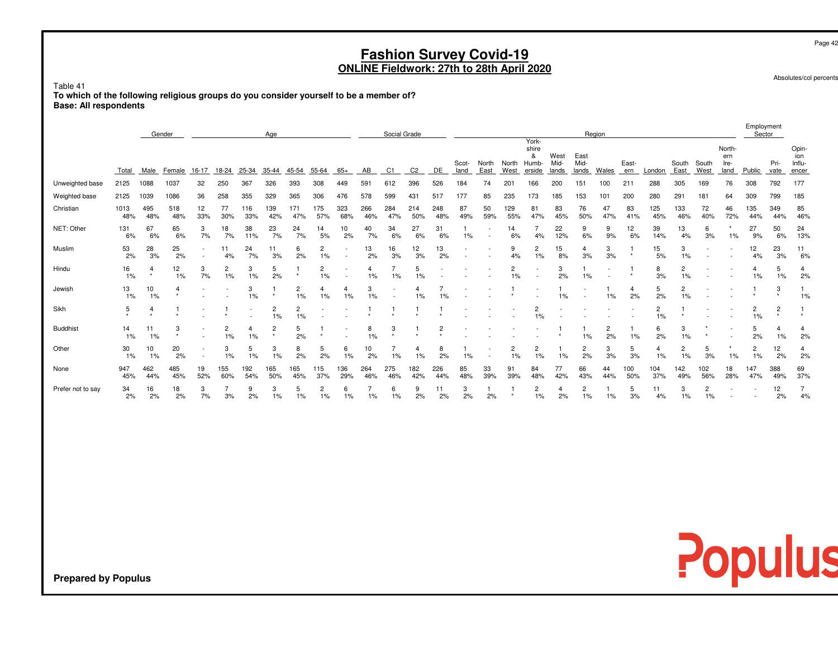# **Fashion Survey Covid-19 ONLINE Fieldwork: 27th to 28th April 2020**

Absolutes/col percents

Table 41 **To which of the following religious groups do you consider yourself to be a member of?Base: All respondents**

|                   |             |              | Gender       |           |                      | Social Grade |                           |            |                      |                          |            |              |                | Region     |               |               |               |                                        |                       |                                  | Employment<br>Sector |              |            |                     |                      |                               |            |                           |                                 |
|-------------------|-------------|--------------|--------------|-----------|----------------------|--------------|---------------------------|------------|----------------------|--------------------------|------------|--------------|----------------|------------|---------------|---------------|---------------|----------------------------------------|-----------------------|----------------------------------|----------------------|--------------|------------|---------------------|----------------------|-------------------------------|------------|---------------------------|---------------------------------|
|                   | Total       | Male         | Female       | 16-17     | 18-24                | 25-34        | 35-44                     | 45-54      | 55-64                | $65+$                    | AB         | C1           | C <sub>2</sub> | DE         | Scot-<br>land | North<br>East | North<br>West | York-<br>shire<br>&<br>Humb-<br>erside | West<br>Mid-<br>lands | East<br>Mid-<br>lands            | Wales                | East-<br>ern | London     | South South<br>East | West                 | North-<br>ern<br>Ire-<br>land | Public     | Pri-<br>vate              | Opin-<br>ion<br>Influ-<br>encer |
| Unweighted base   | 2125        | 1088         | 1037         | 32        | 250                  | 367          | 326                       | 393        | 308                  | 449                      | 591        | 612          | 396            | 526        | 184           | 74            | 201           | 166                                    | 200                   | 151                              | 100                  | 211          | 288        | 305                 | 169                  | 76                            | 308        | 792                       | 177                             |
| Weighted base     | 2125        | 1039         | 1086         | 36        | 258                  | 355          | 329                       | 365        | 306                  | 476                      | 578        | 599          | 431            | 517        | 177           | 85            | 235           | 173                                    | 185                   | 153                              | 101                  | 200          | 280        | 291                 | 181                  | 64                            | 309        | 799                       | 185                             |
| Christian         | 1013<br>48% | 495<br>48%   | 518<br>48%   | 12<br>33% | 77<br>30%            | 116<br>33%   | 139<br>42%                | 171<br>47% | 175<br>57%           | 323<br>68%               | 266<br>46% | 284<br>47%   | 214<br>50%     | 248<br>48% | 87<br>49%     | 50<br>59%     | 129<br>55%    | 81<br>47%                              | 83<br>45%             | 76<br>50%                        | 47<br>47%            | 83<br>41%    | 125<br>45% | 133<br>46%          | 72<br>40%            | 46<br>72%                     | 135<br>44% | 349<br>44%                | 85<br>46%                       |
| NET: Other        | 131<br>6%   | 67<br>6%     | 65<br>6%     | 3<br>7%   | 18<br>7%             | 38<br>11%    | 23<br>7%                  | 24<br>7%   | 14<br>5%             | 10<br>2%                 | 40<br>7%   | 34<br>6%     | 27<br>6%       | 31<br>6%   | 1%            |               | 14<br>6%      | 4%                                     | 22<br>12%             | 9<br>6%                          | 9<br>9%              | 12<br>6%     | 39<br>14%  | 13<br>4%            | 6<br>3%              | 1%                            | 27<br>9%   | 50<br>6%                  | 24<br>13%                       |
| Muslim            | 53<br>2%    | 28<br>3%     | 25<br>2%     |           | 11<br>4%             | 24<br>7%     | 3%                        | 6<br>2%    | 2<br>$1\%$           |                          | 13<br>2%   | 16<br>3%     | 12<br>3%       | 13<br>2%   |               |               | 9<br>4%       | $\overline{c}$<br>1%                   | 15<br>8%              | 4<br>3%                          | 3<br>3%              |              | 15<br>5%   | 3<br>1%             |                      |                               | 12<br>4%   | 23<br>3%                  | 11<br>6%                        |
| Hindu             | 16<br>1%    | 4<br>$\star$ | 12<br>1%     | 3<br>7%   | $\overline{c}$<br>1% | 3<br>1%      | 5<br>2%                   |            | $\overline{c}$<br>1% | $\overline{\phantom{a}}$ | 4<br>1%    | 1%           | 5<br>1%        |            |               |               | 2<br>1%       | $\overline{\phantom{a}}$               | 3<br>2%               | 1%                               |                      |              | 8<br>3%    | 2<br>1%             |                      |                               | 4<br>1%    | 5<br>1%                   | 4<br>2%                         |
| Jewish            | 13<br>1%    | 10<br>1%     | 4<br>$\star$ |           |                      | 3<br>1%      | $\star$                   | 2<br>1%    | 4<br>$1\%$           | 4<br>1%                  | 3<br>1%    |              | 1%             | 1%         |               |               |               |                                        | 1%                    |                                  | 1%                   | 4<br>2%      | 5<br>2%    | 2<br>1%             |                      |                               |            | 3                         | 1%                              |
| Sikh              | 5           | 4            |              |           |                      |              | $\frac{2}{1\%}$           | 2<br>1%    |                      | ٠                        |            |              |                |            |               |               |               | 2<br>1%                                |                       |                                  |                      |              | 2<br>$1\%$ |                     |                      |                               | 2<br>1%    | $\overline{2}$<br>$\star$ |                                 |
| <b>Buddhist</b>   | 14<br>1%    | 11<br>1%     | 3<br>$\star$ |           | 2<br>1%              | 1%           | $\overline{c}$<br>$\star$ | 5<br>2%    | $\star$              |                          | 8<br>1%    | 3<br>$\star$ |                | 2          |               |               |               |                                        |                       | 1%                               | $\overline{c}$<br>2% | 1%           | 6<br>2%    | 3<br>1%             |                      |                               | 5<br>2%    | 1%                        | 4<br>2%                         |
| Other             | 30<br>1%    | 10<br>1%     | 20<br>2%     |           | 3<br>1%              | 5<br>1%      | 3<br>1%                   | 8<br>2%    | 5<br>2%              | 6<br>1%                  | 10<br>2%   | $1\%$        | 4<br>1%        | 8<br>2%    | 1%            |               | 2<br>1%       | 2<br>1%                                | 1%                    | 2<br>2%                          | 3<br>3%              | 5<br>3%      | 1%         | 2<br>1%             | 5<br>3%              | 1%                            | 2<br>1%    | 12<br>2%                  | 4<br>2%                         |
| None              | 947<br>45%  | 462<br>44%   | 485<br>45%   | 19<br>52% | 155<br>60%           | 192<br>54%   | 165<br>50%                | 165<br>45% | 115<br>37%           | 136<br>29%               | 264<br>46% | 275<br>46%   | 182<br>42%     | 226<br>44% | 85<br>48%     | 33<br>39%     | 91<br>39%     | 84<br>48%                              | 77<br>42%             | 66<br>43%                        | 44<br>44%            | 100<br>50%   | 104<br>37% | 142<br>49%          | 102<br>56%           | 18<br>28%                     | 147<br>47% | 388<br>49%                | 69<br>37%                       |
| Prefer not to say | 34<br>2%    | 16<br>2%     | 18<br>2%     | 3<br>7%   | 3%                   | 9<br>2%      | 3<br>1%                   | 5<br>1%    | 2<br>1%              | 6<br>1%                  | $1\%$      | 6<br>1%      | 9<br>2%        | 11<br>2%   | 3<br>2%       | 2%            |               | $\overline{c}$<br>1%                   | 2%                    | $\overline{\mathbf{c}}$<br>$1\%$ | 1%                   | 5<br>3%      | 11<br>4%   | 3<br>1%             | $\overline{c}$<br>1% |                               |            | 12<br>2%                  | 7<br>4%                         |

**Prepared by Populus**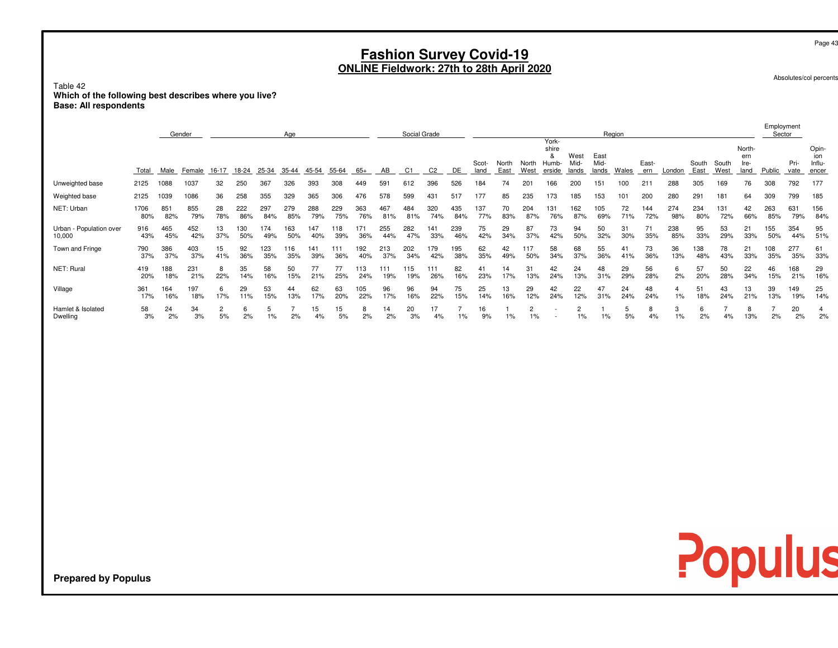# **Fashion Survey Covid-19 ONLINE Fieldwork: 27th to 28th April 2020**

Absolutes/col percents

Populus

Table 42 **Which of the following best describes where you live?Base: All respondents**

|                                   | Age<br>Gender |            |            |           |            |            |            |            |            |            |            | Social Grade |                |            |               |               |               | York-                   |                      |                       | Region    |              |            |               |               |                               | Employment<br>Sector |              |                                |
|-----------------------------------|---------------|------------|------------|-----------|------------|------------|------------|------------|------------|------------|------------|--------------|----------------|------------|---------------|---------------|---------------|-------------------------|----------------------|-----------------------|-----------|--------------|------------|---------------|---------------|-------------------------------|----------------------|--------------|--------------------------------|
|                                   | Total         | Male       | Female     | 16-17     | 18-24      | 25-34      | 35-44      | 45-54      | 55-64      | 65+        | AB.        | C1           | C <sub>2</sub> | DE         | Scot-<br>land | North<br>East | North<br>West | shire<br>Humb<br>erside | West<br>Mid<br>lands | East<br>Mid-<br>lands | Wales     | East-<br>ern | London     | South<br>East | South<br>West | North-<br>ern<br>Ire-<br>land | Public               | Pri-<br>vate | Opin<br>ion<br>Influ-<br>encer |
| Unweighted base                   | 2125          | 1088       | 1037       | 32        | 250        | 367        | 326        | 393        | 308        | 449        | 591        | 612          | 396            | 526        | 184           | 74            | 201           | 166                     | 200                  | 151                   | 100       | 211          | 288        | 305           | 169           | 76                            | 308                  | 792          | 177                            |
| Weighted base                     | 2125          | 1039       | 1086       | 36        | 258        | 355        | 329        | 365        | 306        | 476        | 578        | 599          | 431            | 517        | 177           | 85            | 235           | 173                     | 185                  | 153                   | 101       | 200          | 280        | 291           | 181           | 64                            | 309                  | 799          | 185                            |
| NET: Urban                        | 1706<br>80%   | 851<br>82% | 855<br>79% | 28<br>78% | 222<br>86% | 297<br>84% | 279<br>85% | 288<br>79% | 229<br>75% | 363<br>76% | 467<br>81% | 484<br>81%   | 320<br>74%     | 435<br>84% | 137<br>77%    | 70<br>83%     | 204<br>87%    | 131<br>76%              | 162<br>87%           | 105<br>69%            | 72<br>71% | 144<br>72%   | 274<br>98% | 234<br>80%    | 131<br>72%    | 42<br>66%                     | 263<br>85%           | 631<br>79%   | 156<br>84%                     |
| Urban - Population over<br>10,000 | 916<br>43%    | 465<br>45% | 452<br>42% | 13<br>37% | 130<br>50% | 174<br>49% | 163<br>50% | 147<br>40% | 118<br>39% | 171<br>36% | 255<br>44% | 282<br>47%   | 141<br>33%     | 239<br>46% | 75<br>42%     | 29<br>34%     | 87<br>37%     | 73<br>42%               | 94<br>50%            | 50<br>32%             | 31<br>30% | 71<br>35%    | 238<br>85% | 95<br>33%     | 53<br>29%     | 21<br>33%                     | 155<br>50%           | 354<br>44%   | 95<br>51%                      |
| Town and Fringe                   | 790<br>37%    | 386<br>37% | 403<br>37% | 15<br>41% | 92<br>36%  | 123<br>35% | 116<br>35% | 141<br>39% | 111<br>36% | 192<br>40% | 213<br>37% | 202<br>34%   | 179<br>42%     | 195<br>38% | 62<br>35%     | 42<br>49%     | 117<br>50%    | 58<br>34%               | 68<br>37%            | 55<br>36%             | 41<br>41% | 73<br>36%    | 36<br>13%  | 138<br>48%    | 78<br>43%     | 21<br>33%                     | 108<br>35%           | 277<br>35%   | 61<br>33%                      |
| NET: Rural                        | 419<br>20%    | 88<br>18%  | 231<br>21% | 8<br>22%  | 35<br>14%  | 58<br>16%  | 15%        | 77<br>21%  | 25%        | 24%        | 111<br>19% | 115<br>19%   | 111<br>26%     | 82<br>16%  | 41<br>23%     | 14<br>17%     | 31<br>13%     | 42<br>24%               | 24<br>13%            | 48<br>31%             | 29<br>29% | 56<br>28%    | 6<br>2%    | 57<br>20%     | 50<br>28%     | 22<br>34%                     | 46<br>15%            | 168<br>21%   | 29<br>16%                      |
| Village                           | 361<br>17%    | 64<br>16%  | 197<br>18% | 6<br>17%  | 29<br>11%  | 53<br>15%  | 44<br>13%  | 62<br>17%  | 63<br>20%  | 105<br>22% | 96<br>17%  | 96<br>16%    | 94<br>22%      | 75<br>15%  | 25<br>14%     | 13<br>16%     | 29<br>12%     | 42<br>24%               | 22<br>12%            | 47<br>31%             | 24<br>24% | 48<br>24%    | 1%         | 51<br>18%     | 43<br>24%     | 13<br>21%                     | 39<br>13%            | 149<br>19%   | 25<br>14%                      |
| Hamlet & Isolated<br>Dwelling     | 58<br>3%      | 24<br>2%   | 34<br>3%   | 2<br>5%   | 6<br>2%    | $1\%$      | 2%         | 15<br>4%   | 15<br>5%   | 8<br>2%    | 14<br>2%   | 20<br>3%     | 17<br>4%       |            | 16<br>9%      | $1\%$         | 2<br>1%       |                         | $1\%$                | 1%                    | 5%        | 8<br>4%      | 3<br>1%    | 6<br>2%       | 4%            | 8<br>13%                      | 2%                   | 20<br>2%     | 4<br>2%                        |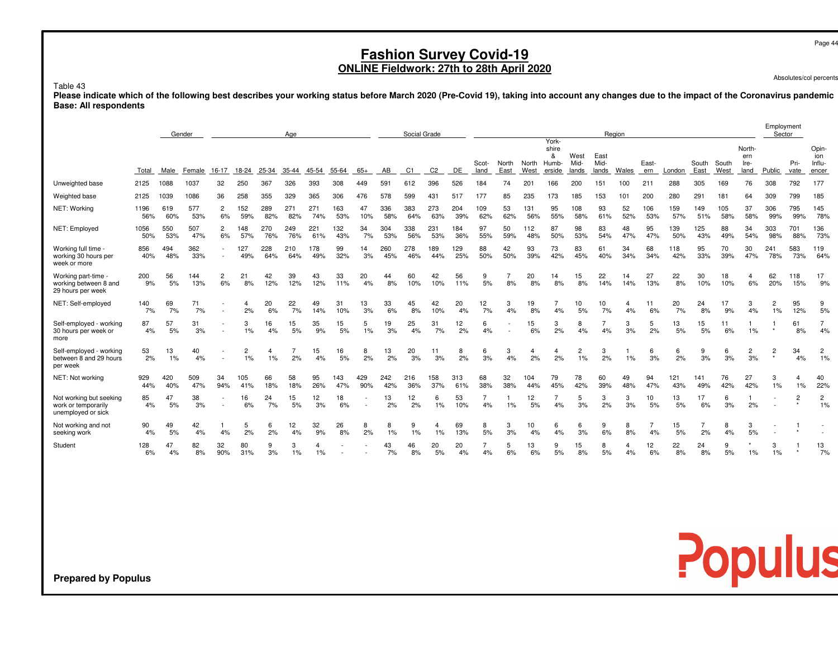# **Fashion Survey Covid-19 ONLINE Fieldwork: 27th to 28th April 2020**

Absolutes/col percents

Populus

Table 43

 **Please indicate which of the following best describes your working status before March 2020 (Pre-Covid 19), taking into account any changes due to the impact of the Coronavirus pandemicBase: All respondents**

|                                                                      |             |            | Gender     |                      |                      |            | Age        |            |            |            |            | Social Grade |                |            |               |               |               |                                        |                       |                       | Region    |              |            |               |               |                               | Employment<br>Sector |              |                                 |
|----------------------------------------------------------------------|-------------|------------|------------|----------------------|----------------------|------------|------------|------------|------------|------------|------------|--------------|----------------|------------|---------------|---------------|---------------|----------------------------------------|-----------------------|-----------------------|-----------|--------------|------------|---------------|---------------|-------------------------------|----------------------|--------------|---------------------------------|
|                                                                      | Total       | Male       | Female     | $16 - 17$            | 18-24                | 25-34      | 35-44      | 45-54      | 55-64      | $65+$      | AB         | C1           | C <sub>2</sub> | DE         | Scot-<br>land | North<br>East | North<br>West | York-<br>shire<br>&<br>Humb-<br>erside | West<br>Mid-<br>lands | East<br>Mid-<br>lands | Wales     | East-<br>ern | London     | South<br>East | South<br>West | North-<br>ern<br>Ire-<br>land | Public               | Pri-<br>vate | Opin-<br>ion<br>Influ-<br>encer |
| Unweighted base                                                      | 2125        | 1088       | 1037       | 32                   | 250                  | 367        | 326        | 393        | 308        | 449        | 591        | 612          | 396            | 526        | 184           | 74            | $20 -$        | 166                                    | 200                   | 151                   | 100       | 211          | 288        | 305           | 169           | 76                            | 308                  | 792          | 177                             |
|                                                                      | 2125        | 1039       | 1086       | 36                   | 258                  | 355        | 329        | 365        | 306        | 476        | 578        | 599          | 431            | 517        | 177           |               | 235           | 173                                    | 185                   | 153                   | 101       | 200          | 280        | 291           | 181           | 64                            | 309                  | 799          | 185                             |
| Weighted base                                                        |             |            |            |                      |                      |            |            |            |            |            |            |              |                |            |               | 85            |               |                                        |                       |                       |           |              |            |               |               |                               |                      |              |                                 |
| NET: Working                                                         | 1196<br>56% | 619<br>60% | 577<br>53% | $\overline{c}$<br>6% | 152<br>59%           | 289<br>82% | 271<br>82% | 271<br>74% | 163<br>53% | 47<br>10%  | 336<br>58% | 383<br>64%   | 273<br>63%     | 204<br>39% | 109<br>62%    | 53<br>62%     | 131<br>56%    | 95<br>55%                              | 108<br>58%            | 93<br>61%             | 52<br>52% | 106<br>53%   | 159<br>57% | 149<br>51%    | 105<br>58%    | 37<br>58%                     | 306<br>99%           | 795<br>99%   | 145<br>78%                      |
| NET: Employed                                                        | 1056<br>50% | 550<br>53% | 507<br>47% | $\overline{2}$<br>6% | 148<br>57%           | 270<br>76% | 249<br>76% | 221<br>61% | 132<br>43% | 34<br>7%   | 304<br>53% | 338<br>56%   | 231<br>53%     | 184<br>36% | 97<br>55%     | 50<br>59%     | 112<br>48%    | 87<br>50%                              | 98<br>53%             | 83<br>54%             | 48<br>47% | 95<br>47%    | 139<br>50% | 125<br>43%    | 88<br>49%     | 34<br>54%                     | 303<br>98%           | 701<br>88%   | 136<br>73%                      |
| Working full time -<br>working 30 hours per<br>week or more          | 856<br>40%  | 494<br>48% | 362<br>33% |                      | 127<br>49%           | 228<br>64% | 210<br>64% | 178<br>49% | 99<br>32%  | 14<br>3%   | 260<br>45% | 278<br>46%   | 189<br>44%     | 129<br>25% | 88<br>50%     | 42<br>50%     | 93<br>39%     | 73<br>42%                              | 83<br>45%             | 61<br>40%             | 34<br>34% | 68<br>34%    | 118<br>42% | 95<br>33%     | 70<br>39%     | 30<br>47%                     | 241<br>78%           | 583<br>73%   | 119<br>64%                      |
| Working part-time -<br>working between 8 and<br>29 hours per week    | 200<br>9%   | 56<br>5%   | 144<br>13% | $\overline{c}$<br>6% | 21<br>8%             | 42<br>12%  | 39<br>12%  | 43<br>12%  | 33<br>11%  | 20<br>4%   | 44<br>8%   | 60<br>10%    | 42<br>10%      | 56<br>11%  | 9<br>5%       | 8%            | 20<br>8%      | 14<br>8%                               | 15<br>8%              | 22<br>14%             | 14<br>14% | 27<br>13%    | 22<br>8%   | 30<br>10%     | 18<br>10%     | $\overline{4}$<br>6%          | 62<br>20%            | 118<br>15%   | 17<br>9%                        |
| NET: Self-employed                                                   | 140<br>7%   | 69<br>7%   | 71<br>7%   |                      | 2%                   | 20<br>6%   | 22<br>7%   | 49<br>14%  | 31<br>10%  | 13<br>3%   | 33<br>6%   | 45<br>8%     | 42<br>10%      | 20<br>4%   | 12<br>7%      | 3<br>4%       | 19<br>8%      | 4%                                     | 10<br>5%              | 10<br>7%              | 4<br>4%   | 11<br>6%     | 20<br>7%   | 24<br>8%      | 17<br>9%      | 3<br>4%                       | $\overline{c}$<br>1% | 95<br>12%    | 9<br>5%                         |
| Self-employed - working<br>30 hours per week or<br>more              | 87<br>4%    | 57<br>5%   | 31<br>3%   |                      | 3<br>1%              | 16<br>4%   | 15<br>5%   | 35<br>9%   | 15<br>5%   | 5<br>1%    | 19<br>3%   | 25<br>4%     | 31<br>7%       | 12<br>2%   | 6<br>4%       |               | 15<br>6%      | 3<br>2%                                | 8<br>4%               | 4%                    | 3<br>3%   | 5<br>2%      | 13<br>5%   | 15<br>5%      | 11<br>6%      | 1%                            |                      | 61<br>8%     | $\overline{7}$<br>4%            |
| Self-employed - working<br>between 8 and 29 hours<br>per week        | 53<br>2%    | 13<br>1%   | 40<br>4%   |                      | $\overline{2}$<br>1% | 4<br>1%    | 2%         | 15<br>4%   | 16<br>5%   | 8<br>2%    | 13<br>2%   | 20<br>3%     | 11<br>3%       | 8<br>2%    | 6<br>3%       | 3<br>4%       | 4<br>2%       | 2%                                     | 1%                    | 3<br>2%               | 1%        | 6<br>3%      | 6<br>2%    | 9<br>3%       | 6<br>3%       | 2<br>3%                       | 2<br>$\star$         | 34<br>4%     | $\overline{c}$<br>1%            |
| NET: Not working                                                     | 929<br>44%  | 420<br>40% | 509<br>47% | 34<br>94%            | 105<br>41%           | 66<br>18%  | 58<br>18%  | 95<br>26%  | 143<br>47% | 429<br>90% | 242<br>42% | 216<br>36%   | 158<br>37%     | 313<br>61% | 68<br>38%     | 32<br>38%     | 104<br>44%    | 79<br>45%                              | 78<br>42%             | 60<br>39%             | 49<br>48% | 94<br>47%    | 121<br>43% | 141<br>49%    | 76<br>42%     | 27<br>42%                     | 3<br>1%              | $1\%$        | 40<br>22%                       |
| Not working but seeking<br>work or temporarily<br>unemployed or sick | 85<br>4%    | 47<br>5%   | 38<br>3%   |                      | 16<br>6%             | 24<br>7%   | 15<br>5%   | 12<br>3%   | 18<br>6%   |            | 13<br>2%   | 12<br>2%     | 6<br>1%        | 53<br>10%  | 7<br>4%       | 1%            | 12<br>5%      | $\overline{7}$<br>4%                   | 3%                    | 3<br>2%               | 3<br>3%   | 10<br>5%     | 13<br>5%   | 17<br>6%      | 6<br>3%       | 2%                            |                      | 2            | $\overline{\mathbf{c}}$<br>1%   |
| Not working and not<br>seeking work                                  | 90<br>4%    | 49<br>5%   | 42<br>4%   | 4%                   | 5<br>2%              | 6<br>2%    | 12<br>4%   | 32<br>9%   | 26<br>8%   | 8<br>2%    | 8<br>1%    | 9<br>1%      | 4<br>1%        | 69<br>13%  | 8<br>5%       | 3<br>3%       | 10<br>4%      | 6<br>4%                                | 6<br>3%               | 9<br>6%               | 8<br>8%   | 4%           | 15<br>5%   | 2%            | 8<br>4%       | 3<br>5%                       |                      |              |                                 |
| Student                                                              | 128<br>6%   | 4%         | 82<br>8%   | 32<br>90%            | 80<br>31%            | 9<br>3%    | 3<br>1%    | 1%         |            |            | 43<br>7%   | 46<br>8%     | 20<br>5%       | 20<br>4%   | 4%            | 5<br>6%       | 13<br>6%      | 9<br>5%                                | 15<br>8%              | 8<br>5%               | 4%        | 12<br>6%     | 22<br>8%   | 24<br>8%      | 9<br>5%       | 1%                            | 3<br>1%              |              | 13<br>7%                        |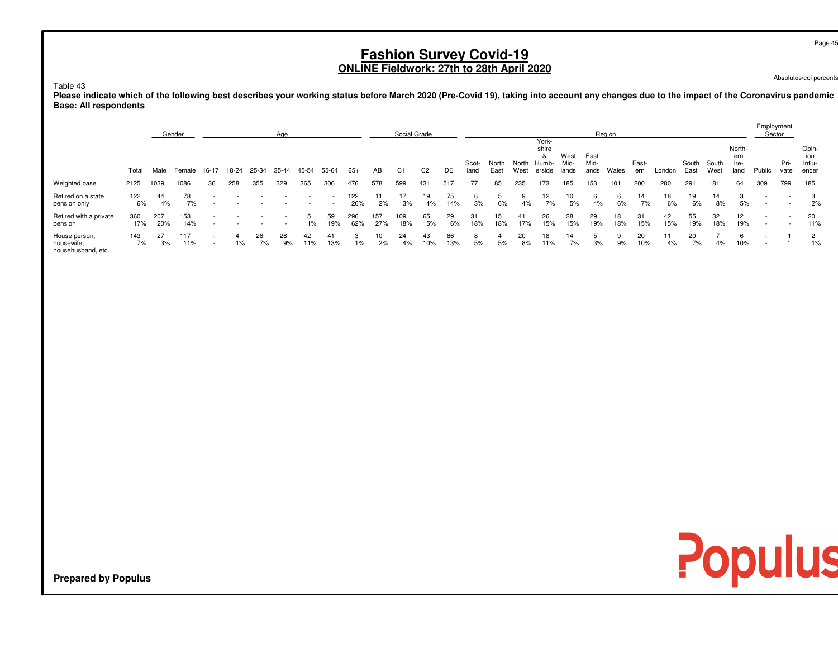# **Fashion Survey Covid-19 ONLINE Fieldwork: 27th to 28th April 2020**

Absolutes/col percents

Table 43

 **Please indicate which of the following best describes your working status before March 2020 (Pre-Covid 19), taking into account any changes due to the impact of the Coronavirus pandemicBase: All respondents**

|                                                   |            |            | Gender     |       |       |          | Age      |           |                          |            |            | Social Grade |           |           |               |               |               |                                               |                       |                       | Region    |              |           |               |               |                               | Employment               | Sector       |                          |
|---------------------------------------------------|------------|------------|------------|-------|-------|----------|----------|-----------|--------------------------|------------|------------|--------------|-----------|-----------|---------------|---------------|---------------|-----------------------------------------------|-----------------------|-----------------------|-----------|--------------|-----------|---------------|---------------|-------------------------------|--------------------------|--------------|--------------------------|
|                                                   | Total      | Male       | Female     | 16-17 | 18-24 | 25-34    | 35-44    | 45-54     | 55-64                    | 65+        | AВ         | C1           | C2        | DE        | Scot-<br>land | North<br>East | North<br>West | York-<br>shire<br>$\alpha$<br>Humb-<br>erside | West<br>Mid-<br>lands | East<br>Mid-<br>lands | Wales     | East-<br>ern | London    | South<br>East | South<br>West | North-<br>ern<br>Ire-<br>land | Public                   | Pri-<br>vate | Opin-<br>Influ-<br>encer |
| Weighted base                                     | 2125       | 1039       | 1086       | 36    | 258   | 355      | 329      | 365       | 306                      | 476        | 578        | 599          | 431       | 517       | 177           | 85            | 235           | 173                                           | 185                   | 153                   | 101       | 200          | 280       | 291           | 181           | 64                            | 309                      | 799          | 185                      |
| Retired on a state<br>pension only                | 122<br>6%  | 44<br>4%   | 78<br>7%   |       |       |          |          |           | $\overline{\phantom{a}}$ | 122<br>26% | 2%         | 17<br>3%     | 19<br>4%  | 75<br>14% | 3%            | 6%            | 4%            | 12<br>7%                                      | 10<br>5%              | 4%                    | 6<br>6%   | 14<br>7%     | 18<br>6%  | 19<br>6%      | 14<br>8%      | 5%                            | $\overline{\phantom{0}}$ |              | 2%                       |
| Retired with a private<br>pension                 | 360<br>17% | 207<br>20% | 153<br>14% |       |       |          |          | $1\%$     | 59<br>19%                | 296<br>62% | 157<br>27% | 109<br>18%   | 65<br>15% | 29<br>6%  | 31<br>18%     | 15<br>18%     | 41<br>17%     | 26<br>15%                                     | 28<br>15%             | 29<br>19%             | 18<br>18% | 31<br>15%    | 42<br>15% | 55<br>19%     | 32<br>18%     | 12<br>19%                     |                          |              | 20<br>11%                |
| House person,<br>housewife,<br>househusband, etc. | 143<br>7%  | 27<br>3%   | 117<br>11% |       | 1%    | 26<br>7% | 28<br>9% | 42<br>11% | 41<br>13%                | 1%         | 10<br>2%   | 24<br>4%     | 43<br>10% | 66<br>13% | 5%            | 4<br>5%       | 20<br>8%      | 18<br>11%                                     | 14<br>7%              | 3%                    | 9%        | 20<br>10%    | 4%        | 20<br>7%      | 4%            | 10%                           | $\overline{\phantom{0}}$ |              | 2<br>1%                  |

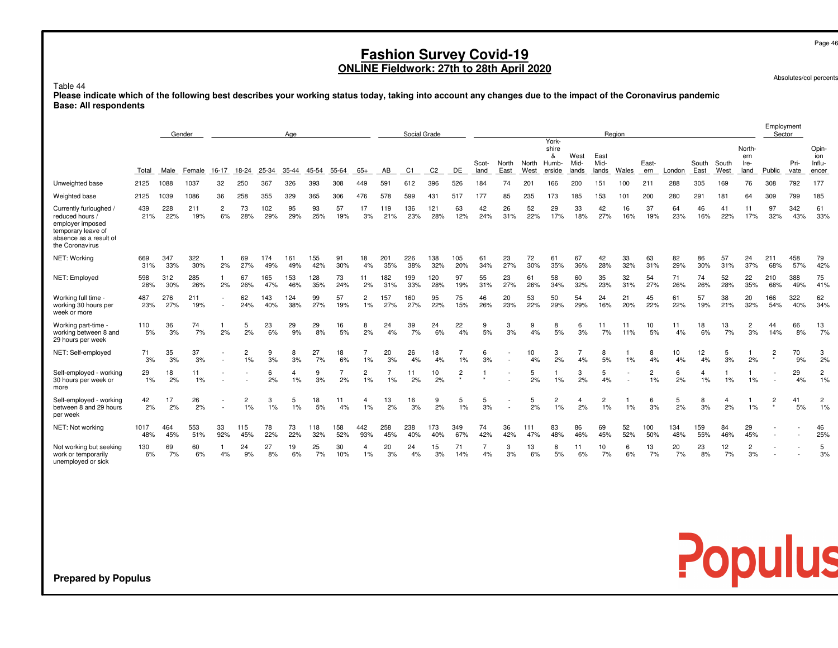# **Fashion Survey Covid-19 ONLINE Fieldwork: 27th to 28th April 2020**

Absolutes/col percents

### Table 44

 **Please indicate which of the following best describes your working status today, taking into account any changes due to the impact of the Coronavirus pandemicBase: All respondents**

|                                                                                                                                  | Gender<br>Aae |            |             |                      |                      |            |            |            |            |                      |            | Social Grade   |                |              |               |               |               |                                        |                       |                       | Region    |                      |            |               |               |                               | Employment<br>Sector |              |                                 |
|----------------------------------------------------------------------------------------------------------------------------------|---------------|------------|-------------|----------------------|----------------------|------------|------------|------------|------------|----------------------|------------|----------------|----------------|--------------|---------------|---------------|---------------|----------------------------------------|-----------------------|-----------------------|-----------|----------------------|------------|---------------|---------------|-------------------------------|----------------------|--------------|---------------------------------|
|                                                                                                                                  | Total         | Male       | Female      | 16-17                | 18-24                | 25-34      | 35-44      | 45-54      | 55-64      | $65+$                | AB         | C <sub>1</sub> | C <sub>2</sub> | DE           | Scot-<br>land | North<br>East | North<br>West | York-<br>shire<br>&<br>Humb-<br>erside | West<br>Mid-<br>lands | East<br>Mid-<br>lands | Wales     | East-<br>ern         | London     | South<br>East | South<br>West | North-<br>ern<br>Ire-<br>land | Public               | Pri-<br>vate | Opin-<br>ion<br>Influ-<br>encer |
| Unweighted base                                                                                                                  | 2125          | 1088       | 1037        | 32                   | 250                  | 367        | 326        | 393        | 308        | 449                  | 591        | 612            | 396            | 526          | 184           | 74            | 201           | 166                                    | 200                   | 151                   | 100       | 211                  | 288        | 305           | 169           | 76                            | 308                  | 792          | 177                             |
| Weighted base                                                                                                                    | 2125          | 1039       | 1086        | 36                   | 258                  | 355        | 329        | 365        | 306        | 476                  | 578        | 599            | 431            | 517          | 177           | 85            | 235           | 173                                    | 185                   | 153                   | 101       | 200                  | 280        | 291           | 181           | 64                            | 309                  | 799          | 185                             |
| Currently furloughed /<br>reduced hours /<br>employer imposed<br>temporary leave of<br>absence as a result of<br>the Coronavirus | 439<br>21%    | 228<br>22% | 211<br>19%  | $\overline{2}$<br>6% | 73<br>28%            | 102<br>29% | 95<br>29%  | 93<br>25%  | 57<br>19%  | 17<br>3%             | 119<br>21% | 136<br>23%     | 121<br>28%     | 63<br>12%    | 42<br>24%     | 26<br>31%     | 52<br>22%     | 29<br>17%                              | 33<br>18%             | 42<br>27%             | 16<br>16% | 37<br>19%            | 64<br>23%  | 46<br>16%     | 41<br>22%     | 11<br>17%                     | 97<br>32%            | 342<br>43%   | 61<br>33%                       |
| NET: Working                                                                                                                     | 669<br>31%    | 347<br>33% | 322<br>30%  | 2%                   | 69<br>27%            | 174<br>49% | 161<br>49% | 155<br>42% | 91<br>30%  | 18<br>4%             | 201<br>35% | 226<br>38%     | 138<br>32%     | 105<br>20%   | 61<br>34%     | 23<br>27%     | 72<br>30%     | 61<br>35%                              | 67<br>36%             | 42<br>28%             | 33<br>32% | 63<br>31%            | 82<br>29%  | 86<br>30%     | 57<br>31%     | 24<br>37%                     | 211<br>68%           | 458<br>57%   | 79<br>42%                       |
| NET: Employed                                                                                                                    | 598<br>28%    | 312<br>30% | 285<br>26%  | 2%                   | 67<br>26%            | 165<br>47% | 153<br>46% | 128<br>35% | 73<br>24%  | 11<br>2%             | 182<br>31% | 199<br>33%     | 120<br>28%     | 97<br>19%    | 55<br>31%     | 23<br>27%     | 61<br>26%     | 58<br>34%                              | 60<br>32%             | 35<br>23%             | 32<br>31% | 54<br>27%            | 71<br>26%  | 74<br>26%     | 52<br>28%     | 22<br>35%                     | 210<br>68%           | 388<br>49%   | 75<br>41%                       |
| Working full time -<br>working 30 hours per<br>week or more                                                                      | 487<br>23%    | 276<br>27% | 211<br>19%  |                      | 62<br>24%            | 143<br>40% | 124<br>38% | 99<br>27%  | 57<br>19%  | $\overline{2}$<br>1% | 157<br>27% | 160<br>27%     | 95<br>22%      | 75<br>15%    | 46<br>26%     | 20<br>23%     | 53<br>22%     | 50<br>29%                              | 54<br>29%             | 24<br>16%             | 21<br>20% | 45<br>22%            | 61<br>22%  | 57<br>19%     | 38<br>21%     | 20<br>32%                     | 166<br>54%           | 322<br>40%   | 62<br>34%                       |
| Working part-time -<br>working between 8 and<br>29 hours per week                                                                | 110<br>5%     | 36<br>3%   | 74<br>7%    | 2%                   | 5<br>2%              | 23<br>6%   | 29<br>9%   | 29<br>8%   | 16<br>5%   | 8<br>2%              | 24<br>4%   | 39<br>7%       | 24<br>6%       | 22<br>4%     | 9<br>5%       | 3<br>3%       | 9<br>4%       | 8<br>5%                                | 6<br>3%               | 11<br>7%              | 11<br>11% | 10<br>5%             | 11<br>4%   | 18<br>6%      | 13<br>7%      | $\overline{c}$<br>3%          | 44<br>14%            | 66<br>8%     | 13<br>7%                        |
| NET: Self-employed                                                                                                               | 71<br>3%      | 35<br>3%   | 37<br>3%    |                      | $\overline{2}$<br>1% | 9<br>3%    | 8<br>3%    | 27<br>7%   | 18<br>6%   | 1%                   | 20<br>3%   | 26<br>4%       | 18<br>4%       | 1%           | 6<br>3%       |               | 10<br>4%      | 3<br>2%                                | 4%                    | 8<br>5%               | 1%        | 8<br>4%              | 10<br>4%   | 12<br>4%      | 5<br>3%       | 2%                            | $\overline{2}$       | 70<br>9%     | 3<br>2%                         |
| Self-employed - working<br>30 hours per week or<br>more                                                                          | 29<br>$1\%$   | 18<br>2%   | 11<br>$1\%$ |                      |                      | 6<br>2%    | $1\%$      | 3%         | 2%         | 1%                   | 1%         | 11<br>2%       | 10<br>2%       | 2<br>$\star$ |               |               | 5<br>2%       | 1%                                     | 3<br>2%               | 5<br>4%               | $\sim$    | $\overline{2}$<br>1% | 6<br>2%    | 4<br>$1\%$    | 1%            | 1%                            |                      | 29<br>4%     | $\overline{c}$<br>1%            |
| Self-employed - working<br>between 8 and 29 hours<br>per week                                                                    | 42<br>2%      | 17<br>2%   | 26<br>2%    |                      | 2<br>1%              | 3<br>1%    | 5<br>$1\%$ | 18<br>5%   | 11<br>4%   | 1%                   | 13<br>2%   | 16<br>3%       | 9<br>2%        | 5<br>1%      | 5<br>3%       |               | 5<br>2%       | $\overline{2}$<br>1%                   | 4<br>2%               | $\overline{2}$<br>1%  | 1%        | 6<br>3%              | 5<br>2%    | 8<br>3%       | 4<br>2%       | 1%                            |                      | 5%           | $\overline{c}$<br>1%            |
| NET: Not working                                                                                                                 | 1017<br>48%   | 464<br>45% | 553<br>51%  | 33<br>92%            | 115<br>45%           | 78<br>22%  | 73<br>22%  | 118<br>32% | 158<br>52% | 442<br>93%           | 258<br>45% | 238<br>40%     | 173<br>40%     | 349<br>67%   | 74<br>42%     | 36<br>42%     | 111<br>47%    | 83<br>48%                              | 86<br>46%             | 69<br>45%             | 52<br>52% | 100<br>50%           | 134<br>48% | 159<br>55%    | 84<br>46%     | 29<br>45%                     |                      |              | 46<br>25%                       |
| Not working but seeking<br>work or temporarily<br>unemployed or sick                                                             | 130<br>6%     | 69<br>7%   | 60<br>6%    | 4%                   | 24<br>9%             | 27<br>8%   | 19<br>6%   | 25<br>7%   | 30<br>10%  | 1%                   | 20<br>3%   | 24<br>4%       | 15<br>3%       | 71<br>14%    | 4%            | 3<br>3%       | 13<br>6%      | 8<br>5%                                | 11<br>6%              | 10<br>7%              | 6<br>6%   | 13<br>7%             | 20<br>7%   | 23<br>8%      | 12<br>7%      | $\overline{2}$<br>3%          |                      |              | 5<br>3%                         |

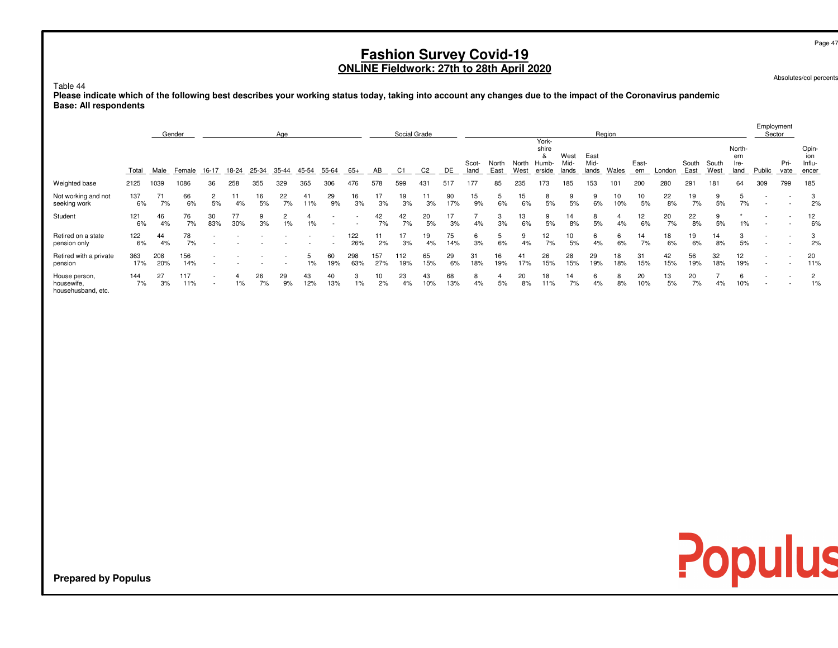# **Fashion Survey Covid-19 ONLINE Fieldwork: 27th to 28th April 2020**

Absolutes/col percents

### Table 44

 **Please indicate which of the following best describes your working status today, taking into account any changes due to the impact of the Coronavirus pandemicBase: All respondents**

|                                                   |            |            | Gender     |           |           |          |          |            |           |            | Social Grade |            |                |           |               |               |               |                                   |                       | Region                |           |              |           |               |               | Employment<br>Sector          |                                                      |              |                                 |
|---------------------------------------------------|------------|------------|------------|-----------|-----------|----------|----------|------------|-----------|------------|--------------|------------|----------------|-----------|---------------|---------------|---------------|-----------------------------------|-----------------------|-----------------------|-----------|--------------|-----------|---------------|---------------|-------------------------------|------------------------------------------------------|--------------|---------------------------------|
|                                                   | Total      | Male       | Female     | $16 - 17$ | 18-24     | 25-34    | 35-44    | 45-54      | 55-64     | 65+        | AB           | C1         | C <sub>2</sub> | DE        | Scot-<br>land | North<br>East | North<br>West | York-<br>shire<br>Humb-<br>erside | West<br>Mid-<br>lands | East<br>Mid-<br>lands | Wales     | East-<br>ern | London    | South<br>East | South<br>West | North-<br>ern<br>lre-<br>land | Public                                               | Pri-<br>vate | Opin-<br>ion<br>Influ-<br>encer |
| Weighted base                                     | 2125       | 1039       | 1086       | 36        | 258       | 355      | 329      | 365        | 306       | 476        | 578          | 599        | 431            | 517       | 177           | 85            | 235           | 173                               | 185                   | 153                   | 101       | 200          | 280       | 291           | 181           | 64                            | 309                                                  | 799          | 185                             |
| Not working and not<br>seeking work               | 137<br>6%  | 71<br>7%   | 66<br>6%   | 5%        | 4%        | 16<br>5% | 22<br>7% | 41<br>11%  | 29<br>9%  | 16<br>3%   | 17<br>3%     | 19<br>3%   | 3%             | 90<br>17% | 15<br>9%      | 6%            | 15<br>6%      | 5%                                | 5%                    | 9<br>6%               | 10<br>10% | 10<br>5%     | 22<br>8%  | 19<br>7%      | 9<br>5%       | 7%                            |                                                      |              | 3<br>2%                         |
| Student                                           | 121<br>6%  | 46<br>4%   | 76<br>7%   | 30<br>83% | 77<br>30% | 3%       | $1\%$    | $1\%$      |           |            | 42<br>7%     | 42<br>7%   | 20<br>5%       | 3%        | 4%            | 3<br>3%       | 13<br>6%      | 5%                                | 14<br>8%              | 8<br>5%               | 4<br>4%   | 12<br>6%     | 20<br>7%  | 22<br>8%      | 5%            | 1%                            |                                                      |              | 12<br>6%                        |
| Retired on a state<br>pension only                | 122<br>6%  | 44<br>4%   | 78<br>7%   |           |           |          |          |            |           | 122<br>26% | 11<br>2%     | 17<br>3%   | 19<br>4%       | 75<br>14% | 6<br>3%       | ৬<br>6%       | 9<br>4%       | 12<br>7%                          | 10<br>5%              | 6<br>4%               | 6<br>6%   | 14<br>7%     | 18<br>6%  | 19<br>6%      | 14<br>8%      | 5%                            | $\overline{\phantom{a}}$                             |              | 3<br>2%                         |
| Retired with a private<br>pension                 | 363<br>17% | 208<br>20% | 156<br>14% |           |           |          |          | 5<br>$1\%$ | 60<br>19% | 298<br>63% | 157<br>27%   | 112<br>19% | 65<br>15%      | 29<br>6%  | 31<br>18%     | 16<br>19%     | 41<br>17%     | 26<br>15%                         | 28<br>15%             | 29<br>19%             | 18<br>18% | 31<br>15%    | 42<br>15% | 56<br>19%     | 32<br>18%     | 12<br>19%                     |                                                      |              | 20<br>11%                       |
| House person,<br>housewife,<br>househusband, etc. | 144<br>7%  | 27<br>3%   | 117<br>11% |           | $1\%$     | 26<br>7% | 29<br>9% | 43<br>12%  | 40<br>13% | 1%         | 10<br>2%     | 23<br>4%   | 43<br>10%      | 68<br>13% | 8<br>4%       | 5%            | 20<br>8%      | 18<br>11%                         | 14<br>7%              | 6<br>4%               | 8<br>8%   | 20<br>10%    | 13<br>5%  | 20<br>7%      | 4%            | 6<br>10%                      | $\overline{\phantom{a}}$<br>$\overline{\phantom{a}}$ |              | 2<br>1%                         |

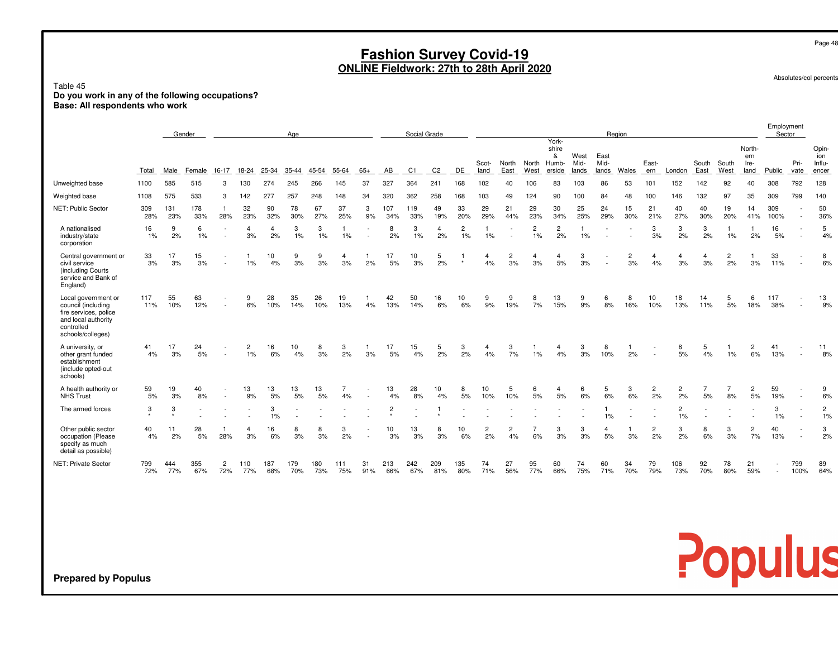# **Fashion Survey Covid-19 ONLINE Fieldwork: 27th to 28th April 2020**

Absolutes/col percents

### Table 45 **Do you work in any of the following occupations?Base: All respondents who work**

|                                                                                                                              |             |                    | Gender     |                       |            |                      | Age        |            |            |           |                           | Social Grade |                      |                      |               |               |                      | York-                         |                       |                       | Region               |                      |                      |                      |               |                               | Employment  | Sector       |                                 |
|------------------------------------------------------------------------------------------------------------------------------|-------------|--------------------|------------|-----------------------|------------|----------------------|------------|------------|------------|-----------|---------------------------|--------------|----------------------|----------------------|---------------|---------------|----------------------|-------------------------------|-----------------------|-----------------------|----------------------|----------------------|----------------------|----------------------|---------------|-------------------------------|-------------|--------------|---------------------------------|
|                                                                                                                              | Total       | Male               | Female     | 16-17                 | 18-24      | 25-34                | 35-44      | 45-54      | 55-64      | $65+$     | AB                        | C1           | C <sub>2</sub>       | DE                   | Scot-<br>land | North<br>East | North<br>West        | shire<br>&<br>Humb-<br>erside | West<br>Mid-<br>lands | East<br>Mid-<br>lands | Wales                | East-<br>ern         | London               | South<br>East        | South<br>West | North-<br>ern<br>Ire-<br>land | Public      | Pri-<br>vate | Opin-<br>ion<br>Influ-<br>encer |
| Unweighted base                                                                                                              | 1100        | 585                | 515        | 3                     | 130        | 274                  | 245        | 266        | 145        | 37        | 327                       | 364          | 241                  | 168                  | 102           | 40            | 106                  | 83                            | 103                   | 86                    | 53                   | 101                  | 152                  | 142                  | 92            | 40                            | 308         | 792          | 128                             |
| Weighted base                                                                                                                | 1108        | 575                | 533        | 3                     | 142        | 277                  | 257        | 248        | 148        | 34        | 320                       | 362          | 258                  | 168                  | 103           | 49            | 124                  | 90                            | 100                   | 84                    | 48                   | 100                  | 146                  | 132                  | 97            | 35                            | 309         | 799          | 140                             |
| NET: Public Sector                                                                                                           | 309<br>28%  | 131<br>23%         | 178<br>33% | $\overline{1}$<br>28% | 32<br>23%  | 90<br>32%            | 78<br>30%  | 67<br>27%  | 37<br>25%  | 3<br>9%   | 107<br>34%                | 119<br>33%   | 49<br>19%            | 33<br>20%            | 29<br>29%     | 21<br>44%     | 29<br>23%            | 30<br>34%                     | 25<br>25%             | 24<br>29%             | 15<br>30%            | 21<br>21%            | 40<br>27%            | 40<br>30%            | 19<br>20%     | 14<br>41%                     | 309<br>100% |              | 50<br>36%                       |
| A nationalised<br>industry/state<br>corporation                                                                              | 16<br>$1\%$ | 9<br>2%            | 6<br>1%    |                       | 3%         | $\overline{4}$<br>2% | 3<br>$1\%$ | 3<br>1%    | 1%         |           | 8<br>2%                   | 3<br>1%      | $\overline{4}$<br>2% | $\overline{2}$<br>1% | 1%            |               | $\overline{2}$<br>1% | $\overline{\mathbf{c}}$<br>2% | 1%                    |                       |                      | 3<br>3%              | 3<br>2%              | 3<br>2%              | 1%            | 2%                            | 16<br>5%    |              | 5<br>4%                         |
| Central government or<br>civil service<br>(including Courts)<br>service and Bank of<br>England)                              | 33<br>3%    | 17<br>3%           | 15<br>3%   | $\sim$                | 1%         | 10<br>4%             | 9<br>3%    | 9<br>3%    | 4<br>3%    | 2%        | 17<br>5%                  | 10<br>3%     | 5<br>2%              |                      | 4<br>4%       | 2<br>3%       | $\overline{4}$<br>3% | 4<br>5%                       | 3<br>3%               |                       | $\overline{2}$<br>3% | 4<br>4%              | $\overline{4}$<br>3% | $\overline{4}$<br>3% | 2<br>2%       | 3%                            | 33<br>11%   |              | 8<br>6%                         |
| Local government or<br>council (including<br>fire services, police<br>and local authority<br>controlled<br>schools/colleges) | 117<br>11%  | 55<br>10%          | 63<br>12%  |                       | 6%         | 28<br>10%            | 35<br>14%  | 26<br>10%  | 19<br>13%  | 4%        | 42<br>13%                 | 50<br>14%    | 16<br>6%             | 10<br>6%             | 9<br>9%       | 9<br>19%      | 8<br>7%              | 13<br>15%                     | 9%                    | 6<br>8%               | 8<br>16%             | 10<br>10%            | 18<br>13%            | 14<br>11%            | 5%            | 6<br>18%                      | 117<br>38%  |              | 13<br>9%                        |
| A university, or<br>other grant funded<br>establishment<br>(include opted-out<br>schools)                                    | 41<br>4%    | 17<br>3%           | 24<br>5%   | $\sim$                | 2<br>1%    | 16<br>6%             | 10<br>4%   | 8<br>3%    | 3<br>2%    | 3%        | 17<br>5%                  | 15<br>4%     | 5<br>2%              | 3<br>2%              | 4<br>4%       | 3<br>7%       | $1\%$                | 4%                            | 3<br>3%               | 8<br>10%              | 2%                   | $\sim$               | 8<br>5%              | 5<br>4%              | 1%            | 2<br>6%                       | 41<br>13%   |              | 11<br>8%                        |
| A health authority or<br><b>NHS Trust</b>                                                                                    | 59<br>5%    | 19<br>3%           | 40<br>8%   |                       | 13<br>9%   | 13<br>5%             | 13<br>5%   | 13<br>5%   | 4%         |           | 13<br>4%                  | 28<br>8%     | 10<br>4%             | 8<br>5%              | 10<br>10%     | 5<br>10%      | 6<br>5%              | 4<br>5%                       | 6<br>6%               | 5<br>6%               | 3<br>6%              | $\overline{c}$<br>2% | $\overline{2}$<br>2% | 5%                   | 8%            | $\overline{c}$<br>5%          | 59<br>19%   |              | 9<br>6%                         |
| The armed forces                                                                                                             | 3<br>٠      | 3<br>$\rightarrow$ |            |                       |            | 3<br>1%              |            |            |            |           | $\overline{c}$<br>$\star$ |              |                      |                      |               |               |                      |                               |                       | 1%                    |                      |                      | $\overline{2}$<br>1% |                      |               |                               | 3<br>1%     |              | $\overline{2}$<br>1%            |
| Other public sector<br>occupation (Please<br>specify as much<br>detail as possible)                                          | 40<br>4%    | 11<br>2%           | 28<br>5%   | 28%                   | 3%         | 16<br>6%             | 8<br>3%    | 8<br>3%    | 3<br>2%    |           | 10<br>3%                  | 13<br>3%     | 8<br>3%              | 10<br>6%             | 2%            | 4%            | 6%                   | 3<br>3%                       | 3%                    | 4<br>5%               | 3%                   | $\overline{c}$<br>2% | 3<br>2%              | 8<br>6%              | 3<br>3%       | 2<br>7%                       | 40<br>13%   | $\sim$       | 3<br>2%                         |
| NET: Private Sector                                                                                                          | 799<br>72%  | 444<br>77%         | 355<br>67% | $\overline{2}$<br>72% | 110<br>77% | 187<br>68%           | 179<br>70% | 180<br>73% | 111<br>75% | 31<br>91% | 213<br>66%                | 242<br>67%   | 209<br>81%           | 135<br>80%           | 74<br>71%     | 27<br>56%     | 95<br>77%            | 60<br>66%                     | 74<br>75%             | 60<br>71%             | 34<br>70%            | 79<br>79%            | 106<br>73%           | 92<br>70%            | 78<br>80%     | 21<br>59%                     |             | 799<br>100%  | 89<br>64%                       |

**Prepared by Populus**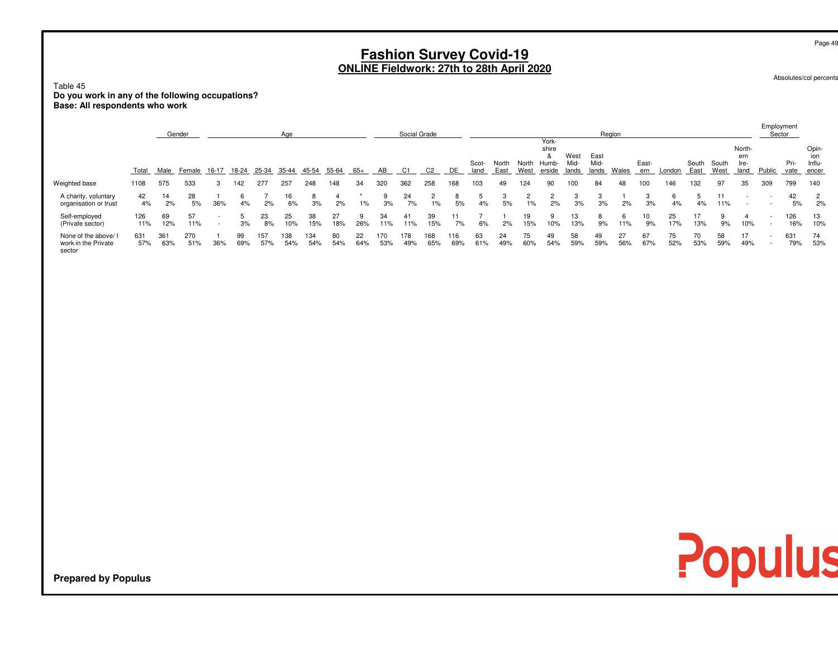# **Fashion Survey Covid-19 ONLINE Fieldwork: 27th to 28th April 2020**

Absolutes/col percents

Table 45 **Do you work in any of the following occupations?Base: All respondents who work**

|                                                       |            |            | Gender     |       |           |            | Age        |            |           |           |            | Social Grade |            |            |               |               |           |                                         |                       |                       | Region    |              |           |               |               |                               | Employment<br>Sector                                 |                    |                        |
|-------------------------------------------------------|------------|------------|------------|-------|-----------|------------|------------|------------|-----------|-----------|------------|--------------|------------|------------|---------------|---------------|-----------|-----------------------------------------|-----------------------|-----------------------|-----------|--------------|-----------|---------------|---------------|-------------------------------|------------------------------------------------------|--------------------|------------------------|
|                                                       | Total      | Male       | Female     | 16-17 | 18-24     | 25-34      | 35-44      | 45-54      | 55-64     | 65+       | AB         | C1           |            | DE         | Scot-<br>land | North<br>East | West      | York-<br>shire<br>North Humb-<br>erside | West<br>Mid-<br>lands | East<br>Mid-<br>lands | Wales     | East-<br>ern | London    | South<br>East | South<br>West | North-<br>ern<br>Ire-<br>land | Public                                               | Pri-<br>vate encer | Opin-<br>ion<br>Influ- |
| Weighted base                                         | 1108       | 575        | 533        | 3     | 142       | 277        | 257        | 248        | 148       | 34        | 320        | 362          | 258        | 168        | 103           | 49            | 124       | 90                                      | 100                   | 84                    | 48        | 100          | 146       | 132           | 97            | 35                            | 309                                                  | 799                | 140                    |
| A charity, voluntary<br>organisation or trust         | 42<br>4%   | 14<br>2%   | 28<br>5%   | 36%   | 6<br>4%   | 2%         | 16<br>6%   | 3%         | 2%        | 1%        | 3%         | 24<br>7%     | 1%         | 5%         | 4%            | 5%            | 1%        | 2%                                      | 3%                    | 3%                    | 2%        | 3<br>3%      | 6<br>4%   | 4%            | 11<br>11%     | $\overline{\phantom{a}}$      | $\overline{\phantom{a}}$<br>$\overline{\phantom{a}}$ | 42<br>5%           | $\mathbf{2}$<br>2%     |
| Self-employed<br>(Private sector)                     | 126<br>11% | 69<br>12%  | 57<br>11%  |       | b.<br>3%  | 23<br>8%   | 25<br>10%  | 38<br>15%  | 27<br>18% | 26%       | 34<br>11%  | 41<br>11%    | 39<br>15%  | 7%         | 6%            | 2%            | 19<br>15% | 10%                                     | 13<br>13%             | 8<br>9%               | 11%       | 10<br>9%     | 25<br>17% | 17<br>13%     | 9%            | 10%                           | $\overline{\phantom{a}}$<br>$\overline{\phantom{a}}$ | 126<br>16%         | 13<br>10%              |
| None of the above/ I<br>work in the Private<br>sector | 631<br>57% | 361<br>63% | 270<br>51% | 36%   | 99<br>69% | 157<br>57% | 138<br>54% | 134<br>54% | 80<br>54% | 22<br>64% | 170<br>53% | 178<br>49%   | 168<br>65% | 116<br>69% | 63<br>61%     | 24<br>49%     | 75<br>60% | 49<br>54%                               | 58<br>59%             | 49<br>59%             | 27<br>56% | 67<br>67%    | 75<br>52% | 70<br>53%     | 58<br>59%     | 17<br>49%                     |                                                      | 631<br>79%         | 74<br>53%              |

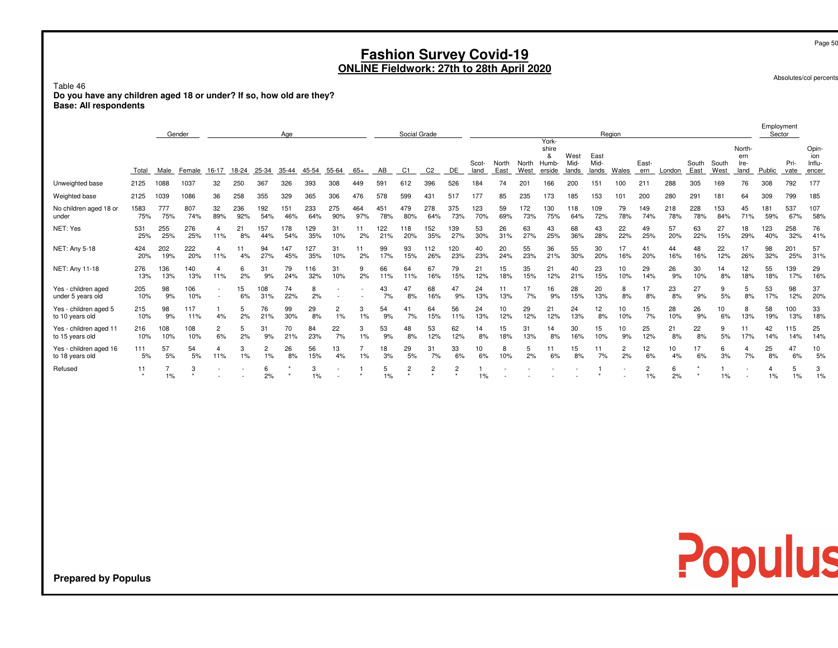# **Fashion Survey Covid-19 ONLINE Fieldwork: 27th to 28th April 2020**

Absolutes/col percents

Table 46 **Do you have any children aged 18 or under? If so, how old are they?Base: All respondents**

|                                           |                            |            | Gender     |           |            |            | Age        |            |            |            |            | Social Grade         |                |                |               |               |               |                                        |                       |                       | Region               |              |            |               |                        |                               | Employment<br>Sector |              |                                 |
|-------------------------------------------|----------------------------|------------|------------|-----------|------------|------------|------------|------------|------------|------------|------------|----------------------|----------------|----------------|---------------|---------------|---------------|----------------------------------------|-----------------------|-----------------------|----------------------|--------------|------------|---------------|------------------------|-------------------------------|----------------------|--------------|---------------------------------|
|                                           | Total                      | Male       | Female     | 16-17     | 18-24      | 25-34      | 35-44      | 45-54      | 55-64      | $65+$      | AB         | C <sub>1</sub>       | C <sub>2</sub> | DE             | Scot-<br>land | North<br>East | North<br>West | York-<br>shire<br>×<br>Humb-<br>erside | West<br>Mid-<br>lands | East<br>Mid-<br>lands | Wales                | East-<br>ern | London     | South<br>East | South<br>West          | North-<br>ern<br>Ire-<br>land | Public               | Pri-<br>vate | Opin-<br>ion<br>Influ-<br>encer |
| Unweighted base                           | 2125                       | 1088       | 1037       | 32        | 250        | 367        | 326        | 393        | 308        | 449        | 591        | 612                  | 396            | 526            | 184           | 74            | 201           | 166                                    | 200                   | 151                   | 100                  | 211          | 288        | 305           | 169                    | 76                            | 308                  | 792          | 177                             |
| Weighted base                             | 2125                       | 1039       | 1086       | 36        | 258        | 355        | 329        | 365        | 306        | 476        | 578        | 599                  | 431            | 517            | 177           | 85            | 235           | 173                                    | 185                   | 153                   | 101                  | 200          | 280        | 291           | 181                    | 64                            | 309                  | 799          | 185                             |
| No children aged 18 or<br>under           | 1583<br>75%                | 777<br>75% | 807<br>74% | 32<br>89% | 236<br>92% | 192<br>54% | 151<br>46% | 233<br>64% | 275<br>90% | 464<br>97% | 451<br>78% | 479<br>80%           | 278<br>64%     | 375<br>73%     | 123<br>70%    | 59<br>69%     | 172<br>73%    | 130<br>75%                             | 118<br>64%            | 109<br>72%            | 79<br>78%            | 149<br>74%   | 218<br>78% | 228<br>78%    | 153<br>84%             | 45<br>71%                     | 181<br>59%           | 537<br>67%   | 107<br>58%                      |
| NET: Yes                                  | 531<br>25%                 | 255<br>25% | 276<br>25% | 11%       | 21<br>8%   | 157<br>44% | 178<br>54% | 129<br>35% | 31<br>10%  | 2%         | 122<br>21% | 118<br>20%           | 152<br>35%     | 139<br>27%     | 53<br>30%     | 26<br>31%     | 63<br>27%     | 43<br>25%                              | 68<br>36%             | 43<br>28%             | 22<br>22%            | 49<br>25%    | 57<br>20%  | 63<br>22%     | 27<br>15%              | 18<br>29%                     | 123<br>40%           | 258<br>32%   | 76<br>41%                       |
| NET: Any 5-18                             | 424<br>20%                 | 202<br>19% | 222<br>20% | 11%       | 4%         | 94<br>27%  | 147<br>45% | 127<br>35% | 31<br>10%  | 2%         | 99<br>17%  | 93<br>15%            | 112<br>26%     | 120<br>23%     | 40<br>23%     | 20<br>24%     | 55<br>23%     | 36<br>21%                              | 55<br>30%             | 30<br>20%             | 17<br>16%            | 41<br>20%    | 44<br>16%  | 48<br>16%     | 22<br>12%              | 17<br>26%                     | 98<br>32%            | 201<br>25%   | 57<br>31%                       |
| NET: Any 11-18                            | 276<br>13%                 | 136<br>13% | 140<br>13% | 11%       | 6<br>2%    | 31<br>9%   | 79<br>24%  | 116<br>32% | 31<br>10%  | 2%         | 66<br>11%  | 64<br>11%            | 67<br>16%      | 79<br>15%      | 21<br>12%     | 15<br>18%     | 35<br>15%     | 21<br>12%                              | 40<br>21%             | 23<br>15%             | 10<br>10%            | 29<br>14%    | 26<br>9%   | 30<br>10%     | 14<br>8%               | 12<br>18%                     | 55<br>18%            | 139<br>17%   | 29<br>16%                       |
| Yes - children aged<br>under 5 years old  | 205<br>10%                 | 98<br>9%   | 106<br>10% |           | 15<br>6%   | 108<br>31% | 74<br>22%  | 8<br>2%    |            |            | 43<br>7%   | 47<br>8%             | 68<br>16%      | 47<br>9%       | 24<br>13%     | 13%           | 7%            | 16<br>9%                               | 28<br>15%             | 20<br>13%             | 8<br>8%              | 17<br>8%     | 23<br>8%   | 27<br>9%      | 5%                     | 5<br>8%                       | 53<br>17%            | 98<br>12%    | 37<br>20%                       |
| Yes - children aged 5<br>to 10 years old  | 215<br>10%                 | 98<br>9%   | 117<br>11% | 4%        | 5<br>2%    | 76<br>21%  | 99<br>30%  | 29<br>8%   | 2<br>1%    | 3<br>1%    | 54<br>9%   | 41<br>7%             | 64<br>15%      | 56<br>11%      | 24<br>13%     | 10<br>12%     | 29<br>12%     | 21<br>12%                              | 24<br>13%             | 12<br>8%              | 10<br>10%            | 15<br>7%     | 28<br>10%  | 26<br>9%      | 10 <sup>10</sup><br>6% | 8<br>13%                      | 58<br>19%            | 100<br>13%   | 33<br>18%                       |
| Yes - children aged 11<br>to 15 years old | 216<br>10%                 | 108<br>10% | 108<br>10% | 6%        | 5<br>2%    | 31<br>9%   | 70<br>21%  | 84<br>23%  | 22<br>7%   | 3<br>$1\%$ | 53<br>9%   | 48<br>8%             | 53<br>12%      | 62<br>12%      | 14<br>8%      | 15<br>18%     | 31<br>13%     | 14<br>8%                               | 30<br>16%             | 15<br>10%             | 10<br>9%             | 25<br>12%    | 21<br>8%   | 22<br>8%      | 9<br>5%                | 17%                           | 42<br>14%            | 115<br>14%   | 25<br>14%                       |
| Yes - children aged 16<br>to 18 years old | 111<br>5%                  | 57<br>5%   | 54<br>5%   | 11%       | 3<br>1%    | 2<br>1%    | 26<br>8%   | 56<br>15%  | 13<br>4%   | $1\%$      | 18<br>3%   | 29<br>5%             | 31<br>7%       | 33<br>6%       | 10<br>6%      | 10%           | 2%            | 11<br>6%                               | 15<br>8%              | 7%                    | $\overline{2}$<br>2% | 12<br>6%     | 10<br>4%   | 17<br>6%      | 6<br>3%                | 7%                            | 25<br>8%             | 47<br>6%     | 10<br>5%                        |
| Refused                                   | 11<br>$\ddot{\phantom{1}}$ | 1%         | 3          |           |            | 6<br>2%    |            | 3<br>1%    |            | $\star$    | 5<br>1%    | $\ddot{\phantom{1}}$ | $\overline{c}$ | 2<br>$\bullet$ | $1\%$         |               |               |                                        |                       |                       |                      | 2<br>1%      | 6<br>2%    |               | $1\%$                  |                               | 4<br>1%              | $1\%$        | 3<br>1%                         |
|                                           |                            |            |            |           |            |            |            |            |            |            |            |                      |                |                |               |               |               |                                        |                       |                       |                      |              |            |               |                        |                               |                      |              |                                 |

**Prepared by Populus**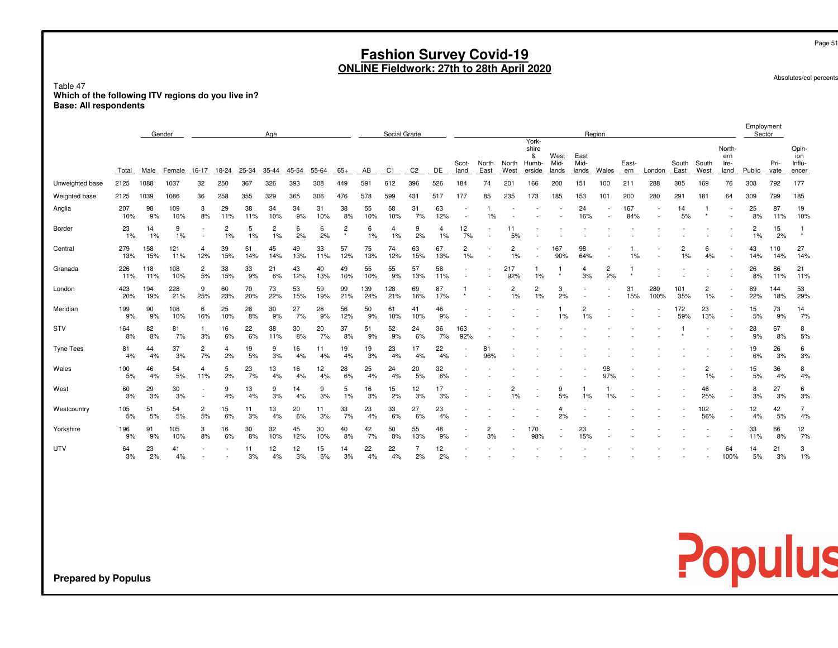## **Fashion Survey Covid-19 ONLINE Fieldwork: 27th to 28th April 2020**

Absolutes/col percents

### Table 47 **Which of the following ITV regions do you live in?Base: All respondents**

|                  | Gender<br>Age |            |            |          |                      |           |           |           |           |                           |            | Social Grade |                |           |               |               |               |                                        |                       |                       | Region               |              |             |                     |            |                               | Employment<br>Sector |              |                                 |
|------------------|---------------|------------|------------|----------|----------------------|-----------|-----------|-----------|-----------|---------------------------|------------|--------------|----------------|-----------|---------------|---------------|---------------|----------------------------------------|-----------------------|-----------------------|----------------------|--------------|-------------|---------------------|------------|-------------------------------|----------------------|--------------|---------------------------------|
|                  | Total         | Male       | Female     | 16-17    | 18-24                | 25-34     | $35 - 44$ | 45-54     | 55-64     | $65+$                     | AB         | C1           | C <sub>2</sub> | DE        | Scot-<br>land | North<br>East | North<br>West | York-<br>shire<br>&<br>Humb-<br>erside | West<br>Mid-<br>lands | East<br>Mid-<br>lands | Wales                | East-<br>ern | London      | South South<br>East | West       | North-<br>ern<br>Ire-<br>land | Public               | Pri-<br>vate | Opin-<br>ion<br>Influ-<br>encer |
| Unweighted base  | 2125          | 1088       | 1037       | 32       | 250                  | 367       | 326       | 393       | 308       | 449                       | 591        | 612          | 396            | 526       | 184           | 74            | 201           | 166                                    | 200                   | 151                   | 100                  | 211          | 288         | 305                 | 169        | 76                            | 308                  | 792          | 177                             |
| Weighted base    | 2125          | 1039       | 1086       | 36       | 258                  | 355       | 329       | 365       | 306       | 476                       | 578        | 599          | 431            | 517       | 177           | 85            | 235           | 173                                    | 185                   | 153                   | 101                  | 200          | 280         | 291                 | 181        | 64                            | 309                  | 799          | 185                             |
| Anglia           | 207<br>10%    | 98<br>9%   | 109<br>10% | 3<br>8%  | 29<br>11%            | 38<br>11% | 34<br>10% | 34<br>9%  | 31<br>10% | 38<br>8%                  | 55<br>10%  | 58<br>10%    | 31<br>7%       | 63<br>12% |               | 1%            |               |                                        |                       | 24<br>16%             |                      | 167<br>84%   |             | 14<br>5%            |            |                               | 25<br>8%             | 87<br>11%    | 19<br>10%                       |
| Border           | 23<br>1%      | 14<br>1%   | 9<br>1%    |          | $\overline{c}$<br>1% | 5<br>1%   | 2<br>1%   | 6<br>2%   | 6<br>2%   | $\overline{c}$<br>$\star$ | 6<br>1%    | 4<br>1%      | 9<br>2%        | 1%        | 12<br>7%      |               | 5%            |                                        |                       |                       |                      |              |             |                     |            |                               | $\overline{2}$<br>1% | 15<br>2%     |                                 |
| Central          | 279<br>13%    | 158<br>15% | 121<br>11% | 4<br>12% | 39<br>15%            | 51<br>14% | 45<br>14% | 49<br>13% | 33<br>11% | 57<br>12%                 | 75<br>13%  | 74<br>12%    | 63<br>15%      | 67<br>13% | 2<br>1%       |               | 2<br>1%       |                                        | 167<br>90%            | 98<br>64%             |                      | 1%           |             | 1%                  | 6<br>4%    |                               | 43<br>14%            | 110<br>14%   | 27<br>14%                       |
| Granada          | 226<br>11%    | 118<br>11% | 108<br>10% | 2<br>5%  | 38<br>15%            | 33<br>9%  | 21<br>6%  | 43<br>12% | 40<br>13% | 49<br>10%                 | 55<br>10%  | 55<br>9%     | 57<br>13%      | 58<br>11% |               |               | 217<br>92%    | 1%                                     |                       | 4<br>3%               | $\overline{2}$<br>2% |              |             |                     |            |                               | 26<br>8%             | 86<br>11%    | 21<br>11%                       |
| London           | 423<br>20%    | 194<br>19% | 228<br>21% | 9<br>25% | 60<br>23%            | 70<br>20% | 73<br>22% | 53<br>15% | 59<br>19% | 99<br>21%                 | 139<br>24% | 128<br>21%   | 69<br>16%      | 87<br>17% |               |               | 2<br>$1\%$    | $\overline{2}$<br>1%                   | 3<br>2%               |                       |                      | 31<br>15%    | 280<br>100% | 101<br>35%          | 2<br>1%    | $\sim$                        | 69<br>22%            | 144<br>18%   | 53<br>29%                       |
| Meridian         | 199<br>9%     | 90<br>9%   | 108<br>10% | 6<br>16% | 25<br>10%            | 28<br>8%  | 30<br>9%  | 27<br>7%  | 28<br>9%  | 56<br>12%                 | 50<br>9%   | 61<br>10%    | 41<br>10%      | 46<br>9%  |               |               |               |                                        | 1%                    | 2<br>1%               |                      |              |             | 172<br>59%          | 23<br>13%  |                               | 15<br>5%             | 73<br>9%     | 14<br>7%                        |
| <b>STV</b>       | 164<br>8%     | 82<br>8%   | 81<br>7%   | 3%       | 16<br>6%             | 22<br>6%  | 38<br>11% | 30<br>8%  | 20<br>7%  | 37<br>8%                  | 51<br>9%   | 52<br>9%     | 24<br>6%       | 36<br>7%  | 163<br>92%    |               |               |                                        |                       |                       |                      |              |             |                     |            |                               | 28<br>9%             | 67<br>8%     | 8<br>5%                         |
| <b>Tyne Tees</b> | 81<br>4%      | 44<br>4%   | 37<br>3%   | 2<br>7%  | 2%                   | 19<br>5%  | 9<br>3%   | 16<br>4%  | 11<br>4%  | 19<br>4%                  | 19<br>3%   | 23<br>4%     | 17<br>4%       | 22<br>4%  |               | 81<br>96%     |               |                                        |                       |                       |                      |              |             |                     |            |                               | 19<br>6%             | 26<br>3%     | 6<br>3%                         |
| Wales            | 100<br>5%     | 46<br>4%   | 54<br>5%   | 4<br>11% | 5<br>2%              | 23<br>7%  | 13<br>4%  | 16<br>4%  | 12<br>4%  | 28<br>6%                  | 25<br>4%   | 24<br>4%     | 20<br>5%       | 32<br>6%  |               |               |               |                                        |                       |                       | 98<br>97%            |              |             |                     | 2<br>1%    |                               | 15<br>5%             | 36<br>4%     | 8<br>4%                         |
| West             | 60<br>3%      | 29<br>3%   | 30<br>3%   |          | 9<br>4%              | 13<br>4%  | 9<br>3%   | 14<br>4%  | 9<br>3%   | 5<br>1%                   | 16<br>3%   | 15<br>2%     | 12<br>3%       | 3%        |               |               | 2<br>1%       |                                        | 9<br>5%               | 1%                    | 1%                   |              |             |                     | 46<br>25%  |                               | 8<br>3%              | 27<br>3%     | 6<br>3%                         |
| Westcountry      | 105<br>5%     | 51<br>5%   | 54<br>5%   | 2<br>5%  | 15<br>6%             | 11<br>3%  | 13<br>4%  | 20<br>6%  | 11<br>3%  | 33<br>7%                  | 23<br>4%   | 33<br>6%     | 27<br>6%       | 23<br>4%  |               |               |               |                                        | $\overline{4}$<br>2%  |                       |                      |              |             |                     | 102<br>56% |                               | 12<br>4%             | 42<br>5%     | $\overline{7}$<br>4%            |
| Yorkshire        | 196<br>9%     | 91<br>9%   | 105<br>10% | 3<br>8%  | 16<br>6%             | 30<br>8%  | 32<br>10% | 45<br>12% | 30<br>10% | 40<br>8%                  | 42<br>7%   | 50<br>8%     | 55<br>13%      | 48<br>9%  |               | 2<br>3%       |               | 170<br>98%                             |                       | 23<br>15%             |                      |              |             |                     |            |                               | 33<br>11%            | 66<br>8%     | 12<br>7%                        |
| UTV              | 64<br>3%      | 23<br>2%   | 41<br>4%   |          |                      | 11<br>3%  | 12<br>4%  | 12<br>3%  | 15<br>5%  | 14<br>3%                  | 22<br>4%   | 22<br>4%     | 2%             | 12<br>2%  |               |               |               |                                        |                       |                       |                      |              |             |                     |            | 64<br>100%                    | 14<br>5%             | 21<br>3%     | 3<br>1%                         |

**Prepared by Populus**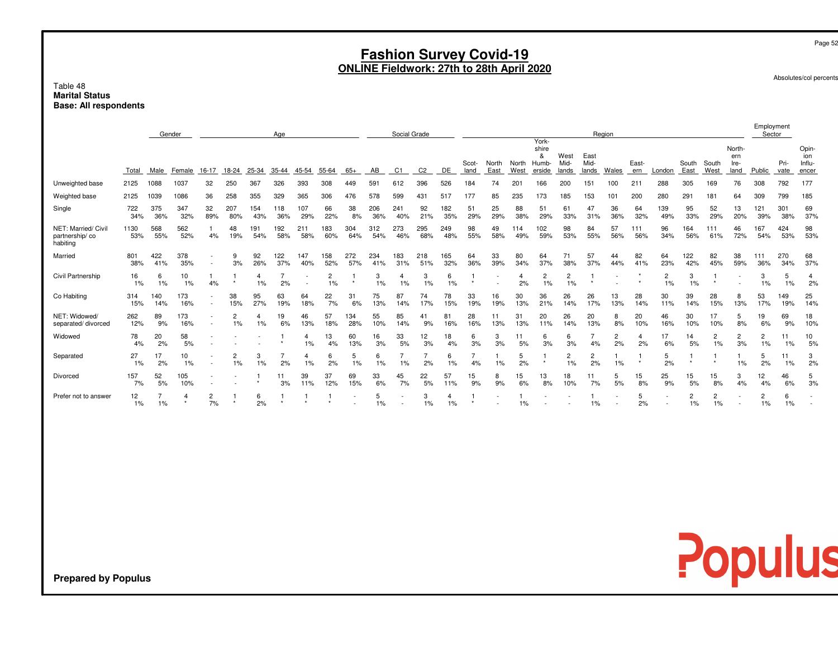|                                                                   | <b>Fashion Survey Covid-19</b><br>ONLINE Fieldwork: 27th to 28th April 2020 |            |            |                          |                      |            |            |            |            |            |            |            |                |            |               |               |                      | Page 52<br>Absolutes/col percents |                       |                       |                      |                      |                      |               |                      |                               |                      |              |                                 |
|-------------------------------------------------------------------|-----------------------------------------------------------------------------|------------|------------|--------------------------|----------------------|------------|------------|------------|------------|------------|------------|------------|----------------|------------|---------------|---------------|----------------------|-----------------------------------|-----------------------|-----------------------|----------------------|----------------------|----------------------|---------------|----------------------|-------------------------------|----------------------|--------------|---------------------------------|
| Table 48<br><b>Marital Status</b><br><b>Base: All respondents</b> |                                                                             |            |            |                          |                      |            |            |            |            |            |            |            |                |            |               |               |                      |                                   |                       |                       |                      |                      |                      |               |                      |                               |                      |              |                                 |
|                                                                   | Social Grade<br>Gender<br>Region<br>Age<br>York-<br>shire                   |            |            |                          |                      |            |            |            |            |            |            |            |                |            |               |               | Employment<br>Sector |                                   |                       |                       |                      |                      |                      |               |                      |                               |                      |              |                                 |
|                                                                   | Total                                                                       | Male       | Female     | 16-17                    | 18-24                | 25-34      | $35 - 44$  | 45-54      | 55-64      | $65+$      | AB         | C1         | C <sub>2</sub> | DE         | Scot-<br>land | North<br>East | North<br>West        | &<br>Humb-<br>erside              | West<br>Mid-<br>lands | East<br>Mid-<br>lands | Wales                | East-<br>ern         | London               | South<br>East | South<br>West        | North-<br>ern<br>Ire-<br>land | Public               | Pri-<br>vate | Opin-<br>ion<br>Influ-<br>encer |
| Unweighted base                                                   | 2125                                                                        | 1088       | 1037       | 32                       | 250                  | 367        | 326        | 393        | 308        | 449        | 591        | 612        | 396            | 526        | 184           | 74            | 201                  | 166                               | 200                   | 151                   | 100                  | 211                  | 288                  | 305           | 169                  | 76                            | 308                  | 792          | 177                             |
| Weighted base                                                     | 2125                                                                        | 1039       | 1086       | 36                       | 258                  | 355        | 329        | 365        | 306        | 476        | 578        | 599        | 431            | 517        | 177           | 85            | 235                  | 173                               | 185                   | 153                   | 101                  | 200                  | 280                  | 291           | 181                  | 64                            | 309                  | 799          | 185                             |
| Single                                                            | 722<br>34%                                                                  | 375<br>36% | 347<br>32% | 32<br>89%                | 207<br>80%           | 154<br>43% | 118<br>36% | 107<br>29% | 66<br>22%  | 38<br>8%   | 206<br>36% | 241<br>40% | 92<br>21%      | 182<br>35% | 51<br>29%     | 25<br>29%     | 88<br>38%            | 51<br>29%                         | 61<br>33%             | 47<br>31%             | 36<br>36%            | 64<br>32%            | 139<br>49%           | 95<br>33%     | 52<br>29%            | 13<br>20%                     | 121<br>39%           | 301<br>38%   | 69<br>37%                       |
| NET: Married/ Civil<br>partnership/co<br>habiting                 | 1130<br>53%                                                                 | 568<br>55% | 562<br>52% | 4%                       | 48<br>19%            | 191<br>54% | 192<br>58% | 211<br>58% | 183<br>60% | 304<br>64% | 312<br>54% | 273<br>46% | 295<br>68%     | 249<br>48% | 98<br>55%     | 49<br>58%     | 114<br>49%           | 102<br>59%                        | 98<br>53%             | 84<br>55%             | 57<br>56%            | 111<br>56%           | 96<br>34%            | 164<br>56%    | 111<br>61%           | 46<br>72%                     | 167<br>54%           | 424<br>53%   | 98<br>53%                       |
| Married                                                           | 801<br>38%                                                                  | 422<br>41% | 378<br>35% | $\sim$                   | 9<br>3%              | 92<br>26%  | 122<br>37% | 147<br>40% | 158<br>52% | 272<br>57% | 234<br>41% | 183<br>31% | 218<br>51%     | 165<br>32% | 64<br>36%     | 33<br>39%     | 80<br>34%            | 64<br>37%                         | 71<br>38%             | 57<br>37%             | 44<br>44%            | 82<br>41%            | 64<br>23%            | 122<br>42%    | 82<br>45%            | 38<br>59%                     | 111<br>36%           | 270<br>34%   | 68<br>37%                       |
| Civil Partnership                                                 | 16<br>1%                                                                    | 6<br>1%    | 10<br>1%   | 4%                       |                      | 4<br>1%    | 7<br>2%    |            | 2<br>1%    |            | 3<br>1%    | 4<br>1%    | 3<br>1%        | 6<br>1%    |               |               | 4<br>2%              | $\overline{2}$<br>1%              | $\overline{2}$<br>1%  |                       |                      |                      | $\overline{2}$<br>1% | 3<br>1%       |                      |                               | 3<br>1%              | 5<br>1%      | $\overline{4}$<br>2%            |
| Co Habiting                                                       | 314<br>15%                                                                  | 140<br>14% | 173<br>16% | $\overline{\phantom{a}}$ | 38<br>15%            | 95<br>27%  | 63<br>19%  | 64<br>18%  | 22<br>7%   | 31<br>6%   | 75<br>13%  | 87<br>14%  | 74<br>17%      | 78<br>15%  | 33<br>19%     | 16<br>19%     | 30<br>13%            | 36<br>21%                         | 26<br>14%             | 26<br>17%             | 13<br>13%            | 28<br>14%            | 30<br>11%            | 39<br>14%     | 28<br>15%            | 8<br>13%                      | 53<br>17%            | 149<br>19%   | 25<br>14%                       |
| NET: Widowed/<br>separated/divorced                               | 262<br>12%                                                                  | 89<br>9%   | 173<br>16% | $\overline{\phantom{a}}$ | 2<br>1%              | 4<br>1%    | 19<br>6%   | 46<br>13%  | 57<br>18%  | 134<br>28% | 55<br>10%  | 85<br>14%  | 41<br>9%       | 81<br>16%  | 28<br>16%     | 11<br>13%     | 31<br>13%            | 20<br>11%                         | 26<br>14%             | 20<br>13%             | 8<br>8%              | 20<br>10%            | 46<br>16%            | 30<br>10%     | 17<br>10%            | 5<br>8%                       | 19<br>6%             | 69<br>9%     | 18<br>10%                       |
| Widowed                                                           | 78<br>4%                                                                    | 20<br>2%   | 58<br>5%   |                          |                      |            | $\star$    | 4<br>1%    | 13<br>4%   | 60<br>13%  | 16<br>3%   | 33<br>5%   | 12<br>3%       | 18<br>4%   | 6<br>3%       | 3<br>3%       | 11<br>5%             | 6<br>3%                           | 6<br>3%               | 4%                    | $\overline{2}$<br>2% | $\overline{4}$<br>2% | 17<br>6%             | 14<br>5%      | $\overline{c}$<br>1% | $\overline{c}$<br>3%          | $\overline{c}$<br>1% | 11<br>1%     | 10<br>5%                        |
| Separated                                                         | 27<br>1%                                                                    | 17<br>2%   | 10<br>1%   |                          | $\overline{2}$<br>1% | 3<br>1%    | 7<br>2%    | 4<br>1%    | 6<br>2%    | 5<br>1%    | 6<br>1%    | 1%         | 2%             | 6<br>1%    | 4%            | 1%            | 5<br>2%              | $\star$                           | $\overline{2}$<br>1%  | $\overline{2}$<br>2%  | 1%                   |                      | 5<br>2%              | $\star$       | $\star$              | 1%                            | 5<br>2%              | 11<br>1%     | 3<br>2%                         |
| Divorced                                                          | 157<br>7%                                                                   | 52<br>5%   | 105<br>10% |                          |                      | $\star$    | 11<br>3%   | 39<br>11%  | 37<br>12%  | 69<br>15%  | 33<br>6%   | 45<br>7%   | 22<br>5%       | 57<br>11%  | 15<br>9%      | 8<br>9%       | 15<br>6%             | 13<br>8%                          | 18<br>10%             | 11<br>7%              | 5<br>5%              | 15<br>8%             | 25<br>9%             | 15<br>5%      | 15<br>8%             | 3<br>4%                       | 12<br>4%             | 46<br>6%     | 5<br>3%                         |
| Prefer not to answer                                              | 12<br>1%                                                                    | 1%         | 4          | 2<br>7%                  |                      | 6<br>2%    |            |            |            |            | 5<br>1%    |            | 3<br>1%        | 4<br>1%    | -1            |               | 1%                   |                                   |                       | 1%                    |                      | 5<br>2%              |                      | 2<br>1%       | $\overline{c}$<br>1% |                               | $\overline{c}$<br>1% | 6<br>1%      |                                 |

**Prepared by Populus**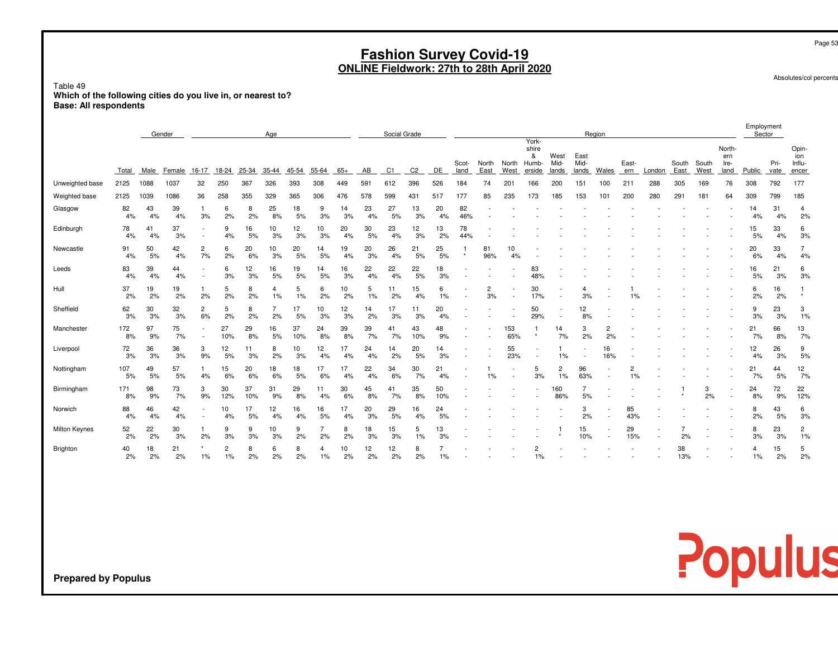# **Fashion Survey Covid-19 ONLINE Fieldwork: 27th to 28th April 2020**

Absolutes/col percents

Table 49 **Which of the following cities do you live in, or nearest to?Base: All respondents**

|                      |           |          | Gender   |                      |                      |           | Age       |           |          |          |          | Social Grade |                |           |               |                      |                          |                                        |                       |                       | Region               |                      |        |               |               |                               | Employment<br>Sector |              |                                 |
|----------------------|-----------|----------|----------|----------------------|----------------------|-----------|-----------|-----------|----------|----------|----------|--------------|----------------|-----------|---------------|----------------------|--------------------------|----------------------------------------|-----------------------|-----------------------|----------------------|----------------------|--------|---------------|---------------|-------------------------------|----------------------|--------------|---------------------------------|
|                      | Total     | Male     | Female   | 16-17                | 18-24                | 25-34     | $35 - 44$ | 45-54     | 55-64    | $65+$    | AB       | C1           | C <sub>2</sub> | DE        | Scot-<br>land | North<br>East        | North<br>West            | York-<br>shire<br>&<br>Humb-<br>erside | West<br>Mid-<br>lands | East<br>Mid-<br>lands | Wales                | East-<br>ern         | London | South<br>East | South<br>West | North-<br>ern<br>Ire-<br>land | Public               | Pri-<br>vate | Opin-<br>ion<br>Influ-<br>encer |
| Unweighted base      | 2125      | 1088     | 1037     | 32                   | 250                  | 367       | 326       | 393       | 308      | 449      | 591      | 612          | 396            | 526       | 184           | 74                   | 201                      | 166                                    | 200                   | 151                   | 100                  | 211                  | 288    | 305           | 169           | 76                            | 308                  | 792          | 177                             |
| Weighted base        | 2125      | 1039     | 1086     | 36                   | 258                  | 355       | 329       | 365       | 306      | 476      | 578      | 599          | 431            | 517       | 177           | 85                   | 235                      | 173                                    | 185                   | 153                   | 101                  | 200                  | 280    | 291           | 181           | 64                            | 309                  | 799          | 185                             |
| Glasgow              | 82<br>4%  | 43<br>4% | 39<br>4% | 3%                   | 6<br>2%              | 8<br>2%   | 25<br>8%  | 18<br>5%  | 9<br>3%  | 14<br>3% | 23<br>4% | 27<br>5%     | 13<br>3%       | 20<br>4%  | 82<br>46%     |                      |                          |                                        |                       |                       |                      |                      |        |               |               |                               | 14<br>4%             | 31<br>4%     | 4<br>2%                         |
| Edinburgh            | 78<br>4%  | 41<br>4% | 37<br>3% |                      | 9<br>4%              | 16<br>5%  | 10<br>3%  | 12<br>3%  | 10<br>3% | 20<br>4% | 30<br>5% | 23<br>4%     | 12<br>3%       | 13<br>2%  | 78<br>44%     |                      |                          |                                        |                       |                       |                      |                      |        |               |               |                               | 15<br>5%             | 33<br>4%     | 6<br>3%                         |
| Newcastle            | 91<br>4%  | 50<br>5% | 42<br>4% | $\overline{c}$<br>7% | 6<br>2%              | 20<br>6%  | 10<br>3%  | 20<br>5%  | 14<br>5% | 19<br>4% | 20<br>3% | 26<br>4%     | 21<br>5%       | 25<br>5%  | $\star$       | 81<br>96%            | 10<br>4%                 |                                        |                       |                       |                      |                      |        |               |               |                               | 20<br>6%             | 33<br>4%     | 4%                              |
| Leeds                | 83<br>4%  | 39<br>4% | 44<br>4% |                      | 6<br>3%              | 12<br>3%  | 16<br>5%  | 19<br>5%  | 14<br>5% | 16<br>3% | 22<br>4% | 22<br>4%     | 22<br>5%       | 18<br>3%  |               |                      |                          | 83<br>48%                              |                       |                       |                      |                      |        |               |               |                               | 16<br>5%             | 21<br>3%     | 6<br>3%                         |
| Hull                 | 37<br>2%  | 19<br>2% | 19<br>2% | 2%                   | 5<br>2%              | 8<br>2%   | 4<br>1%   | 5<br>1%   | 6<br>2%  | 10<br>2% | 5<br>1%  | 11<br>2%     | 15<br>4%       | 6<br>1%   |               | $\overline{2}$<br>3% | $\overline{\phantom{a}}$ | 30<br>17%                              | ٠                     | 3%                    |                      | 1%                   |        |               |               |                               | 6<br>2%              | 16<br>2%     |                                 |
| Sheffield            | 62<br>3%  | 30<br>3% | 32<br>3% | $\overline{c}$<br>6% | 5<br>2%              | 8<br>2%   | 2%        | 17<br>5%  | 10<br>3% | 12<br>3% | 14<br>2% | 17<br>3%     | 11<br>3%       | 20<br>4%  |               |                      |                          | 50<br>29%                              | $\sim$                | 12<br>8%              |                      |                      |        |               |               |                               | 9<br>3%              | 23<br>3%     | 3<br>1%                         |
| Manchester           | 172<br>8% | 97<br>9% | 75<br>7% | $\sim$               | 27<br>10%            | 29<br>8%  | 16<br>5%  | 37<br>10% | 24<br>8% | 39<br>8% | 39<br>7% | 41<br>7%     | 43<br>10%      | 48<br>9%  |               |                      | 153<br>65%               | $\star$                                | 14<br>7%              | 3<br>2%               | $\overline{2}$<br>2% |                      |        |               |               |                               | 21<br>7%             | 66<br>8%     | 13<br>7%                        |
| Liverpool            | 72<br>3%  | 36<br>3% | 36<br>3% | 3<br>9%              | 12<br>5%             | 11<br>3%  | 8<br>2%   | 10<br>3%  | 12<br>4% | 17<br>4% | 24<br>4% | 14<br>2%     | 20<br>5%       | 14<br>3%  |               |                      | 55<br>23%                |                                        | 1%                    |                       | 16<br>16%            |                      |        |               |               |                               | 12<br>4%             | 26<br>3%     | 9<br>5%                         |
| Nottingham           | 107<br>5% | 49<br>5% | 57<br>5% | 4%                   | 15<br>6%             | 20<br>6%  | 18<br>6%  | 18<br>5%  | 17<br>6% | 17<br>4% | 22<br>4% | 34<br>6%     | 30<br>7%       | 21<br>4%  |               | 1%                   | $\overline{\phantom{a}}$ | 5<br>3%                                | $\overline{2}$<br>1%  | 96<br>63%             |                      | $\overline{2}$<br>1% |        |               |               |                               | 21<br>7%             | 44<br>5%     | 12<br>7%                        |
| Birmingham           | 171<br>8% | 98<br>9% | 73<br>7% | 3<br>9%              | 30<br>12%            | 37<br>10% | 31<br>9%  | 29<br>8%  | 11<br>4% | 30<br>6% | 45<br>8% | 41<br>7%     | 35<br>8%       | 50<br>10% |               |                      |                          |                                        | 160<br>86%            | 5%                    |                      |                      |        |               | 3<br>2%       | $\overline{\phantom{a}}$      | 24<br>8%             | 72<br>9%     | 22<br>12%                       |
| Norwich              | 88<br>4%  | 46<br>4% | 42<br>4% |                      | 10<br>4%             | 17<br>5%  | 12<br>4%  | 16<br>4%  | 16<br>5% | 17<br>4% | 20<br>3% | 29<br>5%     | 16<br>4%       | 24<br>5%  |               |                      |                          |                                        |                       | 3<br>2%               |                      | 85<br>43%            |        |               |               |                               | 8<br>2%              | 43<br>5%     | 6<br>3%                         |
| <b>Milton Keynes</b> | 52<br>2%  | 22<br>2% | 30<br>3% | 2%                   | 9<br>3%              | 9<br>3%   | 10<br>3%  | 9<br>2%   | 2%       | 8<br>2%  | 18<br>3% | 15<br>3%     | 5<br>1%        | 13<br>3%  |               |                      |                          |                                        |                       | 15<br>10%             |                      | 29<br>15%            |        | 2%            |               |                               | 8<br>3%              | 23<br>3%     | $\overline{c}$<br>1%            |
| Brighton             | 40<br>2%  | 18<br>2% | 21<br>2% | 1%                   | $\overline{2}$<br>1% | 8<br>2%   | 6<br>2%   | 8<br>2%   | 4<br>1%  | 10<br>2% | 12<br>2% | 12<br>2%     | 8<br>2%        | 1%        |               |                      |                          | 1%                                     |                       |                       |                      |                      |        | 38<br>13%     |               |                               | $\overline{4}$<br>1% | 15<br>2%     | 5<br>2%                         |

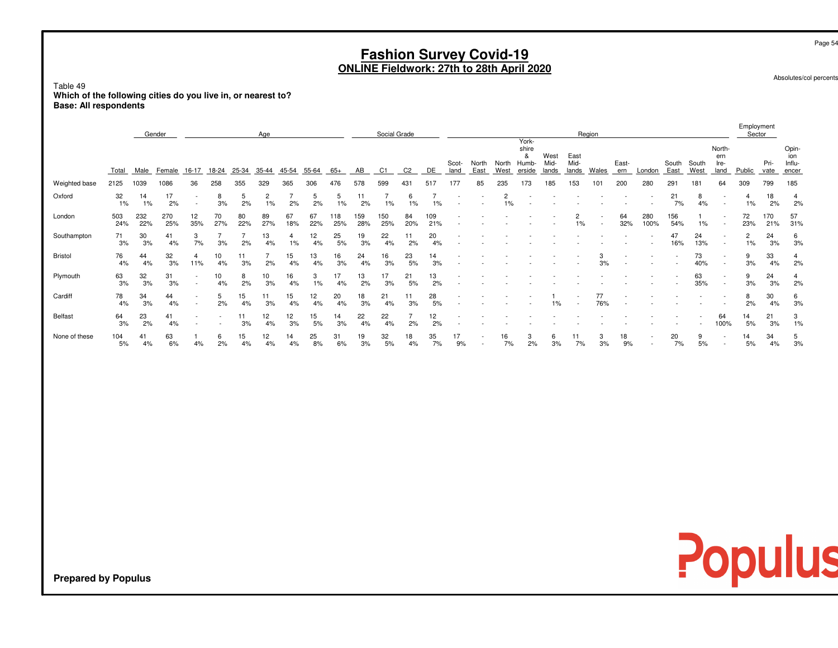# **Fashion Survey Covid-19 ONLINE Fieldwork: 27th to 28th April 2020**

Absolutes/col percents

Table 49 **Which of the following cities do you live in, or nearest to?Base: All respondents**

|               | Gender<br>Age |            |            |                                                      |           |           |           |           |           |            |            | Social Grade |                |            |               |               |               |                                        |                       |                       | Region  |              |             |               |               |                               | Employment<br>Sector |              |                                |
|---------------|---------------|------------|------------|------------------------------------------------------|-----------|-----------|-----------|-----------|-----------|------------|------------|--------------|----------------|------------|---------------|---------------|---------------|----------------------------------------|-----------------------|-----------------------|---------|--------------|-------------|---------------|---------------|-------------------------------|----------------------|--------------|--------------------------------|
|               | Total         | Male       | Female     | $16 - 17$                                            | 18-24     | 25-34     | 35-44     | 45-54     | 55-64     | $65+$      | AB         | C1           | C <sub>2</sub> | DE         | Scot-<br>land | North<br>East | North<br>West | York-<br>shire<br>&<br>Humb-<br>erside | West<br>Mid-<br>lands | East<br>Mid-<br>lands | Wales   | East-<br>ern | London      | South<br>East | South<br>West | North-<br>ern<br>Ire-<br>land | Public               | Pri-<br>vate | Opin<br>ion<br>Influ-<br>encer |
| Weighted base | 2125          | 1039       | 1086       | 36                                                   | 258       | 355       | 329       | 365       | 306       | 476        | 578        | 599          | 431            | 517        | 177           | 85            | 235           | 173                                    | 185                   | 153                   | 101     | 200          | 280         | 291           | 181           | 64                            | 309                  | 799          | 185                            |
| Oxford        | 32<br>1%      | 14<br>1%   | 17<br>2%   | $\overline{\phantom{a}}$<br>$\overline{\phantom{a}}$ | 8<br>3%   | 5<br>2%   | 2<br>1%   | 2%        | 5<br>2%   | 5<br>1%    | 11<br>2%   | 1%           |                | 1%         |               |               |               |                                        |                       |                       |         |              |             | 21<br>7%      | 8<br>4%       |                               | 4<br>1%              | 18<br>2%     | 4<br>2%                        |
| London        | 503<br>24%    | 232<br>22% | 270<br>25% | 12<br>35%                                            | 70<br>27% | 80<br>22% | 89<br>27% | 67<br>18% | 67<br>22% | 118<br>25% | 159<br>28% | 150<br>25%   | 84<br>20%      | 109<br>21% |               |               |               |                                        |                       | 1%                    |         | 64<br>32%    | 280<br>100% | 156<br>54%    | 1%            |                               | 72<br>23%            | 170<br>21%   | 57<br>31%                      |
| Southampton   | 71<br>3%      | 30<br>3%   | 41<br>4%   | 3<br>7%                                              | 3%        | 2%        | 13<br>4%  | $1\%$     | 12<br>4%  | 25<br>5%   | 19<br>3%   | 22<br>4%     | 2%             | 20<br>4%   |               |               |               |                                        |                       |                       |         |              |             | 47<br>16%     | 24<br>13%     |                               | $\overline{2}$<br>1% | 24<br>3%     | 6<br>3%                        |
| Bristol       | 76<br>4%      | 44<br>4%   | 32<br>3%   | 11%                                                  | 10<br>4%  | 11<br>3%  | 2%        | 15<br>4%  | 13<br>4%  | 16<br>3%   | 24<br>4%   | 16<br>3%     | 23<br>5%       | 14<br>3%   |               |               |               |                                        |                       |                       | 3%      |              |             |               | 73<br>40%     |                               | 9<br>3%              | 33<br>4%     | 4<br>2%                        |
| Plymouth      | 63<br>3%      | 32<br>3%   | 31<br>3%   | $\overline{\phantom{a}}$                             | 10<br>4%  | 8<br>2%   | 10<br>3%  | 16<br>4%  | 3<br>1%   | 17<br>4%   | 13<br>2%   | 17<br>3%     | 21<br>5%       | 13<br>2%   |               |               |               |                                        |                       |                       |         |              |             |               | 63<br>35%     | $\overline{\phantom{a}}$      | 9<br>3%              | 24<br>3%     | 4<br>2%                        |
| Cardiff       | 78<br>4%      | 34<br>3%   | 44<br>4%   | $\overline{\phantom{a}}$                             | 5<br>2%   | 15<br>4%  | 11<br>3%  | 15<br>4%  | 12<br>4%  | 20<br>4%   | 18<br>3%   | 21<br>4%     | 3%             | 28<br>5%   |               |               |               |                                        | 1%                    |                       | 76%     |              |             |               |               |                               | 8<br>2%              | 30<br>4%     | 6<br>3%                        |
| Belfast       | 64<br>3%      | 23<br>2%   | 41<br>4%   |                                                      |           | 3%        | 12<br>4%  | 12<br>3%  | 15<br>5%  | 14<br>3%   | 22<br>4%   | 22<br>4%     | 2%             | 12<br>2%   |               |               |               |                                        |                       |                       |         |              |             |               |               | 64<br>100%                    | 14<br>5%             | 21<br>3%     | 3<br>1%                        |
| None of these | 104<br>5%     | 41<br>4%   | 63<br>6%   | 4%                                                   | 6<br>2%   | 15<br>4%  | 12<br>4%  | 14        | 25<br>8%  | 31<br>6%   | 19<br>3%   | 32<br>5%     | 18<br>4%       | 35<br>7%   | 17<br>9%      |               | 16<br>7%      | 3<br>2%                                | 6<br>3%               | 11<br>7%              | 3<br>3% | 18<br>9%     |             | 20<br>7%      | 9<br>5%       | $\overline{\phantom{a}}$      | 14<br>5%             | 34<br>4%     | 5<br>3%                        |

**Prepared by Populus**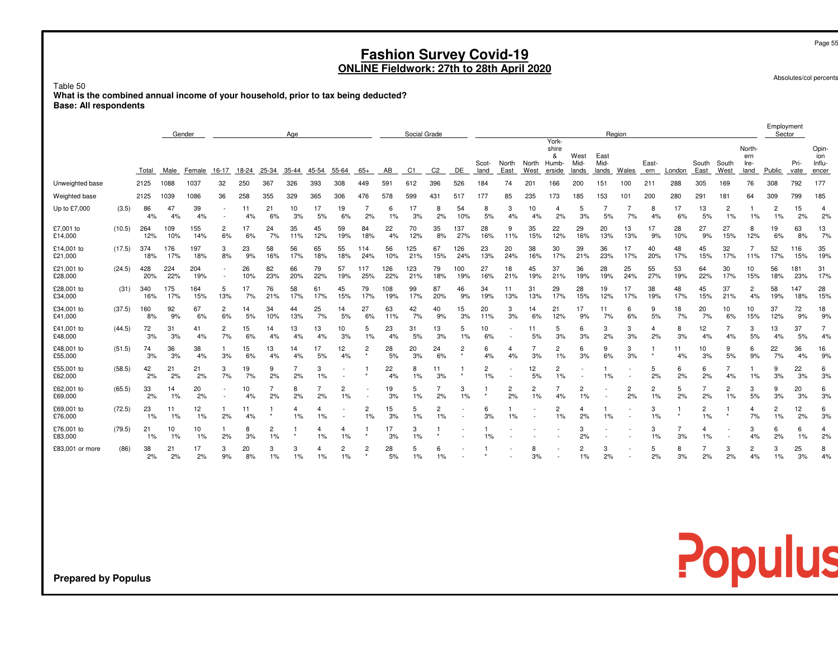# **Fashion Survey Covid-19 ONLINE Fieldwork: 27th to 28th April 2020**

Absolutes/col percents

Table 50

 **What is the combined annual income of your household, prior to tax being deducted?Base: All respondents**

|                       |        |            |            | Gender     |          |           |                      | Age       |           |           |                      |            | Social Grade |                      |                |                      |               |               |                                       |                       | Region                |                      |                      |           |                      |                      |                               | Employment<br>Sector |              |                                 |
|-----------------------|--------|------------|------------|------------|----------|-----------|----------------------|-----------|-----------|-----------|----------------------|------------|--------------|----------------------|----------------|----------------------|---------------|---------------|---------------------------------------|-----------------------|-----------------------|----------------------|----------------------|-----------|----------------------|----------------------|-------------------------------|----------------------|--------------|---------------------------------|
|                       |        | Total      | Male       | Female     | 16-17    | 18-24     | 25-34                | 35-44     | 45-54     | 55-64     | $65+$                | AB         | C1           | C <sub>2</sub>       | DE             | Scot-<br>land        | North<br>East | North<br>West | York-<br>shire<br>&<br>Humb<br>erside | West<br>Mid-<br>lands | East<br>Mid-<br>lands | Wales                | East-<br>ern         | London    | South<br>East        | South<br>West        | North-<br>ern<br>Ire-<br>land | Public               | Pri-<br>vate | Opin-<br>ion<br>Influ-<br>encer |
| Unweighted base       |        | 2125       | 1088       | 1037       | 32       | 250       | 367                  | 326       | 393       | 308       | 449                  | 591        | 612          | 396                  | 526            | 184                  | 74            | $20 -$        | 166                                   | 200                   | 151                   | 100                  | 211                  | 288       | 305                  | 169                  | 76                            | 308                  | 792          | 177                             |
| Weighted base         |        | 2125       | 1039       | 1086       | 36       | 258       | 355                  | 329       | 365       | 306       | 476                  | 578        | 599          | 431                  | 517            | 177                  | 85            | 235           | 173                                   | 185                   | 153                   | 101                  | 200                  | 280       | 291                  | 181                  | 64                            | 309                  | 799          | 185                             |
| Up to £7,000          | (3.5)  | 86<br>4%   | 47<br>4%   | 39<br>4%   |          | 11<br>4%  | 21<br>6%             | 10<br>3%  | 17<br>5%  | 19<br>6%  | 2%                   | 6<br>1%    | 17<br>3%     | 8<br>2%              | 54<br>10%      | 8<br>5%              | 3<br>4%       | 10<br>4%      | 4<br>2%                               | 5<br>3%               | 5%                    | 7%                   | 8<br>4%              | 17<br>6%  | 13<br>5%             | $\overline{2}$<br>1% | 1%                            | 2<br>1%              | 15<br>2%     | $\overline{4}$<br>2%            |
| £7,001 to<br>£14,000  | (10.5) | 264<br>12% | 109<br>10% | 155<br>14% | 2<br>6%  | 17<br>6%  | 24<br>7%             | 35<br>11% | 45<br>12% | 59<br>19% | 84<br>18%            | 22<br>4%   | 70<br>12%    | 35<br>8%             | 137<br>27%     | 28<br>16%            | 9<br>11%      | 35<br>15%     | 22<br>12%                             | 29<br>16%             | 20<br>13%             | 13<br>13%            | 17<br>9%             | 28<br>10% | 27<br>9%             | 27<br>15%            | 8<br>12%                      | 19<br>6%             | 63<br>8%     | 13<br>7%                        |
| £14,001 to<br>£21,000 | (17.5) | 374<br>18% | 176<br>17% | 197<br>18% | 3<br>8%  | 23<br>9%  | 58<br>16%            | 56<br>17% | 65<br>18% | 55<br>18% | 114<br>24%           | 56<br>10%  | 125<br>21%   | 67<br>15%            | 126<br>24%     | 23<br>13%            | 20<br>24%     | 38<br>16%     | 30<br>17%                             | 39<br>21%             | 36<br>23%             | 17<br>17%            | 40<br>20%            | 48<br>17% | 45<br>15%            | 32<br>17%            | $\overline{7}$<br>11%         | 52<br>17%            | 116<br>15%   | 35<br>19%                       |
| £21,001 to<br>£28,000 | (24.5) | 428<br>20% | 224<br>22% | 204<br>19% |          | 26<br>10% | 82<br>23%            | 66<br>20% | 79<br>22% | 57<br>19% | 117<br>25%           | 126<br>22% | 123<br>21%   | 79<br>18%            | 100<br>19%     | 27<br>16%            | 18<br>21%     | 45<br>19%     | 37<br>21%                             | 36<br>19%             | 28<br>19%             | 25<br>24%            | 55<br>27%            | 53<br>19% | 64<br>22%            | 30<br>17%            | 10<br>15%                     | 56<br>18%            | 181<br>23%   | 31<br>17%                       |
| £28,001 to<br>£34,000 | (31)   | 340<br>16% | 175<br>17% | 164<br>15% | 5<br>13% | 17<br>7%  | 76<br>21%            | 58<br>17% | 61<br>17% | 45<br>15% | 79<br>17%            | 108<br>19% | 99<br>17%    | 87<br>20%            | 46<br>9%       | 34<br>19%            | 11<br>13%     | 31<br>13%     | 29<br>17%                             | 28<br>15%             | 19<br>12%             | 17<br>17%            | 38<br>19%            | 48<br>17% | 45<br>15%            | 37<br>21%            | $\overline{c}$<br>4%          | 58<br>19%            | 147<br>18%   | 28<br>15%                       |
| £34,001 to<br>£41,000 | (37.5) | 160<br>8%  | 92<br>9%   | 67<br>6%   | 2<br>6%  | 14<br>5%  | 34<br>10%            | 44<br>13% | 25<br>7%  | 14<br>5%  | 27<br>6%             | 63<br>11%  | 42<br>7%     | 40<br>9%             | 15<br>3%       | 20<br>11%            | 3<br>3%       | 14<br>6%      | 21<br>12%                             | 17<br>9%              | 11<br>7%              | 6<br>6%              | 9<br>5%              | 18<br>7%  | 20<br>7%             | 10<br>6%             | 10<br>15%                     | 37<br>12%            | 72<br>9%     | 18<br>9%                        |
| £41,001 to<br>£48,000 | (44.5) | 72<br>3%   | 31<br>3%   | 41<br>4%   | 2<br>7%  | 15<br>6%  | 14<br>4%             | 13<br>4%  | 13<br>4%  | 10<br>3%  | 5<br>1%              | 23<br>4%   | 31<br>5%     | 13<br>3%             | 5<br>1%        | 10<br>6%             |               | 11<br>5%      | 5<br>3%                               | 6<br>3%               | 3<br>2%               | 3<br>3%              | 4<br>2%              | 8<br>3%   | 12<br>4%             | 4%                   | 3<br>5%                       | 13<br>4%             | 37<br>5%     | 4%                              |
| £48,001 to<br>£55,000 | (51.5) | 74<br>3%   | 36<br>3%   | 38<br>4%   | 3%       | 15<br>6%  | 13<br>4%             | 14<br>4%  | 17<br>5%  | 12<br>4%  | 2<br>$\star$         | 28<br>5%   | 20<br>3%     | 24<br>6%             | $\overline{2}$ | 6<br>4%              | 4%            | 7<br>3%       | $\overline{2}$<br>1%                  | 3%                    | 9<br>6%               | 3<br>3%              | $\star$              | 11<br>4%  | 10<br>3%             | 9<br>5%              | 6<br>9%                       | 22<br>7%             | 36<br>4%     | 16<br>9%                        |
| £55,001 to<br>£62,000 | (58.5) | 42<br>2%   | 21<br>2%   | 21<br>2%   | 3<br>7%  | 19<br>7%  | 9<br>2%              | 2%        | 3<br>1%   |           |                      | 22<br>4%   | 8<br>1%      | 11<br>3%             |                | $\overline{c}$<br>1% |               | 12<br>5%      | $\overline{2}$<br>1%                  |                       | 1%                    |                      | 5<br>2%              | 6<br>2%   | 6<br>2%              | 4%                   | 1%                            | 9<br>3%              | 22<br>3%     | 6<br>3%                         |
| £62,001 to<br>£69,000 | (65.5) | 33<br>2%   | 14<br>1%   | 20<br>2%   |          | 10<br>4%  | 2%                   | 8<br>2%   | 2%        | 2<br>1%   |                      | 19<br>3%   | 5<br>1%      | 2%                   | 3<br>1%        |                      | 2<br>2%       | 2<br>1%       | 4%                                    | $\overline{c}$<br>1%  |                       | $\overline{c}$<br>2% | $\overline{c}$<br>1% | 5<br>2%   | 2%                   | 2<br>1%              | 3<br>5%                       | 9<br>3%              | 20<br>3%     | 6<br>3%                         |
| £69,001 to<br>£76,000 | (72.5) | 23<br>1%   | 11<br>1%   | 12<br>1%   | 2%       | 11<br>4%  |                      | 1%        | 4<br>1%   |           | $\overline{c}$<br>1% | 15<br>3%   | 5<br>1%      | $\overline{2}$<br>1% |                | 6<br>3%              | 1%            |               | $\overline{2}$<br>1%                  | 2%                    | 1%                    |                      | 3<br>1%              |           | $\overline{c}$<br>1% |                      | 4<br>7%                       | 2<br>1%              | 12<br>2%     | 6<br>3%                         |
| £76,001 to<br>£83,000 | (79.5) | 21<br>1%   | 10<br>1%   | 10<br>1%   | 2%       | 8<br>3%   | $\overline{2}$<br>1% |           | 4<br>1%   | 1%        |                      | 17<br>3%   | 3<br>1%      |                      |                | 1%                   |               |               |                                       | 3<br>2%               |                       |                      | 3<br>1%              | 7<br>3%   | 4<br>1%              |                      | 3<br>4%                       | 6<br>2%              | 6<br>1%      | 4<br>2%                         |
| £83,001 or more       | (86)   | 38<br>2%   | 21<br>2%   | 17<br>2%   | 3<br>9%  | 20<br>8%  | 3<br>1%              | з<br>1%   | 4<br>1%   | 2<br>1%   | 2<br>$\star$         | 28<br>5%   | 5<br>1%      | 6<br>1%              |                |                      |               | 8<br>3%       |                                       | 2<br>1%               | 3<br>2%               |                      | 5<br>2%              | 8<br>3%   | 2%                   | 3<br>2%              | $\overline{c}$<br>4%          | 3<br>1%              | 25<br>3%     | 8<br>4%                         |

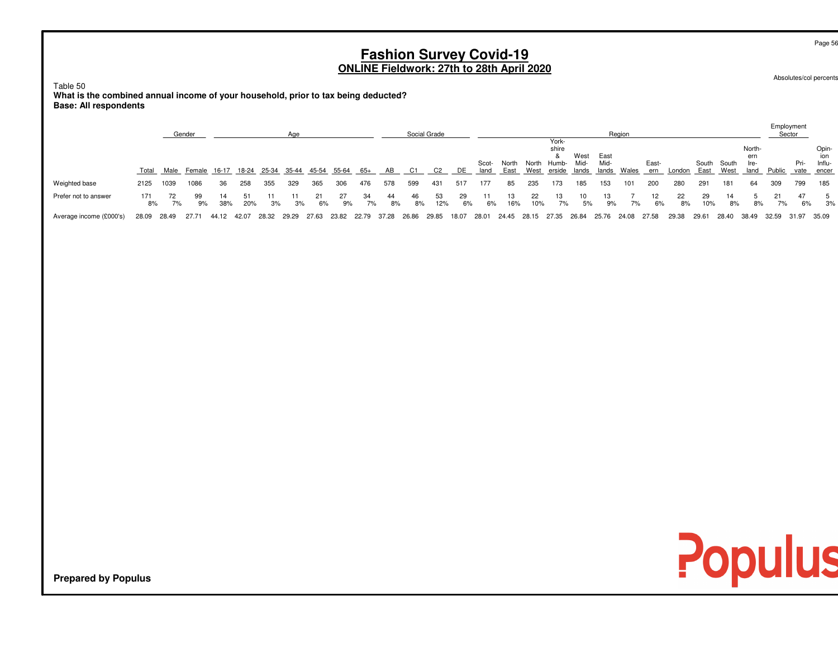# **Fashion Survey Covid-19 ONLINE Fieldwork: 27th to 28th April 2020**

Absolutes/col percents

Table 50 **What is the combined annual income of your household, prior to tax being deducted?Base: All respondents**

|                         |           |       | Gender   |                                                       |       |       | Age   |          |          |          |          |          | Social Grade   |          |               |               |           |                                                                          |          |              | Region |          |            |           |                     |                       |             | Employment<br>Sector |                              |
|-------------------------|-----------|-------|----------|-------------------------------------------------------|-------|-------|-------|----------|----------|----------|----------|----------|----------------|----------|---------------|---------------|-----------|--------------------------------------------------------------------------|----------|--------------|--------|----------|------------|-----------|---------------------|-----------------------|-------------|----------------------|------------------------------|
|                         |           |       |          | Total Male Female 16-17 18-24 25-34 35-44 45-54 55-64 |       |       |       |          |          | 65+      | AB       |          | C <sub>2</sub> | DE       | Scot-<br>land | North<br>East |           | York-<br>shire<br>&<br>North Humb- Mid-<br>West erside lands lands Wales | West     | East<br>Mid- |        | East-    | ern London | East      | South South<br>West | North-<br>ern<br>-lre | land Public | Pri-                 | Opin<br>-Influ<br>vate encer |
| Weighted base           | 2125      | 1039  | 1086     | 36                                                    | 258   | 355   | 329   | 365      | 306      | 476      | 578      | 599      | 431            | 517      | 177           | 85            | 235       | 173                                                                      | 185      | 153          | 101    | 200      | 280        | 291       | 181                 | 64                    | 309         | 799                  | 185                          |
| Prefer not to answer    | 171<br>8% | 7%    | 99<br>9% | 14<br>38%                                             | 20%   | 3%    | 3%    | 21<br>6% | 27<br>9% | 34<br>7% | 44<br>8% | 46<br>8% | 53<br>12%      | 29<br>6% | 11<br>6%      | 13<br>16%     | 22<br>10% | 13<br>7%                                                                 | 10<br>5% | 13<br>9%     | 7%     | 12<br>6% | 22<br>8%   | 29<br>10% | 14<br>8%            | 8%                    | 7%          | 47<br>6%             | 3%                           |
| Average income (£000's) | 28.09     | 28.49 | 27.71    | 44.12                                                 | 42.07 | 28.32 | 29.29 | 27.63    | 23.82    | 22.79    | 37.28    | 26.86    | 29.85          | 18.07    | 28.01         | 24.45         | 28.15     | 27.35                                                                    | 26.84    | 25.76        | 24.08  | 27.58    | 29.38      | 29.61     | 28.40               | 38.49                 | 32.59       | 31.97                | 35.09                        |

Populus